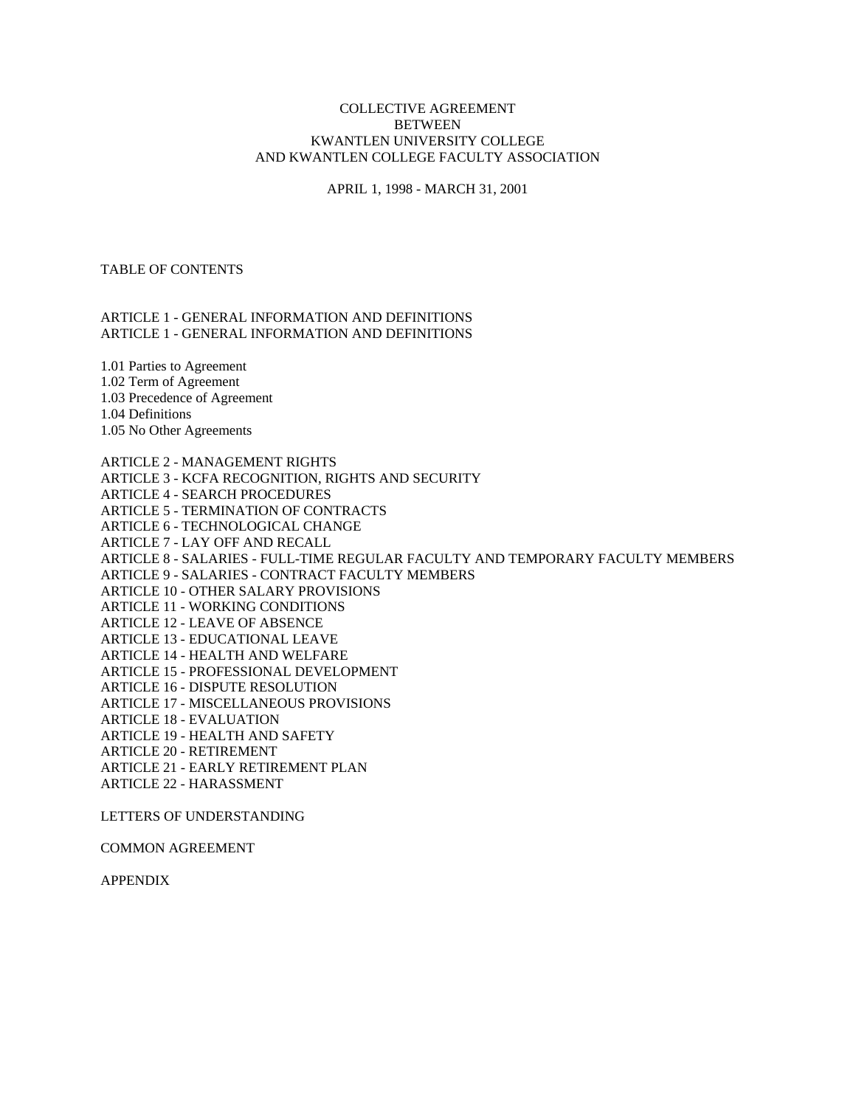## COLLECTIVE AGREEMENT BETWEEN KWANTLEN UNIVERSITY COLLEGE AND KWANTLEN COLLEGE FACULTY ASSOCIATION

APRIL 1, 1998 - MARCH 31, 2001

## TABLE OF CONTENTS

## ARTICLE 1 - GENERAL INFORMATION AND DEFINITIONS ARTICLE 1 - GENERAL INFORMATION AND DEFINITIONS

1.01 Parties to Agreement 1.02 Term of Agreement 1.03 Precedence of Agreement 1.04 Definitions 1.05 No Other Agreements

ARTICLE 2 - MANAGEMENT RIGHTS ARTICLE 3 - KCFA RECOGNITION, RIGHTS AND SECURITY ARTICLE 4 - SEARCH PROCEDURES ARTICLE 5 - TERMINATION OF CONTRACTS ARTICLE 6 - TECHNOLOGICAL CHANGE ARTICLE 7 - LAY OFF AND RECALL ARTICLE 8 - SALARIES - FULL-TIME REGULAR FACULTY AND TEMPORARY FACULTY MEMBERS ARTICLE 9 - SALARIES - CONTRACT FACULTY MEMBERS ARTICLE 10 - OTHER SALARY PROVISIONS ARTICLE 11 - WORKING CONDITIONS ARTICLE 12 - LEAVE OF ABSENCE ARTICLE 13 - EDUCATIONAL LEAVE ARTICLE 14 - HEALTH AND WELFARE ARTICLE 15 - PROFESSIONAL DEVELOPMENT ARTICLE 16 - DISPUTE RESOLUTION ARTICLE 17 - MISCELLANEOUS PROVISIONS ARTICLE 18 - EVALUATION ARTICLE 19 - HEALTH AND SAFETY ARTICLE 20 - RETIREMENT ARTICLE 21 - EARLY RETIREMENT PLAN ARTICLE 22 - HARASSMENT

LETTERS OF UNDERSTANDING

COMMON AGREEMENT

APPENDIX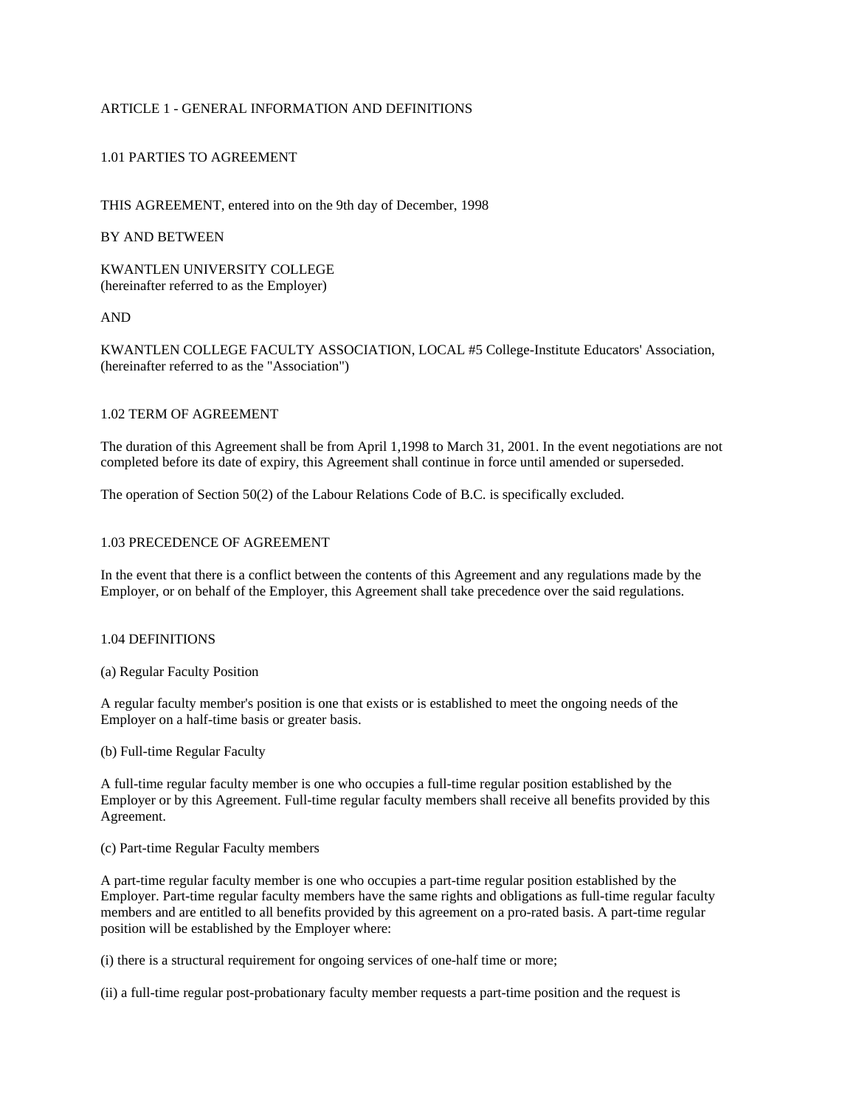# ARTICLE 1 - GENERAL INFORMATION AND DEFINITIONS

## 1.01 PARTIES TO AGREEMENT

THIS AGREEMENT, entered into on the 9th day of December, 1998

## BY AND BETWEEN

KWANTLEN UNIVERSITY COLLEGE (hereinafter referred to as the Employer)

AND

KWANTLEN COLLEGE FACULTY ASSOCIATION, LOCAL #5 College-Institute Educators' Association, (hereinafter referred to as the "Association")

#### 1.02 TERM OF AGREEMENT

The duration of this Agreement shall be from April 1,1998 to March 31, 2001. In the event negotiations are not completed before its date of expiry, this Agreement shall continue in force until amended or superseded.

The operation of Section 50(2) of the Labour Relations Code of B.C. is specifically excluded.

## 1.03 PRECEDENCE OF AGREEMENT

In the event that there is a conflict between the contents of this Agreement and any regulations made by the Employer, or on behalf of the Employer, this Agreement shall take precedence over the said regulations.

#### 1.04 DEFINITIONS

(a) Regular Faculty Position

A regular faculty member's position is one that exists or is established to meet the ongoing needs of the Employer on a half-time basis or greater basis.

(b) Full-time Regular Faculty

A full-time regular faculty member is one who occupies a full-time regular position established by the Employer or by this Agreement. Full-time regular faculty members shall receive all benefits provided by this Agreement.

(c) Part-time Regular Faculty members

A part-time regular faculty member is one who occupies a part-time regular position established by the Employer. Part-time regular faculty members have the same rights and obligations as full-time regular faculty members and are entitled to all benefits provided by this agreement on a pro-rated basis. A part-time regular position will be established by the Employer where:

(i) there is a structural requirement for ongoing services of one-half time or more;

(ii) a full-time regular post-probationary faculty member requests a part-time position and the request is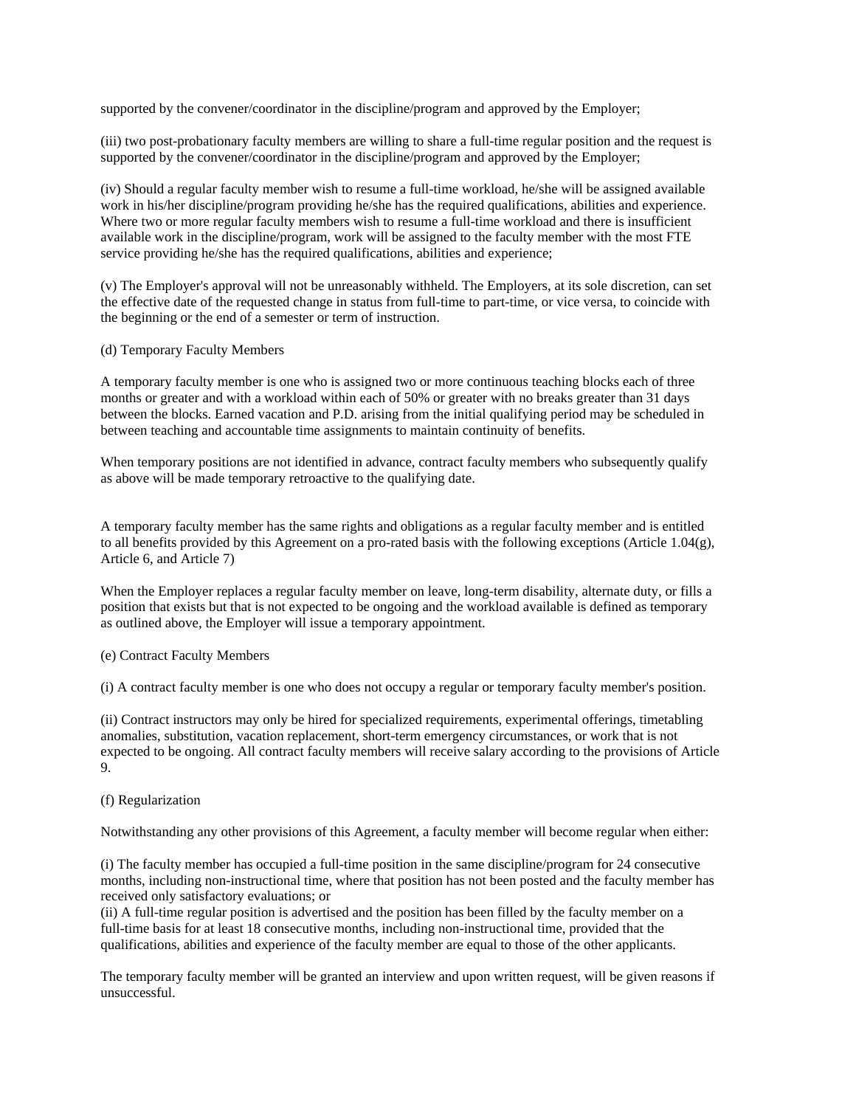supported by the convener/coordinator in the discipline/program and approved by the Employer;

(iii) two post-probationary faculty members are willing to share a full-time regular position and the request is supported by the convener/coordinator in the discipline/program and approved by the Employer;

(iv) Should a regular faculty member wish to resume a full-time workload, he/she will be assigned available work in his/her discipline/program providing he/she has the required qualifications, abilities and experience. Where two or more regular faculty members wish to resume a full-time workload and there is insufficient available work in the discipline/program, work will be assigned to the faculty member with the most FTE service providing he/she has the required qualifications, abilities and experience;

(v) The Employer's approval will not be unreasonably withheld. The Employers, at its sole discretion, can set the effective date of the requested change in status from full-time to part-time, or vice versa, to coincide with the beginning or the end of a semester or term of instruction.

(d) Temporary Faculty Members

A temporary faculty member is one who is assigned two or more continuous teaching blocks each of three months or greater and with a workload within each of 50% or greater with no breaks greater than 31 days between the blocks. Earned vacation and P.D. arising from the initial qualifying period may be scheduled in between teaching and accountable time assignments to maintain continuity of benefits.

When temporary positions are not identified in advance, contract faculty members who subsequently qualify as above will be made temporary retroactive to the qualifying date.

A temporary faculty member has the same rights and obligations as a regular faculty member and is entitled to all benefits provided by this Agreement on a pro-rated basis with the following exceptions (Article 1.04(g), Article 6, and Article 7)

When the Employer replaces a regular faculty member on leave, long-term disability, alternate duty, or fills a position that exists but that is not expected to be ongoing and the workload available is defined as temporary as outlined above, the Employer will issue a temporary appointment.

(e) Contract Faculty Members

(i) A contract faculty member is one who does not occupy a regular or temporary faculty member's position.

(ii) Contract instructors may only be hired for specialized requirements, experimental offerings, timetabling anomalies, substitution, vacation replacement, short-term emergency circumstances, or work that is not expected to be ongoing. All contract faculty members will receive salary according to the provisions of Article 9.

# (f) Regularization

Notwithstanding any other provisions of this Agreement, a faculty member will become regular when either:

(i) The faculty member has occupied a full-time position in the same discipline/program for 24 consecutive months, including non-instructional time, where that position has not been posted and the faculty member has received only satisfactory evaluations; or

(ii) A full-time regular position is advertised and the position has been filled by the faculty member on a full-time basis for at least 18 consecutive months, including non-instructional time, provided that the qualifications, abilities and experience of the faculty member are equal to those of the other applicants.

The temporary faculty member will be granted an interview and upon written request, will be given reasons if unsuccessful.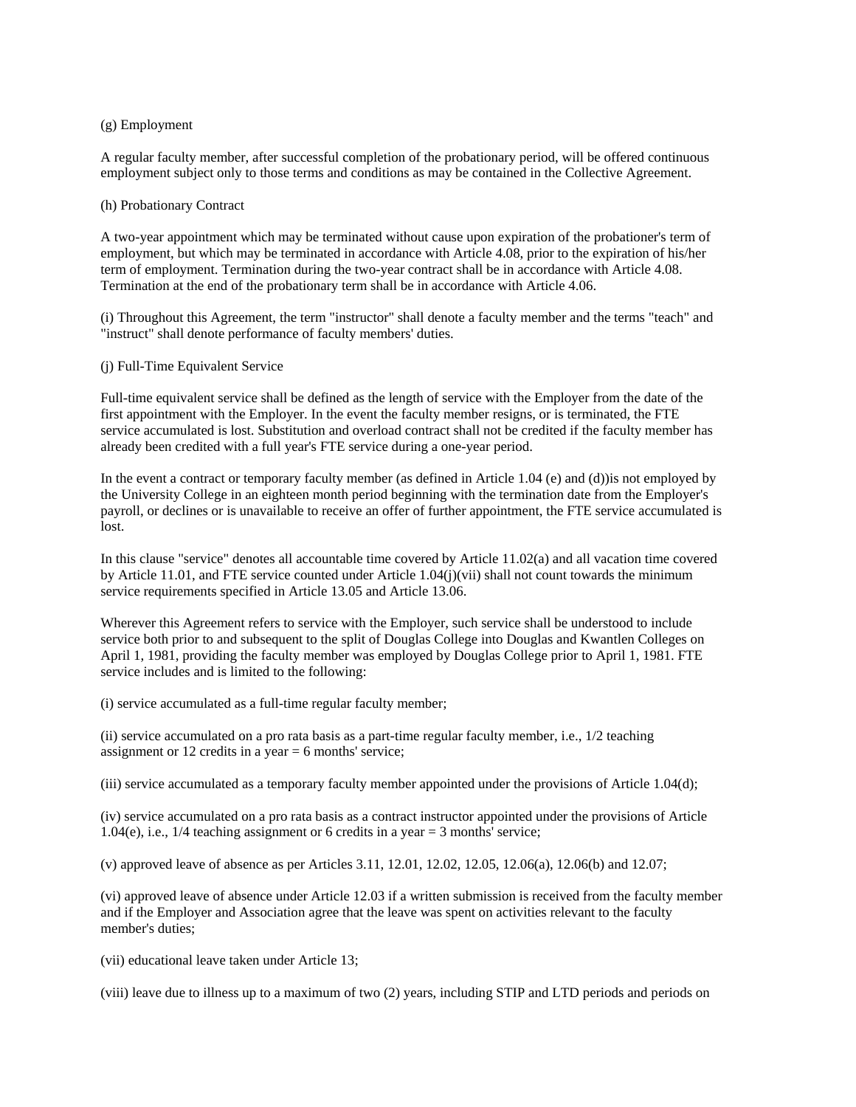### (g) Employment

A regular faculty member, after successful completion of the probationary period, will be offered continuous employment subject only to those terms and conditions as may be contained in the Collective Agreement.

#### (h) Probationary Contract

A two-year appointment which may be terminated without cause upon expiration of the probationer's term of employment, but which may be terminated in accordance with Article 4.08, prior to the expiration of his/her term of employment. Termination during the two-year contract shall be in accordance with Article 4.08. Termination at the end of the probationary term shall be in accordance with Article 4.06.

(i) Throughout this Agreement, the term "instructor" shall denote a faculty member and the terms "teach" and "instruct" shall denote performance of faculty members' duties.

#### (j) Full-Time Equivalent Service

Full-time equivalent service shall be defined as the length of service with the Employer from the date of the first appointment with the Employer. In the event the faculty member resigns, or is terminated, the FTE service accumulated is lost. Substitution and overload contract shall not be credited if the faculty member has already been credited with a full year's FTE service during a one-year period.

In the event a contract or temporary faculty member (as defined in Article 1.04 (e) and (d))is not employed by the University College in an eighteen month period beginning with the termination date from the Employer's payroll, or declines or is unavailable to receive an offer of further appointment, the FTE service accumulated is lost.

In this clause "service" denotes all accountable time covered by Article 11.02(a) and all vacation time covered by Article 11.01, and FTE service counted under Article 1.04 $(i)(vi)$  shall not count towards the minimum service requirements specified in Article 13.05 and Article 13.06.

Wherever this Agreement refers to service with the Employer, such service shall be understood to include service both prior to and subsequent to the split of Douglas College into Douglas and Kwantlen Colleges on April 1, 1981, providing the faculty member was employed by Douglas College prior to April 1, 1981. FTE service includes and is limited to the following:

(i) service accumulated as a full-time regular faculty member;

(ii) service accumulated on a pro rata basis as a part-time regular faculty member, i.e., 1/2 teaching assignment or 12 credits in a year  $= 6$  months' service;

(iii) service accumulated as a temporary faculty member appointed under the provisions of Article 1.04(d);

(iv) service accumulated on a pro rata basis as a contract instructor appointed under the provisions of Article 1.04(e), i.e., 1/4 teaching assignment or 6 credits in a year = 3 months' service;

(v) approved leave of absence as per Articles 3.11, 12.01, 12.02, 12.05, 12.06(a), 12.06(b) and 12.07;

(vi) approved leave of absence under Article 12.03 if a written submission is received from the faculty member and if the Employer and Association agree that the leave was spent on activities relevant to the faculty member's duties;

(vii) educational leave taken under Article 13;

(viii) leave due to illness up to a maximum of two (2) years, including STIP and LTD periods and periods on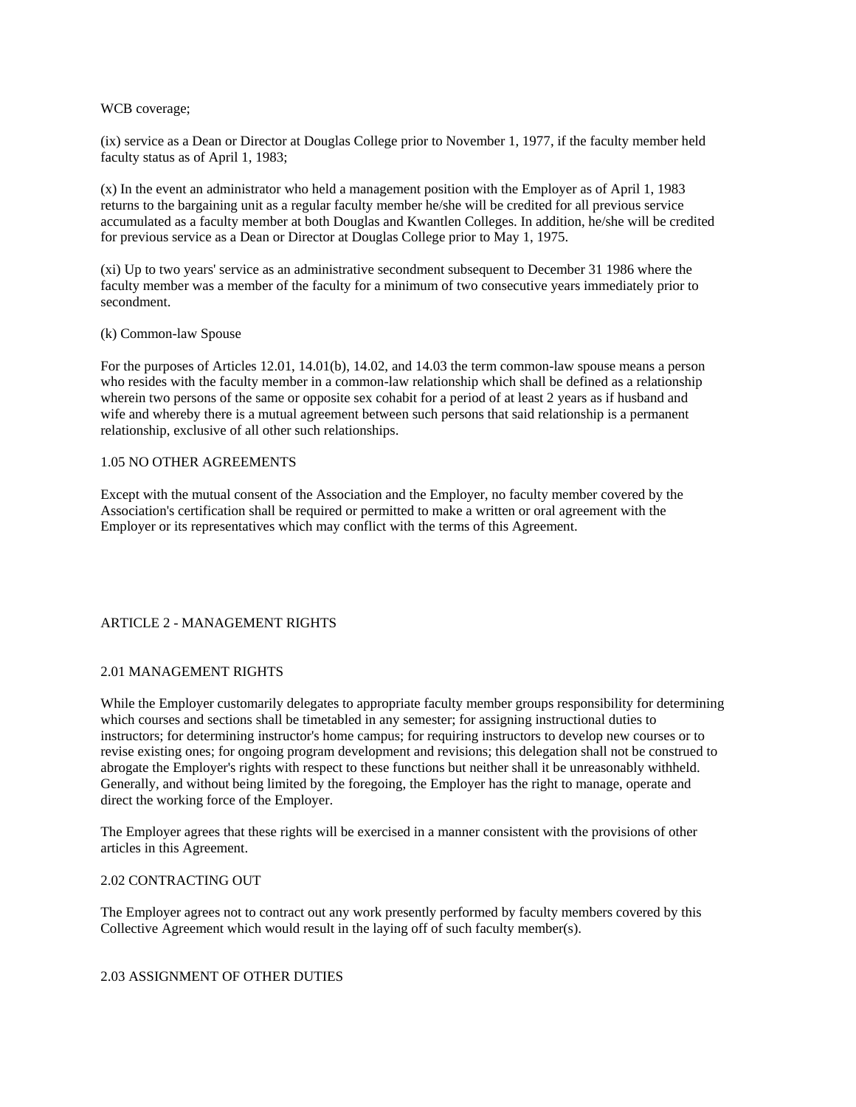## WCB coverage;

(ix) service as a Dean or Director at Douglas College prior to November 1, 1977, if the faculty member held faculty status as of April 1, 1983;

(x) In the event an administrator who held a management position with the Employer as of April 1, 1983 returns to the bargaining unit as a regular faculty member he/she will be credited for all previous service accumulated as a faculty member at both Douglas and Kwantlen Colleges. In addition, he/she will be credited for previous service as a Dean or Director at Douglas College prior to May 1, 1975.

(xi) Up to two years' service as an administrative secondment subsequent to December 31 1986 where the faculty member was a member of the faculty for a minimum of two consecutive years immediately prior to secondment.

## (k) Common-law Spouse

For the purposes of Articles 12.01, 14.01(b), 14.02, and 14.03 the term common-law spouse means a person who resides with the faculty member in a common-law relationship which shall be defined as a relationship wherein two persons of the same or opposite sex cohabit for a period of at least 2 years as if husband and wife and whereby there is a mutual agreement between such persons that said relationship is a permanent relationship, exclusive of all other such relationships.

## 1.05 NO OTHER AGREEMENTS

Except with the mutual consent of the Association and the Employer, no faculty member covered by the Association's certification shall be required or permitted to make a written or oral agreement with the Employer or its representatives which may conflict with the terms of this Agreement.

# ARTICLE 2 - MANAGEMENT RIGHTS

# 2.01 MANAGEMENT RIGHTS

While the Employer customarily delegates to appropriate faculty member groups responsibility for determining which courses and sections shall be timetabled in any semester; for assigning instructional duties to instructors; for determining instructor's home campus; for requiring instructors to develop new courses or to revise existing ones; for ongoing program development and revisions; this delegation shall not be construed to abrogate the Employer's rights with respect to these functions but neither shall it be unreasonably withheld. Generally, and without being limited by the foregoing, the Employer has the right to manage, operate and direct the working force of the Employer.

The Employer agrees that these rights will be exercised in a manner consistent with the provisions of other articles in this Agreement.

## 2.02 CONTRACTING OUT

The Employer agrees not to contract out any work presently performed by faculty members covered by this Collective Agreement which would result in the laying off of such faculty member(s).

## 2.03 ASSIGNMENT OF OTHER DUTIES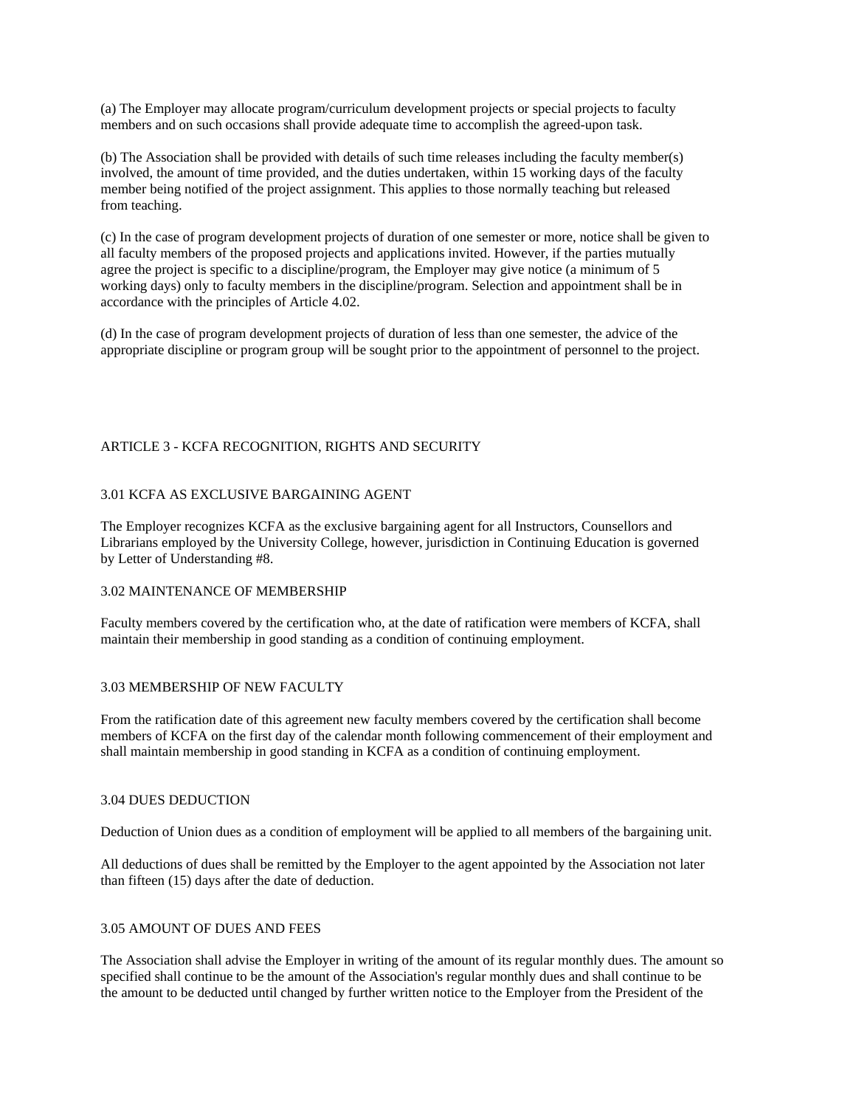(a) The Employer may allocate program/curriculum development projects or special projects to faculty members and on such occasions shall provide adequate time to accomplish the agreed-upon task.

(b) The Association shall be provided with details of such time releases including the faculty member(s) involved, the amount of time provided, and the duties undertaken, within 15 working days of the faculty member being notified of the project assignment. This applies to those normally teaching but released from teaching.

(c) In the case of program development projects of duration of one semester or more, notice shall be given to all faculty members of the proposed projects and applications invited. However, if the parties mutually agree the project is specific to a discipline/program, the Employer may give notice (a minimum of 5 working days) only to faculty members in the discipline/program. Selection and appointment shall be in accordance with the principles of Article 4.02.

(d) In the case of program development projects of duration of less than one semester, the advice of the appropriate discipline or program group will be sought prior to the appointment of personnel to the project.

## ARTICLE 3 - KCFA RECOGNITION, RIGHTS AND SECURITY

## 3.01 KCFA AS EXCLUSIVE BARGAINING AGENT

The Employer recognizes KCFA as the exclusive bargaining agent for all Instructors, Counsellors and Librarians employed by the University College, however, jurisdiction in Continuing Education is governed by Letter of Understanding #8.

## 3.02 MAINTENANCE OF MEMBERSHIP

Faculty members covered by the certification who, at the date of ratification were members of KCFA, shall maintain their membership in good standing as a condition of continuing employment.

## 3.03 MEMBERSHIP OF NEW FACULTY

From the ratification date of this agreement new faculty members covered by the certification shall become members of KCFA on the first day of the calendar month following commencement of their employment and shall maintain membership in good standing in KCFA as a condition of continuing employment.

#### 3.04 DUES DEDUCTION

Deduction of Union dues as a condition of employment will be applied to all members of the bargaining unit.

All deductions of dues shall be remitted by the Employer to the agent appointed by the Association not later than fifteen (15) days after the date of deduction.

## 3.05 AMOUNT OF DUES AND FEES

The Association shall advise the Employer in writing of the amount of its regular monthly dues. The amount so specified shall continue to be the amount of the Association's regular monthly dues and shall continue to be the amount to be deducted until changed by further written notice to the Employer from the President of the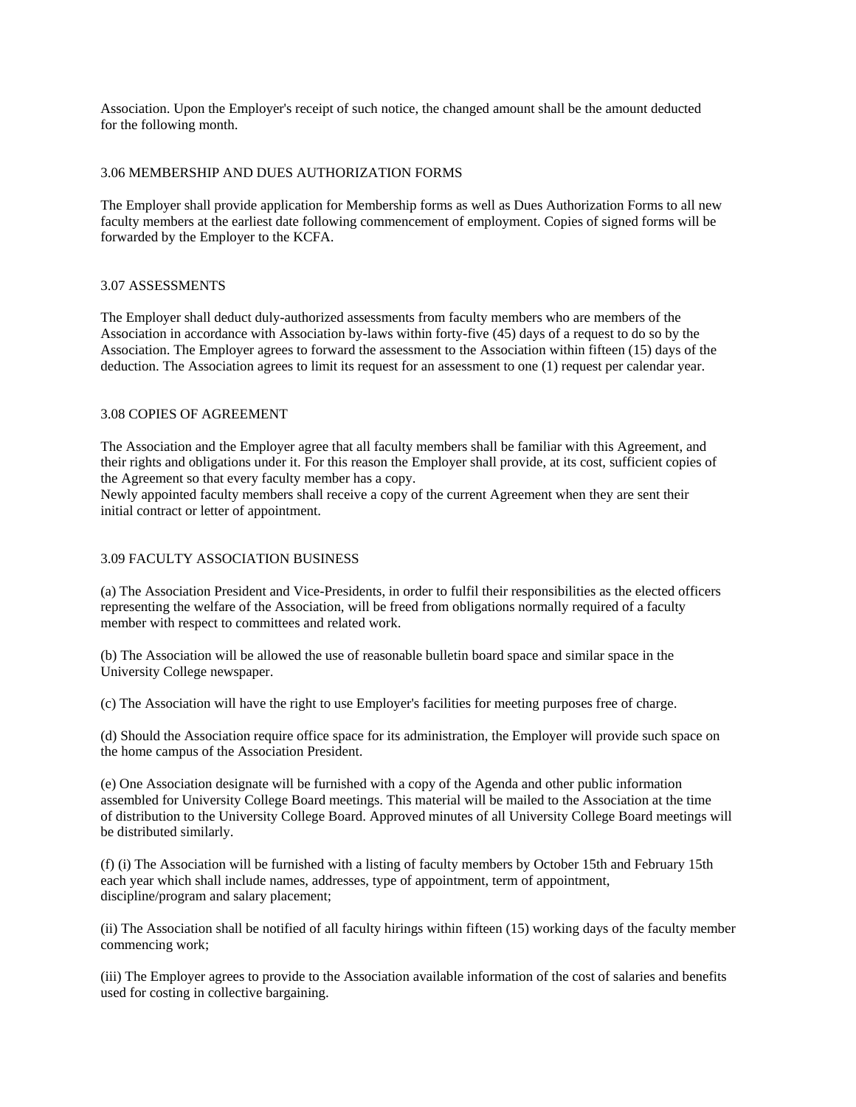Association. Upon the Employer's receipt of such notice, the changed amount shall be the amount deducted for the following month.

## 3.06 MEMBERSHIP AND DUES AUTHORIZATION FORMS

The Employer shall provide application for Membership forms as well as Dues Authorization Forms to all new faculty members at the earliest date following commencement of employment. Copies of signed forms will be forwarded by the Employer to the KCFA.

## 3.07 ASSESSMENTS

The Employer shall deduct duly-authorized assessments from faculty members who are members of the Association in accordance with Association by-laws within forty-five (45) days of a request to do so by the Association. The Employer agrees to forward the assessment to the Association within fifteen (15) days of the deduction. The Association agrees to limit its request for an assessment to one (1) request per calendar year.

## 3.08 COPIES OF AGREEMENT

The Association and the Employer agree that all faculty members shall be familiar with this Agreement, and their rights and obligations under it. For this reason the Employer shall provide, at its cost, sufficient copies of the Agreement so that every faculty member has a copy.

Newly appointed faculty members shall receive a copy of the current Agreement when they are sent their initial contract or letter of appointment.

## 3.09 FACULTY ASSOCIATION BUSINESS

(a) The Association President and Vice-Presidents, in order to fulfil their responsibilities as the elected officers representing the welfare of the Association, will be freed from obligations normally required of a faculty member with respect to committees and related work.

(b) The Association will be allowed the use of reasonable bulletin board space and similar space in the University College newspaper.

(c) The Association will have the right to use Employer's facilities for meeting purposes free of charge.

(d) Should the Association require office space for its administration, the Employer will provide such space on the home campus of the Association President.

(e) One Association designate will be furnished with a copy of the Agenda and other public information assembled for University College Board meetings. This material will be mailed to the Association at the time of distribution to the University College Board. Approved minutes of all University College Board meetings will be distributed similarly.

(f) (i) The Association will be furnished with a listing of faculty members by October 15th and February 15th each year which shall include names, addresses, type of appointment, term of appointment, discipline/program and salary placement;

(ii) The Association shall be notified of all faculty hirings within fifteen (15) working days of the faculty member commencing work;

(iii) The Employer agrees to provide to the Association available information of the cost of salaries and benefits used for costing in collective bargaining.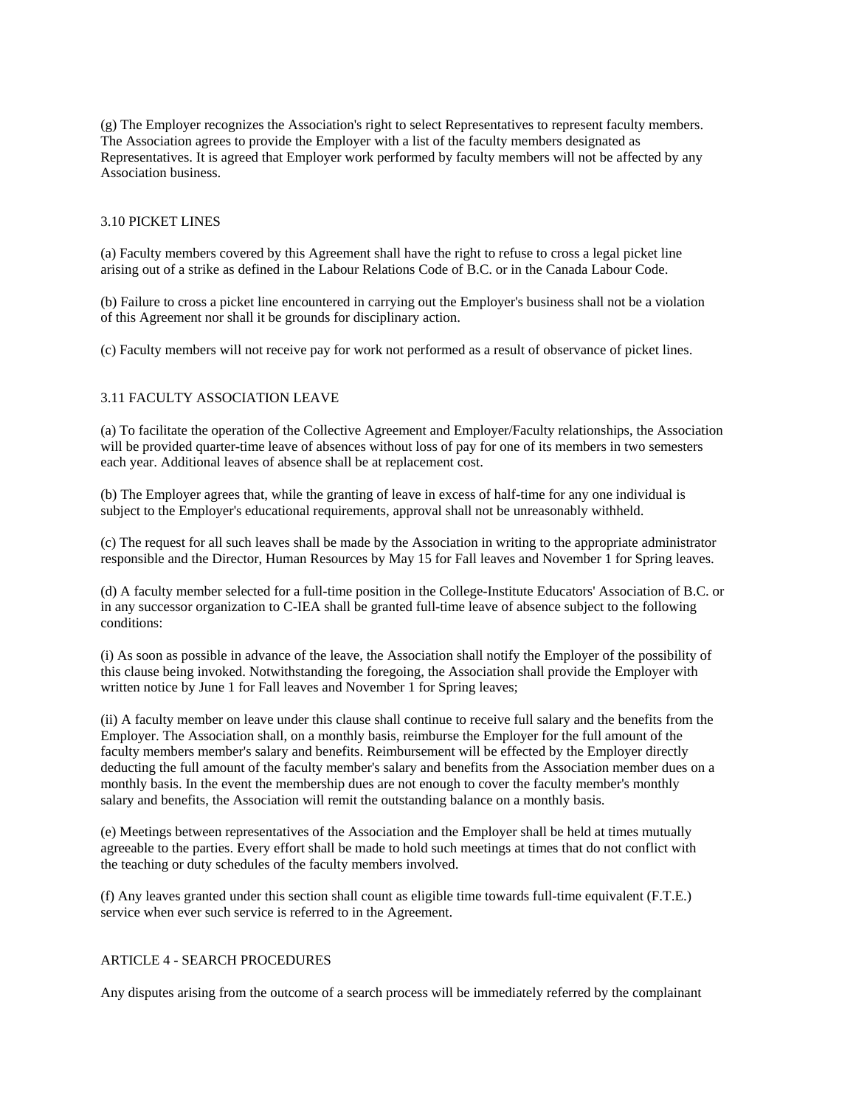(g) The Employer recognizes the Association's right to select Representatives to represent faculty members. The Association agrees to provide the Employer with a list of the faculty members designated as Representatives. It is agreed that Employer work performed by faculty members will not be affected by any Association business.

## 3.10 PICKET LINES

(a) Faculty members covered by this Agreement shall have the right to refuse to cross a legal picket line arising out of a strike as defined in the Labour Relations Code of B.C. or in the Canada Labour Code.

(b) Failure to cross a picket line encountered in carrying out the Employer's business shall not be a violation of this Agreement nor shall it be grounds for disciplinary action.

(c) Faculty members will not receive pay for work not performed as a result of observance of picket lines.

## 3.11 FACULTY ASSOCIATION LEAVE

(a) To facilitate the operation of the Collective Agreement and Employer/Faculty relationships, the Association will be provided quarter-time leave of absences without loss of pay for one of its members in two semesters each year. Additional leaves of absence shall be at replacement cost.

(b) The Employer agrees that, while the granting of leave in excess of half-time for any one individual is subject to the Employer's educational requirements, approval shall not be unreasonably withheld.

(c) The request for all such leaves shall be made by the Association in writing to the appropriate administrator responsible and the Director, Human Resources by May 15 for Fall leaves and November 1 for Spring leaves.

(d) A faculty member selected for a full-time position in the College-Institute Educators' Association of B.C. or in any successor organization to C-IEA shall be granted full-time leave of absence subject to the following conditions:

(i) As soon as possible in advance of the leave, the Association shall notify the Employer of the possibility of this clause being invoked. Notwithstanding the foregoing, the Association shall provide the Employer with written notice by June 1 for Fall leaves and November 1 for Spring leaves;

(ii) A faculty member on leave under this clause shall continue to receive full salary and the benefits from the Employer. The Association shall, on a monthly basis, reimburse the Employer for the full amount of the faculty members member's salary and benefits. Reimbursement will be effected by the Employer directly deducting the full amount of the faculty member's salary and benefits from the Association member dues on a monthly basis. In the event the membership dues are not enough to cover the faculty member's monthly salary and benefits, the Association will remit the outstanding balance on a monthly basis.

(e) Meetings between representatives of the Association and the Employer shall be held at times mutually agreeable to the parties. Every effort shall be made to hold such meetings at times that do not conflict with the teaching or duty schedules of the faculty members involved.

(f) Any leaves granted under this section shall count as eligible time towards full-time equivalent (F.T.E.) service when ever such service is referred to in the Agreement.

## ARTICLE 4 - SEARCH PROCEDURES

Any disputes arising from the outcome of a search process will be immediately referred by the complainant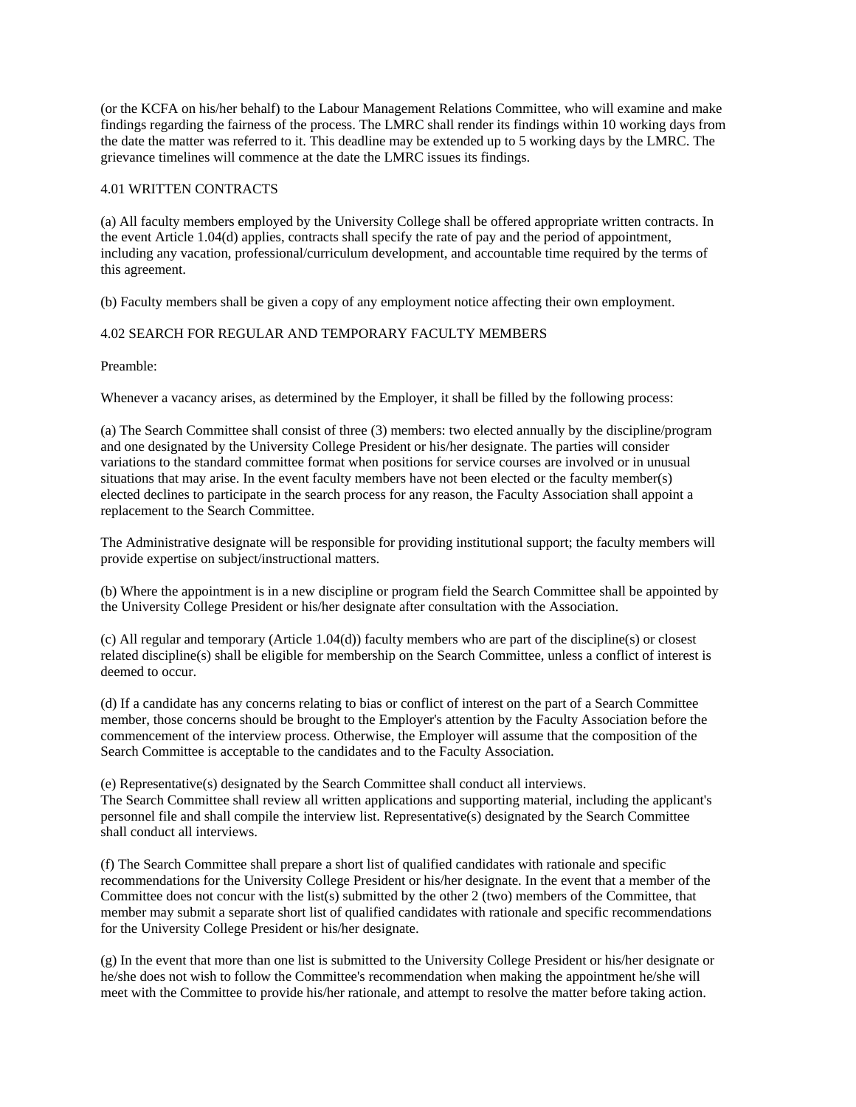(or the KCFA on his/her behalf) to the Labour Management Relations Committee, who will examine and make findings regarding the fairness of the process. The LMRC shall render its findings within 10 working days from the date the matter was referred to it. This deadline may be extended up to 5 working days by the LMRC. The grievance timelines will commence at the date the LMRC issues its findings.

## 4.01 WRITTEN CONTRACTS

(a) All faculty members employed by the University College shall be offered appropriate written contracts. In the event Article 1.04(d) applies, contracts shall specify the rate of pay and the period of appointment, including any vacation, professional/curriculum development, and accountable time required by the terms of this agreement.

(b) Faculty members shall be given a copy of any employment notice affecting their own employment.

# 4.02 SEARCH FOR REGULAR AND TEMPORARY FACULTY MEMBERS

Preamble:

Whenever a vacancy arises, as determined by the Employer, it shall be filled by the following process:

(a) The Search Committee shall consist of three (3) members: two elected annually by the discipline/program and one designated by the University College President or his/her designate. The parties will consider variations to the standard committee format when positions for service courses are involved or in unusual situations that may arise. In the event faculty members have not been elected or the faculty member(s) elected declines to participate in the search process for any reason, the Faculty Association shall appoint a replacement to the Search Committee.

The Administrative designate will be responsible for providing institutional support; the faculty members will provide expertise on subject/instructional matters.

(b) Where the appointment is in a new discipline or program field the Search Committee shall be appointed by the University College President or his/her designate after consultation with the Association.

(c) All regular and temporary (Article 1.04(d)) faculty members who are part of the discipline(s) or closest related discipline(s) shall be eligible for membership on the Search Committee, unless a conflict of interest is deemed to occur.

(d) If a candidate has any concerns relating to bias or conflict of interest on the part of a Search Committee member, those concerns should be brought to the Employer's attention by the Faculty Association before the commencement of the interview process. Otherwise, the Employer will assume that the composition of the Search Committee is acceptable to the candidates and to the Faculty Association.

(e) Representative(s) designated by the Search Committee shall conduct all interviews. The Search Committee shall review all written applications and supporting material, including the applicant's personnel file and shall compile the interview list. Representative(s) designated by the Search Committee shall conduct all interviews.

(f) The Search Committee shall prepare a short list of qualified candidates with rationale and specific recommendations for the University College President or his/her designate. In the event that a member of the Committee does not concur with the list(s) submitted by the other 2 (two) members of the Committee, that member may submit a separate short list of qualified candidates with rationale and specific recommendations for the University College President or his/her designate.

(g) In the event that more than one list is submitted to the University College President or his/her designate or he/she does not wish to follow the Committee's recommendation when making the appointment he/she will meet with the Committee to provide his/her rationale, and attempt to resolve the matter before taking action.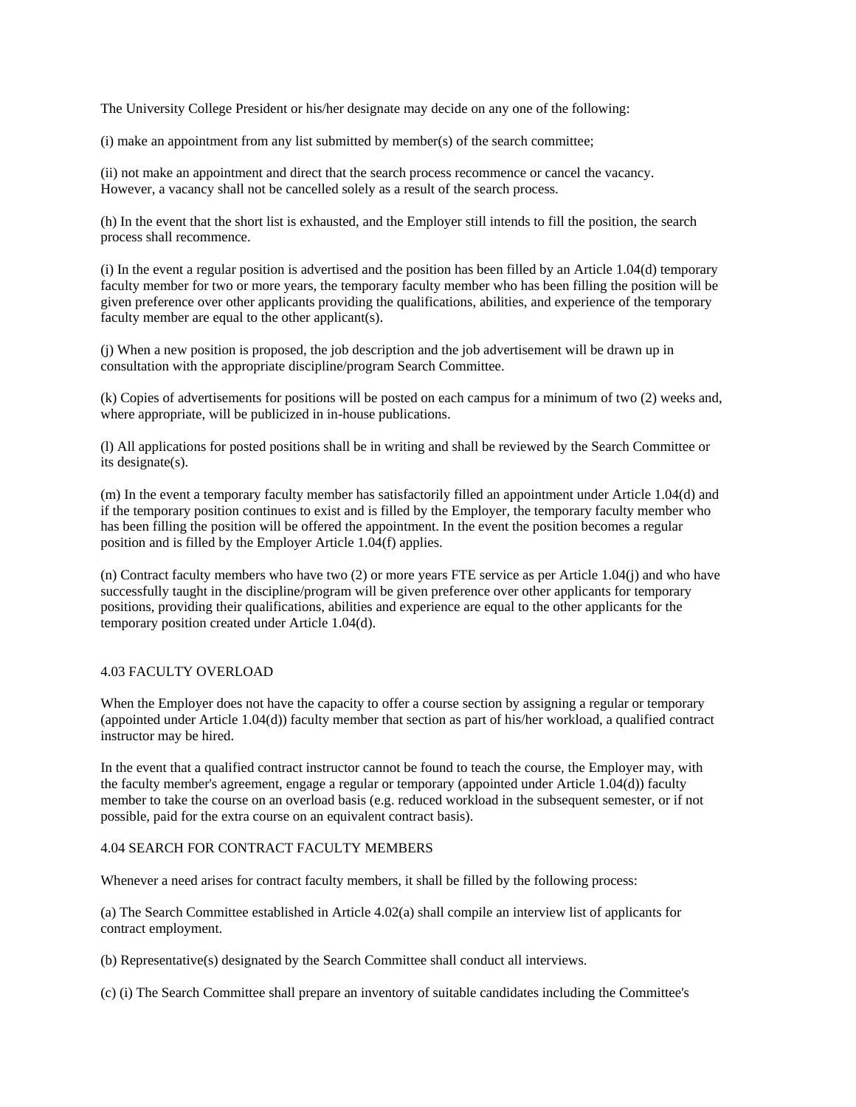The University College President or his/her designate may decide on any one of the following:

(i) make an appointment from any list submitted by member(s) of the search committee;

(ii) not make an appointment and direct that the search process recommence or cancel the vacancy. However, a vacancy shall not be cancelled solely as a result of the search process.

(h) In the event that the short list is exhausted, and the Employer still intends to fill the position, the search process shall recommence.

(i) In the event a regular position is advertised and the position has been filled by an Article 1.04(d) temporary faculty member for two or more years, the temporary faculty member who has been filling the position will be given preference over other applicants providing the qualifications, abilities, and experience of the temporary faculty member are equal to the other applicant(s).

(j) When a new position is proposed, the job description and the job advertisement will be drawn up in consultation with the appropriate discipline/program Search Committee.

(k) Copies of advertisements for positions will be posted on each campus for a minimum of two (2) weeks and, where appropriate, will be publicized in in-house publications.

(l) All applications for posted positions shall be in writing and shall be reviewed by the Search Committee or its designate(s).

(m) In the event a temporary faculty member has satisfactorily filled an appointment under Article 1.04(d) and if the temporary position continues to exist and is filled by the Employer, the temporary faculty member who has been filling the position will be offered the appointment. In the event the position becomes a regular position and is filled by the Employer Article 1.04(f) applies.

(n) Contract faculty members who have two (2) or more years FTE service as per Article 1.04(j) and who have successfully taught in the discipline/program will be given preference over other applicants for temporary positions, providing their qualifications, abilities and experience are equal to the other applicants for the temporary position created under Article 1.04(d).

## 4.03 FACULTY OVERLOAD

When the Employer does not have the capacity to offer a course section by assigning a regular or temporary (appointed under Article 1.04(d)) faculty member that section as part of his/her workload, a qualified contract instructor may be hired.

In the event that a qualified contract instructor cannot be found to teach the course, the Employer may, with the faculty member's agreement, engage a regular or temporary (appointed under Article 1.04(d)) faculty member to take the course on an overload basis (e.g. reduced workload in the subsequent semester, or if not possible, paid for the extra course on an equivalent contract basis).

## 4.04 SEARCH FOR CONTRACT FACULTY MEMBERS

Whenever a need arises for contract faculty members, it shall be filled by the following process:

(a) The Search Committee established in Article 4.02(a) shall compile an interview list of applicants for contract employment.

(b) Representative(s) designated by the Search Committee shall conduct all interviews.

(c) (i) The Search Committee shall prepare an inventory of suitable candidates including the Committee's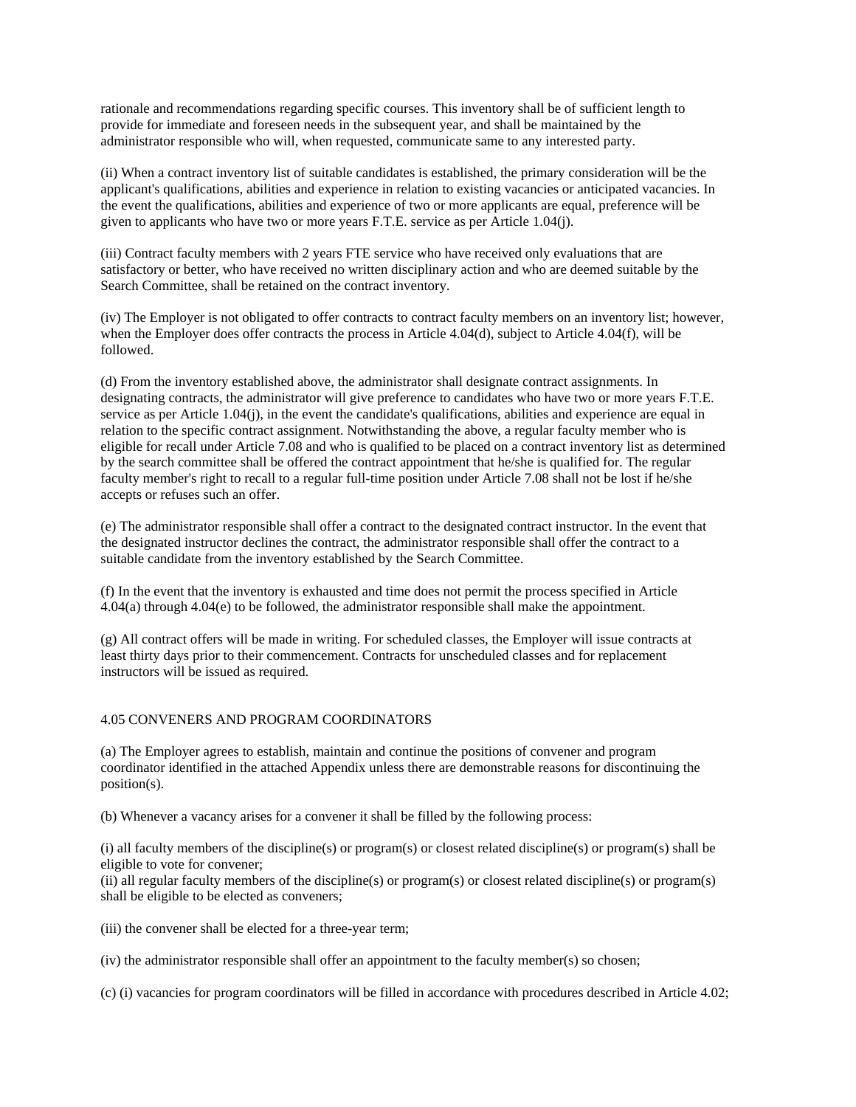rationale and recommendations regarding specific courses. This inventory shall be of sufficient length to provide for immediate and foreseen needs in the subsequent year, and shall be maintained by the administrator responsible who will, when requested, communicate same to any interested party.

(ii) When a contract inventory list of suitable candidates is established, the primary consideration will be the applicant's qualifications, abilities and experience in relation to existing vacancies or anticipated vacancies. In the event the qualifications, abilities and experience of two or more applicants are equal, preference will be given to applicants who have two or more years F.T.E. service as per Article 1.04(j).

(iii) Contract faculty members with 2 years FTE service who have received only evaluations that are satisfactory or better, who have received no written disciplinary action and who are deemed suitable by the Search Committee, shall be retained on the contract inventory.

(iv) The Employer is not obligated to offer contracts to contract faculty members on an inventory list; however, when the Employer does offer contracts the process in Article 4.04(d), subject to Article 4.04(f), will be followed.

(d) From the inventory established above, the administrator shall designate contract assignments. In designating contracts, the administrator will give preference to candidates who have two or more years F.T.E. service as per Article 1.04(j), in the event the candidate's qualifications, abilities and experience are equal in relation to the specific contract assignment. Notwithstanding the above, a regular faculty member who is eligible for recall under Article 7.08 and who is qualified to be placed on a contract inventory list as determined by the search committee shall be offered the contract appointment that he/she is qualified for. The regular faculty member's right to recall to a regular full-time position under Article 7.08 shall not be lost if he/she accepts or refuses such an offer.

(e) The administrator responsible shall offer a contract to the designated contract instructor. In the event that the designated instructor declines the contract, the administrator responsible shall offer the contract to a suitable candidate from the inventory established by the Search Committee.

(f) In the event that the inventory is exhausted and time does not permit the process specified in Article 4.04(a) through 4.04(e) to be followed, the administrator responsible shall make the appointment.

(g) All contract offers will be made in writing. For scheduled classes, the Employer will issue contracts at least thirty days prior to their commencement. Contracts for unscheduled classes and for replacement instructors will be issued as required.

## 4.05 CONVENERS AND PROGRAM COORDINATORS

(a) The Employer agrees to establish, maintain and continue the positions of convener and program coordinator identified in the attached Appendix unless there are demonstrable reasons for discontinuing the position(s).

(b) Whenever a vacancy arises for a convener it shall be filled by the following process:

(i) all faculty members of the discipline(s) or program(s) or closest related discipline(s) or program(s) shall be eligible to vote for convener;

(ii) all regular faculty members of the discipline(s) or program(s) or closest related discipline(s) or program(s) shall be eligible to be elected as conveners;

(iii) the convener shall be elected for a three-year term;

(iv) the administrator responsible shall offer an appointment to the faculty member(s) so chosen;

(c) (i) vacancies for program coordinators will be filled in accordance with procedures described in Article 4.02;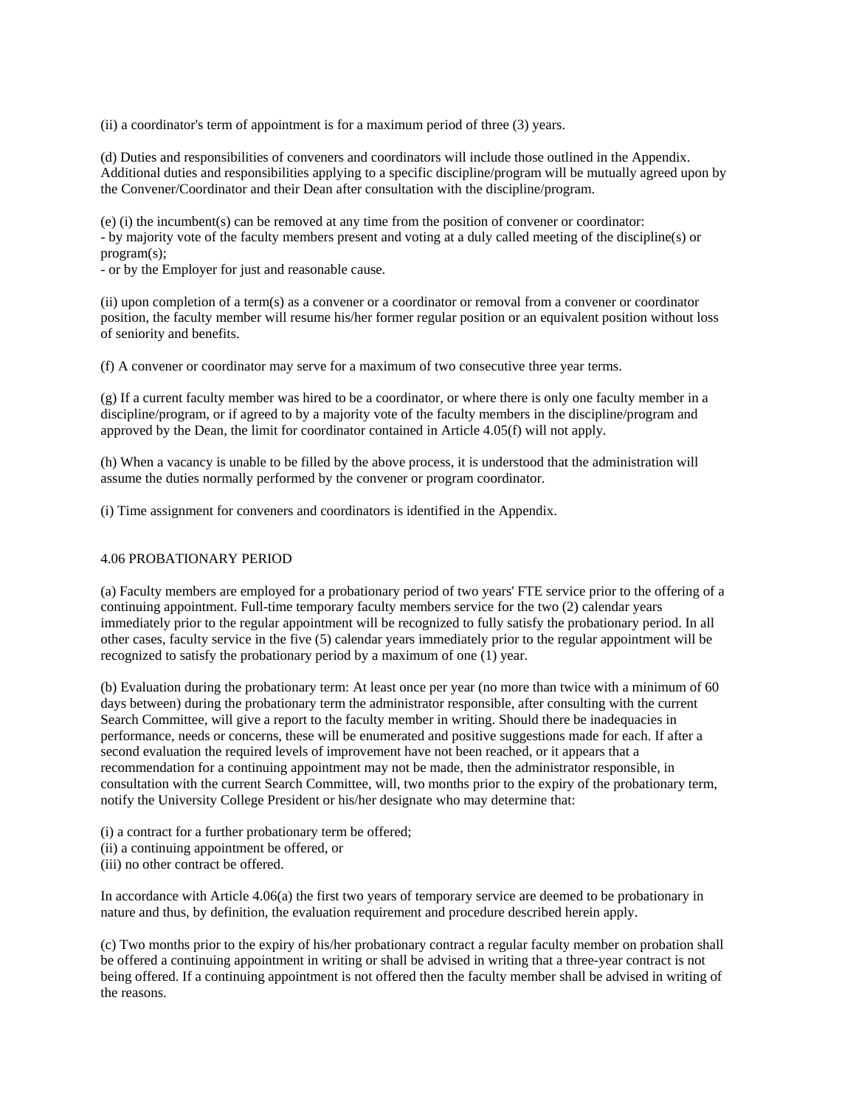(ii) a coordinator's term of appointment is for a maximum period of three (3) years.

(d) Duties and responsibilities of conveners and coordinators will include those outlined in the Appendix. Additional duties and responsibilities applying to a specific discipline/program will be mutually agreed upon by the Convener/Coordinator and their Dean after consultation with the discipline/program.

(e) (i) the incumbent(s) can be removed at any time from the position of convener or coordinator: - by majority vote of the faculty members present and voting at a duly called meeting of the discipline(s) or program(s);

- or by the Employer for just and reasonable cause.

(ii) upon completion of a term(s) as a convener or a coordinator or removal from a convener or coordinator position, the faculty member will resume his/her former regular position or an equivalent position without loss of seniority and benefits.

(f) A convener or coordinator may serve for a maximum of two consecutive three year terms.

(g) If a current faculty member was hired to be a coordinator, or where there is only one faculty member in a discipline/program, or if agreed to by a majority vote of the faculty members in the discipline/program and approved by the Dean, the limit for coordinator contained in Article 4.05(f) will not apply.

(h) When a vacancy is unable to be filled by the above process, it is understood that the administration will assume the duties normally performed by the convener or program coordinator.

(i) Time assignment for conveners and coordinators is identified in the Appendix.

## 4.06 PROBATIONARY PERIOD

(a) Faculty members are employed for a probationary period of two years' FTE service prior to the offering of a continuing appointment. Full-time temporary faculty members service for the two (2) calendar years immediately prior to the regular appointment will be recognized to fully satisfy the probationary period. In all other cases, faculty service in the five (5) calendar years immediately prior to the regular appointment will be recognized to satisfy the probationary period by a maximum of one (1) year.

(b) Evaluation during the probationary term: At least once per year (no more than twice with a minimum of 60 days between) during the probationary term the administrator responsible, after consulting with the current Search Committee, will give a report to the faculty member in writing. Should there be inadequacies in performance, needs or concerns, these will be enumerated and positive suggestions made for each. If after a second evaluation the required levels of improvement have not been reached, or it appears that a recommendation for a continuing appointment may not be made, then the administrator responsible, in consultation with the current Search Committee, will, two months prior to the expiry of the probationary term, notify the University College President or his/her designate who may determine that:

- (i) a contract for a further probationary term be offered;
- (ii) a continuing appointment be offered, or
- (iii) no other contract be offered.

In accordance with Article 4.06(a) the first two years of temporary service are deemed to be probationary in nature and thus, by definition, the evaluation requirement and procedure described herein apply.

(c) Two months prior to the expiry of his/her probationary contract a regular faculty member on probation shall be offered a continuing appointment in writing or shall be advised in writing that a three-year contract is not being offered. If a continuing appointment is not offered then the faculty member shall be advised in writing of the reasons.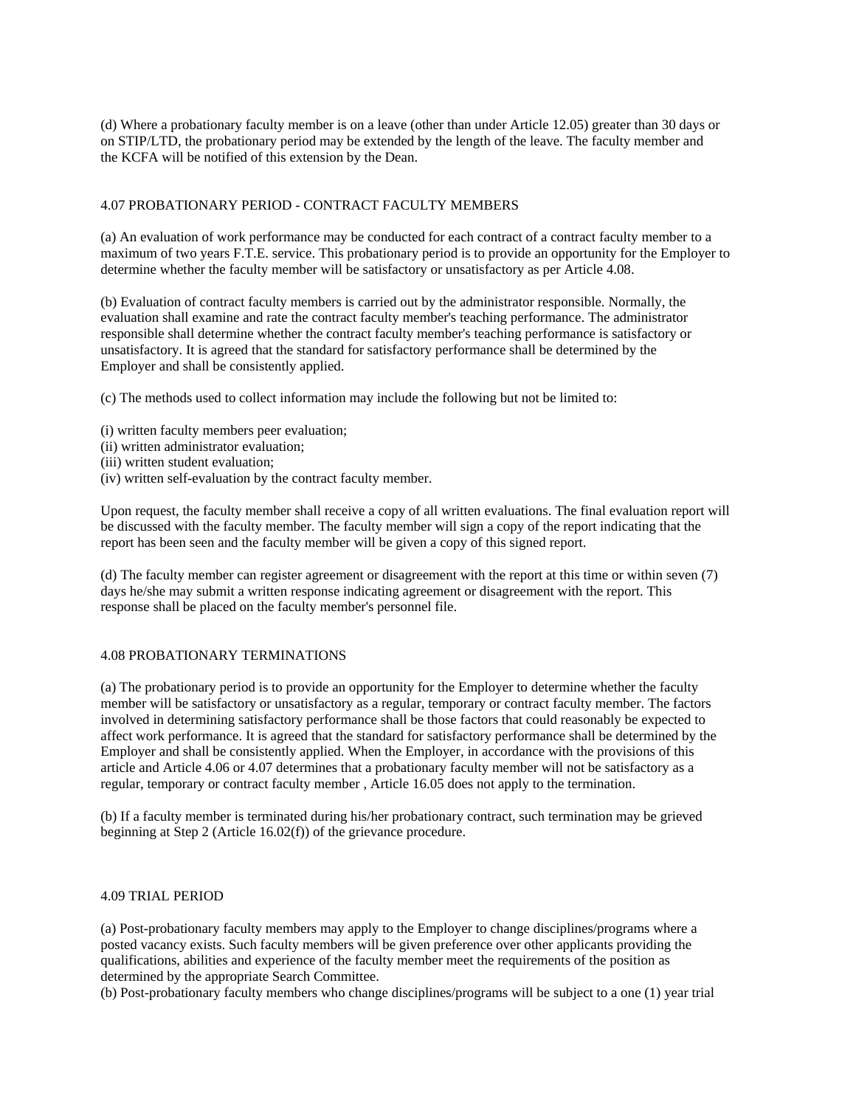(d) Where a probationary faculty member is on a leave (other than under Article 12.05) greater than 30 days or on STIP/LTD, the probationary period may be extended by the length of the leave. The faculty member and the KCFA will be notified of this extension by the Dean.

## 4.07 PROBATIONARY PERIOD - CONTRACT FACULTY MEMBERS

(a) An evaluation of work performance may be conducted for each contract of a contract faculty member to a maximum of two years F.T.E. service. This probationary period is to provide an opportunity for the Employer to determine whether the faculty member will be satisfactory or unsatisfactory as per Article 4.08.

(b) Evaluation of contract faculty members is carried out by the administrator responsible. Normally, the evaluation shall examine and rate the contract faculty member's teaching performance. The administrator responsible shall determine whether the contract faculty member's teaching performance is satisfactory or unsatisfactory. It is agreed that the standard for satisfactory performance shall be determined by the Employer and shall be consistently applied.

(c) The methods used to collect information may include the following but not be limited to:

- (i) written faculty members peer evaluation;
- (ii) written administrator evaluation;
- (iii) written student evaluation;
- (iv) written self-evaluation by the contract faculty member.

Upon request, the faculty member shall receive a copy of all written evaluations. The final evaluation report will be discussed with the faculty member. The faculty member will sign a copy of the report indicating that the report has been seen and the faculty member will be given a copy of this signed report.

(d) The faculty member can register agreement or disagreement with the report at this time or within seven (7) days he/she may submit a written response indicating agreement or disagreement with the report. This response shall be placed on the faculty member's personnel file.

## 4.08 PROBATIONARY TERMINATIONS

(a) The probationary period is to provide an opportunity for the Employer to determine whether the faculty member will be satisfactory or unsatisfactory as a regular, temporary or contract faculty member. The factors involved in determining satisfactory performance shall be those factors that could reasonably be expected to affect work performance. It is agreed that the standard for satisfactory performance shall be determined by the Employer and shall be consistently applied. When the Employer, in accordance with the provisions of this article and Article 4.06 or 4.07 determines that a probationary faculty member will not be satisfactory as a regular, temporary or contract faculty member , Article 16.05 does not apply to the termination.

(b) If a faculty member is terminated during his/her probationary contract, such termination may be grieved beginning at Step 2 (Article 16.02(f)) of the grievance procedure.

#### 4.09 TRIAL PERIOD

(a) Post-probationary faculty members may apply to the Employer to change disciplines/programs where a posted vacancy exists. Such faculty members will be given preference over other applicants providing the qualifications, abilities and experience of the faculty member meet the requirements of the position as determined by the appropriate Search Committee.

(b) Post-probationary faculty members who change disciplines/programs will be subject to a one (1) year trial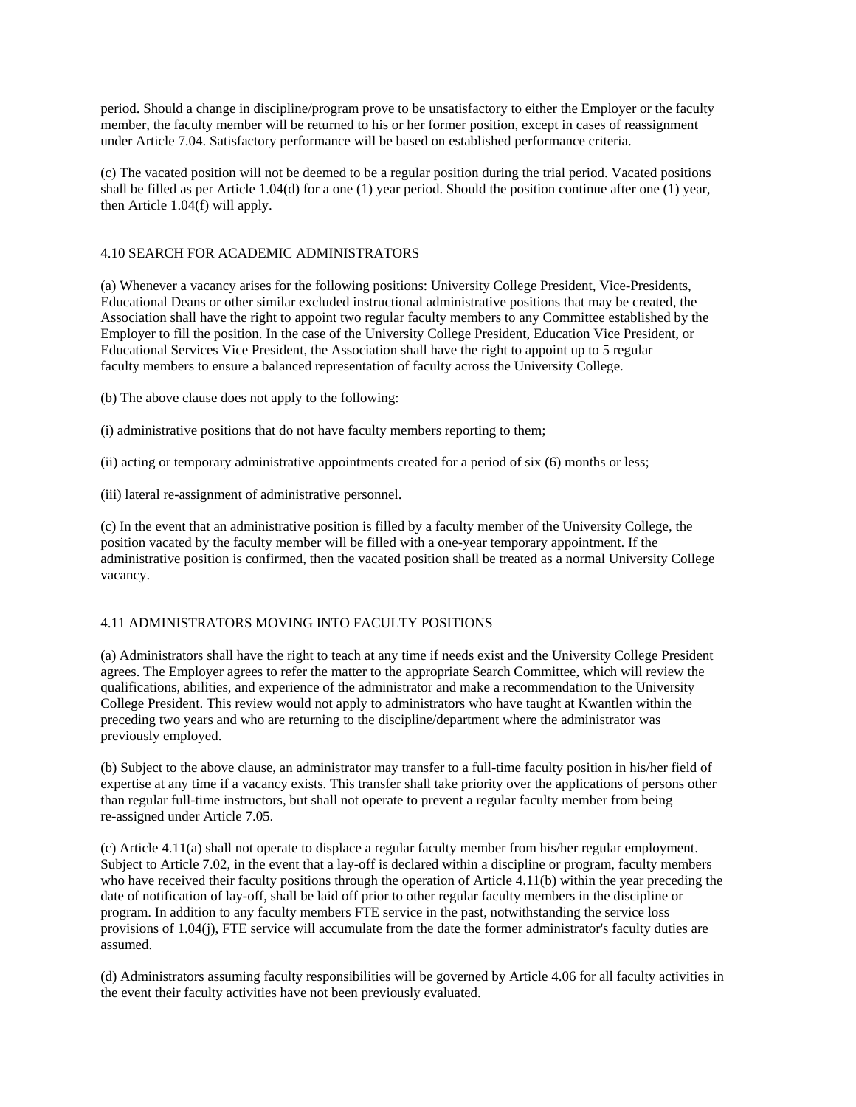period. Should a change in discipline/program prove to be unsatisfactory to either the Employer or the faculty member, the faculty member will be returned to his or her former position, except in cases of reassignment under Article 7.04. Satisfactory performance will be based on established performance criteria.

(c) The vacated position will not be deemed to be a regular position during the trial period. Vacated positions shall be filled as per Article 1.04(d) for a one (1) year period. Should the position continue after one (1) year, then Article 1.04(f) will apply.

# 4.10 SEARCH FOR ACADEMIC ADMINISTRATORS

(a) Whenever a vacancy arises for the following positions: University College President, Vice-Presidents, Educational Deans or other similar excluded instructional administrative positions that may be created, the Association shall have the right to appoint two regular faculty members to any Committee established by the Employer to fill the position. In the case of the University College President, Education Vice President, or Educational Services Vice President, the Association shall have the right to appoint up to 5 regular faculty members to ensure a balanced representation of faculty across the University College.

(b) The above clause does not apply to the following:

- (i) administrative positions that do not have faculty members reporting to them;
- (ii) acting or temporary administrative appointments created for a period of six (6) months or less;
- (iii) lateral re-assignment of administrative personnel.

(c) In the event that an administrative position is filled by a faculty member of the University College, the position vacated by the faculty member will be filled with a one-year temporary appointment. If the administrative position is confirmed, then the vacated position shall be treated as a normal University College vacancy.

# 4.11 ADMINISTRATORS MOVING INTO FACULTY POSITIONS

(a) Administrators shall have the right to teach at any time if needs exist and the University College President agrees. The Employer agrees to refer the matter to the appropriate Search Committee, which will review the qualifications, abilities, and experience of the administrator and make a recommendation to the University College President. This review would not apply to administrators who have taught at Kwantlen within the preceding two years and who are returning to the discipline/department where the administrator was previously employed.

(b) Subject to the above clause, an administrator may transfer to a full-time faculty position in his/her field of expertise at any time if a vacancy exists. This transfer shall take priority over the applications of persons other than regular full-time instructors, but shall not operate to prevent a regular faculty member from being re-assigned under Article 7.05.

(c) Article 4.11(a) shall not operate to displace a regular faculty member from his/her regular employment. Subject to Article 7.02, in the event that a lay-off is declared within a discipline or program, faculty members who have received their faculty positions through the operation of Article 4.11(b) within the year preceding the date of notification of lay-off, shall be laid off prior to other regular faculty members in the discipline or program. In addition to any faculty members FTE service in the past, notwithstanding the service loss provisions of 1.04(j), FTE service will accumulate from the date the former administrator's faculty duties are assumed.

(d) Administrators assuming faculty responsibilities will be governed by Article 4.06 for all faculty activities in the event their faculty activities have not been previously evaluated.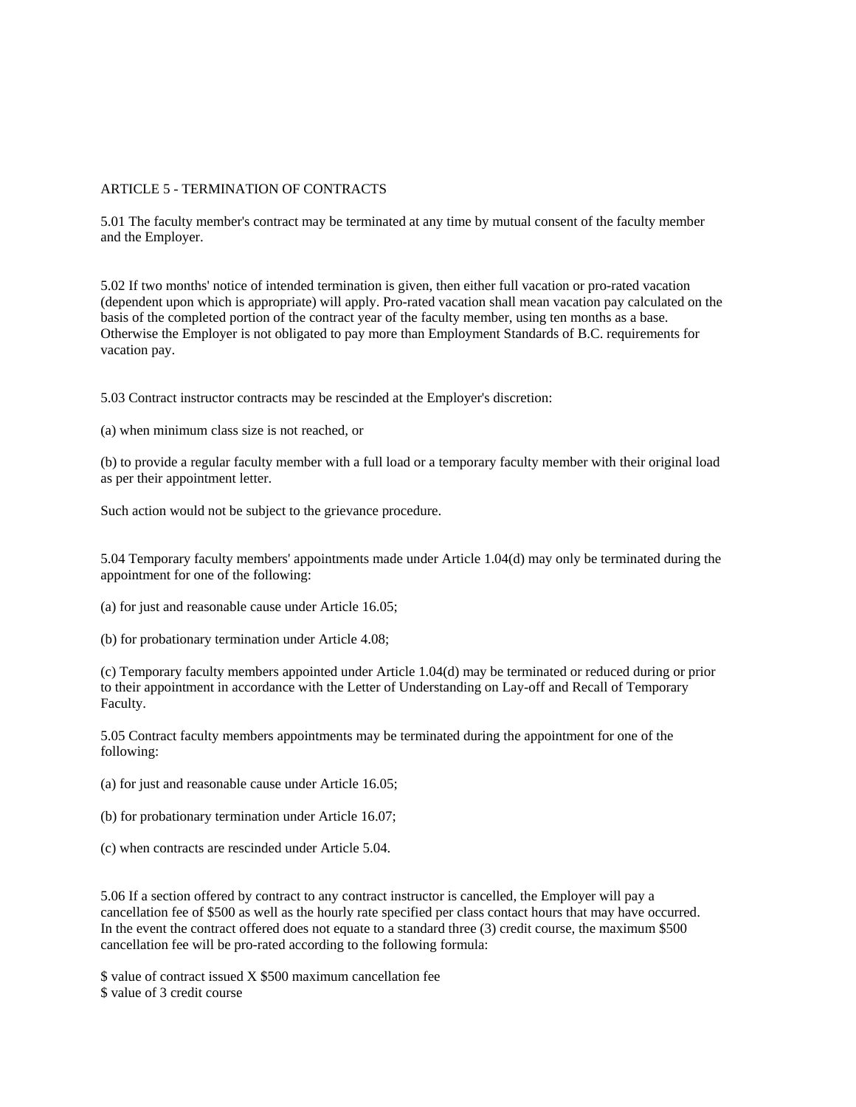## ARTICLE 5 - TERMINATION OF CONTRACTS

5.01 The faculty member's contract may be terminated at any time by mutual consent of the faculty member and the Employer.

5.02 If two months' notice of intended termination is given, then either full vacation or pro-rated vacation (dependent upon which is appropriate) will apply. Pro-rated vacation shall mean vacation pay calculated on the basis of the completed portion of the contract year of the faculty member, using ten months as a base. Otherwise the Employer is not obligated to pay more than Employment Standards of B.C. requirements for vacation pay.

5.03 Contract instructor contracts may be rescinded at the Employer's discretion:

(a) when minimum class size is not reached, or

(b) to provide a regular faculty member with a full load or a temporary faculty member with their original load as per their appointment letter.

Such action would not be subject to the grievance procedure.

5.04 Temporary faculty members' appointments made under Article 1.04(d) may only be terminated during the appointment for one of the following:

(a) for just and reasonable cause under Article 16.05;

(b) for probationary termination under Article 4.08;

(c) Temporary faculty members appointed under Article 1.04(d) may be terminated or reduced during or prior to their appointment in accordance with the Letter of Understanding on Lay-off and Recall of Temporary Faculty.

5.05 Contract faculty members appointments may be terminated during the appointment for one of the following:

(a) for just and reasonable cause under Article 16.05;

(b) for probationary termination under Article 16.07;

(c) when contracts are rescinded under Article 5.04.

5.06 If a section offered by contract to any contract instructor is cancelled, the Employer will pay a cancellation fee of \$500 as well as the hourly rate specified per class contact hours that may have occurred. In the event the contract offered does not equate to a standard three (3) credit course, the maximum \$500 cancellation fee will be pro-rated according to the following formula:

\$ value of contract issued X \$500 maximum cancellation fee \$ value of 3 credit course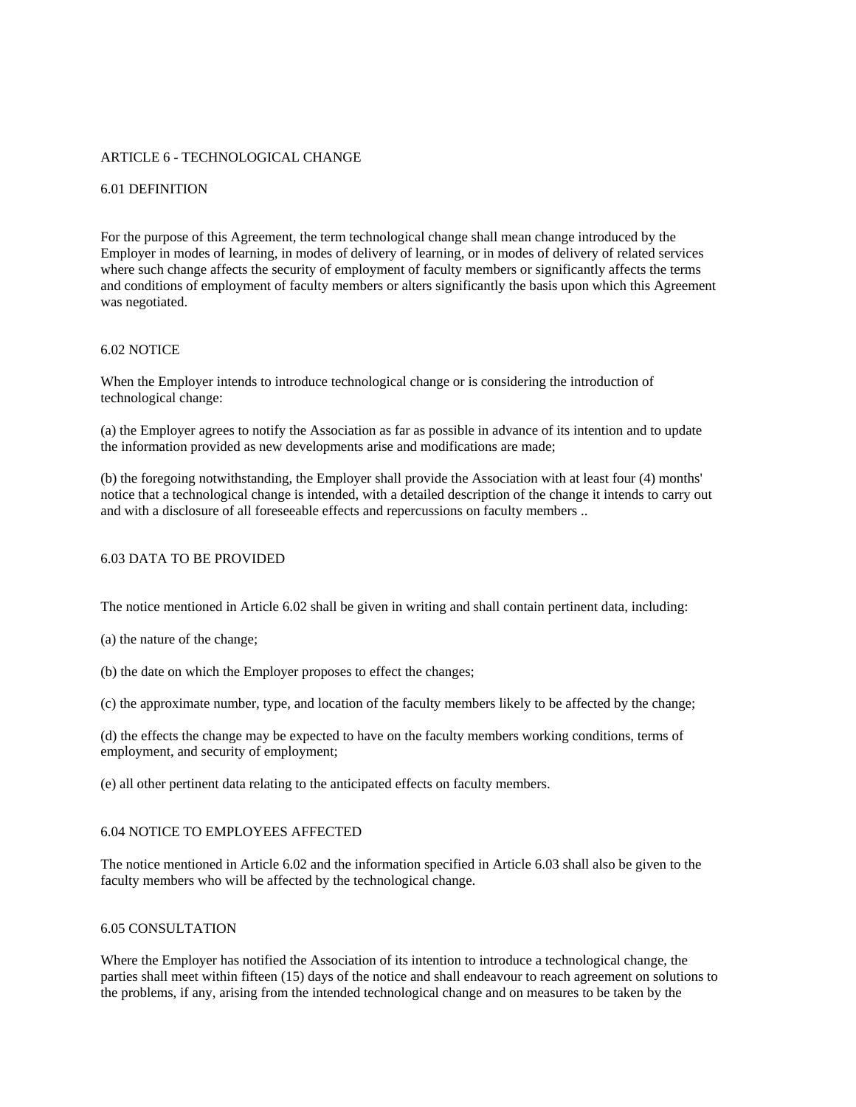## ARTICLE 6 - TECHNOLOGICAL CHANGE

### 6.01 DEFINITION

For the purpose of this Agreement, the term technological change shall mean change introduced by the Employer in modes of learning, in modes of delivery of learning, or in modes of delivery of related services where such change affects the security of employment of faculty members or significantly affects the terms and conditions of employment of faculty members or alters significantly the basis upon which this Agreement was negotiated.

#### 6.02 NOTICE

When the Employer intends to introduce technological change or is considering the introduction of technological change:

(a) the Employer agrees to notify the Association as far as possible in advance of its intention and to update the information provided as new developments arise and modifications are made;

(b) the foregoing notwithstanding, the Employer shall provide the Association with at least four (4) months' notice that a technological change is intended, with a detailed description of the change it intends to carry out and with a disclosure of all foreseeable effects and repercussions on faculty members ..

## 6.03 DATA TO BE PROVIDED

The notice mentioned in Article 6.02 shall be given in writing and shall contain pertinent data, including:

(a) the nature of the change;

(b) the date on which the Employer proposes to effect the changes;

(c) the approximate number, type, and location of the faculty members likely to be affected by the change;

(d) the effects the change may be expected to have on the faculty members working conditions, terms of employment, and security of employment;

(e) all other pertinent data relating to the anticipated effects on faculty members.

## 6.04 NOTICE TO EMPLOYEES AFFECTED

The notice mentioned in Article 6.02 and the information specified in Article 6.03 shall also be given to the faculty members who will be affected by the technological change.

## 6.05 CONSULTATION

Where the Employer has notified the Association of its intention to introduce a technological change, the parties shall meet within fifteen (15) days of the notice and shall endeavour to reach agreement on solutions to the problems, if any, arising from the intended technological change and on measures to be taken by the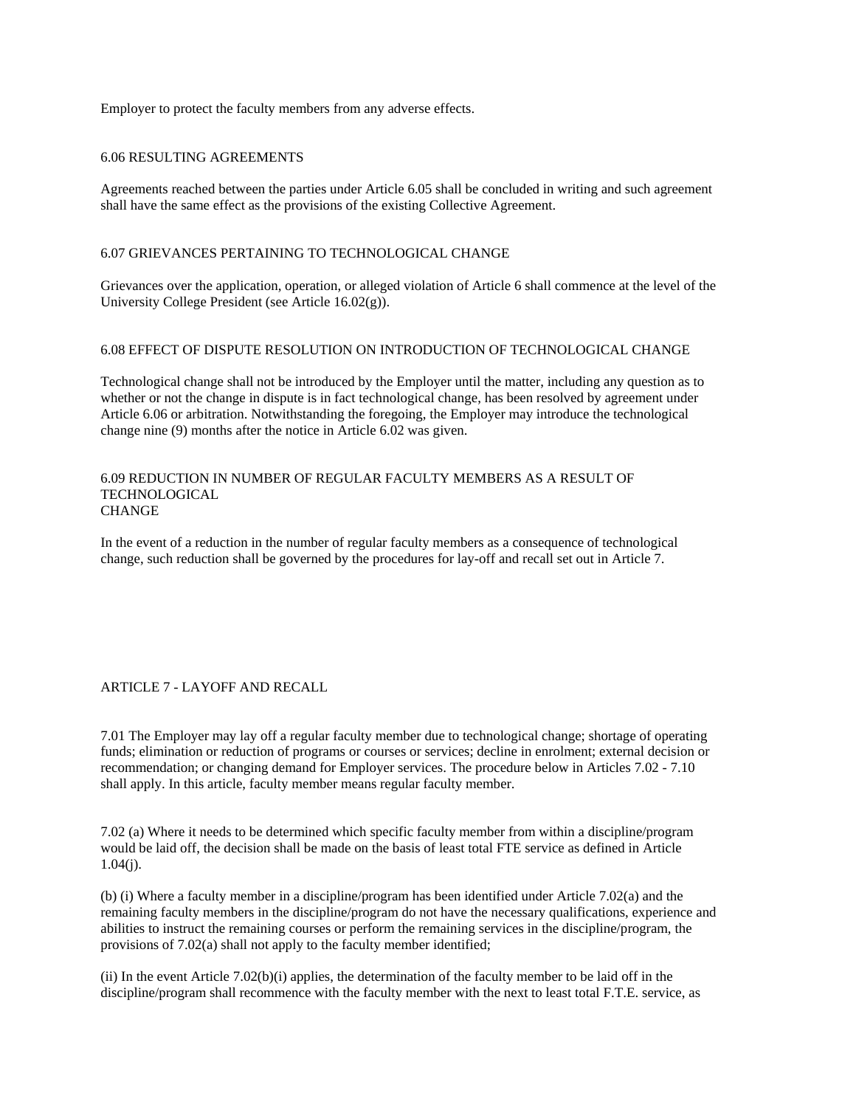Employer to protect the faculty members from any adverse effects.

## 6.06 RESULTING AGREEMENTS

Agreements reached between the parties under Article 6.05 shall be concluded in writing and such agreement shall have the same effect as the provisions of the existing Collective Agreement.

## 6.07 GRIEVANCES PERTAINING TO TECHNOLOGICAL CHANGE

Grievances over the application, operation, or alleged violation of Article 6 shall commence at the level of the University College President (see Article 16.02(g)).

## 6.08 EFFECT OF DISPUTE RESOLUTION ON INTRODUCTION OF TECHNOLOGICAL CHANGE

Technological change shall not be introduced by the Employer until the matter, including any question as to whether or not the change in dispute is in fact technological change, has been resolved by agreement under Article 6.06 or arbitration. Notwithstanding the foregoing, the Employer may introduce the technological change nine (9) months after the notice in Article 6.02 was given.

### 6.09 REDUCTION IN NUMBER OF REGULAR FACULTY MEMBERS AS A RESULT OF **TECHNOLOGICAL CHANGE**

In the event of a reduction in the number of regular faculty members as a consequence of technological change, such reduction shall be governed by the procedures for lay-off and recall set out in Article 7.

## ARTICLE 7 - LAYOFF AND RECALL

7.01 The Employer may lay off a regular faculty member due to technological change; shortage of operating funds; elimination or reduction of programs or courses or services; decline in enrolment; external decision or recommendation; or changing demand for Employer services. The procedure below in Articles 7.02 - 7.10 shall apply. In this article, faculty member means regular faculty member.

7.02 (a) Where it needs to be determined which specific faculty member from within a discipline/program would be laid off, the decision shall be made on the basis of least total FTE service as defined in Article  $1.04(i)$ .

(b) (i) Where a faculty member in a discipline/program has been identified under Article 7.02(a) and the remaining faculty members in the discipline/program do not have the necessary qualifications, experience and abilities to instruct the remaining courses or perform the remaining services in the discipline/program, the provisions of 7.02(a) shall not apply to the faculty member identified;

(ii) In the event Article 7.02(b)(i) applies, the determination of the faculty member to be laid off in the discipline/program shall recommence with the faculty member with the next to least total F.T.E. service, as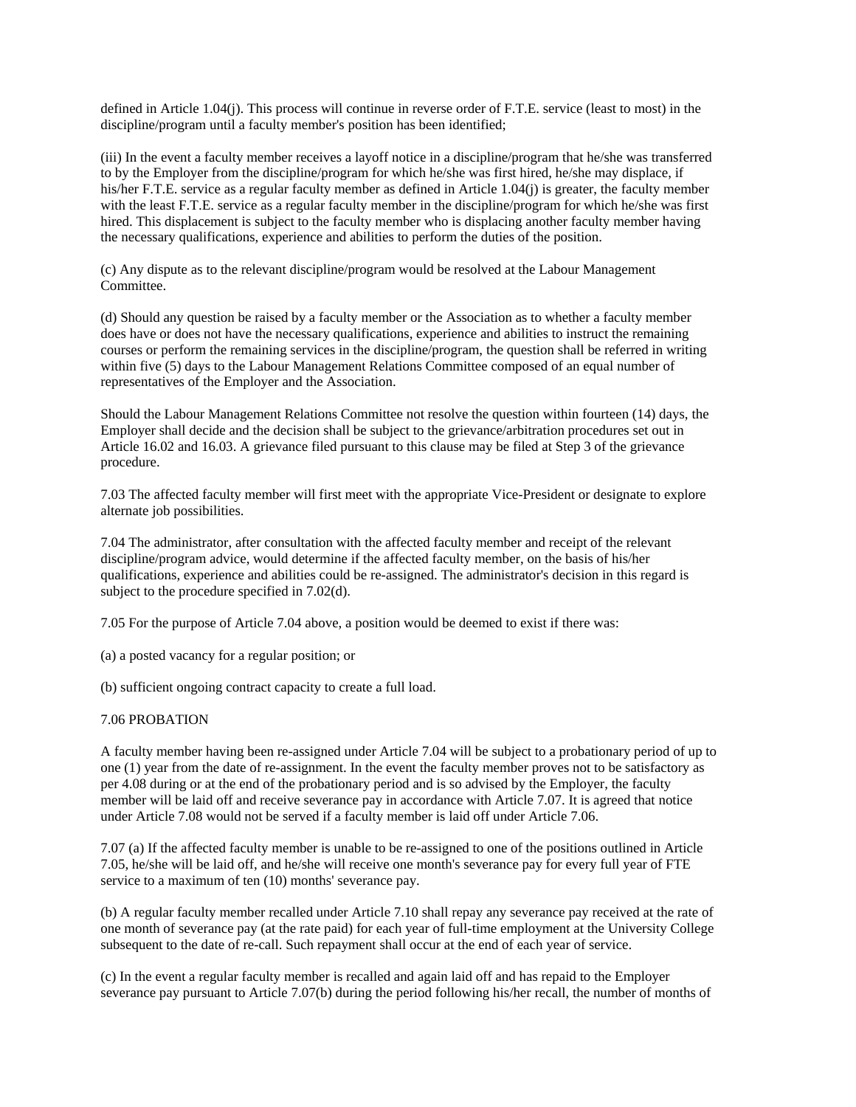defined in Article 1.04(j). This process will continue in reverse order of F.T.E. service (least to most) in the discipline/program until a faculty member's position has been identified;

(iii) In the event a faculty member receives a layoff notice in a discipline/program that he/she was transferred to by the Employer from the discipline/program for which he/she was first hired, he/she may displace, if his/her F.T.E. service as a regular faculty member as defined in Article 1.04(j) is greater, the faculty member with the least F.T.E. service as a regular faculty member in the discipline/program for which he/she was first hired. This displacement is subject to the faculty member who is displacing another faculty member having the necessary qualifications, experience and abilities to perform the duties of the position.

(c) Any dispute as to the relevant discipline/program would be resolved at the Labour Management Committee.

(d) Should any question be raised by a faculty member or the Association as to whether a faculty member does have or does not have the necessary qualifications, experience and abilities to instruct the remaining courses or perform the remaining services in the discipline/program, the question shall be referred in writing within five (5) days to the Labour Management Relations Committee composed of an equal number of representatives of the Employer and the Association.

Should the Labour Management Relations Committee not resolve the question within fourteen (14) days, the Employer shall decide and the decision shall be subject to the grievance/arbitration procedures set out in Article 16.02 and 16.03. A grievance filed pursuant to this clause may be filed at Step 3 of the grievance procedure.

7.03 The affected faculty member will first meet with the appropriate Vice-President or designate to explore alternate job possibilities.

7.04 The administrator, after consultation with the affected faculty member and receipt of the relevant discipline/program advice, would determine if the affected faculty member, on the basis of his/her qualifications, experience and abilities could be re-assigned. The administrator's decision in this regard is subject to the procedure specified in 7.02(d).

7.05 For the purpose of Article 7.04 above, a position would be deemed to exist if there was:

(a) a posted vacancy for a regular position; or

(b) sufficient ongoing contract capacity to create a full load.

#### 7.06 PROBATION

A faculty member having been re-assigned under Article 7.04 will be subject to a probationary period of up to one (1) year from the date of re-assignment. In the event the faculty member proves not to be satisfactory as per 4.08 during or at the end of the probationary period and is so advised by the Employer, the faculty member will be laid off and receive severance pay in accordance with Article 7.07. It is agreed that notice under Article 7.08 would not be served if a faculty member is laid off under Article 7.06.

7.07 (a) If the affected faculty member is unable to be re-assigned to one of the positions outlined in Article 7.05, he/she will be laid off, and he/she will receive one month's severance pay for every full year of FTE service to a maximum of ten  $(10)$  months' severance pay.

(b) A regular faculty member recalled under Article 7.10 shall repay any severance pay received at the rate of one month of severance pay (at the rate paid) for each year of full-time employment at the University College subsequent to the date of re-call. Such repayment shall occur at the end of each year of service.

(c) In the event a regular faculty member is recalled and again laid off and has repaid to the Employer severance pay pursuant to Article 7.07(b) during the period following his/her recall, the number of months of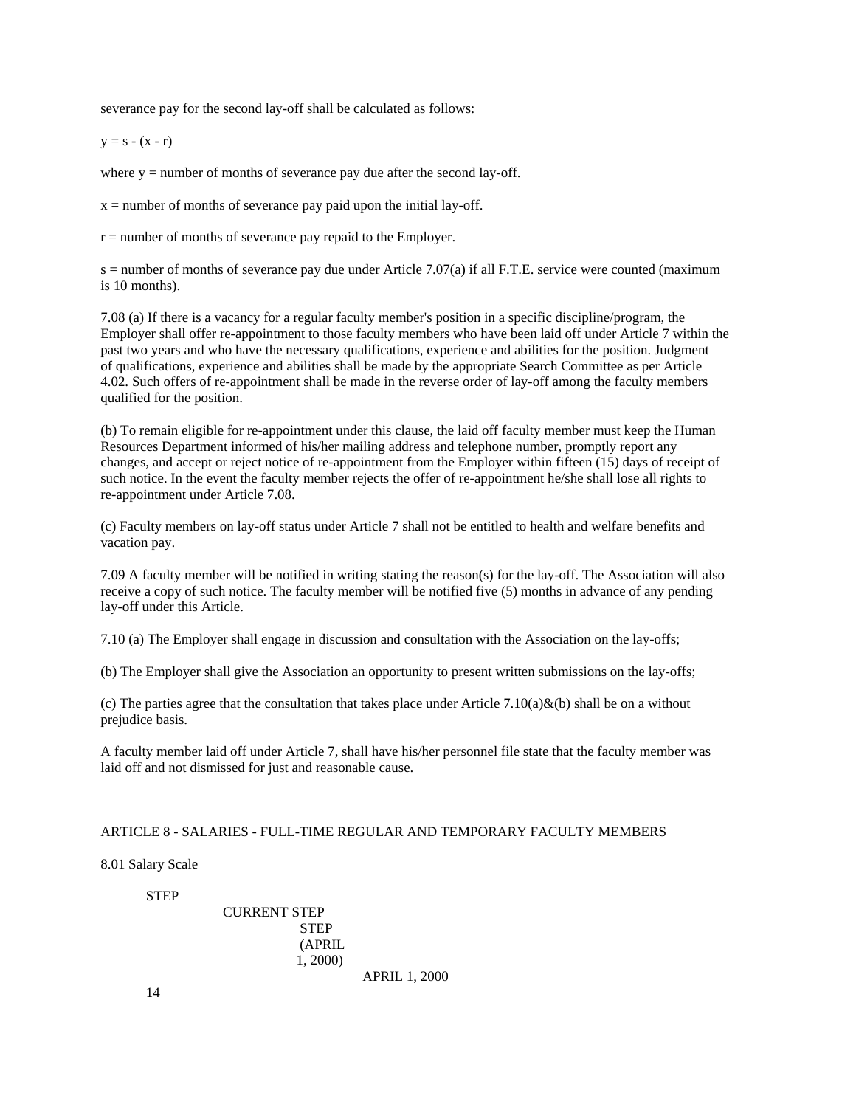severance pay for the second lay-off shall be calculated as follows:

 $y = s - (x - r)$ 

where  $y =$  number of months of severance pay due after the second lay-off.

 $x =$  number of months of severance pay paid upon the initial lay-off.

r = number of months of severance pay repaid to the Employer.

 $s$  = number of months of severance pay due under Article 7.07(a) if all F.T.E. service were counted (maximum is 10 months).

7.08 (a) If there is a vacancy for a regular faculty member's position in a specific discipline/program, the Employer shall offer re-appointment to those faculty members who have been laid off under Article 7 within the past two years and who have the necessary qualifications, experience and abilities for the position. Judgment of qualifications, experience and abilities shall be made by the appropriate Search Committee as per Article 4.02. Such offers of re-appointment shall be made in the reverse order of lay-off among the faculty members qualified for the position.

(b) To remain eligible for re-appointment under this clause, the laid off faculty member must keep the Human Resources Department informed of his/her mailing address and telephone number, promptly report any changes, and accept or reject notice of re-appointment from the Employer within fifteen (15) days of receipt of such notice. In the event the faculty member rejects the offer of re-appointment he/she shall lose all rights to re-appointment under Article 7.08.

(c) Faculty members on lay-off status under Article 7 shall not be entitled to health and welfare benefits and vacation pay.

7.09 A faculty member will be notified in writing stating the reason(s) for the lay-off. The Association will also receive a copy of such notice. The faculty member will be notified five (5) months in advance of any pending lay-off under this Article.

7.10 (a) The Employer shall engage in discussion and consultation with the Association on the lay-offs;

(b) The Employer shall give the Association an opportunity to present written submissions on the lay-offs;

(c) The parties agree that the consultation that takes place under Article 7.10(a)&(b) shall be on a without prejudice basis.

A faculty member laid off under Article 7, shall have his/her personnel file state that the faculty member was laid off and not dismissed for just and reasonable cause.

### ARTICLE 8 - SALARIES - FULL-TIME REGULAR AND TEMPORARY FACULTY MEMBERS

8.01 Salary Scale

#### STEP

 CURRENT STEP STEP (APRIL 1, 2000) APRIL 1, 2000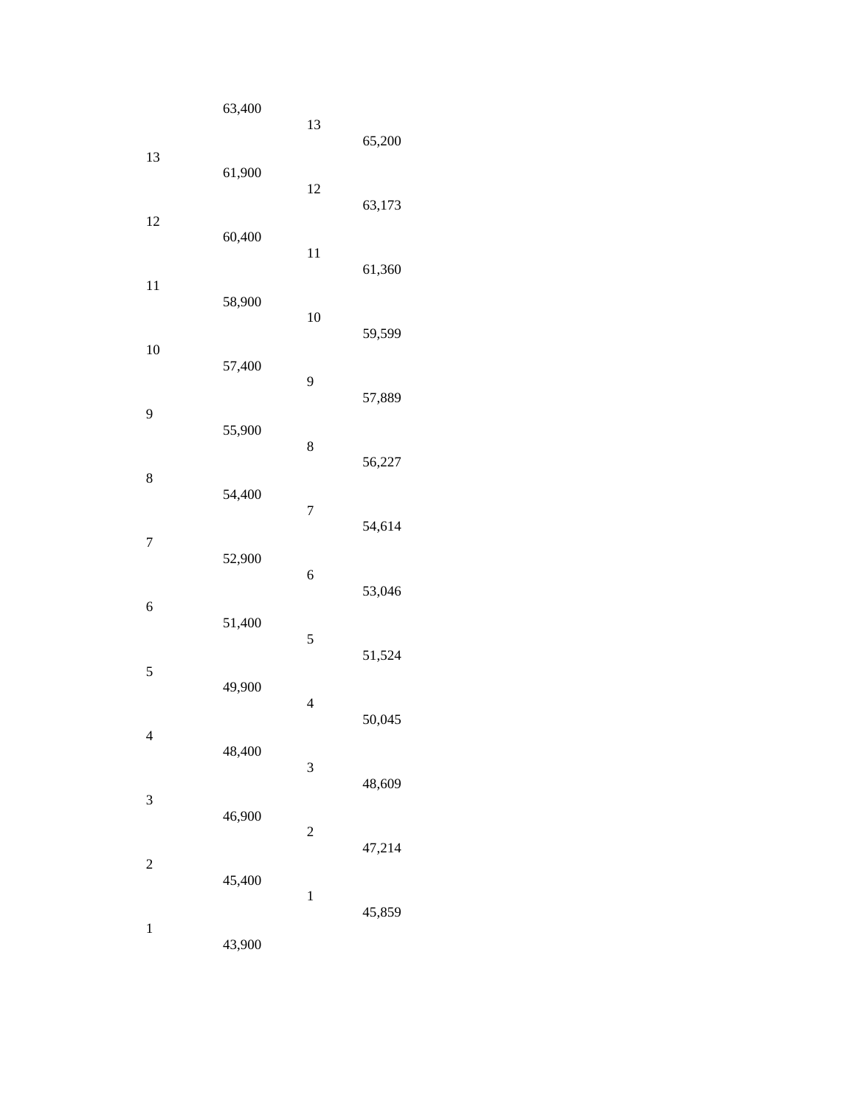|                          | 63,400 | 13                      | 65,200 |
|--------------------------|--------|-------------------------|--------|
| 13                       | 61,900 | 12                      | 63,173 |
| 12                       | 60,400 | 11                      | 61,360 |
| 11                       | 58,900 | 10                      |        |
| 10                       | 57,400 | 9                       | 59,599 |
| 9                        | 55,900 | 8                       | 57,889 |
| 8                        | 54,400 |                         | 56,227 |
| $\overline{7}$           | 52,900 | $\overline{7}$          | 54,614 |
| 6                        |        | 6                       | 53,046 |
| 5                        | 51,400 | 5                       | 51,524 |
| $\overline{\mathcal{L}}$ | 49,900 | $\overline{4}$          | 50,045 |
|                          | 48,400 | 3                       | 48,609 |
| 3                        | 46,900 | $\overline{\mathbf{c}}$ | 47,214 |
| $\overline{\mathbf{c}}$  | 45,400 | $\mathbf 1$             |        |
| $\,1\,$                  | 43,900 |                         | 45,859 |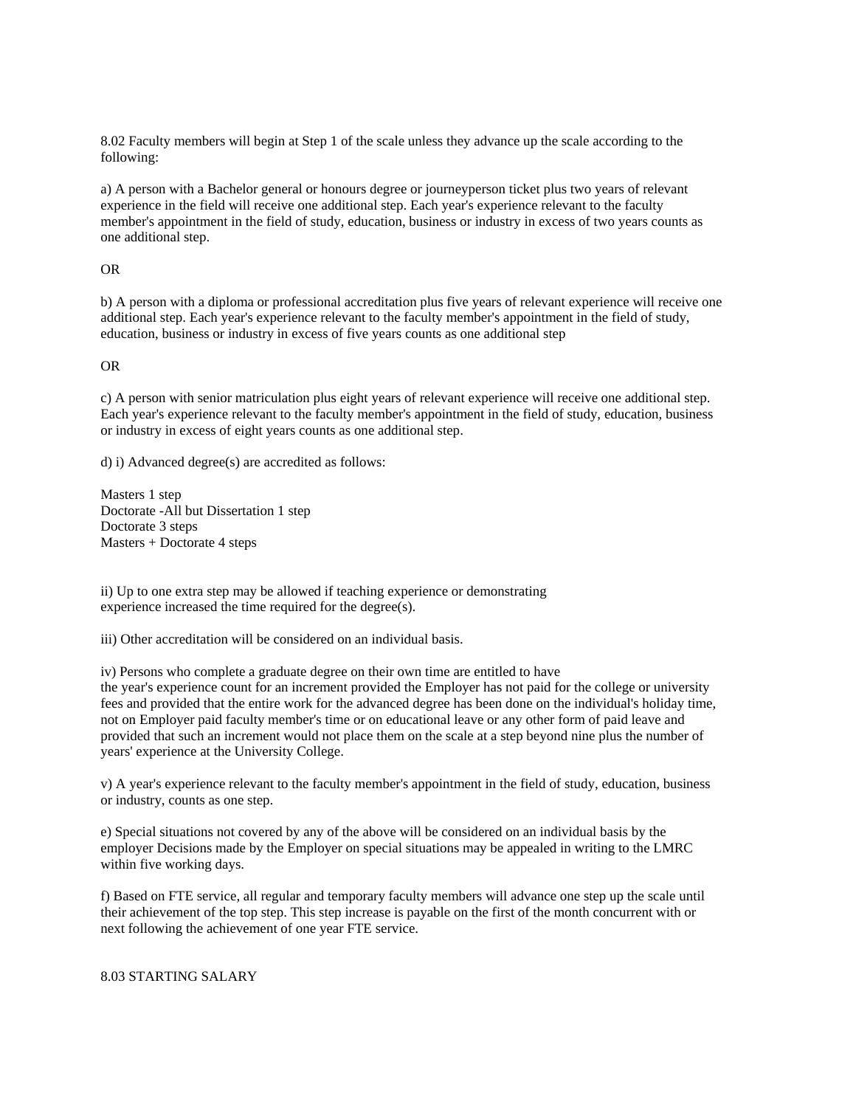8.02 Faculty members will begin at Step 1 of the scale unless they advance up the scale according to the following:

a) A person with a Bachelor general or honours degree or journeyperson ticket plus two years of relevant experience in the field will receive one additional step. Each year's experience relevant to the faculty member's appointment in the field of study, education, business or industry in excess of two years counts as one additional step.

## OR

b) A person with a diploma or professional accreditation plus five years of relevant experience will receive one additional step. Each year's experience relevant to the faculty member's appointment in the field of study, education, business or industry in excess of five years counts as one additional step

#### OR

c) A person with senior matriculation plus eight years of relevant experience will receive one additional step. Each year's experience relevant to the faculty member's appointment in the field of study, education, business or industry in excess of eight years counts as one additional step.

d) i) Advanced degree(s) are accredited as follows:

Masters 1 step Doctorate -All but Dissertation 1 step Doctorate 3 steps Masters + Doctorate 4 steps

ii) Up to one extra step may be allowed if teaching experience or demonstrating experience increased the time required for the degree(s).

iii) Other accreditation will be considered on an individual basis.

iv) Persons who complete a graduate degree on their own time are entitled to have the year's experience count for an increment provided the Employer has not paid for the college or university fees and provided that the entire work for the advanced degree has been done on the individual's holiday time, not on Employer paid faculty member's time or on educational leave or any other form of paid leave and provided that such an increment would not place them on the scale at a step beyond nine plus the number of years' experience at the University College.

v) A year's experience relevant to the faculty member's appointment in the field of study, education, business or industry, counts as one step.

e) Special situations not covered by any of the above will be considered on an individual basis by the employer Decisions made by the Employer on special situations may be appealed in writing to the LMRC within five working days.

f) Based on FTE service, all regular and temporary faculty members will advance one step up the scale until their achievement of the top step. This step increase is payable on the first of the month concurrent with or next following the achievement of one year FTE service.

## 8.03 STARTING SALARY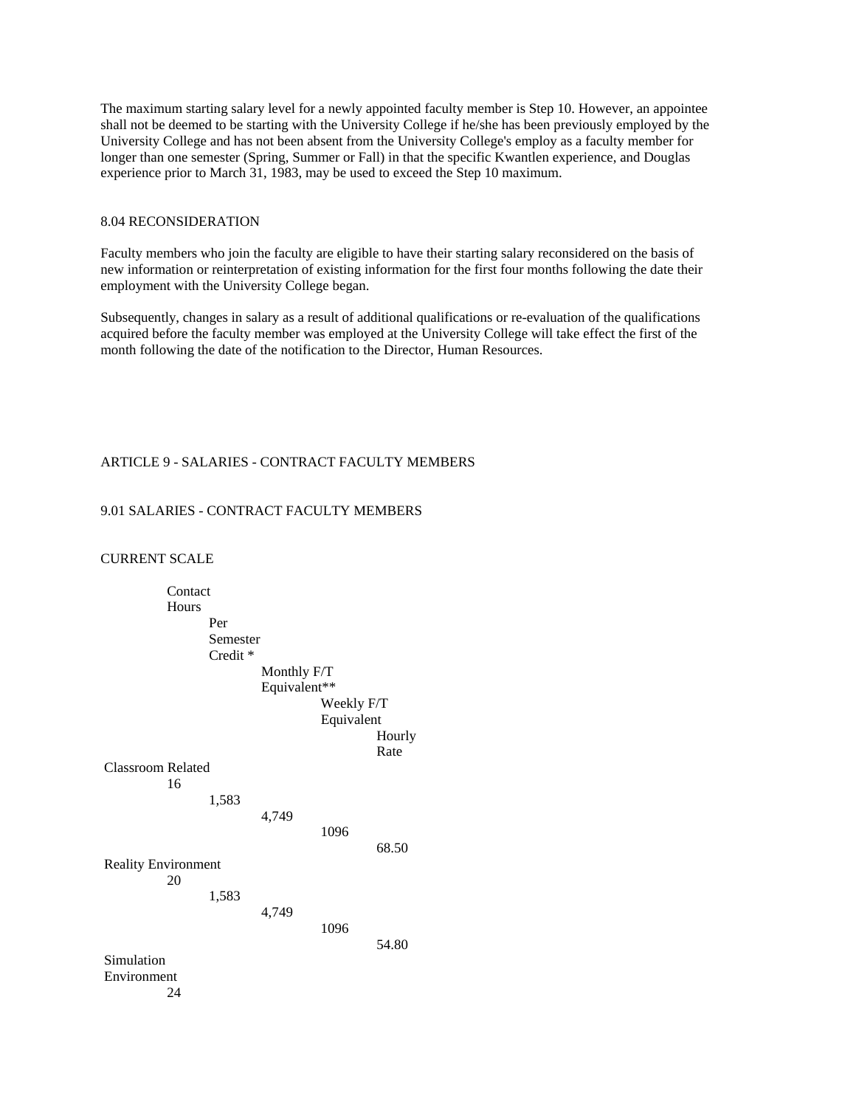The maximum starting salary level for a newly appointed faculty member is Step 10. However, an appointee shall not be deemed to be starting with the University College if he/she has been previously employed by the University College and has not been absent from the University College's employ as a faculty member for longer than one semester (Spring, Summer or Fall) in that the specific Kwantlen experience, and Douglas experience prior to March 31, 1983, may be used to exceed the Step 10 maximum.

## 8.04 RECONSIDERATION

Faculty members who join the faculty are eligible to have their starting salary reconsidered on the basis of new information or reinterpretation of existing information for the first four months following the date their employment with the University College began.

Subsequently, changes in salary as a result of additional qualifications or re-evaluation of the qualifications acquired before the faculty member was employed at the University College will take effect the first of the month following the date of the notification to the Director, Human Resources.

## ARTICLE 9 - SALARIES - CONTRACT FACULTY MEMBERS

## 9.01 SALARIES - CONTRACT FACULTY MEMBERS

### CURRENT SCALE

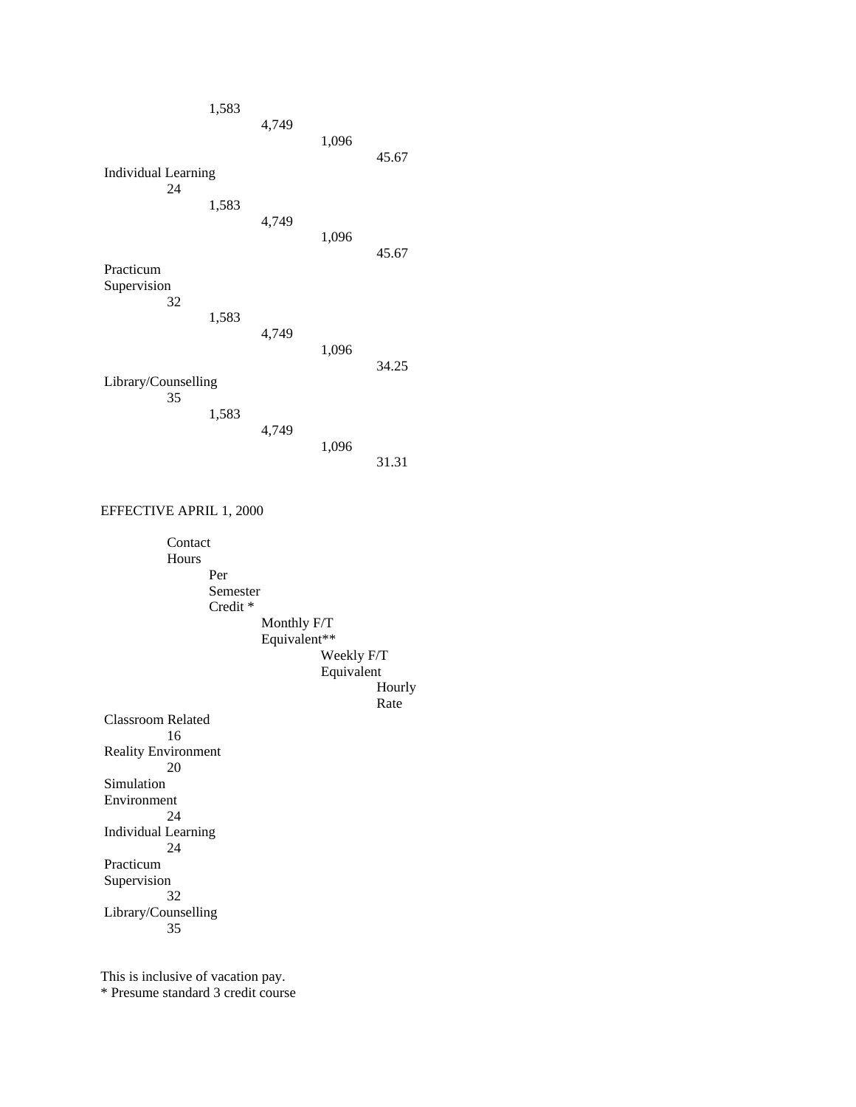

EFFECTIVE APRIL 1, 2000

 Contact Hours Per Semester Credit \* Monthly F/T Equivalent\*\* Weekly F/T Equivalent Hourly **Rate**  Classroom Related 16 Reality Environment 20 Simulation Environment 24 Individual Learning 24 Practicum Supervision 32 Library/Counselling 35

This is inclusive of vacation pay.

\* Presume standard 3 credit course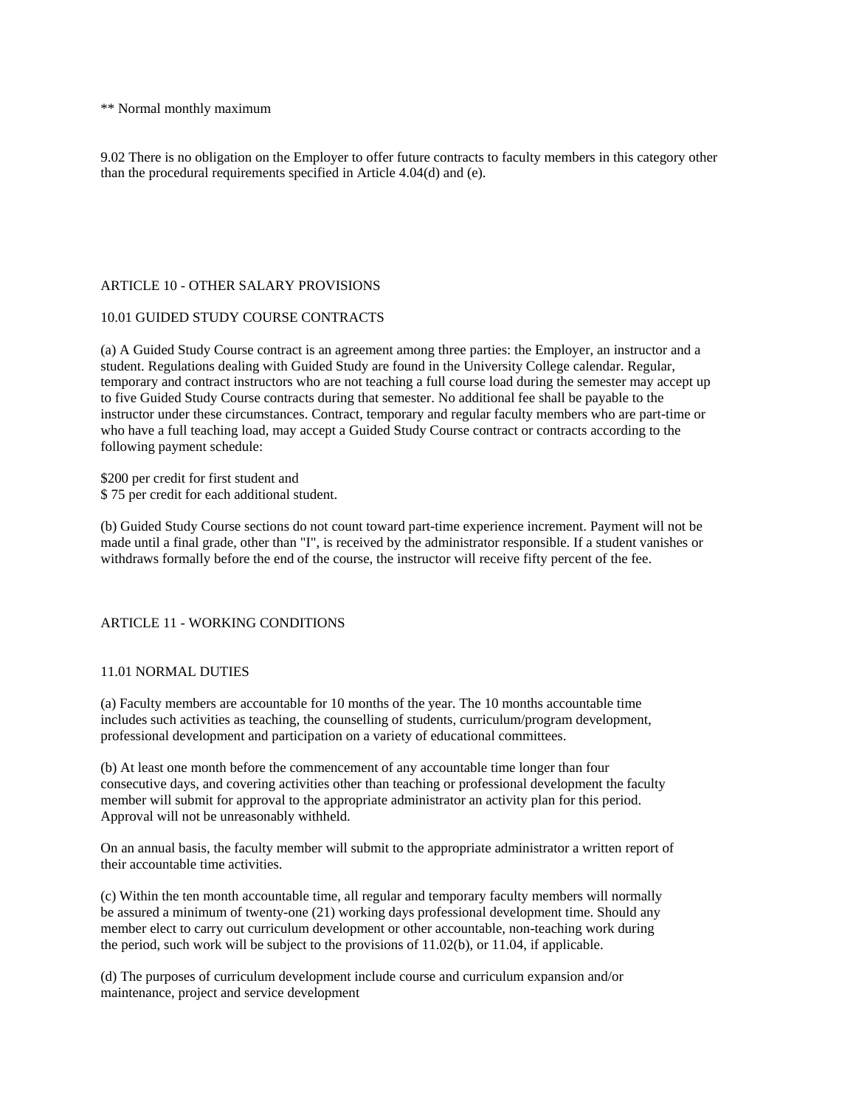\*\* Normal monthly maximum

9.02 There is no obligation on the Employer to offer future contracts to faculty members in this category other than the procedural requirements specified in Article 4.04(d) and (e).

## ARTICLE 10 - OTHER SALARY PROVISIONS

## 10.01 GUIDED STUDY COURSE CONTRACTS

(a) A Guided Study Course contract is an agreement among three parties: the Employer, an instructor and a student. Regulations dealing with Guided Study are found in the University College calendar. Regular, temporary and contract instructors who are not teaching a full course load during the semester may accept up to five Guided Study Course contracts during that semester. No additional fee shall be payable to the instructor under these circumstances. Contract, temporary and regular faculty members who are part-time or who have a full teaching load, may accept a Guided Study Course contract or contracts according to the following payment schedule:

\$200 per credit for first student and \$ 75 per credit for each additional student.

(b) Guided Study Course sections do not count toward part-time experience increment. Payment will not be made until a final grade, other than "I", is received by the administrator responsible. If a student vanishes or withdraws formally before the end of the course, the instructor will receive fifty percent of the fee.

# ARTICLE 11 - WORKING CONDITIONS

## 11.01 NORMAL DUTIES

(a) Faculty members are accountable for 10 months of the year. The 10 months accountable time includes such activities as teaching, the counselling of students, curriculum/program development, professional development and participation on a variety of educational committees.

(b) At least one month before the commencement of any accountable time longer than four consecutive days, and covering activities other than teaching or professional development the faculty member will submit for approval to the appropriate administrator an activity plan for this period. Approval will not be unreasonably withheld.

On an annual basis, the faculty member will submit to the appropriate administrator a written report of their accountable time activities.

(c) Within the ten month accountable time, all regular and temporary faculty members will normally be assured a minimum of twenty-one (21) working days professional development time. Should any member elect to carry out curriculum development or other accountable, non-teaching work during the period, such work will be subject to the provisions of 11.02(b), or 11.04, if applicable.

(d) The purposes of curriculum development include course and curriculum expansion and/or maintenance, project and service development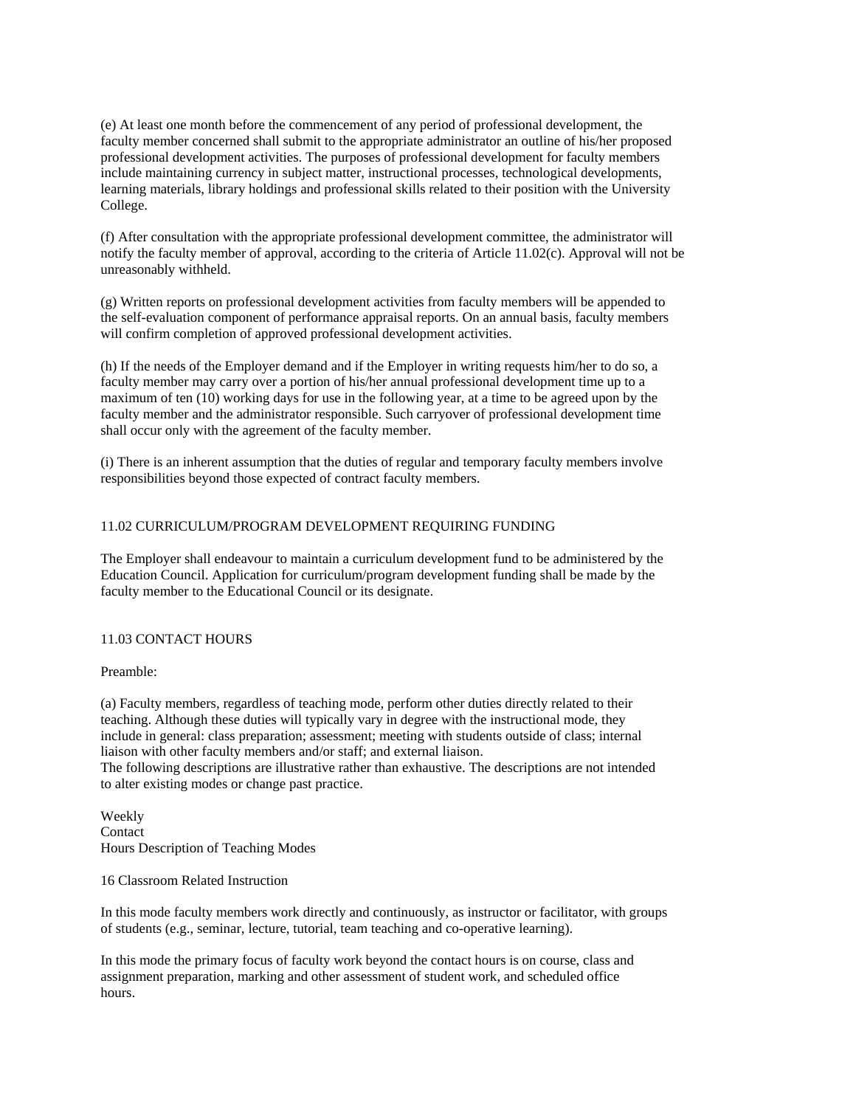(e) At least one month before the commencement of any period of professional development, the faculty member concerned shall submit to the appropriate administrator an outline of his/her proposed professional development activities. The purposes of professional development for faculty members include maintaining currency in subject matter, instructional processes, technological developments, learning materials, library holdings and professional skills related to their position with the University College.

(f) After consultation with the appropriate professional development committee, the administrator will notify the faculty member of approval, according to the criteria of Article 11.02(c). Approval will not be unreasonably withheld.

(g) Written reports on professional development activities from faculty members will be appended to the self-evaluation component of performance appraisal reports. On an annual basis, faculty members will confirm completion of approved professional development activities.

(h) If the needs of the Employer demand and if the Employer in writing requests him/her to do so, a faculty member may carry over a portion of his/her annual professional development time up to a maximum of ten (10) working days for use in the following year, at a time to be agreed upon by the faculty member and the administrator responsible. Such carryover of professional development time shall occur only with the agreement of the faculty member.

(i) There is an inherent assumption that the duties of regular and temporary faculty members involve responsibilities beyond those expected of contract faculty members.

## 11.02 CURRICULUM/PROGRAM DEVELOPMENT REQUIRING FUNDING

The Employer shall endeavour to maintain a curriculum development fund to be administered by the Education Council. Application for curriculum/program development funding shall be made by the faculty member to the Educational Council or its designate.

## 11.03 CONTACT HOURS

Preamble:

(a) Faculty members, regardless of teaching mode, perform other duties directly related to their teaching. Although these duties will typically vary in degree with the instructional mode, they include in general: class preparation; assessment; meeting with students outside of class; internal liaison with other faculty members and/or staff; and external liaison.

The following descriptions are illustrative rather than exhaustive. The descriptions are not intended to alter existing modes or change past practice.

Weekly Contact Hours Description of Teaching Modes

16 Classroom Related Instruction

In this mode faculty members work directly and continuously, as instructor or facilitator, with groups of students (e.g., seminar, lecture, tutorial, team teaching and co-operative learning).

In this mode the primary focus of faculty work beyond the contact hours is on course, class and assignment preparation, marking and other assessment of student work, and scheduled office hours.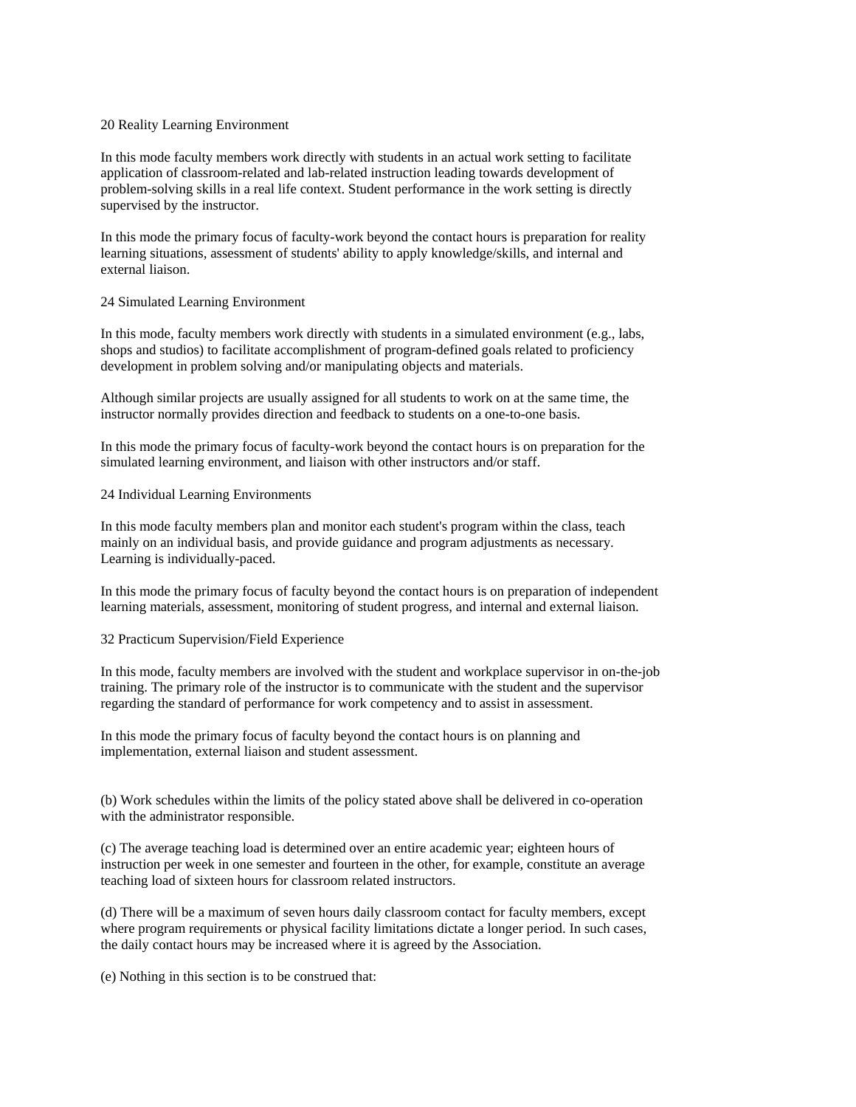#### 20 Reality Learning Environment

In this mode faculty members work directly with students in an actual work setting to facilitate application of classroom-related and lab-related instruction leading towards development of problem-solving skills in a real life context. Student performance in the work setting is directly supervised by the instructor.

In this mode the primary focus of faculty-work beyond the contact hours is preparation for reality learning situations, assessment of students' ability to apply knowledge/skills, and internal and external liaison.

#### 24 Simulated Learning Environment

In this mode, faculty members work directly with students in a simulated environment (e.g., labs, shops and studios) to facilitate accomplishment of program-defined goals related to proficiency development in problem solving and/or manipulating objects and materials.

Although similar projects are usually assigned for all students to work on at the same time, the instructor normally provides direction and feedback to students on a one-to-one basis.

In this mode the primary focus of faculty-work beyond the contact hours is on preparation for the simulated learning environment, and liaison with other instructors and/or staff.

#### 24 Individual Learning Environments

In this mode faculty members plan and monitor each student's program within the class, teach mainly on an individual basis, and provide guidance and program adjustments as necessary. Learning is individually-paced.

In this mode the primary focus of faculty beyond the contact hours is on preparation of independent learning materials, assessment, monitoring of student progress, and internal and external liaison.

## 32 Practicum Supervision/Field Experience

In this mode, faculty members are involved with the student and workplace supervisor in on-the-job training. The primary role of the instructor is to communicate with the student and the supervisor regarding the standard of performance for work competency and to assist in assessment.

In this mode the primary focus of faculty beyond the contact hours is on planning and implementation, external liaison and student assessment.

(b) Work schedules within the limits of the policy stated above shall be delivered in co-operation with the administrator responsible.

(c) The average teaching load is determined over an entire academic year; eighteen hours of instruction per week in one semester and fourteen in the other, for example, constitute an average teaching load of sixteen hours for classroom related instructors.

(d) There will be a maximum of seven hours daily classroom contact for faculty members, except where program requirements or physical facility limitations dictate a longer period. In such cases, the daily contact hours may be increased where it is agreed by the Association.

(e) Nothing in this section is to be construed that: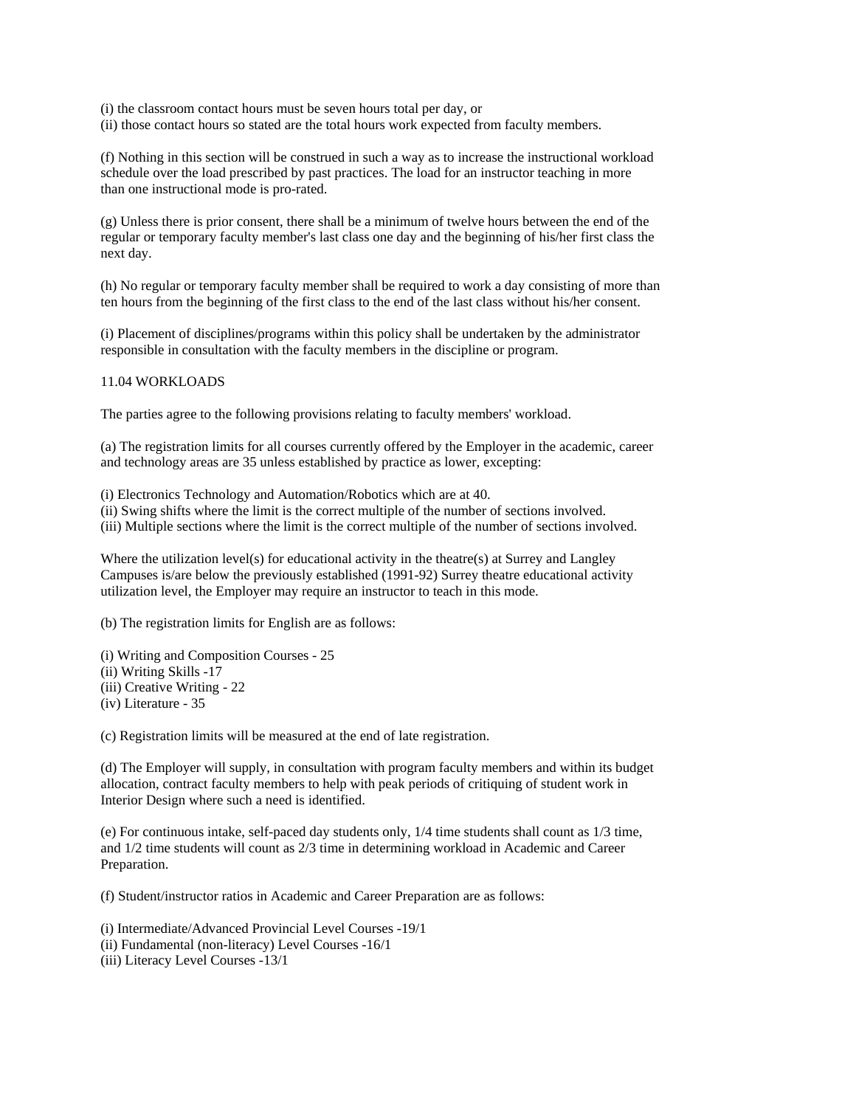(i) the classroom contact hours must be seven hours total per day, or

(ii) those contact hours so stated are the total hours work expected from faculty members.

(f) Nothing in this section will be construed in such a way as to increase the instructional workload schedule over the load prescribed by past practices. The load for an instructor teaching in more than one instructional mode is pro-rated.

(g) Unless there is prior consent, there shall be a minimum of twelve hours between the end of the regular or temporary faculty member's last class one day and the beginning of his/her first class the next day.

(h) No regular or temporary faculty member shall be required to work a day consisting of more than ten hours from the beginning of the first class to the end of the last class without his/her consent.

(i) Placement of disciplines/programs within this policy shall be undertaken by the administrator responsible in consultation with the faculty members in the discipline or program.

#### 11.04 WORKLOADS

The parties agree to the following provisions relating to faculty members' workload.

(a) The registration limits for all courses currently offered by the Employer in the academic, career and technology areas are 35 unless established by practice as lower, excepting:

(i) Electronics Technology and Automation/Robotics which are at 40.

(ii) Swing shifts where the limit is the correct multiple of the number of sections involved. (iii) Multiple sections where the limit is the correct multiple of the number of sections involved.

Where the utilization level(s) for educational activity in the theatre(s) at Surrey and Langley Campuses is/are below the previously established (1991-92) Surrey theatre educational activity utilization level, the Employer may require an instructor to teach in this mode.

(b) The registration limits for English are as follows:

(i) Writing and Composition Courses - 25 (ii) Writing Skills -17 (iii) Creative Writing - 22 (iv) Literature - 35

(c) Registration limits will be measured at the end of late registration.

(d) The Employer will supply, in consultation with program faculty members and within its budget allocation, contract faculty members to help with peak periods of critiquing of student work in Interior Design where such a need is identified.

(e) For continuous intake, self-paced day students only, 1/4 time students shall count as 1/3 time, and 1/2 time students will count as 2/3 time in determining workload in Academic and Career Preparation.

(f) Student/instructor ratios in Academic and Career Preparation are as follows:

(i) Intermediate/Advanced Provincial Level Courses -19/1

(ii) Fundamental (non-literacy) Level Courses -16/1

(iii) Literacy Level Courses -13/1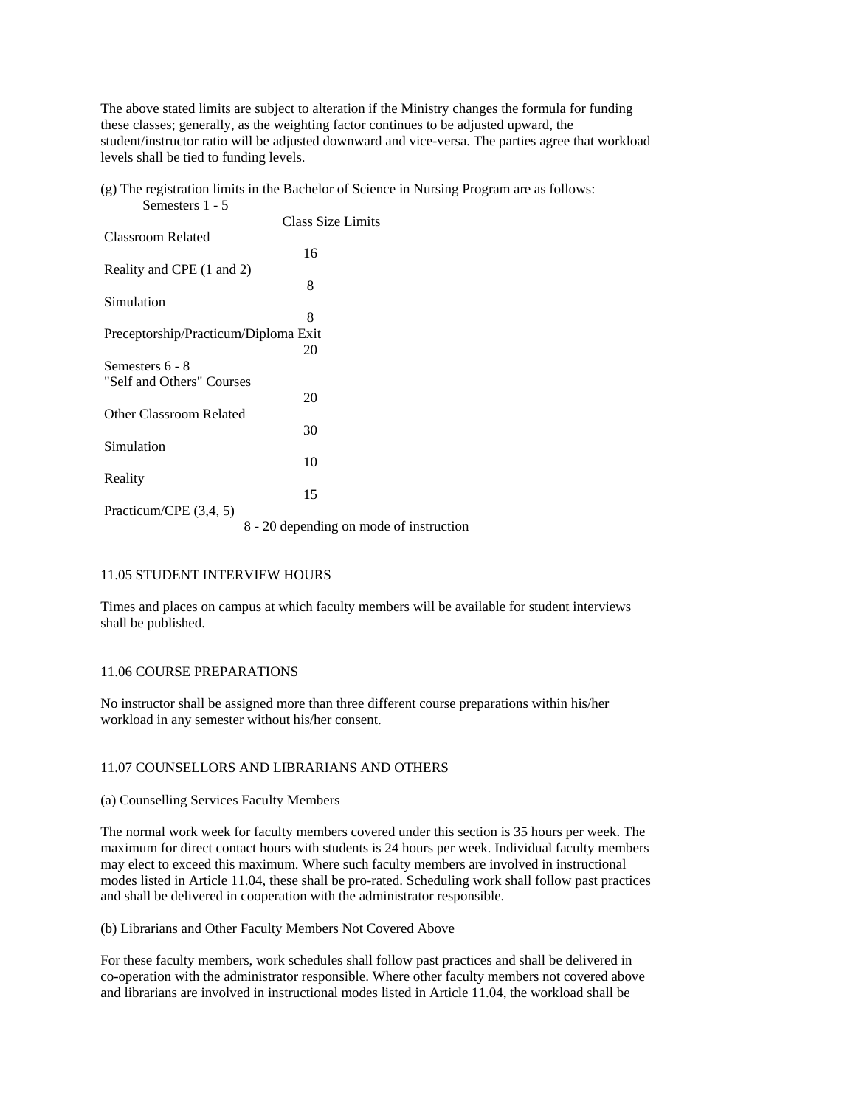The above stated limits are subject to alteration if the Ministry changes the formula for funding these classes; generally, as the weighting factor continues to be adjusted upward, the student/instructor ratio will be adjusted downward and vice-versa. The parties agree that workload levels shall be tied to funding levels.

(g) The registration limits in the Bachelor of Science in Nursing Program are as follows: Semesters 1 - 5

|                                      | <b>Class Size Limits</b> |  |
|--------------------------------------|--------------------------|--|
| <b>Classroom Related</b>             |                          |  |
|                                      |                          |  |
|                                      | 16                       |  |
| Reality and CPE (1 and 2)            |                          |  |
|                                      | 8                        |  |
| Simulation                           |                          |  |
|                                      | 8                        |  |
|                                      |                          |  |
| Preceptorship/Practicum/Diploma Exit |                          |  |
|                                      | 20                       |  |
| Semesters 6 - 8                      |                          |  |
| "Self and Others" Courses            |                          |  |
|                                      | 20                       |  |
|                                      |                          |  |
| <b>Other Classroom Related</b>       |                          |  |
|                                      | 30                       |  |
| Simulation                           |                          |  |
|                                      | 10                       |  |
| Reality                              |                          |  |
|                                      | 15                       |  |
|                                      |                          |  |
| Practicum/CPE (3,4, 5)               |                          |  |
|                                      |                          |  |

8 - 20 depending on mode of instruction

## 11.05 STUDENT INTERVIEW HOURS

Times and places on campus at which faculty members will be available for student interviews shall be published.

## 11.06 COURSE PREPARATIONS

No instructor shall be assigned more than three different course preparations within his/her workload in any semester without his/her consent.

## 11.07 COUNSELLORS AND LIBRARIANS AND OTHERS

## (a) Counselling Services Faculty Members

The normal work week for faculty members covered under this section is 35 hours per week. The maximum for direct contact hours with students is 24 hours per week. Individual faculty members may elect to exceed this maximum. Where such faculty members are involved in instructional modes listed in Article 11.04, these shall be pro-rated. Scheduling work shall follow past practices and shall be delivered in cooperation with the administrator responsible.

(b) Librarians and Other Faculty Members Not Covered Above

For these faculty members, work schedules shall follow past practices and shall be delivered in co-operation with the administrator responsible. Where other faculty members not covered above and librarians are involved in instructional modes listed in Article 11.04, the workload shall be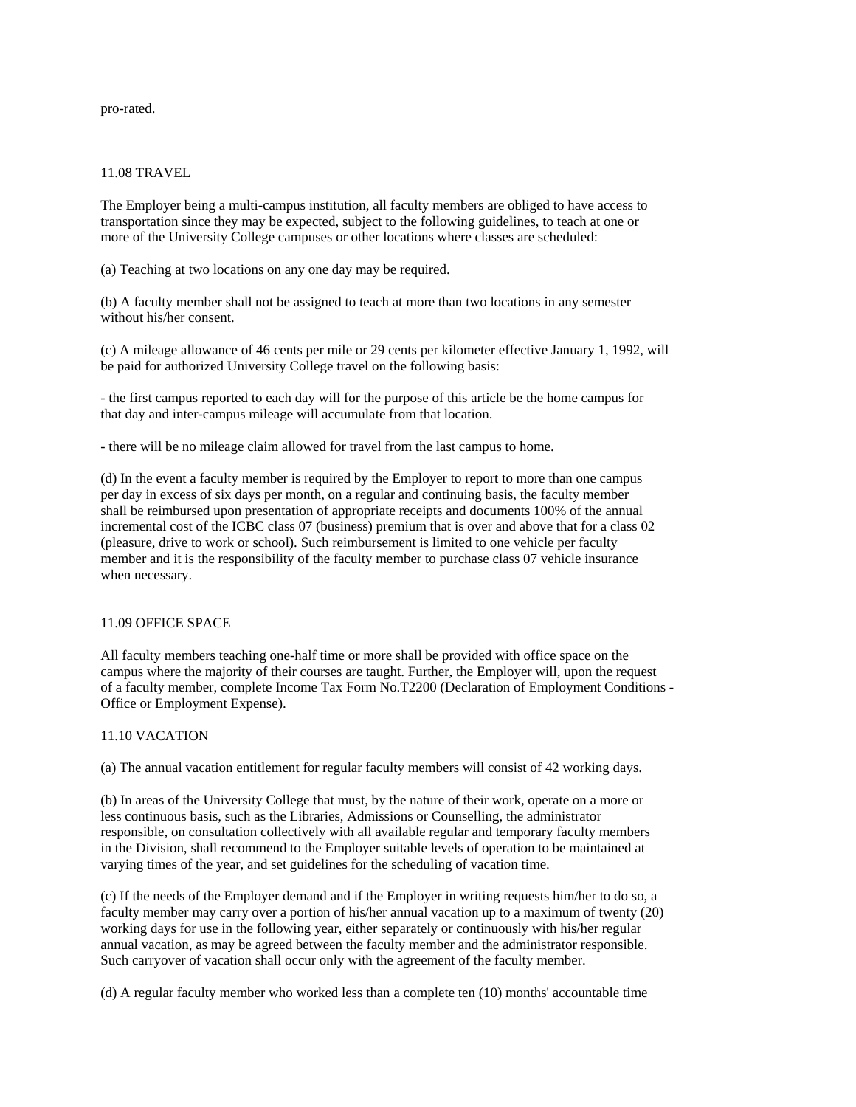pro-rated.

### 11.08 TRAVEL

The Employer being a multi-campus institution, all faculty members are obliged to have access to transportation since they may be expected, subject to the following guidelines, to teach at one or more of the University College campuses or other locations where classes are scheduled:

(a) Teaching at two locations on any one day may be required.

(b) A faculty member shall not be assigned to teach at more than two locations in any semester without his/her consent.

(c) A mileage allowance of 46 cents per mile or 29 cents per kilometer effective January 1, 1992, will be paid for authorized University College travel on the following basis:

- the first campus reported to each day will for the purpose of this article be the home campus for that day and inter-campus mileage will accumulate from that location.

- there will be no mileage claim allowed for travel from the last campus to home.

(d) In the event a faculty member is required by the Employer to report to more than one campus per day in excess of six days per month, on a regular and continuing basis, the faculty member shall be reimbursed upon presentation of appropriate receipts and documents 100% of the annual incremental cost of the ICBC class 07 (business) premium that is over and above that for a class 02 (pleasure, drive to work or school). Such reimbursement is limited to one vehicle per faculty member and it is the responsibility of the faculty member to purchase class 07 vehicle insurance when necessary.

## 11.09 OFFICE SPACE

All faculty members teaching one-half time or more shall be provided with office space on the campus where the majority of their courses are taught. Further, the Employer will, upon the request of a faculty member, complete Income Tax Form No.T2200 (Declaration of Employment Conditions - Office or Employment Expense).

## 11.10 VACATION

(a) The annual vacation entitlement for regular faculty members will consist of 42 working days.

(b) In areas of the University College that must, by the nature of their work, operate on a more or less continuous basis, such as the Libraries, Admissions or Counselling, the administrator responsible, on consultation collectively with all available regular and temporary faculty members in the Division, shall recommend to the Employer suitable levels of operation to be maintained at varying times of the year, and set guidelines for the scheduling of vacation time.

(c) If the needs of the Employer demand and if the Employer in writing requests him/her to do so, a faculty member may carry over a portion of his/her annual vacation up to a maximum of twenty (20) working days for use in the following year, either separately or continuously with his/her regular annual vacation, as may be agreed between the faculty member and the administrator responsible. Such carryover of vacation shall occur only with the agreement of the faculty member.

(d) A regular faculty member who worked less than a complete ten (10) months' accountable time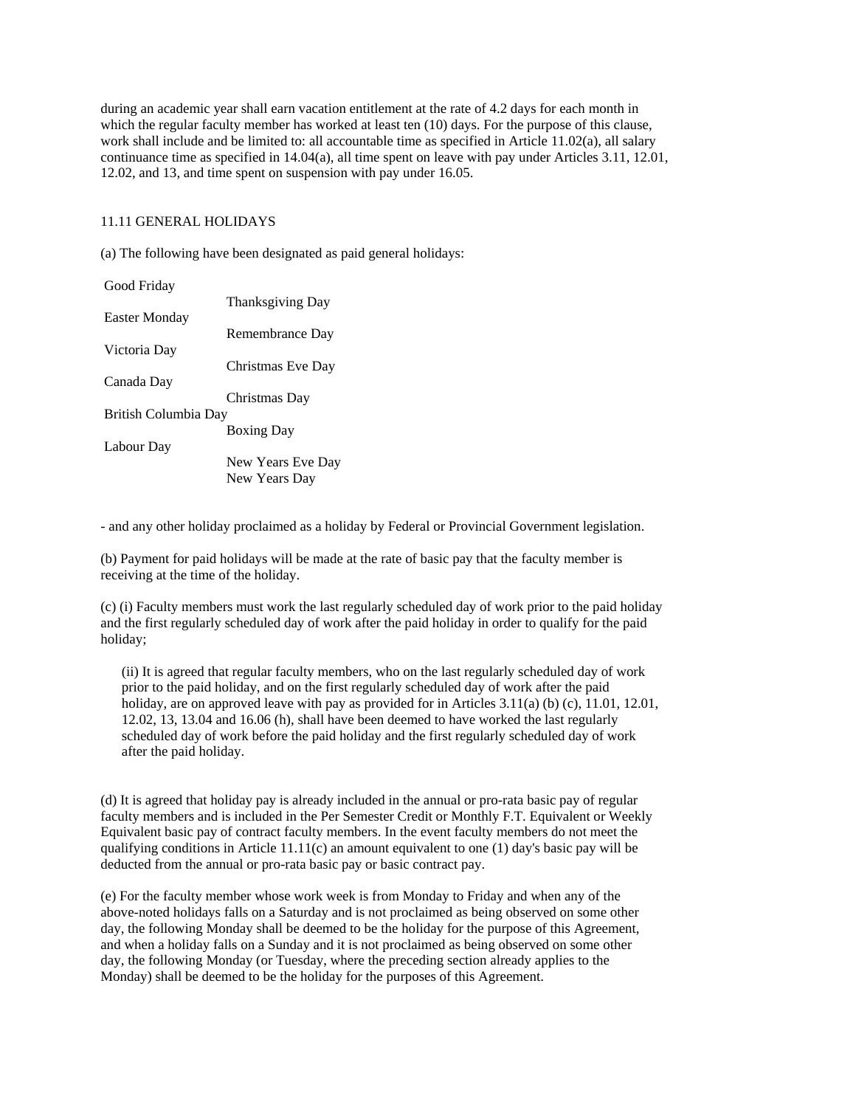during an academic year shall earn vacation entitlement at the rate of 4.2 days for each month in which the regular faculty member has worked at least ten (10) days. For the purpose of this clause, work shall include and be limited to: all accountable time as specified in Article 11.02(a), all salary continuance time as specified in 14.04(a), all time spent on leave with pay under Articles 3.11, 12.01, 12.02, and 13, and time spent on suspension with pay under 16.05.

## 11.11 GENERAL HOLIDAYS

(a) The following have been designated as paid general holidays:

| Good Friday          |                   |
|----------------------|-------------------|
|                      | Thanksgiving Day  |
| Easter Monday        |                   |
|                      | Remembrance Day   |
| Victoria Day         |                   |
|                      | Christmas Eve Day |
| Canada Day           |                   |
|                      | Christmas Day     |
| British Columbia Day |                   |
|                      | <b>Boxing Day</b> |
| Labour Day           |                   |
|                      | New Years Eve Day |
|                      | New Years Day     |

- and any other holiday proclaimed as a holiday by Federal or Provincial Government legislation.

(b) Payment for paid holidays will be made at the rate of basic pay that the faculty member is receiving at the time of the holiday.

(c) (i) Faculty members must work the last regularly scheduled day of work prior to the paid holiday and the first regularly scheduled day of work after the paid holiday in order to qualify for the paid holiday;

 (ii) It is agreed that regular faculty members, who on the last regularly scheduled day of work prior to the paid holiday, and on the first regularly scheduled day of work after the paid holiday, are on approved leave with pay as provided for in Articles 3.11(a) (b) (c), 11.01, 12.01, 12.02, 13, 13.04 and 16.06 (h), shall have been deemed to have worked the last regularly scheduled day of work before the paid holiday and the first regularly scheduled day of work after the paid holiday.

(d) It is agreed that holiday pay is already included in the annual or pro-rata basic pay of regular faculty members and is included in the Per Semester Credit or Monthly F.T. Equivalent or Weekly Equivalent basic pay of contract faculty members. In the event faculty members do not meet the qualifying conditions in Article 11.11(c) an amount equivalent to one (1) day's basic pay will be deducted from the annual or pro-rata basic pay or basic contract pay.

(e) For the faculty member whose work week is from Monday to Friday and when any of the above-noted holidays falls on a Saturday and is not proclaimed as being observed on some other day, the following Monday shall be deemed to be the holiday for the purpose of this Agreement, and when a holiday falls on a Sunday and it is not proclaimed as being observed on some other day, the following Monday (or Tuesday, where the preceding section already applies to the Monday) shall be deemed to be the holiday for the purposes of this Agreement.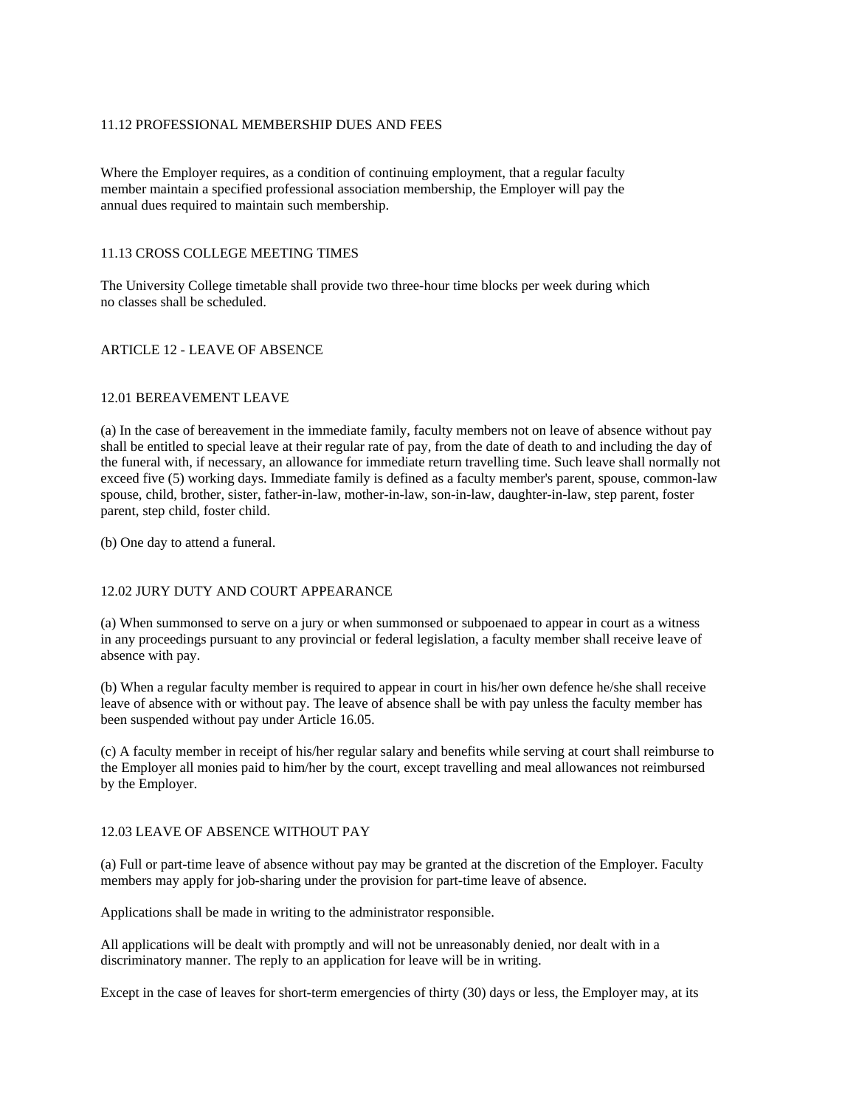## 11.12 PROFESSIONAL MEMBERSHIP DUES AND FEES

Where the Employer requires, as a condition of continuing employment, that a regular faculty member maintain a specified professional association membership, the Employer will pay the annual dues required to maintain such membership.

## 11.13 CROSS COLLEGE MEETING TIMES

The University College timetable shall provide two three-hour time blocks per week during which no classes shall be scheduled.

## ARTICLE 12 - LEAVE OF ABSENCE

#### 12.01 BEREAVEMENT LEAVE

(a) In the case of bereavement in the immediate family, faculty members not on leave of absence without pay shall be entitled to special leave at their regular rate of pay, from the date of death to and including the day of the funeral with, if necessary, an allowance for immediate return travelling time. Such leave shall normally not exceed five (5) working days. Immediate family is defined as a faculty member's parent, spouse, common-law spouse, child, brother, sister, father-in-law, mother-in-law, son-in-law, daughter-in-law, step parent, foster parent, step child, foster child.

(b) One day to attend a funeral.

## 12.02 JURY DUTY AND COURT APPEARANCE

(a) When summonsed to serve on a jury or when summonsed or subpoenaed to appear in court as a witness in any proceedings pursuant to any provincial or federal legislation, a faculty member shall receive leave of absence with pay.

(b) When a regular faculty member is required to appear in court in his/her own defence he/she shall receive leave of absence with or without pay. The leave of absence shall be with pay unless the faculty member has been suspended without pay under Article 16.05.

(c) A faculty member in receipt of his/her regular salary and benefits while serving at court shall reimburse to the Employer all monies paid to him/her by the court, except travelling and meal allowances not reimbursed by the Employer.

## 12.03 LEAVE OF ABSENCE WITHOUT PAY

(a) Full or part-time leave of absence without pay may be granted at the discretion of the Employer. Faculty members may apply for job-sharing under the provision for part-time leave of absence.

Applications shall be made in writing to the administrator responsible.

All applications will be dealt with promptly and will not be unreasonably denied, nor dealt with in a discriminatory manner. The reply to an application for leave will be in writing.

Except in the case of leaves for short-term emergencies of thirty (30) days or less, the Employer may, at its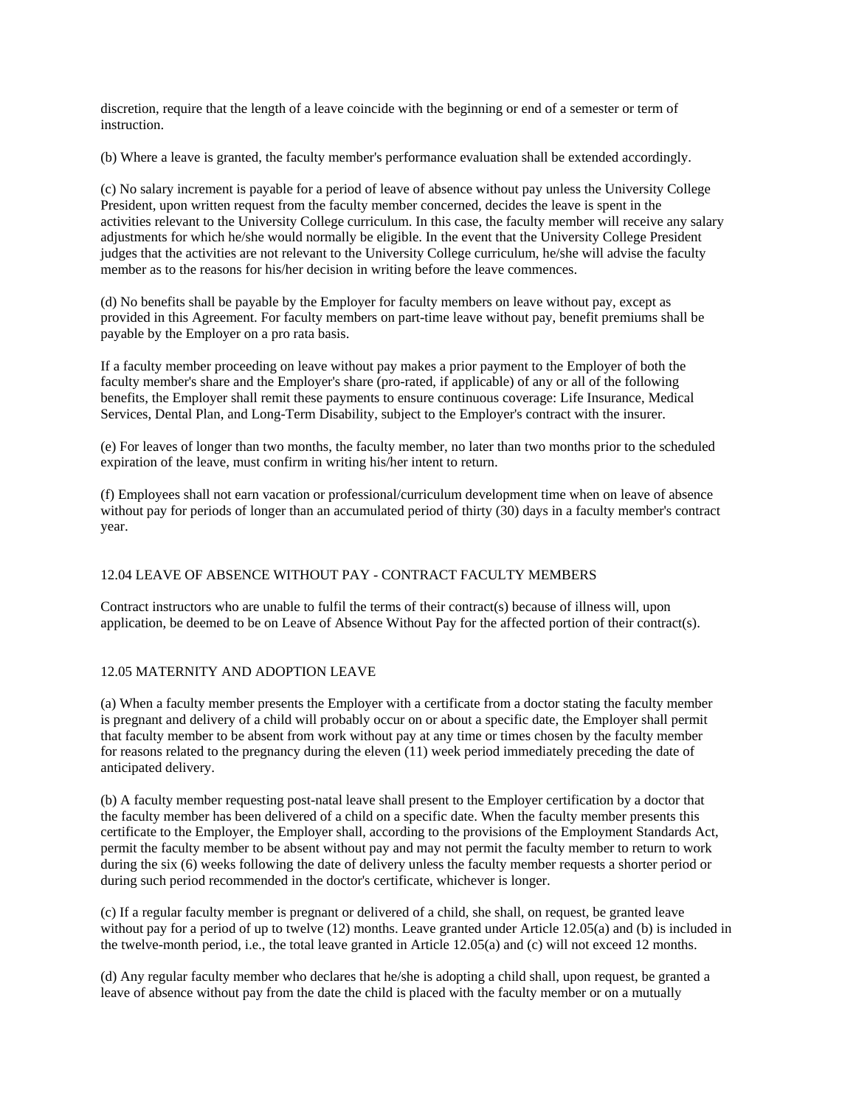discretion, require that the length of a leave coincide with the beginning or end of a semester or term of instruction.

(b) Where a leave is granted, the faculty member's performance evaluation shall be extended accordingly.

(c) No salary increment is payable for a period of leave of absence without pay unless the University College President, upon written request from the faculty member concerned, decides the leave is spent in the activities relevant to the University College curriculum. In this case, the faculty member will receive any salary adjustments for which he/she would normally be eligible. In the event that the University College President judges that the activities are not relevant to the University College curriculum, he/she will advise the faculty member as to the reasons for his/her decision in writing before the leave commences.

(d) No benefits shall be payable by the Employer for faculty members on leave without pay, except as provided in this Agreement. For faculty members on part-time leave without pay, benefit premiums shall be payable by the Employer on a pro rata basis.

If a faculty member proceeding on leave without pay makes a prior payment to the Employer of both the faculty member's share and the Employer's share (pro-rated, if applicable) of any or all of the following benefits, the Employer shall remit these payments to ensure continuous coverage: Life Insurance, Medical Services, Dental Plan, and Long-Term Disability, subject to the Employer's contract with the insurer.

(e) For leaves of longer than two months, the faculty member, no later than two months prior to the scheduled expiration of the leave, must confirm in writing his/her intent to return.

(f) Employees shall not earn vacation or professional/curriculum development time when on leave of absence without pay for periods of longer than an accumulated period of thirty (30) days in a faculty member's contract year.

# 12.04 LEAVE OF ABSENCE WITHOUT PAY - CONTRACT FACULTY MEMBERS

Contract instructors who are unable to fulfil the terms of their contract(s) because of illness will, upon application, be deemed to be on Leave of Absence Without Pay for the affected portion of their contract(s).

# 12.05 MATERNITY AND ADOPTION LEAVE

(a) When a faculty member presents the Employer with a certificate from a doctor stating the faculty member is pregnant and delivery of a child will probably occur on or about a specific date, the Employer shall permit that faculty member to be absent from work without pay at any time or times chosen by the faculty member for reasons related to the pregnancy during the eleven (11) week period immediately preceding the date of anticipated delivery.

(b) A faculty member requesting post-natal leave shall present to the Employer certification by a doctor that the faculty member has been delivered of a child on a specific date. When the faculty member presents this certificate to the Employer, the Employer shall, according to the provisions of the Employment Standards Act, permit the faculty member to be absent without pay and may not permit the faculty member to return to work during the six (6) weeks following the date of delivery unless the faculty member requests a shorter period or during such period recommended in the doctor's certificate, whichever is longer.

(c) If a regular faculty member is pregnant or delivered of a child, she shall, on request, be granted leave without pay for a period of up to twelve (12) months. Leave granted under Article 12.05(a) and (b) is included in the twelve-month period, i.e., the total leave granted in Article 12.05(a) and (c) will not exceed 12 months.

(d) Any regular faculty member who declares that he/she is adopting a child shall, upon request, be granted a leave of absence without pay from the date the child is placed with the faculty member or on a mutually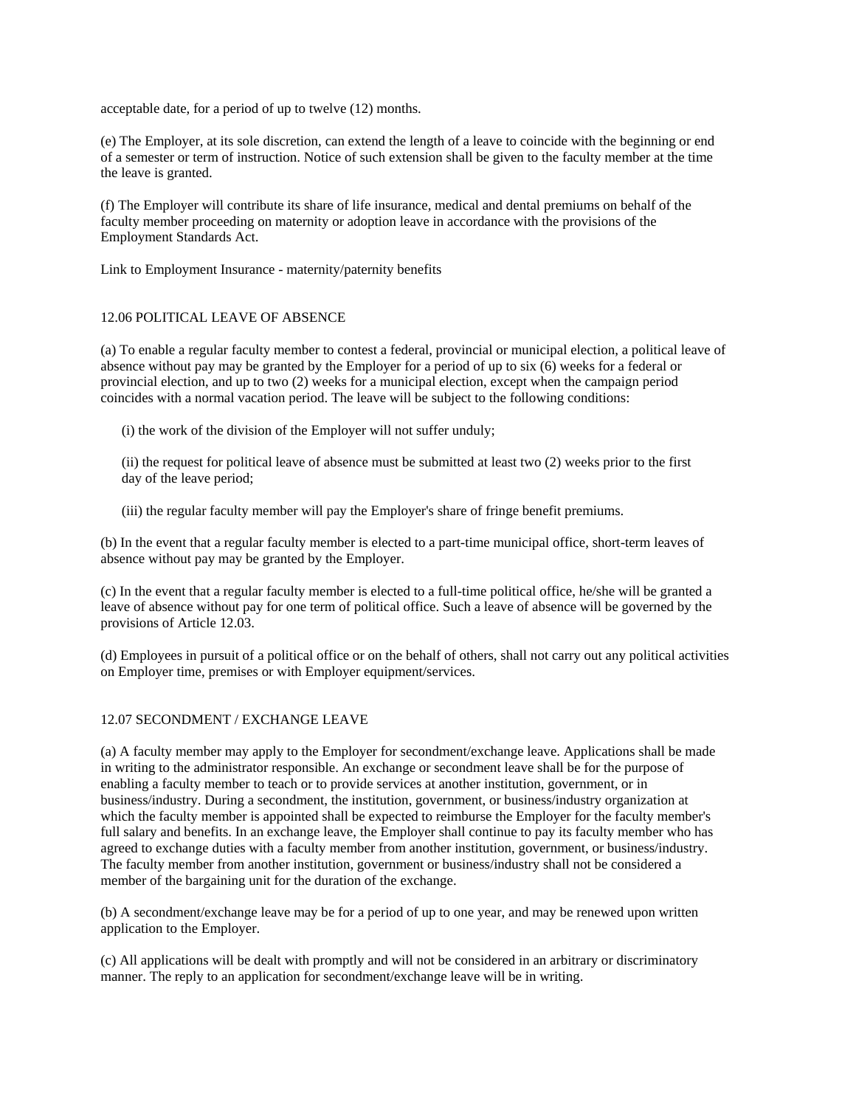acceptable date, for a period of up to twelve (12) months.

(e) The Employer, at its sole discretion, can extend the length of a leave to coincide with the beginning or end of a semester or term of instruction. Notice of such extension shall be given to the faculty member at the time the leave is granted.

(f) The Employer will contribute its share of life insurance, medical and dental premiums on behalf of the faculty member proceeding on maternity or adoption leave in accordance with the provisions of the Employment Standards Act.

Link to Employment Insurance - maternity/paternity benefits

# 12.06 POLITICAL LEAVE OF ABSENCE

(a) To enable a regular faculty member to contest a federal, provincial or municipal election, a political leave of absence without pay may be granted by the Employer for a period of up to six (6) weeks for a federal or provincial election, and up to two (2) weeks for a municipal election, except when the campaign period coincides with a normal vacation period. The leave will be subject to the following conditions:

(i) the work of the division of the Employer will not suffer unduly;

 (ii) the request for political leave of absence must be submitted at least two (2) weeks prior to the first day of the leave period;

(iii) the regular faculty member will pay the Employer's share of fringe benefit premiums.

(b) In the event that a regular faculty member is elected to a part-time municipal office, short-term leaves of absence without pay may be granted by the Employer.

(c) In the event that a regular faculty member is elected to a full-time political office, he/she will be granted a leave of absence without pay for one term of political office. Such a leave of absence will be governed by the provisions of Article 12.03.

(d) Employees in pursuit of a political office or on the behalf of others, shall not carry out any political activities on Employer time, premises or with Employer equipment/services.

# 12.07 SECONDMENT / EXCHANGE LEAVE

(a) A faculty member may apply to the Employer for secondment/exchange leave. Applications shall be made in writing to the administrator responsible. An exchange or secondment leave shall be for the purpose of enabling a faculty member to teach or to provide services at another institution, government, or in business/industry. During a secondment, the institution, government, or business/industry organization at which the faculty member is appointed shall be expected to reimburse the Employer for the faculty member's full salary and benefits. In an exchange leave, the Employer shall continue to pay its faculty member who has agreed to exchange duties with a faculty member from another institution, government, or business/industry. The faculty member from another institution, government or business/industry shall not be considered a member of the bargaining unit for the duration of the exchange.

(b) A secondment/exchange leave may be for a period of up to one year, and may be renewed upon written application to the Employer.

(c) All applications will be dealt with promptly and will not be considered in an arbitrary or discriminatory manner. The reply to an application for secondment/exchange leave will be in writing.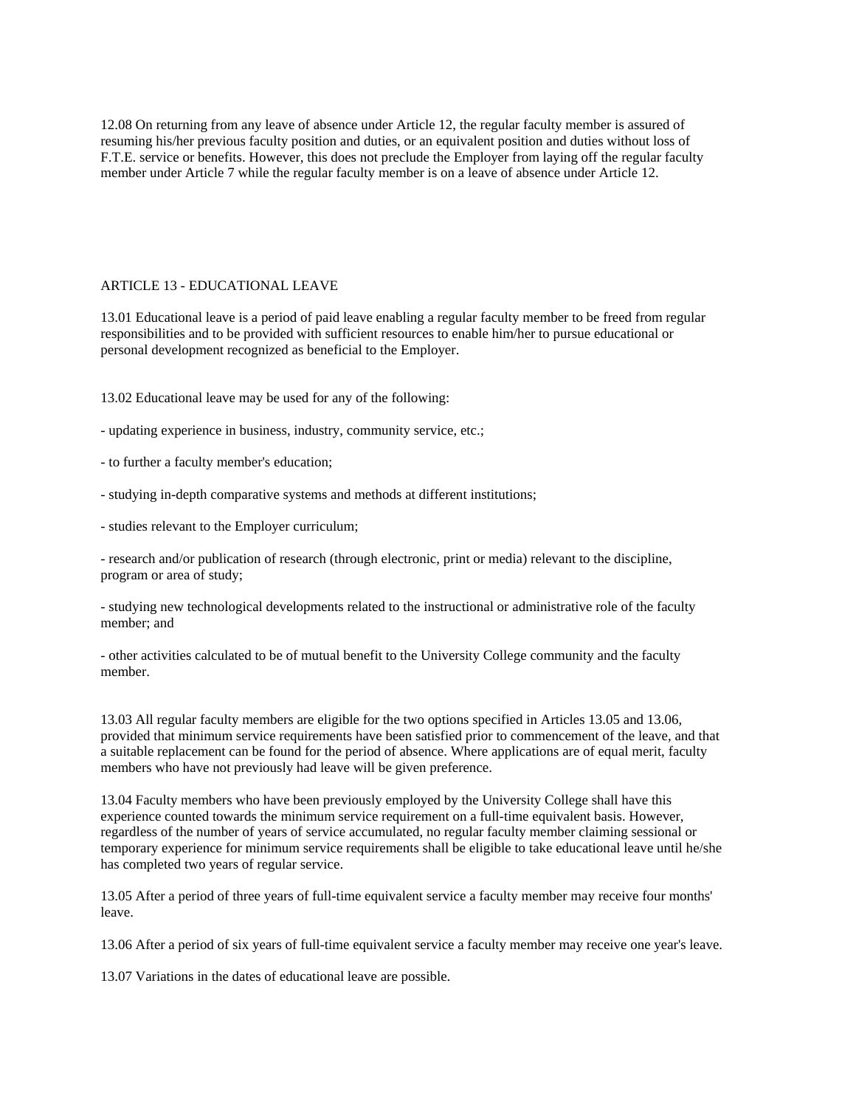12.08 On returning from any leave of absence under Article 12, the regular faculty member is assured of resuming his/her previous faculty position and duties, or an equivalent position and duties without loss of F.T.E. service or benefits. However, this does not preclude the Employer from laying off the regular faculty member under Article 7 while the regular faculty member is on a leave of absence under Article 12.

## ARTICLE 13 - EDUCATIONAL LEAVE

13.01 Educational leave is a period of paid leave enabling a regular faculty member to be freed from regular responsibilities and to be provided with sufficient resources to enable him/her to pursue educational or personal development recognized as beneficial to the Employer.

13.02 Educational leave may be used for any of the following:

- updating experience in business, industry, community service, etc.;
- to further a faculty member's education;
- studying in-depth comparative systems and methods at different institutions;
- studies relevant to the Employer curriculum;

- research and/or publication of research (through electronic, print or media) relevant to the discipline, program or area of study;

- studying new technological developments related to the instructional or administrative role of the faculty member; and

- other activities calculated to be of mutual benefit to the University College community and the faculty member.

13.03 All regular faculty members are eligible for the two options specified in Articles 13.05 and 13.06, provided that minimum service requirements have been satisfied prior to commencement of the leave, and that a suitable replacement can be found for the period of absence. Where applications are of equal merit, faculty members who have not previously had leave will be given preference.

13.04 Faculty members who have been previously employed by the University College shall have this experience counted towards the minimum service requirement on a full-time equivalent basis. However, regardless of the number of years of service accumulated, no regular faculty member claiming sessional or temporary experience for minimum service requirements shall be eligible to take educational leave until he/she has completed two years of regular service.

13.05 After a period of three years of full-time equivalent service a faculty member may receive four months' leave.

13.06 After a period of six years of full-time equivalent service a faculty member may receive one year's leave.

13.07 Variations in the dates of educational leave are possible.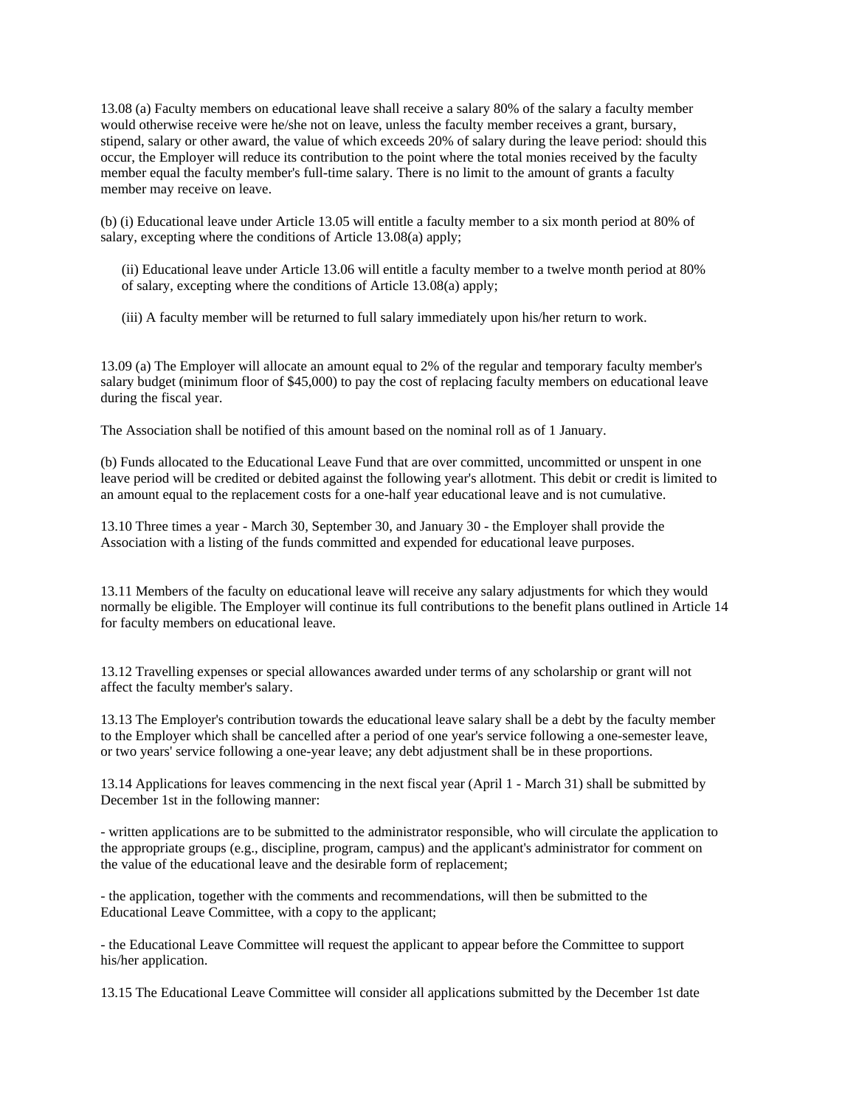13.08 (a) Faculty members on educational leave shall receive a salary 80% of the salary a faculty member would otherwise receive were he/she not on leave, unless the faculty member receives a grant, bursary, stipend, salary or other award, the value of which exceeds 20% of salary during the leave period: should this occur, the Employer will reduce its contribution to the point where the total monies received by the faculty member equal the faculty member's full-time salary. There is no limit to the amount of grants a faculty member may receive on leave.

(b) (i) Educational leave under Article 13.05 will entitle a faculty member to a six month period at 80% of salary, excepting where the conditions of Article 13.08(a) apply;

 (ii) Educational leave under Article 13.06 will entitle a faculty member to a twelve month period at 80% of salary, excepting where the conditions of Article 13.08(a) apply;

(iii) A faculty member will be returned to full salary immediately upon his/her return to work.

13.09 (a) The Employer will allocate an amount equal to 2% of the regular and temporary faculty member's salary budget (minimum floor of \$45,000) to pay the cost of replacing faculty members on educational leave during the fiscal year.

The Association shall be notified of this amount based on the nominal roll as of 1 January.

(b) Funds allocated to the Educational Leave Fund that are over committed, uncommitted or unspent in one leave period will be credited or debited against the following year's allotment. This debit or credit is limited to an amount equal to the replacement costs for a one-half year educational leave and is not cumulative.

13.10 Three times a year - March 30, September 30, and January 30 - the Employer shall provide the Association with a listing of the funds committed and expended for educational leave purposes.

13.11 Members of the faculty on educational leave will receive any salary adjustments for which they would normally be eligible. The Employer will continue its full contributions to the benefit plans outlined in Article 14 for faculty members on educational leave.

13.12 Travelling expenses or special allowances awarded under terms of any scholarship or grant will not affect the faculty member's salary.

13.13 The Employer's contribution towards the educational leave salary shall be a debt by the faculty member to the Employer which shall be cancelled after a period of one year's service following a one-semester leave, or two years' service following a one-year leave; any debt adjustment shall be in these proportions.

13.14 Applications for leaves commencing in the next fiscal year (April 1 - March 31) shall be submitted by December 1st in the following manner:

- written applications are to be submitted to the administrator responsible, who will circulate the application to the appropriate groups (e.g., discipline, program, campus) and the applicant's administrator for comment on the value of the educational leave and the desirable form of replacement;

- the application, together with the comments and recommendations, will then be submitted to the Educational Leave Committee, with a copy to the applicant;

- the Educational Leave Committee will request the applicant to appear before the Committee to support his/her application.

13.15 The Educational Leave Committee will consider all applications submitted by the December 1st date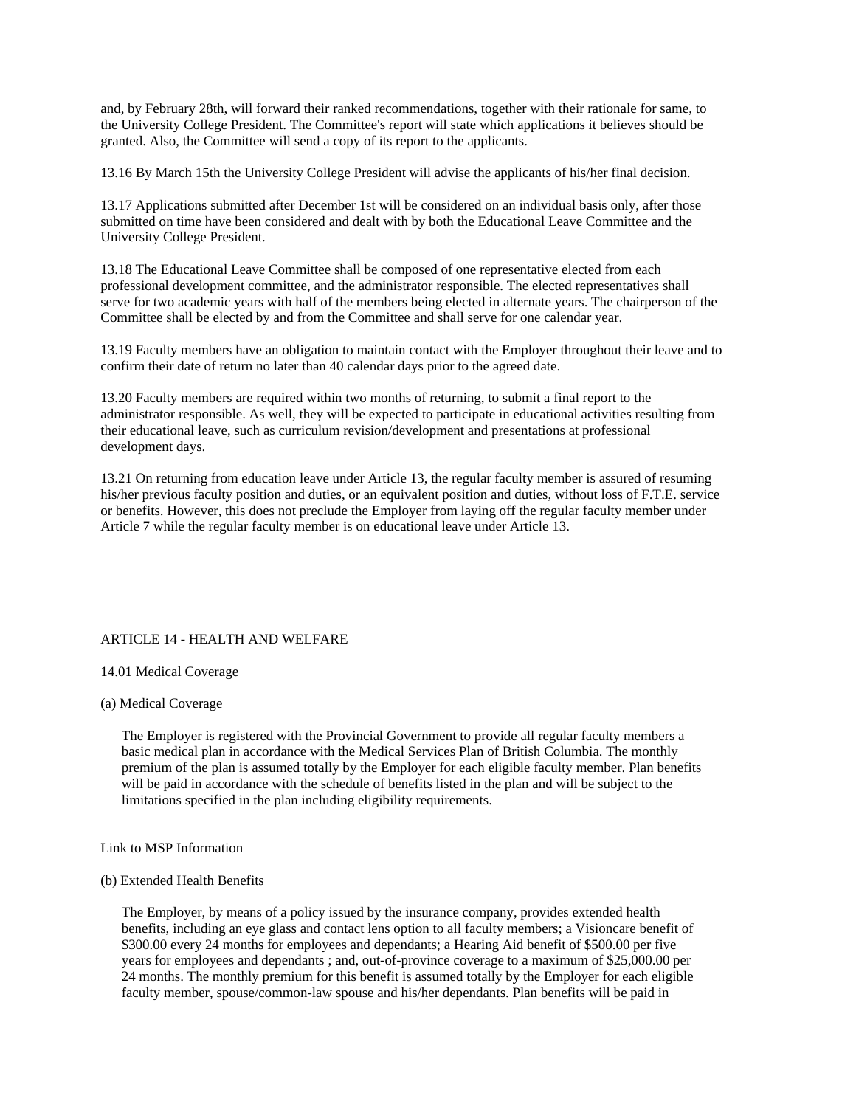and, by February 28th, will forward their ranked recommendations, together with their rationale for same, to the University College President. The Committee's report will state which applications it believes should be granted. Also, the Committee will send a copy of its report to the applicants.

13.16 By March 15th the University College President will advise the applicants of his/her final decision.

13.17 Applications submitted after December 1st will be considered on an individual basis only, after those submitted on time have been considered and dealt with by both the Educational Leave Committee and the University College President.

13.18 The Educational Leave Committee shall be composed of one representative elected from each professional development committee, and the administrator responsible. The elected representatives shall serve for two academic years with half of the members being elected in alternate years. The chairperson of the Committee shall be elected by and from the Committee and shall serve for one calendar year.

13.19 Faculty members have an obligation to maintain contact with the Employer throughout their leave and to confirm their date of return no later than 40 calendar days prior to the agreed date.

13.20 Faculty members are required within two months of returning, to submit a final report to the administrator responsible. As well, they will be expected to participate in educational activities resulting from their educational leave, such as curriculum revision/development and presentations at professional development days.

13.21 On returning from education leave under Article 13, the regular faculty member is assured of resuming his/her previous faculty position and duties, or an equivalent position and duties, without loss of F.T.E. service or benefits. However, this does not preclude the Employer from laying off the regular faculty member under Article 7 while the regular faculty member is on educational leave under Article 13.

## ARTICLE 14 - HEALTH AND WELFARE

## 14.01 Medical Coverage

## (a) Medical Coverage

 The Employer is registered with the Provincial Government to provide all regular faculty members a basic medical plan in accordance with the Medical Services Plan of British Columbia. The monthly premium of the plan is assumed totally by the Employer for each eligible faculty member. Plan benefits will be paid in accordance with the schedule of benefits listed in the plan and will be subject to the limitations specified in the plan including eligibility requirements.

Link to MSP Information

#### (b) Extended Health Benefits

 The Employer, by means of a policy issued by the insurance company, provides extended health benefits, including an eye glass and contact lens option to all faculty members; a Visioncare benefit of \$300.00 every 24 months for employees and dependants; a Hearing Aid benefit of \$500.00 per five years for employees and dependants ; and, out-of-province coverage to a maximum of \$25,000.00 per 24 months. The monthly premium for this benefit is assumed totally by the Employer for each eligible faculty member, spouse/common-law spouse and his/her dependants. Plan benefits will be paid in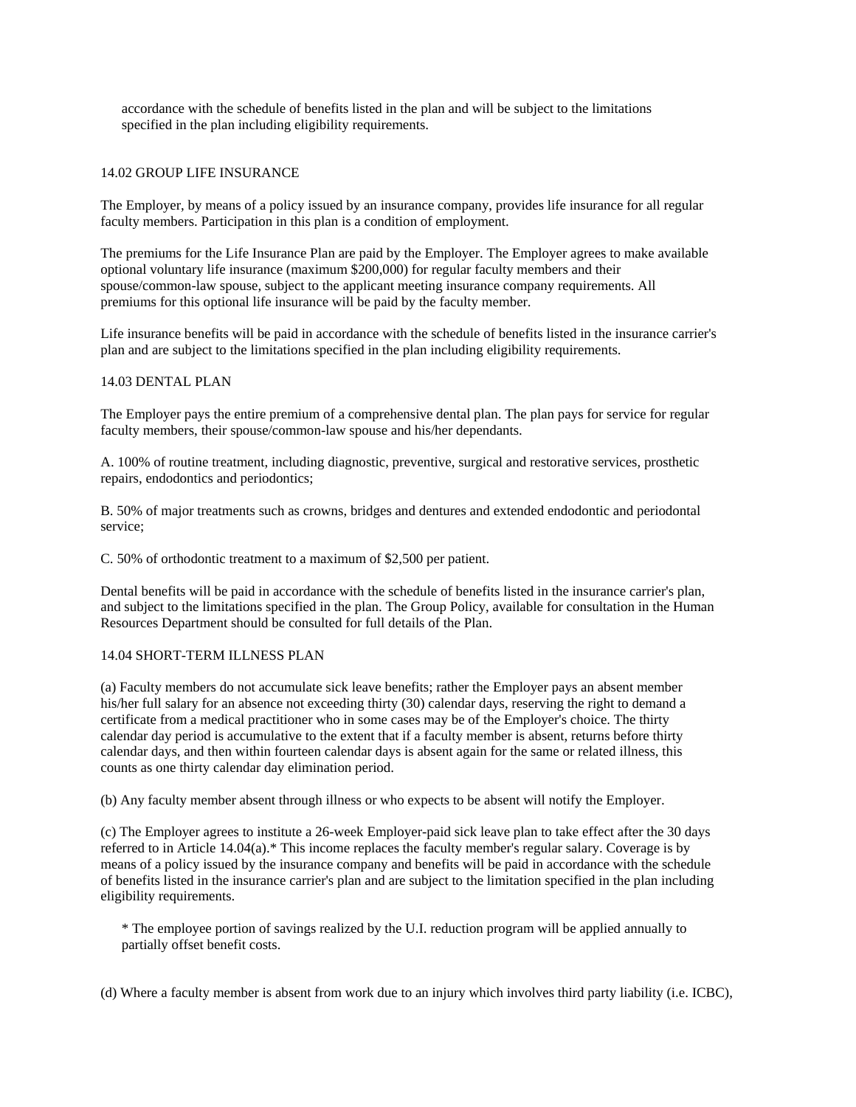accordance with the schedule of benefits listed in the plan and will be subject to the limitations specified in the plan including eligibility requirements.

#### 14.02 GROUP LIFE INSURANCE

The Employer, by means of a policy issued by an insurance company, provides life insurance for all regular faculty members. Participation in this plan is a condition of employment.

The premiums for the Life Insurance Plan are paid by the Employer. The Employer agrees to make available optional voluntary life insurance (maximum \$200,000) for regular faculty members and their spouse/common-law spouse, subject to the applicant meeting insurance company requirements. All premiums for this optional life insurance will be paid by the faculty member.

Life insurance benefits will be paid in accordance with the schedule of benefits listed in the insurance carrier's plan and are subject to the limitations specified in the plan including eligibility requirements.

#### 14.03 DENTAL PLAN

The Employer pays the entire premium of a comprehensive dental plan. The plan pays for service for regular faculty members, their spouse/common-law spouse and his/her dependants.

A. 100% of routine treatment, including diagnostic, preventive, surgical and restorative services, prosthetic repairs, endodontics and periodontics;

B. 50% of major treatments such as crowns, bridges and dentures and extended endodontic and periodontal service;

C. 50% of orthodontic treatment to a maximum of \$2,500 per patient.

Dental benefits will be paid in accordance with the schedule of benefits listed in the insurance carrier's plan, and subject to the limitations specified in the plan. The Group Policy, available for consultation in the Human Resources Department should be consulted for full details of the Plan.

#### 14.04 SHORT-TERM ILLNESS PLAN

(a) Faculty members do not accumulate sick leave benefits; rather the Employer pays an absent member his/her full salary for an absence not exceeding thirty (30) calendar days, reserving the right to demand a certificate from a medical practitioner who in some cases may be of the Employer's choice. The thirty calendar day period is accumulative to the extent that if a faculty member is absent, returns before thirty calendar days, and then within fourteen calendar days is absent again for the same or related illness, this counts as one thirty calendar day elimination period.

(b) Any faculty member absent through illness or who expects to be absent will notify the Employer.

(c) The Employer agrees to institute a 26-week Employer-paid sick leave plan to take effect after the 30 days referred to in Article 14.04(a).\* This income replaces the faculty member's regular salary. Coverage is by means of a policy issued by the insurance company and benefits will be paid in accordance with the schedule of benefits listed in the insurance carrier's plan and are subject to the limitation specified in the plan including eligibility requirements.

 \* The employee portion of savings realized by the U.I. reduction program will be applied annually to partially offset benefit costs.

(d) Where a faculty member is absent from work due to an injury which involves third party liability (i.e. ICBC),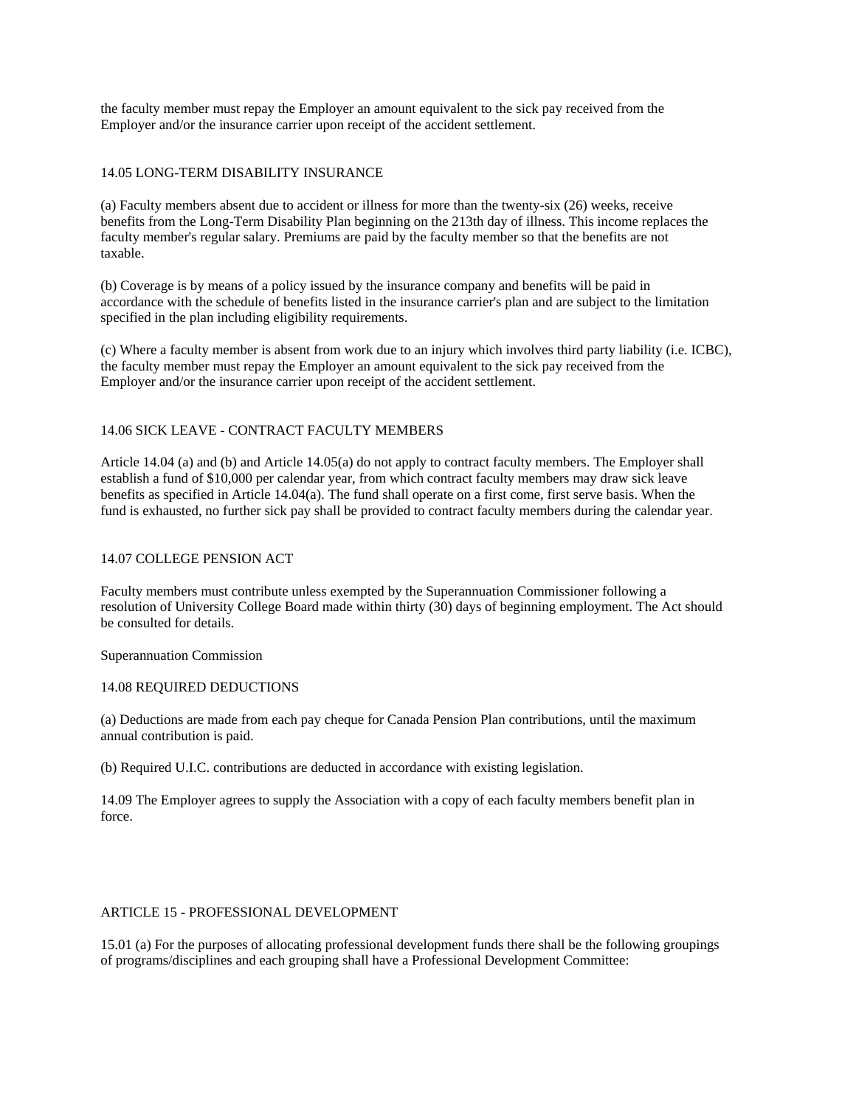the faculty member must repay the Employer an amount equivalent to the sick pay received from the Employer and/or the insurance carrier upon receipt of the accident settlement.

# 14.05 LONG-TERM DISABILITY INSURANCE

(a) Faculty members absent due to accident or illness for more than the twenty-six (26) weeks, receive benefits from the Long-Term Disability Plan beginning on the 213th day of illness. This income replaces the faculty member's regular salary. Premiums are paid by the faculty member so that the benefits are not taxable.

(b) Coverage is by means of a policy issued by the insurance company and benefits will be paid in accordance with the schedule of benefits listed in the insurance carrier's plan and are subject to the limitation specified in the plan including eligibility requirements.

(c) Where a faculty member is absent from work due to an injury which involves third party liability (i.e. ICBC), the faculty member must repay the Employer an amount equivalent to the sick pay received from the Employer and/or the insurance carrier upon receipt of the accident settlement.

# 14.06 SICK LEAVE - CONTRACT FACULTY MEMBERS

Article 14.04 (a) and (b) and Article 14.05(a) do not apply to contract faculty members. The Employer shall establish a fund of \$10,000 per calendar year, from which contract faculty members may draw sick leave benefits as specified in Article 14.04(a). The fund shall operate on a first come, first serve basis. When the fund is exhausted, no further sick pay shall be provided to contract faculty members during the calendar year.

# 14.07 COLLEGE PENSION ACT

Faculty members must contribute unless exempted by the Superannuation Commissioner following a resolution of University College Board made within thirty (30) days of beginning employment. The Act should be consulted for details.

Superannuation Commission

#### 14.08 REQUIRED DEDUCTIONS

(a) Deductions are made from each pay cheque for Canada Pension Plan contributions, until the maximum annual contribution is paid.

(b) Required U.I.C. contributions are deducted in accordance with existing legislation.

14.09 The Employer agrees to supply the Association with a copy of each faculty members benefit plan in force.

#### ARTICLE 15 - PROFESSIONAL DEVELOPMENT

15.01 (a) For the purposes of allocating professional development funds there shall be the following groupings of programs/disciplines and each grouping shall have a Professional Development Committee: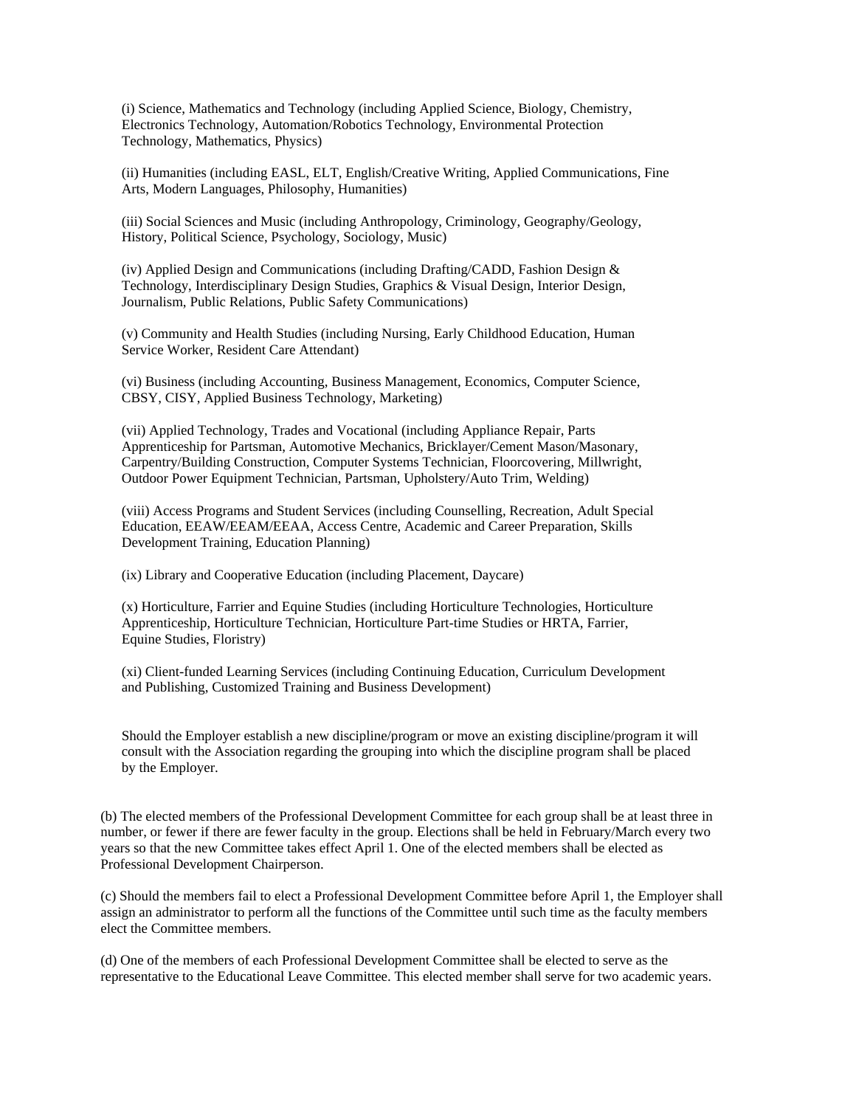(i) Science, Mathematics and Technology (including Applied Science, Biology, Chemistry, Electronics Technology, Automation/Robotics Technology, Environmental Protection Technology, Mathematics, Physics)

 (ii) Humanities (including EASL, ELT, English/Creative Writing, Applied Communications, Fine Arts, Modern Languages, Philosophy, Humanities)

 (iii) Social Sciences and Music (including Anthropology, Criminology, Geography/Geology, History, Political Science, Psychology, Sociology, Music)

 (iv) Applied Design and Communications (including Drafting/CADD, Fashion Design & Technology, Interdisciplinary Design Studies, Graphics & Visual Design, Interior Design, Journalism, Public Relations, Public Safety Communications)

 (v) Community and Health Studies (including Nursing, Early Childhood Education, Human Service Worker, Resident Care Attendant)

 (vi) Business (including Accounting, Business Management, Economics, Computer Science, CBSY, CISY, Applied Business Technology, Marketing)

 (vii) Applied Technology, Trades and Vocational (including Appliance Repair, Parts Apprenticeship for Partsman, Automotive Mechanics, Bricklayer/Cement Mason/Masonary, Carpentry/Building Construction, Computer Systems Technician, Floorcovering, Millwright, Outdoor Power Equipment Technician, Partsman, Upholstery/Auto Trim, Welding)

 (viii) Access Programs and Student Services (including Counselling, Recreation, Adult Special Education, EEAW/EEAM/EEAA, Access Centre, Academic and Career Preparation, Skills Development Training, Education Planning)

(ix) Library and Cooperative Education (including Placement, Daycare)

 (x) Horticulture, Farrier and Equine Studies (including Horticulture Technologies, Horticulture Apprenticeship, Horticulture Technician, Horticulture Part-time Studies or HRTA, Farrier, Equine Studies, Floristry)

 (xi) Client-funded Learning Services (including Continuing Education, Curriculum Development and Publishing, Customized Training and Business Development)

 Should the Employer establish a new discipline/program or move an existing discipline/program it will consult with the Association regarding the grouping into which the discipline program shall be placed by the Employer.

(b) The elected members of the Professional Development Committee for each group shall be at least three in number, or fewer if there are fewer faculty in the group. Elections shall be held in February/March every two years so that the new Committee takes effect April 1. One of the elected members shall be elected as Professional Development Chairperson.

(c) Should the members fail to elect a Professional Development Committee before April 1, the Employer shall assign an administrator to perform all the functions of the Committee until such time as the faculty members elect the Committee members.

(d) One of the members of each Professional Development Committee shall be elected to serve as the representative to the Educational Leave Committee. This elected member shall serve for two academic years.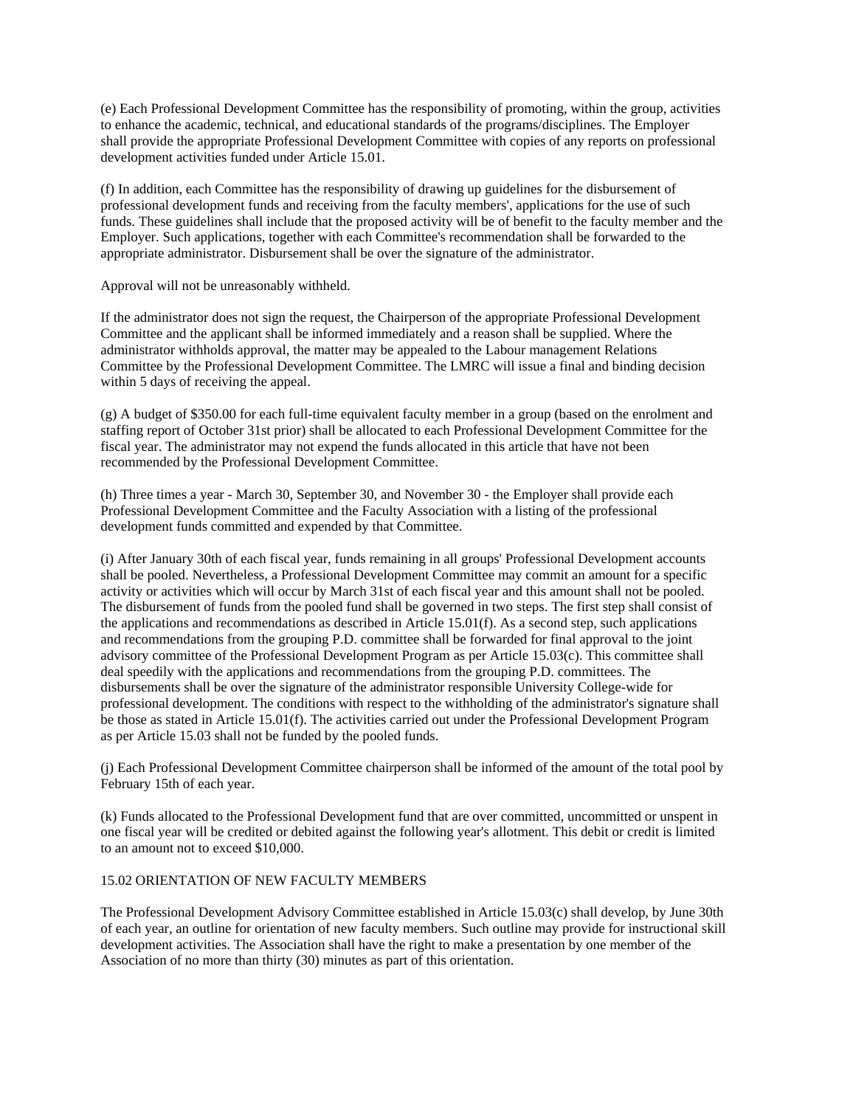(e) Each Professional Development Committee has the responsibility of promoting, within the group, activities to enhance the academic, technical, and educational standards of the programs/disciplines. The Employer shall provide the appropriate Professional Development Committee with copies of any reports on professional development activities funded under Article 15.01.

(f) In addition, each Committee has the responsibility of drawing up guidelines for the disbursement of professional development funds and receiving from the faculty members', applications for the use of such funds. These guidelines shall include that the proposed activity will be of benefit to the faculty member and the Employer. Such applications, together with each Committee's recommendation shall be forwarded to the appropriate administrator. Disbursement shall be over the signature of the administrator.

Approval will not be unreasonably withheld.

If the administrator does not sign the request, the Chairperson of the appropriate Professional Development Committee and the applicant shall be informed immediately and a reason shall be supplied. Where the administrator withholds approval, the matter may be appealed to the Labour management Relations Committee by the Professional Development Committee. The LMRC will issue a final and binding decision within 5 days of receiving the appeal.

(g) A budget of \$350.00 for each full-time equivalent faculty member in a group (based on the enrolment and staffing report of October 31st prior) shall be allocated to each Professional Development Committee for the fiscal year. The administrator may not expend the funds allocated in this article that have not been recommended by the Professional Development Committee.

(h) Three times a year - March 30, September 30, and November 30 - the Employer shall provide each Professional Development Committee and the Faculty Association with a listing of the professional development funds committed and expended by that Committee.

(i) After January 30th of each fiscal year, funds remaining in all groups' Professional Development accounts shall be pooled. Nevertheless, a Professional Development Committee may commit an amount for a specific activity or activities which will occur by March 31st of each fiscal year and this amount shall not be pooled. The disbursement of funds from the pooled fund shall be governed in two steps. The first step shall consist of the applications and recommendations as described in Article 15.01(f). As a second step, such applications and recommendations from the grouping P.D. committee shall be forwarded for final approval to the joint advisory committee of the Professional Development Program as per Article 15.03(c). This committee shall deal speedily with the applications and recommendations from the grouping P.D. committees. The disbursements shall be over the signature of the administrator responsible University College-wide for professional development. The conditions with respect to the withholding of the administrator's signature shall be those as stated in Article 15.01(f). The activities carried out under the Professional Development Program as per Article 15.03 shall not be funded by the pooled funds.

(j) Each Professional Development Committee chairperson shall be informed of the amount of the total pool by February 15th of each year.

(k) Funds allocated to the Professional Development fund that are over committed, uncommitted or unspent in one fiscal year will be credited or debited against the following year's allotment. This debit or credit is limited to an amount not to exceed \$10,000.

# 15.02 ORIENTATION OF NEW FACULTY MEMBERS

The Professional Development Advisory Committee established in Article 15.03(c) shall develop, by June 30th of each year, an outline for orientation of new faculty members. Such outline may provide for instructional skill development activities. The Association shall have the right to make a presentation by one member of the Association of no more than thirty (30) minutes as part of this orientation.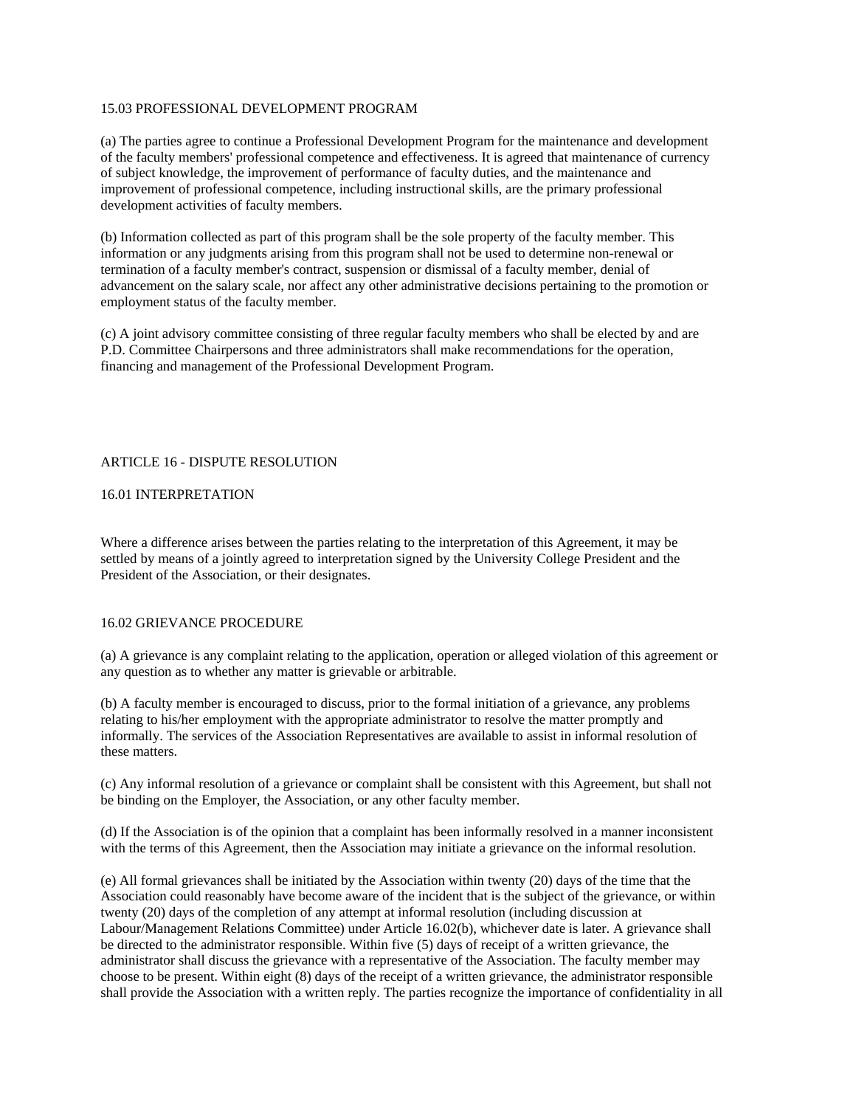# 15.03 PROFESSIONAL DEVELOPMENT PROGRAM

(a) The parties agree to continue a Professional Development Program for the maintenance and development of the faculty members' professional competence and effectiveness. It is agreed that maintenance of currency of subject knowledge, the improvement of performance of faculty duties, and the maintenance and improvement of professional competence, including instructional skills, are the primary professional development activities of faculty members.

(b) Information collected as part of this program shall be the sole property of the faculty member. This information or any judgments arising from this program shall not be used to determine non-renewal or termination of a faculty member's contract, suspension or dismissal of a faculty member, denial of advancement on the salary scale, nor affect any other administrative decisions pertaining to the promotion or employment status of the faculty member.

(c) A joint advisory committee consisting of three regular faculty members who shall be elected by and are P.D. Committee Chairpersons and three administrators shall make recommendations for the operation, financing and management of the Professional Development Program.

#### ARTICLE 16 - DISPUTE RESOLUTION

#### 16.01 INTERPRETATION

Where a difference arises between the parties relating to the interpretation of this Agreement, it may be settled by means of a jointly agreed to interpretation signed by the University College President and the President of the Association, or their designates.

#### 16.02 GRIEVANCE PROCEDURE

(a) A grievance is any complaint relating to the application, operation or alleged violation of this agreement or any question as to whether any matter is grievable or arbitrable.

(b) A faculty member is encouraged to discuss, prior to the formal initiation of a grievance, any problems relating to his/her employment with the appropriate administrator to resolve the matter promptly and informally. The services of the Association Representatives are available to assist in informal resolution of these matters.

(c) Any informal resolution of a grievance or complaint shall be consistent with this Agreement, but shall not be binding on the Employer, the Association, or any other faculty member.

(d) If the Association is of the opinion that a complaint has been informally resolved in a manner inconsistent with the terms of this Agreement, then the Association may initiate a grievance on the informal resolution.

(e) All formal grievances shall be initiated by the Association within twenty (20) days of the time that the Association could reasonably have become aware of the incident that is the subject of the grievance, or within twenty (20) days of the completion of any attempt at informal resolution (including discussion at Labour/Management Relations Committee) under Article 16.02(b), whichever date is later. A grievance shall be directed to the administrator responsible. Within five (5) days of receipt of a written grievance, the administrator shall discuss the grievance with a representative of the Association. The faculty member may choose to be present. Within eight (8) days of the receipt of a written grievance, the administrator responsible shall provide the Association with a written reply. The parties recognize the importance of confidentiality in all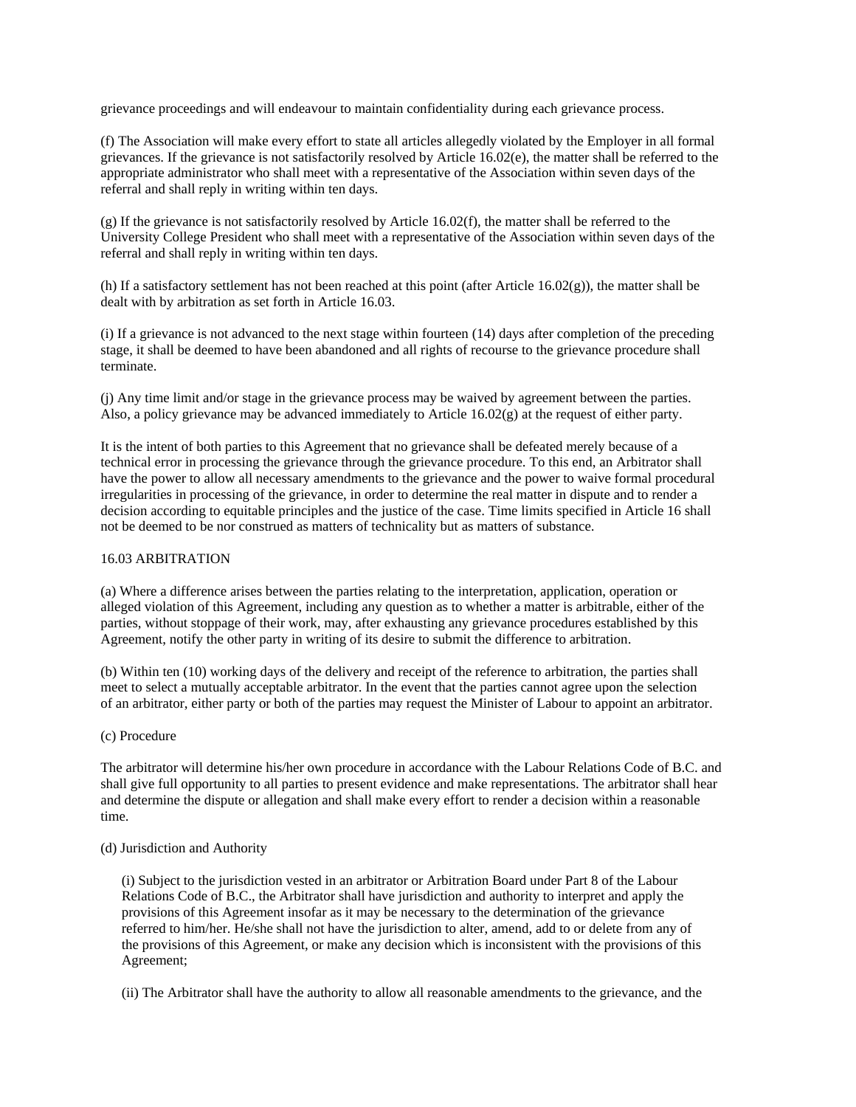grievance proceedings and will endeavour to maintain confidentiality during each grievance process.

(f) The Association will make every effort to state all articles allegedly violated by the Employer in all formal grievances. If the grievance is not satisfactorily resolved by Article 16.02(e), the matter shall be referred to the appropriate administrator who shall meet with a representative of the Association within seven days of the referral and shall reply in writing within ten days.

 $(g)$  If the grievance is not satisfactorily resolved by Article 16.02(f), the matter shall be referred to the University College President who shall meet with a representative of the Association within seven days of the referral and shall reply in writing within ten days.

(h) If a satisfactory settlement has not been reached at this point (after Article 16.02 $(g)$ ), the matter shall be dealt with by arbitration as set forth in Article 16.03.

(i) If a grievance is not advanced to the next stage within fourteen (14) days after completion of the preceding stage, it shall be deemed to have been abandoned and all rights of recourse to the grievance procedure shall terminate.

(j) Any time limit and/or stage in the grievance process may be waived by agreement between the parties. Also, a policy grievance may be advanced immediately to Article  $16.02(g)$  at the request of either party.

It is the intent of both parties to this Agreement that no grievance shall be defeated merely because of a technical error in processing the grievance through the grievance procedure. To this end, an Arbitrator shall have the power to allow all necessary amendments to the grievance and the power to waive formal procedural irregularities in processing of the grievance, in order to determine the real matter in dispute and to render a decision according to equitable principles and the justice of the case. Time limits specified in Article 16 shall not be deemed to be nor construed as matters of technicality but as matters of substance.

#### 16.03 ARBITRATION

(a) Where a difference arises between the parties relating to the interpretation, application, operation or alleged violation of this Agreement, including any question as to whether a matter is arbitrable, either of the parties, without stoppage of their work, may, after exhausting any grievance procedures established by this Agreement, notify the other party in writing of its desire to submit the difference to arbitration.

(b) Within ten (10) working days of the delivery and receipt of the reference to arbitration, the parties shall meet to select a mutually acceptable arbitrator. In the event that the parties cannot agree upon the selection of an arbitrator, either party or both of the parties may request the Minister of Labour to appoint an arbitrator.

# (c) Procedure

The arbitrator will determine his/her own procedure in accordance with the Labour Relations Code of B.C. and shall give full opportunity to all parties to present evidence and make representations. The arbitrator shall hear and determine the dispute or allegation and shall make every effort to render a decision within a reasonable time.

# (d) Jurisdiction and Authority

 (i) Subject to the jurisdiction vested in an arbitrator or Arbitration Board under Part 8 of the Labour Relations Code of B.C., the Arbitrator shall have jurisdiction and authority to interpret and apply the provisions of this Agreement insofar as it may be necessary to the determination of the grievance referred to him/her. He/she shall not have the jurisdiction to alter, amend, add to or delete from any of the provisions of this Agreement, or make any decision which is inconsistent with the provisions of this Agreement;

(ii) The Arbitrator shall have the authority to allow all reasonable amendments to the grievance, and the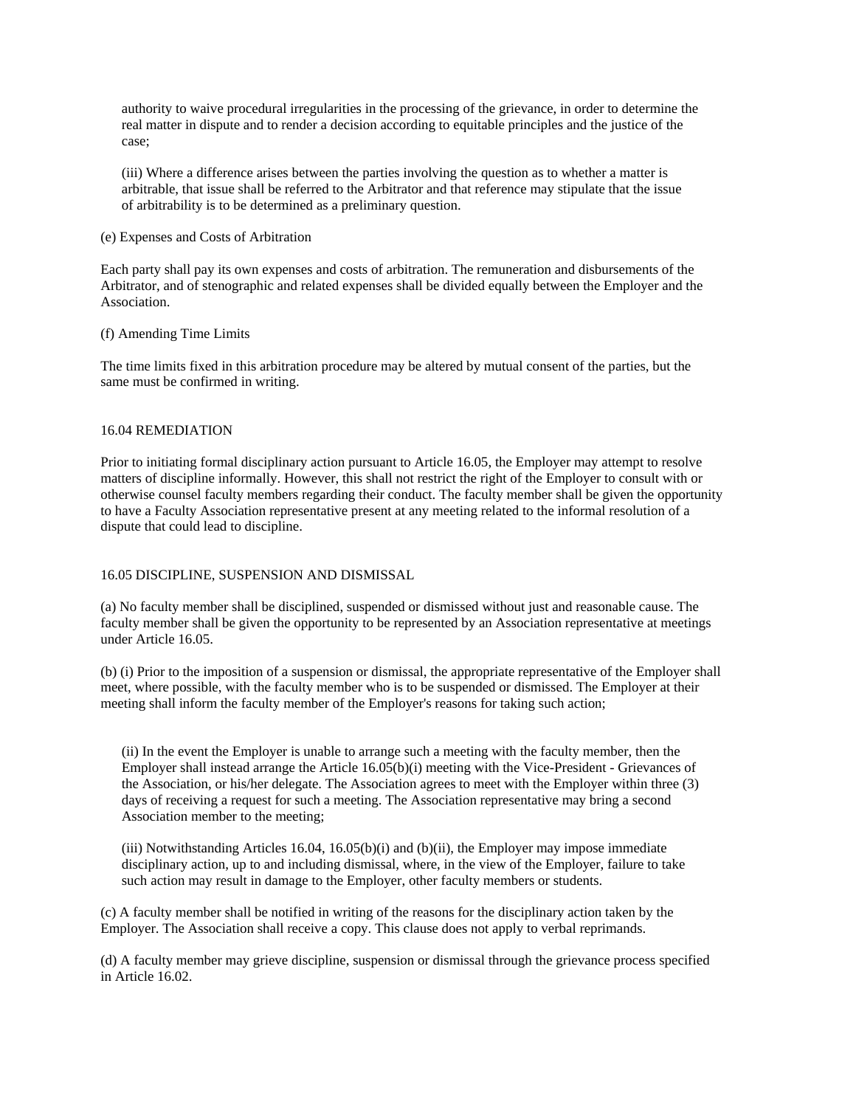authority to waive procedural irregularities in the processing of the grievance, in order to determine the real matter in dispute and to render a decision according to equitable principles and the justice of the case;

 (iii) Where a difference arises between the parties involving the question as to whether a matter is arbitrable, that issue shall be referred to the Arbitrator and that reference may stipulate that the issue of arbitrability is to be determined as a preliminary question.

#### (e) Expenses and Costs of Arbitration

Each party shall pay its own expenses and costs of arbitration. The remuneration and disbursements of the Arbitrator, and of stenographic and related expenses shall be divided equally between the Employer and the Association.

## (f) Amending Time Limits

The time limits fixed in this arbitration procedure may be altered by mutual consent of the parties, but the same must be confirmed in writing.

#### 16.04 REMEDIATION

Prior to initiating formal disciplinary action pursuant to Article 16.05, the Employer may attempt to resolve matters of discipline informally. However, this shall not restrict the right of the Employer to consult with or otherwise counsel faculty members regarding their conduct. The faculty member shall be given the opportunity to have a Faculty Association representative present at any meeting related to the informal resolution of a dispute that could lead to discipline.

#### 16.05 DISCIPLINE, SUSPENSION AND DISMISSAL

(a) No faculty member shall be disciplined, suspended or dismissed without just and reasonable cause. The faculty member shall be given the opportunity to be represented by an Association representative at meetings under Article 16.05.

(b) (i) Prior to the imposition of a suspension or dismissal, the appropriate representative of the Employer shall meet, where possible, with the faculty member who is to be suspended or dismissed. The Employer at their meeting shall inform the faculty member of the Employer's reasons for taking such action;

 (ii) In the event the Employer is unable to arrange such a meeting with the faculty member, then the Employer shall instead arrange the Article 16.05(b)(i) meeting with the Vice-President - Grievances of the Association, or his/her delegate. The Association agrees to meet with the Employer within three (3) days of receiving a request for such a meeting. The Association representative may bring a second Association member to the meeting;

 (iii) Notwithstanding Articles 16.04, 16.05(b)(i) and (b)(ii), the Employer may impose immediate disciplinary action, up to and including dismissal, where, in the view of the Employer, failure to take such action may result in damage to the Employer, other faculty members or students.

(c) A faculty member shall be notified in writing of the reasons for the disciplinary action taken by the Employer. The Association shall receive a copy. This clause does not apply to verbal reprimands.

(d) A faculty member may grieve discipline, suspension or dismissal through the grievance process specified in Article 16.02.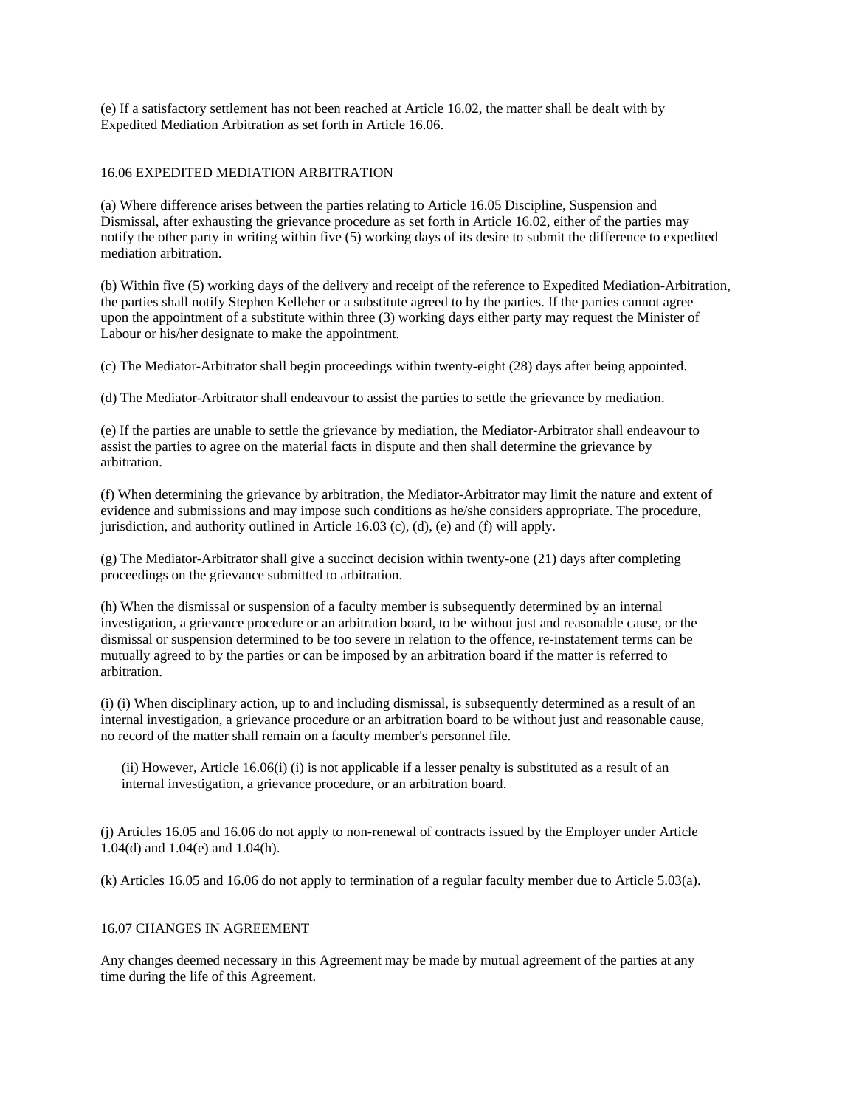(e) If a satisfactory settlement has not been reached at Article 16.02, the matter shall be dealt with by Expedited Mediation Arbitration as set forth in Article 16.06.

# 16.06 EXPEDITED MEDIATION ARBITRATION

(a) Where difference arises between the parties relating to Article 16.05 Discipline, Suspension and Dismissal, after exhausting the grievance procedure as set forth in Article 16.02, either of the parties may notify the other party in writing within five (5) working days of its desire to submit the difference to expedited mediation arbitration.

(b) Within five (5) working days of the delivery and receipt of the reference to Expedited Mediation-Arbitration, the parties shall notify Stephen Kelleher or a substitute agreed to by the parties. If the parties cannot agree upon the appointment of a substitute within three (3) working days either party may request the Minister of Labour or his/her designate to make the appointment.

(c) The Mediator-Arbitrator shall begin proceedings within twenty-eight (28) days after being appointed.

(d) The Mediator-Arbitrator shall endeavour to assist the parties to settle the grievance by mediation.

(e) If the parties are unable to settle the grievance by mediation, the Mediator-Arbitrator shall endeavour to assist the parties to agree on the material facts in dispute and then shall determine the grievance by arbitration.

(f) When determining the grievance by arbitration, the Mediator-Arbitrator may limit the nature and extent of evidence and submissions and may impose such conditions as he/she considers appropriate. The procedure, jurisdiction, and authority outlined in Article 16.03 (c), (d), (e) and (f) will apply.

(g) The Mediator-Arbitrator shall give a succinct decision within twenty-one (21) days after completing proceedings on the grievance submitted to arbitration.

(h) When the dismissal or suspension of a faculty member is subsequently determined by an internal investigation, a grievance procedure or an arbitration board, to be without just and reasonable cause, or the dismissal or suspension determined to be too severe in relation to the offence, re-instatement terms can be mutually agreed to by the parties or can be imposed by an arbitration board if the matter is referred to arbitration.

(i) (i) When disciplinary action, up to and including dismissal, is subsequently determined as a result of an internal investigation, a grievance procedure or an arbitration board to be without just and reasonable cause, no record of the matter shall remain on a faculty member's personnel file.

 (ii) However, Article 16.06(i) (i) is not applicable if a lesser penalty is substituted as a result of an internal investigation, a grievance procedure, or an arbitration board.

(j) Articles 16.05 and 16.06 do not apply to non-renewal of contracts issued by the Employer under Article 1.04(d) and 1.04(e) and 1.04(h).

(k) Articles 16.05 and 16.06 do not apply to termination of a regular faculty member due to Article 5.03(a).

#### 16.07 CHANGES IN AGREEMENT

Any changes deemed necessary in this Agreement may be made by mutual agreement of the parties at any time during the life of this Agreement.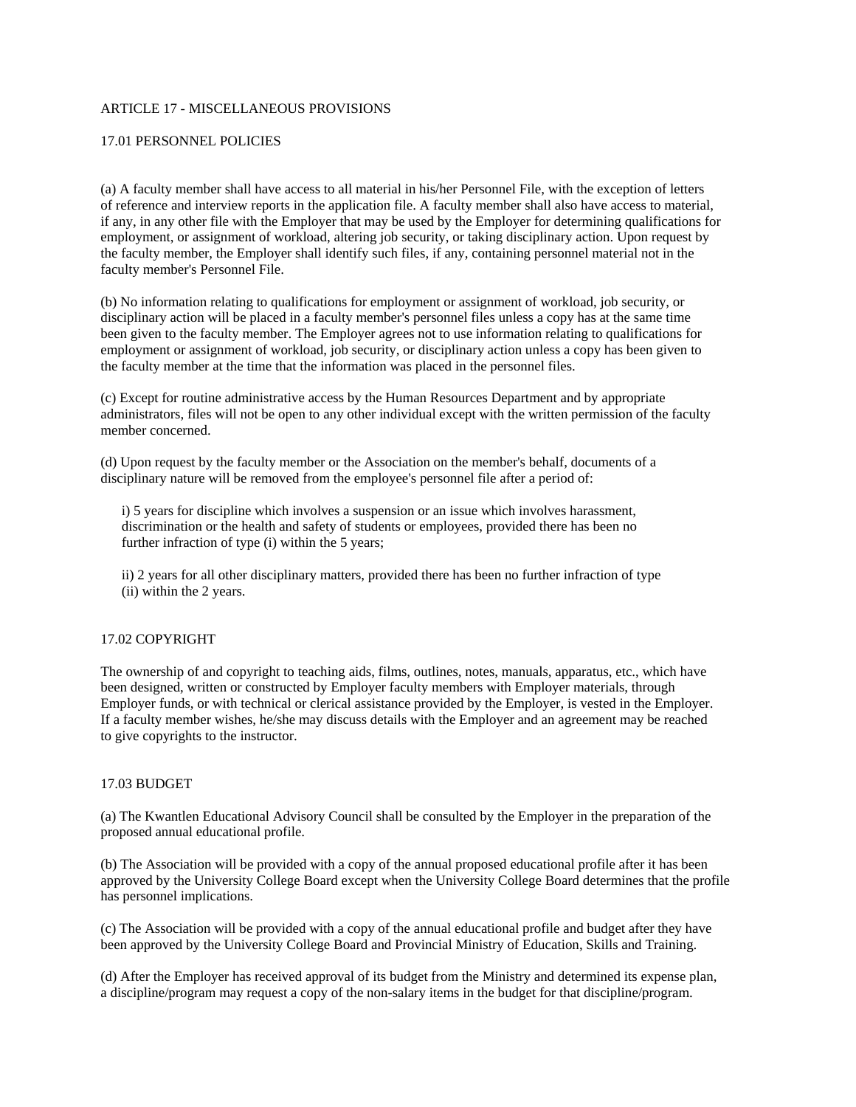# ARTICLE 17 - MISCELLANEOUS PROVISIONS

#### 17.01 PERSONNEL POLICIES

(a) A faculty member shall have access to all material in his/her Personnel File, with the exception of letters of reference and interview reports in the application file. A faculty member shall also have access to material, if any, in any other file with the Employer that may be used by the Employer for determining qualifications for employment, or assignment of workload, altering job security, or taking disciplinary action. Upon request by the faculty member, the Employer shall identify such files, if any, containing personnel material not in the faculty member's Personnel File.

(b) No information relating to qualifications for employment or assignment of workload, job security, or disciplinary action will be placed in a faculty member's personnel files unless a copy has at the same time been given to the faculty member. The Employer agrees not to use information relating to qualifications for employment or assignment of workload, job security, or disciplinary action unless a copy has been given to the faculty member at the time that the information was placed in the personnel files.

(c) Except for routine administrative access by the Human Resources Department and by appropriate administrators, files will not be open to any other individual except with the written permission of the faculty member concerned.

(d) Upon request by the faculty member or the Association on the member's behalf, documents of a disciplinary nature will be removed from the employee's personnel file after a period of:

 i) 5 years for discipline which involves a suspension or an issue which involves harassment, discrimination or the health and safety of students or employees, provided there has been no further infraction of type (i) within the 5 years;

 ii) 2 years for all other disciplinary matters, provided there has been no further infraction of type (ii) within the 2 years.

#### 17.02 COPYRIGHT

The ownership of and copyright to teaching aids, films, outlines, notes, manuals, apparatus, etc., which have been designed, written or constructed by Employer faculty members with Employer materials, through Employer funds, or with technical or clerical assistance provided by the Employer, is vested in the Employer. If a faculty member wishes, he/she may discuss details with the Employer and an agreement may be reached to give copyrights to the instructor.

## 17.03 BUDGET

(a) The Kwantlen Educational Advisory Council shall be consulted by the Employer in the preparation of the proposed annual educational profile.

(b) The Association will be provided with a copy of the annual proposed educational profile after it has been approved by the University College Board except when the University College Board determines that the profile has personnel implications.

(c) The Association will be provided with a copy of the annual educational profile and budget after they have been approved by the University College Board and Provincial Ministry of Education, Skills and Training.

(d) After the Employer has received approval of its budget from the Ministry and determined its expense plan, a discipline/program may request a copy of the non-salary items in the budget for that discipline/program.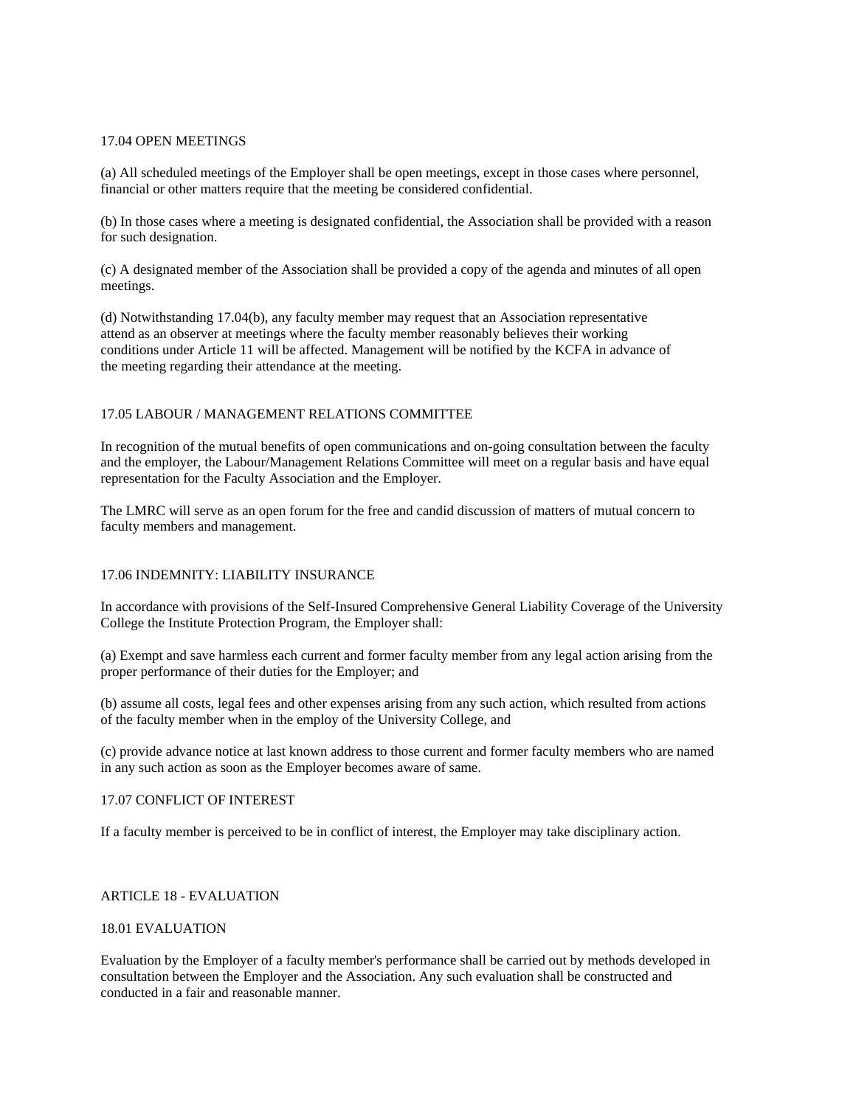#### 17.04 OPEN MEETINGS

(a) All scheduled meetings of the Employer shall be open meetings, except in those cases where personnel, financial or other matters require that the meeting be considered confidential.

(b) In those cases where a meeting is designated confidential, the Association shall be provided with a reason for such designation.

(c) A designated member of the Association shall be provided a copy of the agenda and minutes of all open meetings.

(d) Notwithstanding 17.04(b), any faculty member may request that an Association representative attend as an observer at meetings where the faculty member reasonably believes their working conditions under Article 11 will be affected. Management will be notified by the KCFA in advance of the meeting regarding their attendance at the meeting.

# 17.05 LABOUR / MANAGEMENT RELATIONS COMMITTEE

In recognition of the mutual benefits of open communications and on-going consultation between the faculty and the employer, the Labour/Management Relations Committee will meet on a regular basis and have equal representation for the Faculty Association and the Employer.

The LMRC will serve as an open forum for the free and candid discussion of matters of mutual concern to faculty members and management.

# 17.06 INDEMNITY: LIABILITY INSURANCE

In accordance with provisions of the Self-Insured Comprehensive General Liability Coverage of the University College the Institute Protection Program, the Employer shall:

(a) Exempt and save harmless each current and former faculty member from any legal action arising from the proper performance of their duties for the Employer; and

(b) assume all costs, legal fees and other expenses arising from any such action, which resulted from actions of the faculty member when in the employ of the University College, and

(c) provide advance notice at last known address to those current and former faculty members who are named in any such action as soon as the Employer becomes aware of same.

#### 17.07 CONFLICT OF INTEREST

If a faculty member is perceived to be in conflict of interest, the Employer may take disciplinary action.

# ARTICLE 18 - EVALUATION

#### 18.01 EVALUATION

Evaluation by the Employer of a faculty member's performance shall be carried out by methods developed in consultation between the Employer and the Association. Any such evaluation shall be constructed and conducted in a fair and reasonable manner.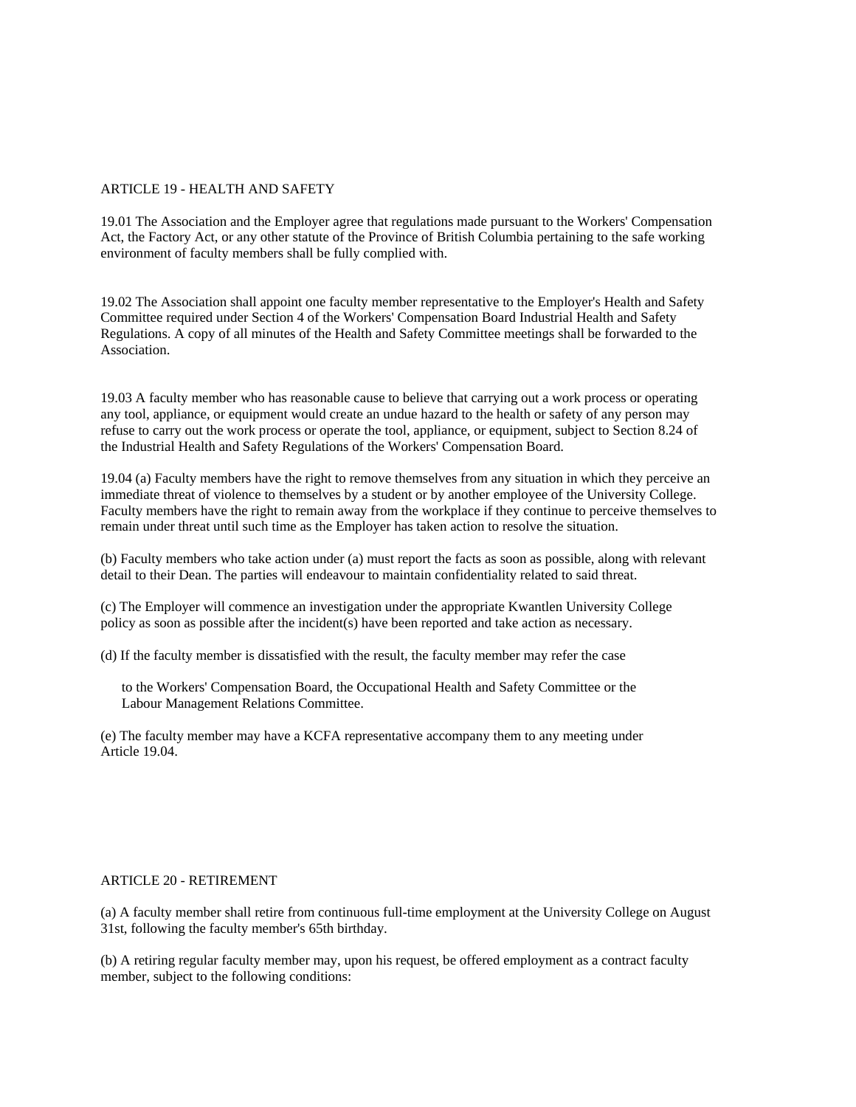#### ARTICLE 19 - HEALTH AND SAFETY

19.01 The Association and the Employer agree that regulations made pursuant to the Workers' Compensation Act, the Factory Act, or any other statute of the Province of British Columbia pertaining to the safe working environment of faculty members shall be fully complied with.

19.02 The Association shall appoint one faculty member representative to the Employer's Health and Safety Committee required under Section 4 of the Workers' Compensation Board Industrial Health and Safety Regulations. A copy of all minutes of the Health and Safety Committee meetings shall be forwarded to the Association.

19.03 A faculty member who has reasonable cause to believe that carrying out a work process or operating any tool, appliance, or equipment would create an undue hazard to the health or safety of any person may refuse to carry out the work process or operate the tool, appliance, or equipment, subject to Section 8.24 of the Industrial Health and Safety Regulations of the Workers' Compensation Board.

19.04 (a) Faculty members have the right to remove themselves from any situation in which they perceive an immediate threat of violence to themselves by a student or by another employee of the University College. Faculty members have the right to remain away from the workplace if they continue to perceive themselves to remain under threat until such time as the Employer has taken action to resolve the situation.

(b) Faculty members who take action under (a) must report the facts as soon as possible, along with relevant detail to their Dean. The parties will endeavour to maintain confidentiality related to said threat.

(c) The Employer will commence an investigation under the appropriate Kwantlen University College policy as soon as possible after the incident(s) have been reported and take action as necessary.

(d) If the faculty member is dissatisfied with the result, the faculty member may refer the case

 to the Workers' Compensation Board, the Occupational Health and Safety Committee or the Labour Management Relations Committee.

(e) The faculty member may have a KCFA representative accompany them to any meeting under Article 19.04.

#### ARTICLE 20 - RETIREMENT

(a) A faculty member shall retire from continuous full-time employment at the University College on August 31st, following the faculty member's 65th birthday.

(b) A retiring regular faculty member may, upon his request, be offered employment as a contract faculty member, subject to the following conditions: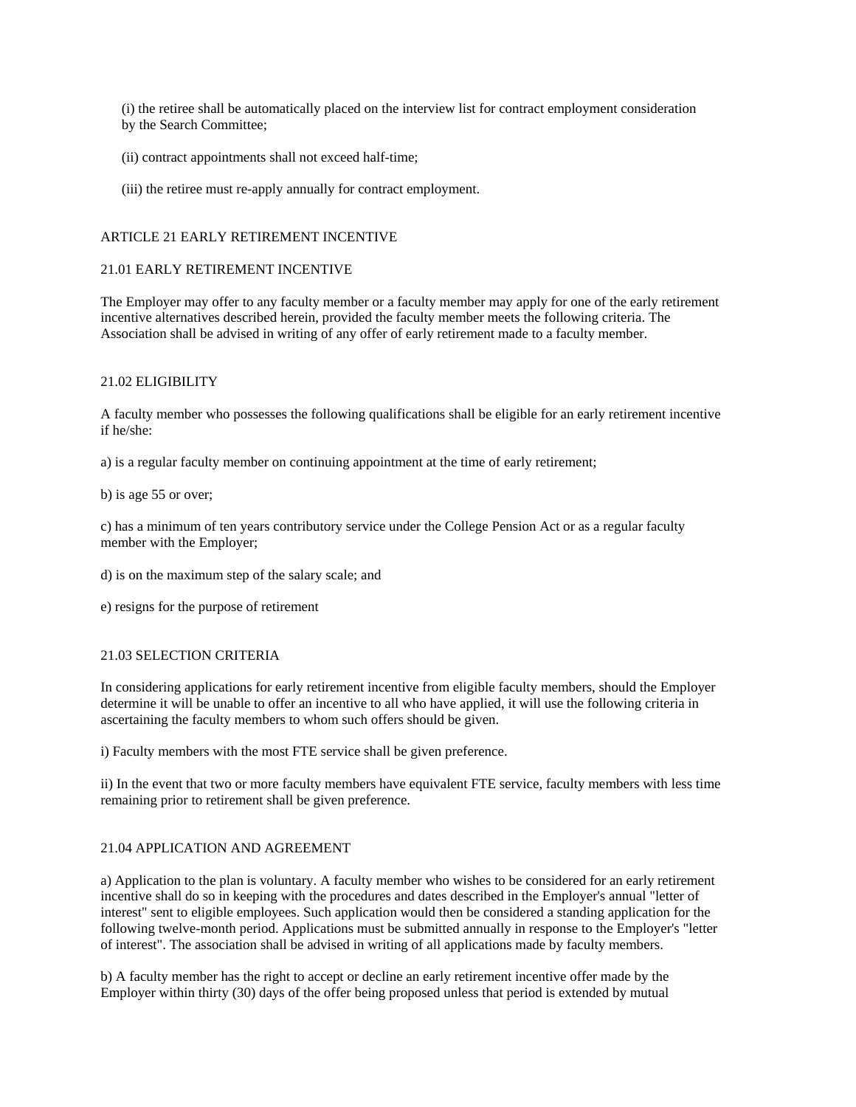(i) the retiree shall be automatically placed on the interview list for contract employment consideration by the Search Committee;

- (ii) contract appointments shall not exceed half-time;
- (iii) the retiree must re-apply annually for contract employment.

#### ARTICLE 21 EARLY RETIREMENT INCENTIVE

# 21.01 EARLY RETIREMENT INCENTIVE

The Employer may offer to any faculty member or a faculty member may apply for one of the early retirement incentive alternatives described herein, provided the faculty member meets the following criteria. The Association shall be advised in writing of any offer of early retirement made to a faculty member.

#### 21.02 ELIGIBILITY

A faculty member who possesses the following qualifications shall be eligible for an early retirement incentive if he/she:

a) is a regular faculty member on continuing appointment at the time of early retirement;

b) is age 55 or over;

c) has a minimum of ten years contributory service under the College Pension Act or as a regular faculty member with the Employer;

- d) is on the maximum step of the salary scale; and
- e) resigns for the purpose of retirement

#### 21.03 SELECTION CRITERIA

In considering applications for early retirement incentive from eligible faculty members, should the Employer determine it will be unable to offer an incentive to all who have applied, it will use the following criteria in ascertaining the faculty members to whom such offers should be given.

i) Faculty members with the most FTE service shall be given preference.

ii) In the event that two or more faculty members have equivalent FTE service, faculty members with less time remaining prior to retirement shall be given preference.

#### 21.04 APPLICATION AND AGREEMENT

a) Application to the plan is voluntary. A faculty member who wishes to be considered for an early retirement incentive shall do so in keeping with the procedures and dates described in the Employer's annual "letter of interest" sent to eligible employees. Such application would then be considered a standing application for the following twelve-month period. Applications must be submitted annually in response to the Employer's "letter of interest". The association shall be advised in writing of all applications made by faculty members.

b) A faculty member has the right to accept or decline an early retirement incentive offer made by the Employer within thirty (30) days of the offer being proposed unless that period is extended by mutual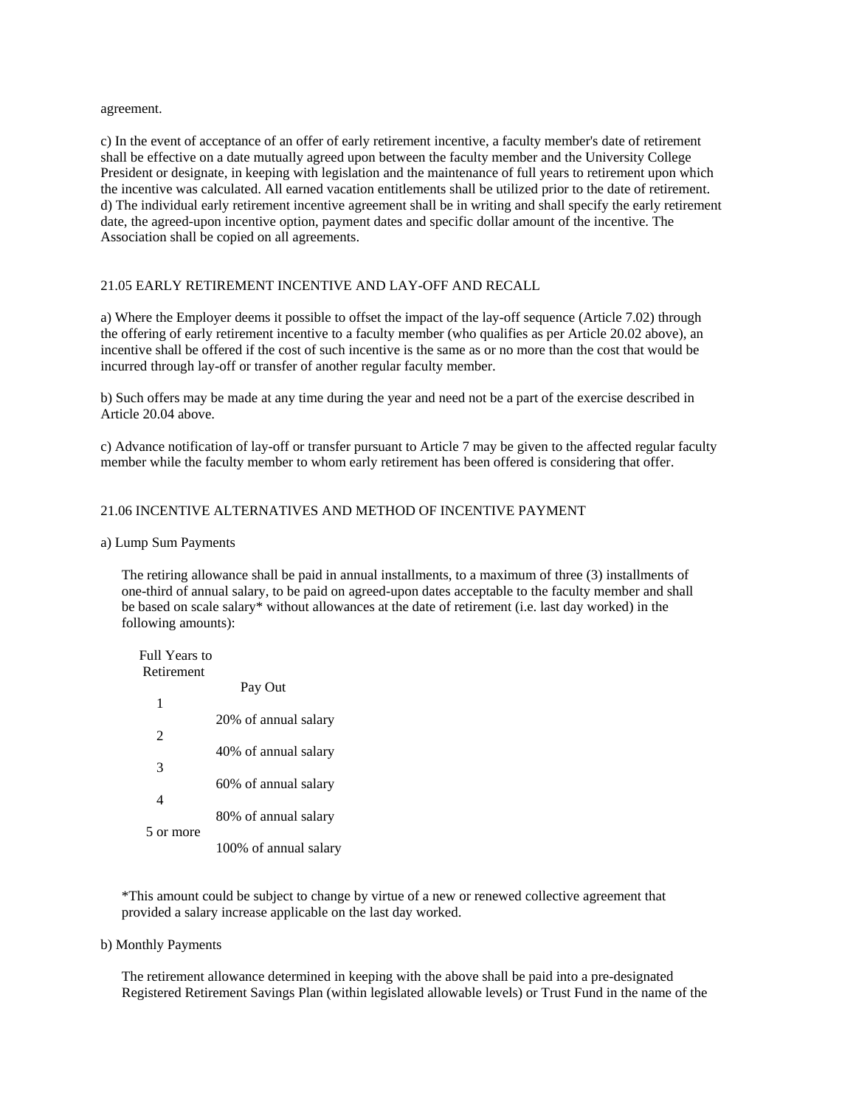agreement.

c) In the event of acceptance of an offer of early retirement incentive, a faculty member's date of retirement shall be effective on a date mutually agreed upon between the faculty member and the University College President or designate, in keeping with legislation and the maintenance of full years to retirement upon which the incentive was calculated. All earned vacation entitlements shall be utilized prior to the date of retirement. d) The individual early retirement incentive agreement shall be in writing and shall specify the early retirement date, the agreed-upon incentive option, payment dates and specific dollar amount of the incentive. The Association shall be copied on all agreements.

# 21.05 EARLY RETIREMENT INCENTIVE AND LAY-OFF AND RECALL

a) Where the Employer deems it possible to offset the impact of the lay-off sequence (Article 7.02) through the offering of early retirement incentive to a faculty member (who qualifies as per Article 20.02 above), an incentive shall be offered if the cost of such incentive is the same as or no more than the cost that would be incurred through lay-off or transfer of another regular faculty member.

b) Such offers may be made at any time during the year and need not be a part of the exercise described in Article 20.04 above.

c) Advance notification of lay-off or transfer pursuant to Article 7 may be given to the affected regular faculty member while the faculty member to whom early retirement has been offered is considering that offer.

# 21.06 INCENTIVE ALTERNATIVES AND METHOD OF INCENTIVE PAYMENT

#### a) Lump Sum Payments

 The retiring allowance shall be paid in annual installments, to a maximum of three (3) installments of one-third of annual salary, to be paid on agreed-upon dates acceptable to the faculty member and shall be based on scale salary\* without allowances at the date of retirement (i.e. last day worked) in the following amounts):

| Full Years to |                       |
|---------------|-----------------------|
| Retirement    |                       |
|               | Pay Out               |
| 1             |                       |
|               | 20% of annual salary  |
| 2             |                       |
|               | 40% of annual salary  |
| 3             |                       |
|               | 60% of annual salary  |
| 4             |                       |
|               | 80% of annual salary  |
| 5 or more     |                       |
|               | 100% of annual salary |

 \*This amount could be subject to change by virtue of a new or renewed collective agreement that provided a salary increase applicable on the last day worked.

b) Monthly Payments

 The retirement allowance determined in keeping with the above shall be paid into a pre-designated Registered Retirement Savings Plan (within legislated allowable levels) or Trust Fund in the name of the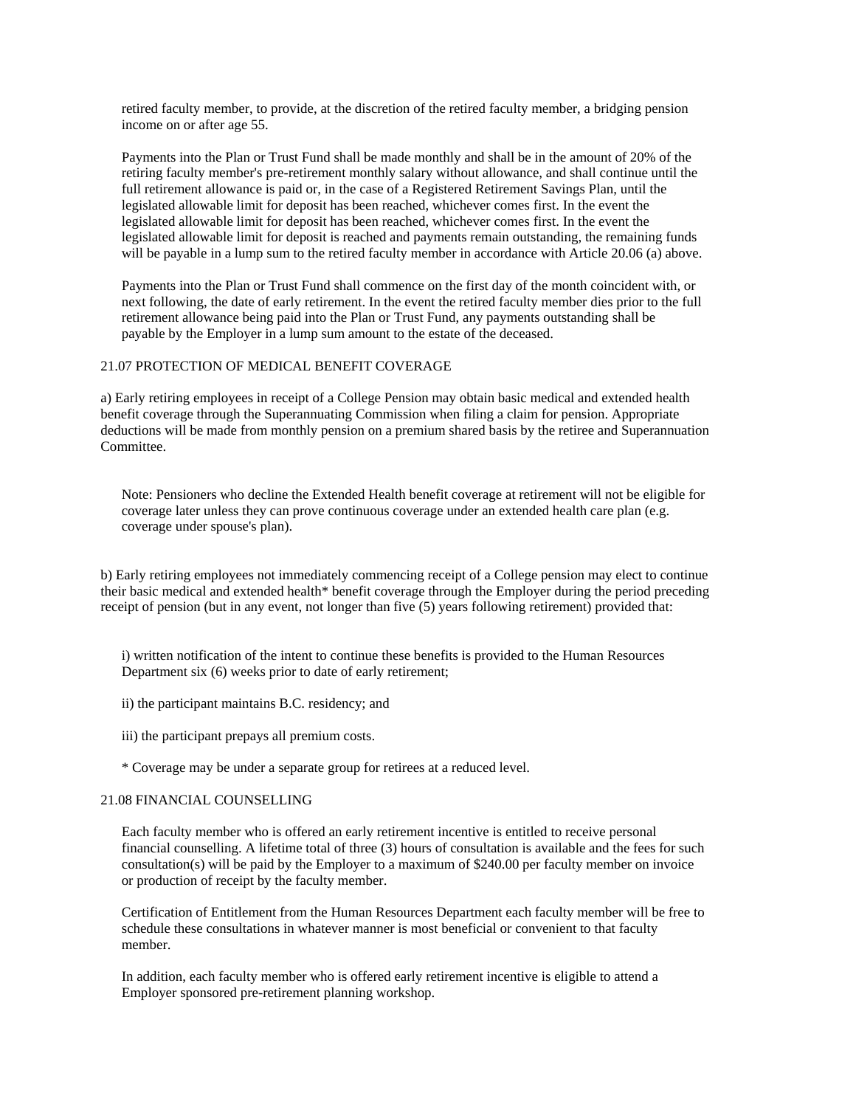retired faculty member, to provide, at the discretion of the retired faculty member, a bridging pension income on or after age 55.

 Payments into the Plan or Trust Fund shall be made monthly and shall be in the amount of 20% of the retiring faculty member's pre-retirement monthly salary without allowance, and shall continue until the full retirement allowance is paid or, in the case of a Registered Retirement Savings Plan, until the legislated allowable limit for deposit has been reached, whichever comes first. In the event the legislated allowable limit for deposit has been reached, whichever comes first. In the event the legislated allowable limit for deposit is reached and payments remain outstanding, the remaining funds will be payable in a lump sum to the retired faculty member in accordance with Article 20.06 (a) above.

 Payments into the Plan or Trust Fund shall commence on the first day of the month coincident with, or next following, the date of early retirement. In the event the retired faculty member dies prior to the full retirement allowance being paid into the Plan or Trust Fund, any payments outstanding shall be payable by the Employer in a lump sum amount to the estate of the deceased.

# 21.07 PROTECTION OF MEDICAL BENEFIT COVERAGE

a) Early retiring employees in receipt of a College Pension may obtain basic medical and extended health benefit coverage through the Superannuating Commission when filing a claim for pension. Appropriate deductions will be made from monthly pension on a premium shared basis by the retiree and Superannuation Committee.

 Note: Pensioners who decline the Extended Health benefit coverage at retirement will not be eligible for coverage later unless they can prove continuous coverage under an extended health care plan (e.g. coverage under spouse's plan).

b) Early retiring employees not immediately commencing receipt of a College pension may elect to continue their basic medical and extended health\* benefit coverage through the Employer during the period preceding receipt of pension (but in any event, not longer than five (5) years following retirement) provided that:

 i) written notification of the intent to continue these benefits is provided to the Human Resources Department six (6) weeks prior to date of early retirement;

- ii) the participant maintains B.C. residency; and
- iii) the participant prepays all premium costs.
- \* Coverage may be under a separate group for retirees at a reduced level.

#### 21.08 FINANCIAL COUNSELLING

 Each faculty member who is offered an early retirement incentive is entitled to receive personal financial counselling. A lifetime total of three (3) hours of consultation is available and the fees for such consultation(s) will be paid by the Employer to a maximum of \$240.00 per faculty member on invoice or production of receipt by the faculty member.

 Certification of Entitlement from the Human Resources Department each faculty member will be free to schedule these consultations in whatever manner is most beneficial or convenient to that faculty member.

 In addition, each faculty member who is offered early retirement incentive is eligible to attend a Employer sponsored pre-retirement planning workshop.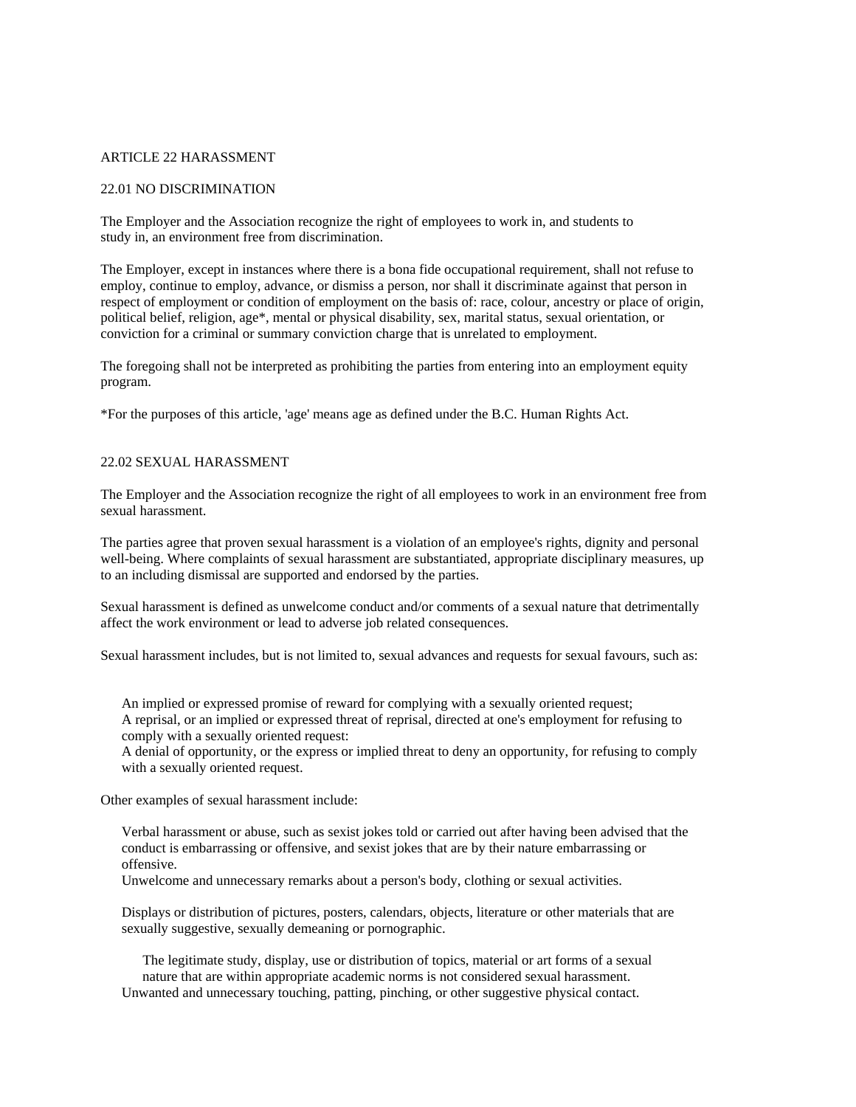#### ARTICLE 22 HARASSMENT

#### 22.01 NO DISCRIMINATION

The Employer and the Association recognize the right of employees to work in, and students to study in, an environment free from discrimination.

The Employer, except in instances where there is a bona fide occupational requirement, shall not refuse to employ, continue to employ, advance, or dismiss a person, nor shall it discriminate against that person in respect of employment or condition of employment on the basis of: race, colour, ancestry or place of origin, political belief, religion, age\*, mental or physical disability, sex, marital status, sexual orientation, or conviction for a criminal or summary conviction charge that is unrelated to employment.

The foregoing shall not be interpreted as prohibiting the parties from entering into an employment equity program.

\*For the purposes of this article, 'age' means age as defined under the B.C. Human Rights Act.

## 22.02 SEXUAL HARASSMENT

The Employer and the Association recognize the right of all employees to work in an environment free from sexual harassment.

The parties agree that proven sexual harassment is a violation of an employee's rights, dignity and personal well-being. Where complaints of sexual harassment are substantiated, appropriate disciplinary measures, up to an including dismissal are supported and endorsed by the parties.

Sexual harassment is defined as unwelcome conduct and/or comments of a sexual nature that detrimentally affect the work environment or lead to adverse job related consequences.

Sexual harassment includes, but is not limited to, sexual advances and requests for sexual favours, such as:

 An implied or expressed promise of reward for complying with a sexually oriented request; A reprisal, or an implied or expressed threat of reprisal, directed at one's employment for refusing to comply with a sexually oriented request:

 A denial of opportunity, or the express or implied threat to deny an opportunity, for refusing to comply with a sexually oriented request.

Other examples of sexual harassment include:

 Verbal harassment or abuse, such as sexist jokes told or carried out after having been advised that the conduct is embarrassing or offensive, and sexist jokes that are by their nature embarrassing or offensive.

Unwelcome and unnecessary remarks about a person's body, clothing or sexual activities.

 Displays or distribution of pictures, posters, calendars, objects, literature or other materials that are sexually suggestive, sexually demeaning or pornographic.

 The legitimate study, display, use or distribution of topics, material or art forms of a sexual nature that are within appropriate academic norms is not considered sexual harassment.

Unwanted and unnecessary touching, patting, pinching, or other suggestive physical contact.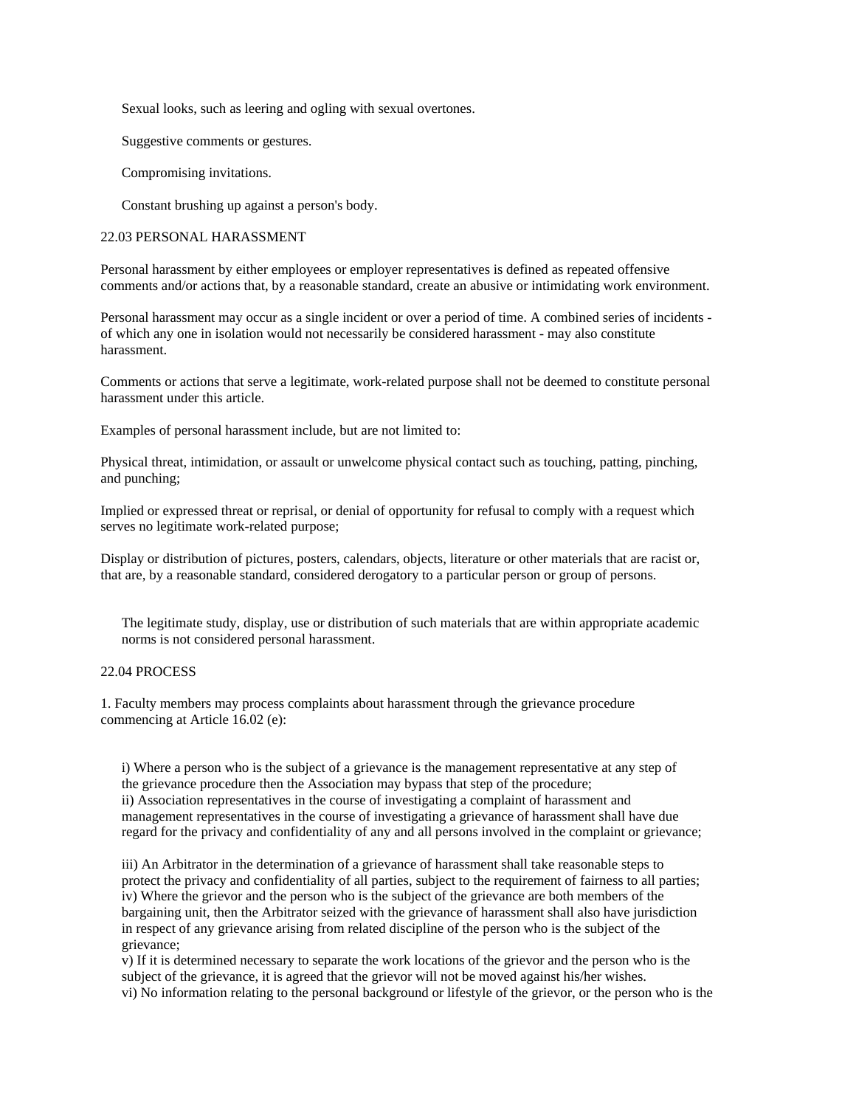Sexual looks, such as leering and ogling with sexual overtones.

Suggestive comments or gestures.

Compromising invitations.

Constant brushing up against a person's body.

#### 22.03 PERSONAL HARASSMENT

Personal harassment by either employees or employer representatives is defined as repeated offensive comments and/or actions that, by a reasonable standard, create an abusive or intimidating work environment.

Personal harassment may occur as a single incident or over a period of time. A combined series of incidents of which any one in isolation would not necessarily be considered harassment - may also constitute harassment.

Comments or actions that serve a legitimate, work-related purpose shall not be deemed to constitute personal harassment under this article.

Examples of personal harassment include, but are not limited to:

Physical threat, intimidation, or assault or unwelcome physical contact such as touching, patting, pinching, and punching;

Implied or expressed threat or reprisal, or denial of opportunity for refusal to comply with a request which serves no legitimate work-related purpose;

Display or distribution of pictures, posters, calendars, objects, literature or other materials that are racist or, that are, by a reasonable standard, considered derogatory to a particular person or group of persons.

 The legitimate study, display, use or distribution of such materials that are within appropriate academic norms is not considered personal harassment.

#### 22.04 PROCESS

1. Faculty members may process complaints about harassment through the grievance procedure commencing at Article 16.02 (e):

 i) Where a person who is the subject of a grievance is the management representative at any step of the grievance procedure then the Association may bypass that step of the procedure; ii) Association representatives in the course of investigating a complaint of harassment and management representatives in the course of investigating a grievance of harassment shall have due regard for the privacy and confidentiality of any and all persons involved in the complaint or grievance;

 iii) An Arbitrator in the determination of a grievance of harassment shall take reasonable steps to protect the privacy and confidentiality of all parties, subject to the requirement of fairness to all parties; iv) Where the grievor and the person who is the subject of the grievance are both members of the bargaining unit, then the Arbitrator seized with the grievance of harassment shall also have jurisdiction in respect of any grievance arising from related discipline of the person who is the subject of the grievance;

 v) If it is determined necessary to separate the work locations of the grievor and the person who is the subject of the grievance, it is agreed that the grievor will not be moved against his/her wishes. vi) No information relating to the personal background or lifestyle of the grievor, or the person who is the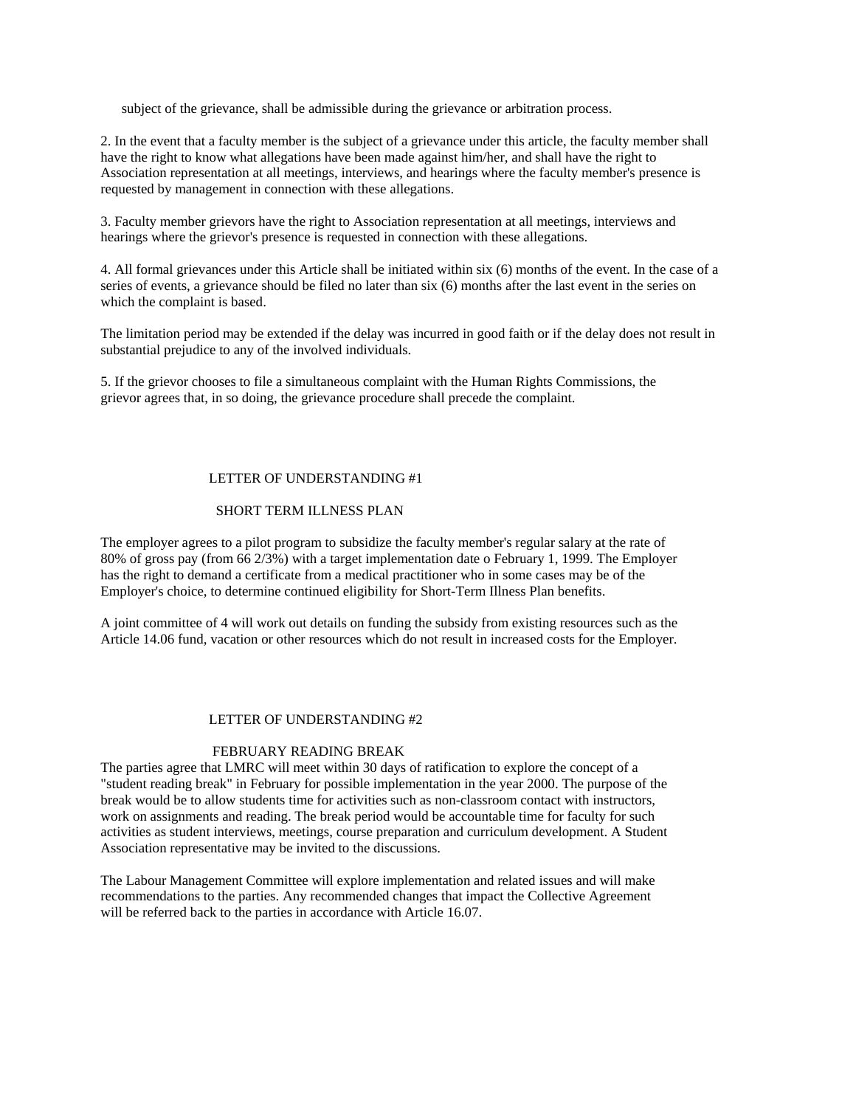subject of the grievance, shall be admissible during the grievance or arbitration process.

2. In the event that a faculty member is the subject of a grievance under this article, the faculty member shall have the right to know what allegations have been made against him/her, and shall have the right to Association representation at all meetings, interviews, and hearings where the faculty member's presence is requested by management in connection with these allegations.

3. Faculty member grievors have the right to Association representation at all meetings, interviews and hearings where the grievor's presence is requested in connection with these allegations.

4. All formal grievances under this Article shall be initiated within six (6) months of the event. In the case of a series of events, a grievance should be filed no later than six (6) months after the last event in the series on which the complaint is based.

The limitation period may be extended if the delay was incurred in good faith or if the delay does not result in substantial prejudice to any of the involved individuals.

5. If the grievor chooses to file a simultaneous complaint with the Human Rights Commissions, the grievor agrees that, in so doing, the grievance procedure shall precede the complaint.

#### LETTER OF UNDERSTANDING #1

# SHORT TERM ILLNESS PLAN

The employer agrees to a pilot program to subsidize the faculty member's regular salary at the rate of 80% of gross pay (from 66 2/3%) with a target implementation date o February 1, 1999. The Employer has the right to demand a certificate from a medical practitioner who in some cases may be of the Employer's choice, to determine continued eligibility for Short-Term Illness Plan benefits.

A joint committee of 4 will work out details on funding the subsidy from existing resources such as the Article 14.06 fund, vacation or other resources which do not result in increased costs for the Employer.

#### LETTER OF UNDERSTANDING #2

#### FEBRUARY READING BREAK

The parties agree that LMRC will meet within 30 days of ratification to explore the concept of a "student reading break" in February for possible implementation in the year 2000. The purpose of the break would be to allow students time for activities such as non-classroom contact with instructors, work on assignments and reading. The break period would be accountable time for faculty for such activities as student interviews, meetings, course preparation and curriculum development. A Student Association representative may be invited to the discussions.

The Labour Management Committee will explore implementation and related issues and will make recommendations to the parties. Any recommended changes that impact the Collective Agreement will be referred back to the parties in accordance with Article 16.07.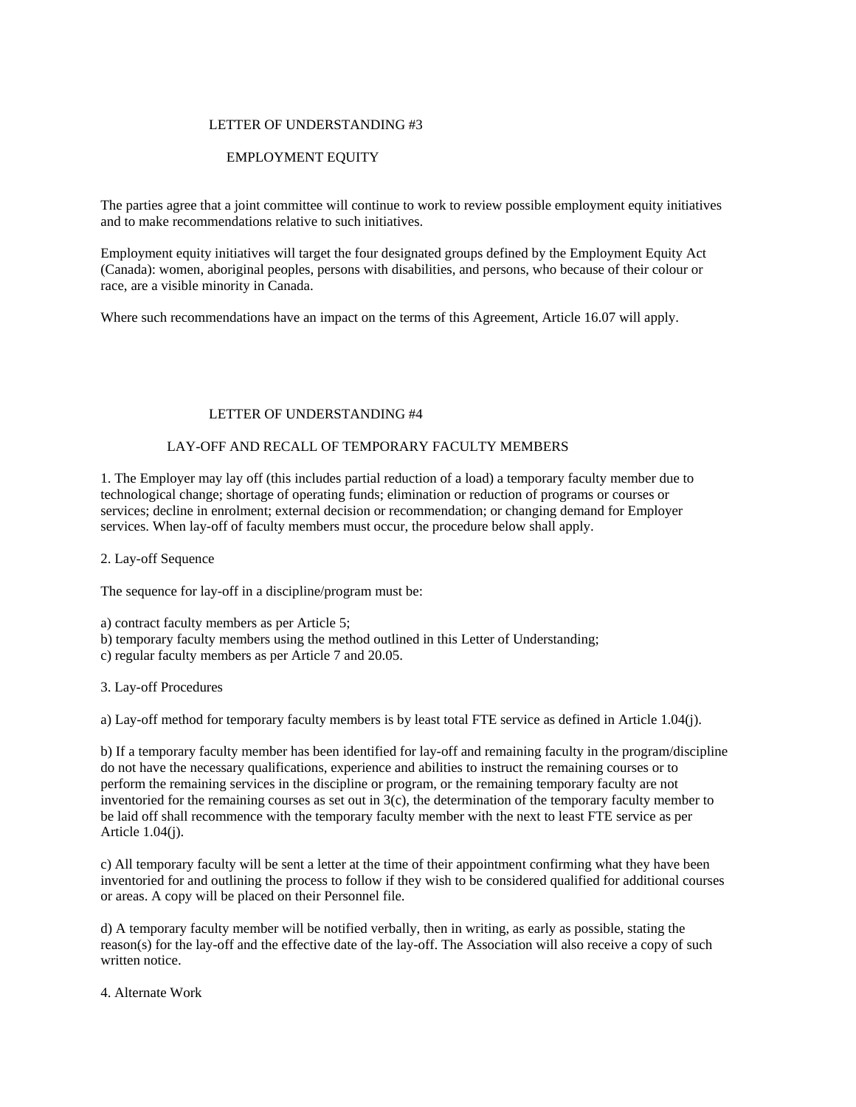#### LETTER OF UNDERSTANDING #3

# EMPLOYMENT EQUITY

The parties agree that a joint committee will continue to work to review possible employment equity initiatives and to make recommendations relative to such initiatives.

Employment equity initiatives will target the four designated groups defined by the Employment Equity Act (Canada): women, aboriginal peoples, persons with disabilities, and persons, who because of their colour or race, are a visible minority in Canada.

Where such recommendations have an impact on the terms of this Agreement, Article 16.07 will apply.

## LETTER OF UNDERSTANDING #4

# LAY-OFF AND RECALL OF TEMPORARY FACULTY MEMBERS

1. The Employer may lay off (this includes partial reduction of a load) a temporary faculty member due to technological change; shortage of operating funds; elimination or reduction of programs or courses or services; decline in enrolment; external decision or recommendation; or changing demand for Employer services. When lay-off of faculty members must occur, the procedure below shall apply.

2. Lay-off Sequence

The sequence for lay-off in a discipline/program must be:

a) contract faculty members as per Article 5;

b) temporary faculty members using the method outlined in this Letter of Understanding;

c) regular faculty members as per Article 7 and 20.05.

3. Lay-off Procedures

a) Lay-off method for temporary faculty members is by least total FTE service as defined in Article 1.04(j).

b) If a temporary faculty member has been identified for lay-off and remaining faculty in the program/discipline do not have the necessary qualifications, experience and abilities to instruct the remaining courses or to perform the remaining services in the discipline or program, or the remaining temporary faculty are not inventoried for the remaining courses as set out in  $3(c)$ , the determination of the temporary faculty member to be laid off shall recommence with the temporary faculty member with the next to least FTE service as per Article 1.04(j).

c) All temporary faculty will be sent a letter at the time of their appointment confirming what they have been inventoried for and outlining the process to follow if they wish to be considered qualified for additional courses or areas. A copy will be placed on their Personnel file.

d) A temporary faculty member will be notified verbally, then in writing, as early as possible, stating the reason(s) for the lay-off and the effective date of the lay-off. The Association will also receive a copy of such written notice.

4. Alternate Work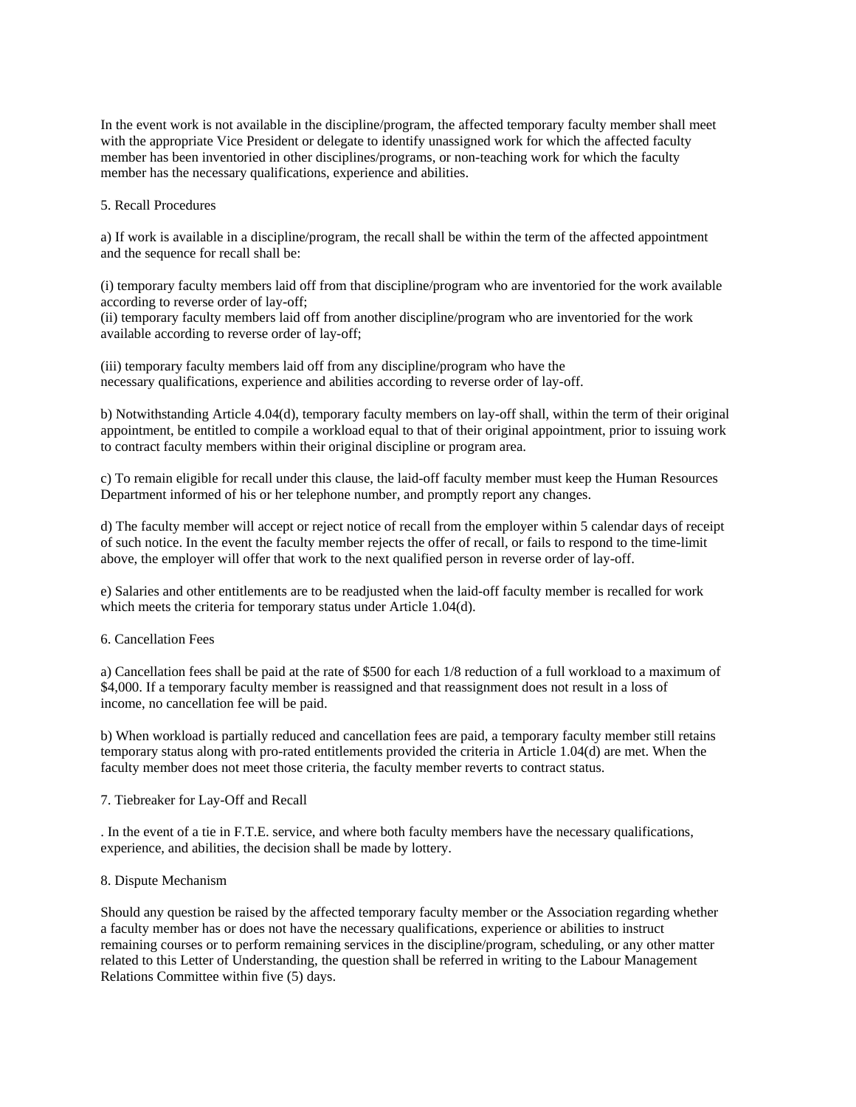In the event work is not available in the discipline/program, the affected temporary faculty member shall meet with the appropriate Vice President or delegate to identify unassigned work for which the affected faculty member has been inventoried in other disciplines/programs, or non-teaching work for which the faculty member has the necessary qualifications, experience and abilities.

5. Recall Procedures

a) If work is available in a discipline/program, the recall shall be within the term of the affected appointment and the sequence for recall shall be:

(i) temporary faculty members laid off from that discipline/program who are inventoried for the work available according to reverse order of lay-off;

(ii) temporary faculty members laid off from another discipline/program who are inventoried for the work available according to reverse order of lay-off;

(iii) temporary faculty members laid off from any discipline/program who have the necessary qualifications, experience and abilities according to reverse order of lay-off.

b) Notwithstanding Article 4.04(d), temporary faculty members on lay-off shall, within the term of their original appointment, be entitled to compile a workload equal to that of their original appointment, prior to issuing work to contract faculty members within their original discipline or program area.

c) To remain eligible for recall under this clause, the laid-off faculty member must keep the Human Resources Department informed of his or her telephone number, and promptly report any changes.

d) The faculty member will accept or reject notice of recall from the employer within 5 calendar days of receipt of such notice. In the event the faculty member rejects the offer of recall, or fails to respond to the time-limit above, the employer will offer that work to the next qualified person in reverse order of lay-off.

e) Salaries and other entitlements are to be readjusted when the laid-off faculty member is recalled for work which meets the criteria for temporary status under Article 1.04(d).

6. Cancellation Fees

a) Cancellation fees shall be paid at the rate of \$500 for each 1/8 reduction of a full workload to a maximum of \$4,000. If a temporary faculty member is reassigned and that reassignment does not result in a loss of income, no cancellation fee will be paid.

b) When workload is partially reduced and cancellation fees are paid, a temporary faculty member still retains temporary status along with pro-rated entitlements provided the criteria in Article 1.04(d) are met. When the faculty member does not meet those criteria, the faculty member reverts to contract status.

#### 7. Tiebreaker for Lay-Off and Recall

. In the event of a tie in F.T.E. service, and where both faculty members have the necessary qualifications, experience, and abilities, the decision shall be made by lottery.

#### 8. Dispute Mechanism

Should any question be raised by the affected temporary faculty member or the Association regarding whether a faculty member has or does not have the necessary qualifications, experience or abilities to instruct remaining courses or to perform remaining services in the discipline/program, scheduling, or any other matter related to this Letter of Understanding, the question shall be referred in writing to the Labour Management Relations Committee within five (5) days.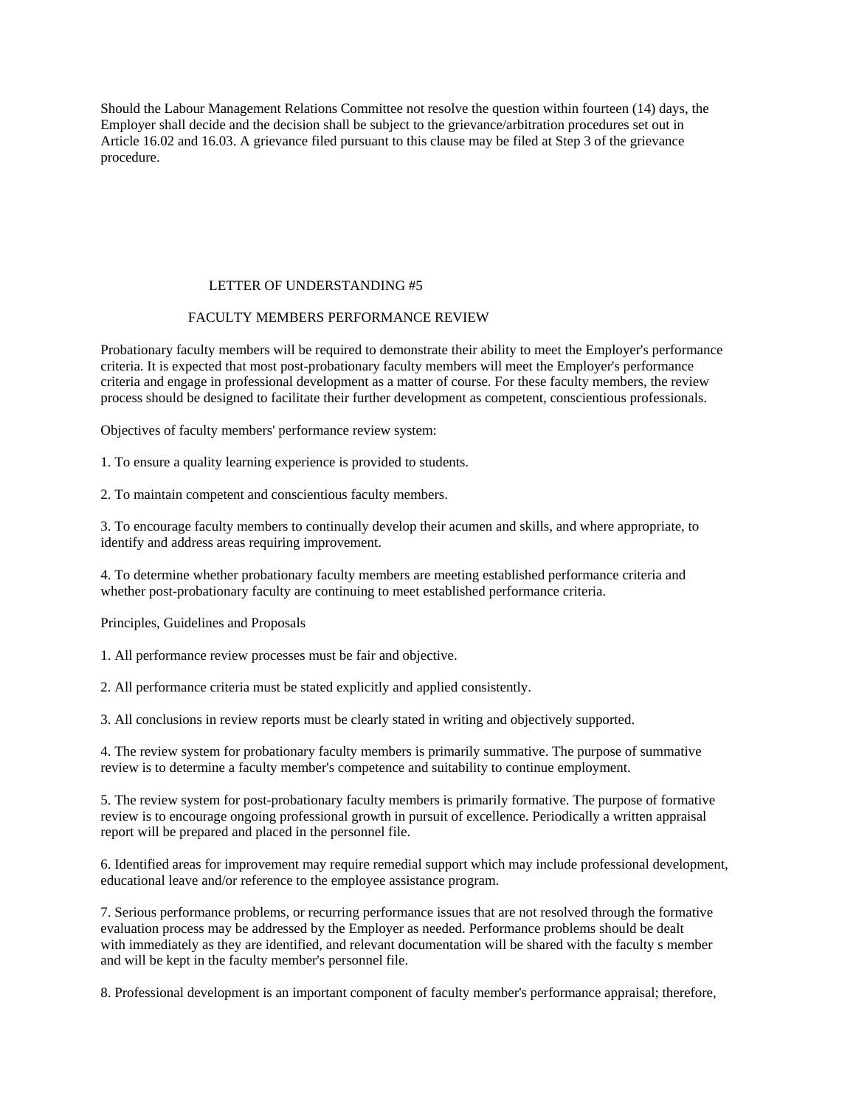Should the Labour Management Relations Committee not resolve the question within fourteen (14) days, the Employer shall decide and the decision shall be subject to the grievance/arbitration procedures set out in Article 16.02 and 16.03. A grievance filed pursuant to this clause may be filed at Step 3 of the grievance procedure.

## LETTER OF UNDERSTANDING #5

## FACULTY MEMBERS PERFORMANCE REVIEW

Probationary faculty members will be required to demonstrate their ability to meet the Employer's performance criteria. It is expected that most post-probationary faculty members will meet the Employer's performance criteria and engage in professional development as a matter of course. For these faculty members, the review process should be designed to facilitate their further development as competent, conscientious professionals.

Objectives of faculty members' performance review system:

1. To ensure a quality learning experience is provided to students.

2. To maintain competent and conscientious faculty members.

3. To encourage faculty members to continually develop their acumen and skills, and where appropriate, to identify and address areas requiring improvement.

4. To determine whether probationary faculty members are meeting established performance criteria and whether post-probationary faculty are continuing to meet established performance criteria.

Principles, Guidelines and Proposals

1. All performance review processes must be fair and objective.

2. All performance criteria must be stated explicitly and applied consistently.

3. All conclusions in review reports must be clearly stated in writing and objectively supported.

4. The review system for probationary faculty members is primarily summative. The purpose of summative review is to determine a faculty member's competence and suitability to continue employment.

5. The review system for post-probationary faculty members is primarily formative. The purpose of formative review is to encourage ongoing professional growth in pursuit of excellence. Periodically a written appraisal report will be prepared and placed in the personnel file.

6. Identified areas for improvement may require remedial support which may include professional development, educational leave and/or reference to the employee assistance program.

7. Serious performance problems, or recurring performance issues that are not resolved through the formative evaluation process may be addressed by the Employer as needed. Performance problems should be dealt with immediately as they are identified, and relevant documentation will be shared with the faculty s member and will be kept in the faculty member's personnel file.

8. Professional development is an important component of faculty member's performance appraisal; therefore,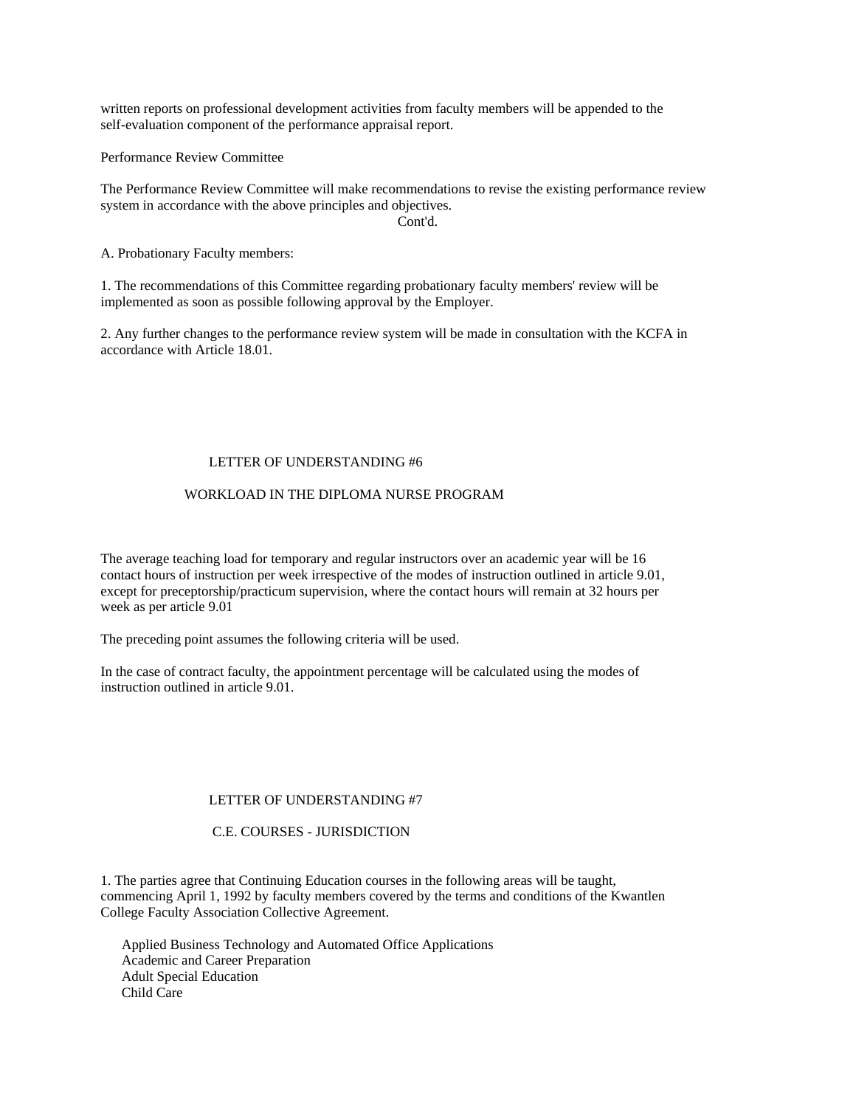written reports on professional development activities from faculty members will be appended to the self-evaluation component of the performance appraisal report.

Performance Review Committee

The Performance Review Committee will make recommendations to revise the existing performance review system in accordance with the above principles and objectives.

Cont'd.

A. Probationary Faculty members:

1. The recommendations of this Committee regarding probationary faculty members' review will be implemented as soon as possible following approval by the Employer.

2. Any further changes to the performance review system will be made in consultation with the KCFA in accordance with Article 18.01.

#### LETTER OF UNDERSTANDING #6

#### WORKLOAD IN THE DIPLOMA NURSE PROGRAM

The average teaching load for temporary and regular instructors over an academic year will be 16 contact hours of instruction per week irrespective of the modes of instruction outlined in article 9.01, except for preceptorship/practicum supervision, where the contact hours will remain at 32 hours per week as per article 9.01

The preceding point assumes the following criteria will be used.

In the case of contract faculty, the appointment percentage will be calculated using the modes of instruction outlined in article 9.01.

#### LETTER OF UNDERSTANDING #7

#### C.E. COURSES - JURISDICTION

1. The parties agree that Continuing Education courses in the following areas will be taught, commencing April 1, 1992 by faculty members covered by the terms and conditions of the Kwantlen College Faculty Association Collective Agreement.

 Applied Business Technology and Automated Office Applications Academic and Career Preparation Adult Special Education Child Care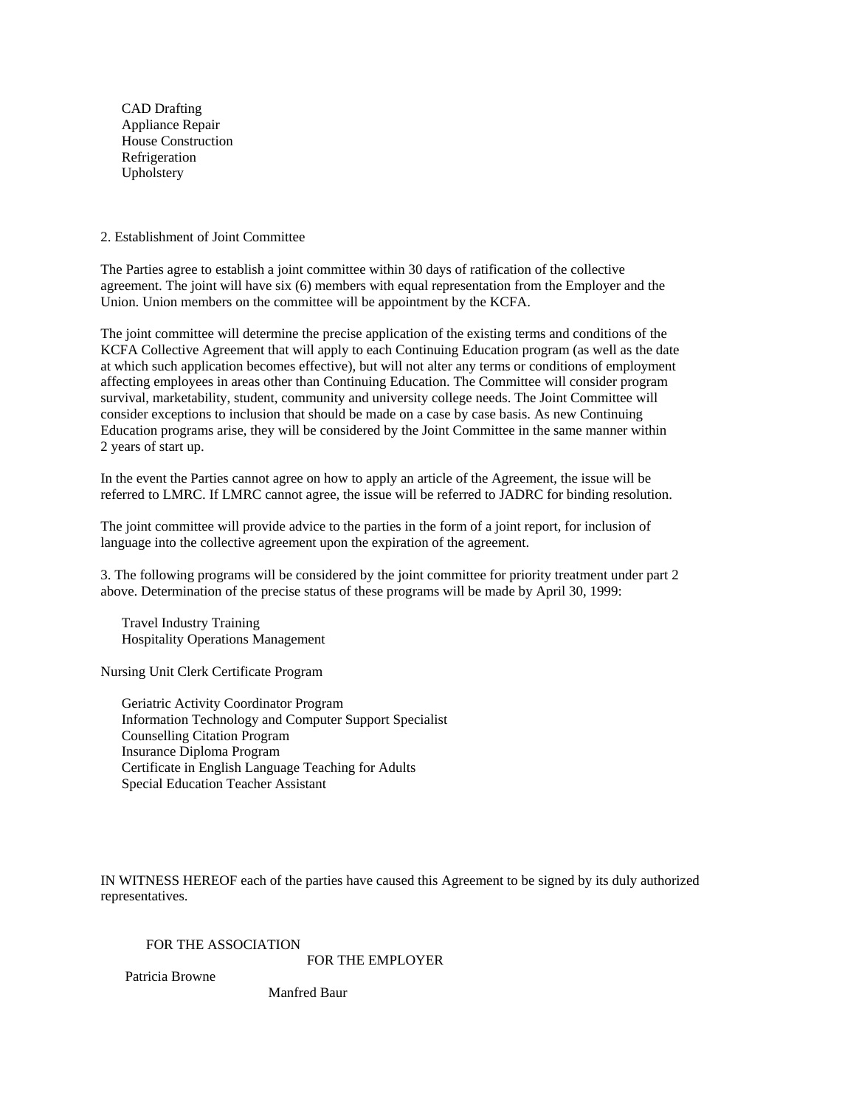CAD Drafting Appliance Repair House Construction Refrigeration Upholstery

2. Establishment of Joint Committee

The Parties agree to establish a joint committee within 30 days of ratification of the collective agreement. The joint will have six (6) members with equal representation from the Employer and the Union. Union members on the committee will be appointment by the KCFA.

The joint committee will determine the precise application of the existing terms and conditions of the KCFA Collective Agreement that will apply to each Continuing Education program (as well as the date at which such application becomes effective), but will not alter any terms or conditions of employment affecting employees in areas other than Continuing Education. The Committee will consider program survival, marketability, student, community and university college needs. The Joint Committee will consider exceptions to inclusion that should be made on a case by case basis. As new Continuing Education programs arise, they will be considered by the Joint Committee in the same manner within 2 years of start up.

In the event the Parties cannot agree on how to apply an article of the Agreement, the issue will be referred to LMRC. If LMRC cannot agree, the issue will be referred to JADRC for binding resolution.

The joint committee will provide advice to the parties in the form of a joint report, for inclusion of language into the collective agreement upon the expiration of the agreement.

3. The following programs will be considered by the joint committee for priority treatment under part 2 above. Determination of the precise status of these programs will be made by April 30, 1999:

 Travel Industry Training Hospitality Operations Management

Nursing Unit Clerk Certificate Program

 Geriatric Activity Coordinator Program Information Technology and Computer Support Specialist Counselling Citation Program Insurance Diploma Program Certificate in English Language Teaching for Adults Special Education Teacher Assistant

IN WITNESS HEREOF each of the parties have caused this Agreement to be signed by its duly authorized representatives.

FOR THE ASSOCIATION

FOR THE EMPLOYER

Patricia Browne

Manfred Baur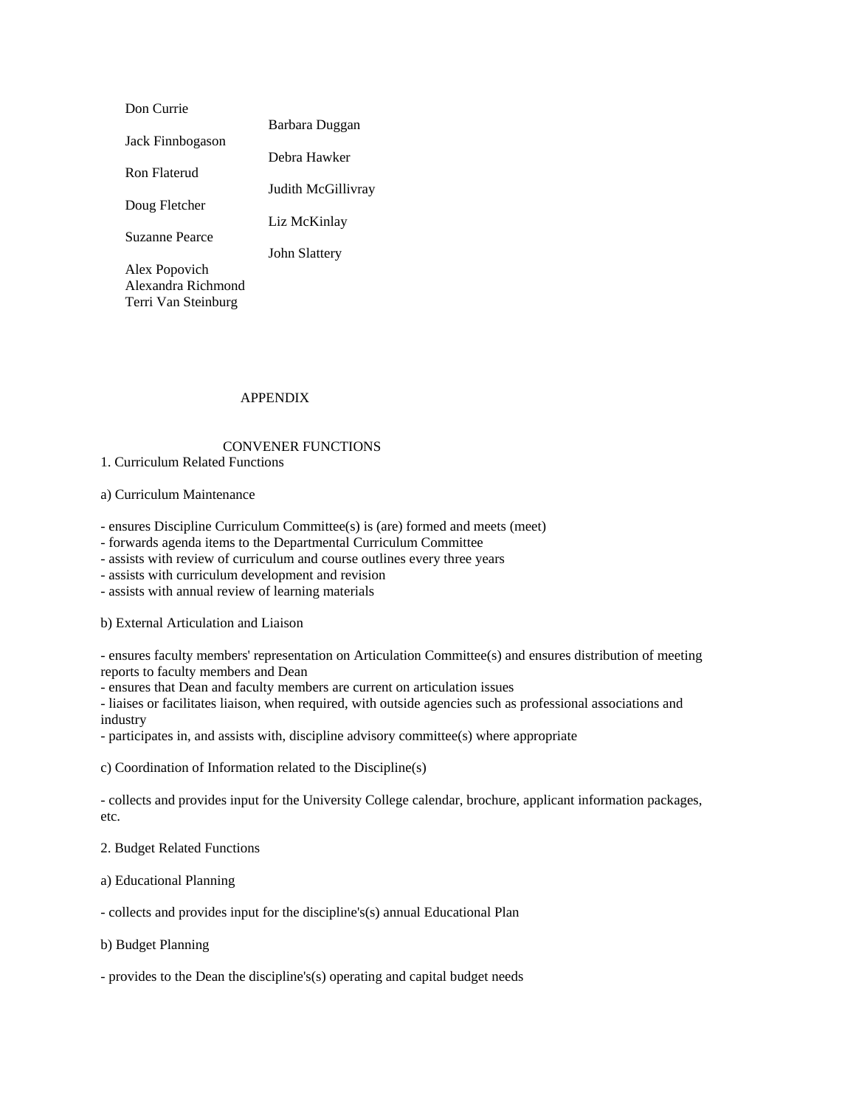| Don Currie          |                    |
|---------------------|--------------------|
|                     | Barbara Duggan     |
| Jack Finnbogason    |                    |
|                     | Debra Hawker       |
| Ron Flaterud        |                    |
|                     | Judith McGillivray |
| Doug Fletcher       |                    |
|                     | Liz McKinlay       |
| Suzanne Pearce      |                    |
|                     | John Slattery      |
| Alex Popovich       |                    |
| Alexandra Richmond  |                    |
| Terri Van Steinburg |                    |

## APPENDIX

# CONVENER FUNCTIONS

## 1. Curriculum Related Functions

#### a) Curriculum Maintenance

- ensures Discipline Curriculum Committee(s) is (are) formed and meets (meet)

- forwards agenda items to the Departmental Curriculum Committee

- assists with review of curriculum and course outlines every three years

- assists with curriculum development and revision

- assists with annual review of learning materials

b) External Articulation and Liaison

- ensures faculty members' representation on Articulation Committee(s) and ensures distribution of meeting reports to faculty members and Dean

- ensures that Dean and faculty members are current on articulation issues

- liaises or facilitates liaison, when required, with outside agencies such as professional associations and industry

- participates in, and assists with, discipline advisory committee(s) where appropriate

c) Coordination of Information related to the Discipline(s)

- collects and provides input for the University College calendar, brochure, applicant information packages, etc.

2. Budget Related Functions

a) Educational Planning

- collects and provides input for the discipline's(s) annual Educational Plan

b) Budget Planning

- provides to the Dean the discipline's(s) operating and capital budget needs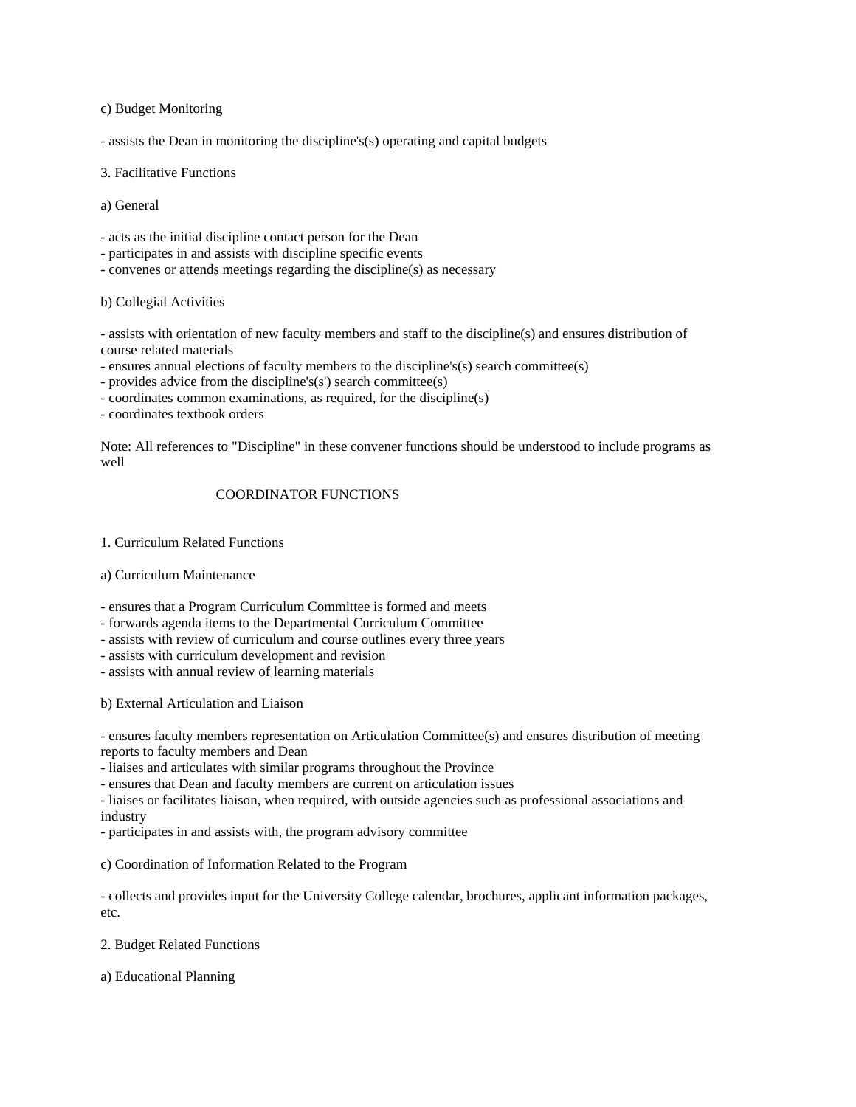c) Budget Monitoring

- assists the Dean in monitoring the discipline's(s) operating and capital budgets

3. Facilitative Functions

a) General

- acts as the initial discipline contact person for the Dean

- participates in and assists with discipline specific events
- convenes or attends meetings regarding the discipline(s) as necessary

#### b) Collegial Activities

- assists with orientation of new faculty members and staff to the discipline(s) and ensures distribution of course related materials

- ensures annual elections of faculty members to the discipline's(s) search committee(s)

- provides advice from the discipline's(s') search committee(s)
- coordinates common examinations, as required, for the discipline(s)

- coordinates textbook orders

Note: All references to "Discipline" in these convener functions should be understood to include programs as well

#### COORDINATOR FUNCTIONS

1. Curriculum Related Functions

#### a) Curriculum Maintenance

- ensures that a Program Curriculum Committee is formed and meets

- forwards agenda items to the Departmental Curriculum Committee
- assists with review of curriculum and course outlines every three years
- assists with curriculum development and revision
- assists with annual review of learning materials

b) External Articulation and Liaison

- ensures faculty members representation on Articulation Committee(s) and ensures distribution of meeting reports to faculty members and Dean

- liaises and articulates with similar programs throughout the Province

- ensures that Dean and faculty members are current on articulation issues

- liaises or facilitates liaison, when required, with outside agencies such as professional associations and industry

- participates in and assists with, the program advisory committee

c) Coordination of Information Related to the Program

- collects and provides input for the University College calendar, brochures, applicant information packages, etc.

#### 2. Budget Related Functions

a) Educational Planning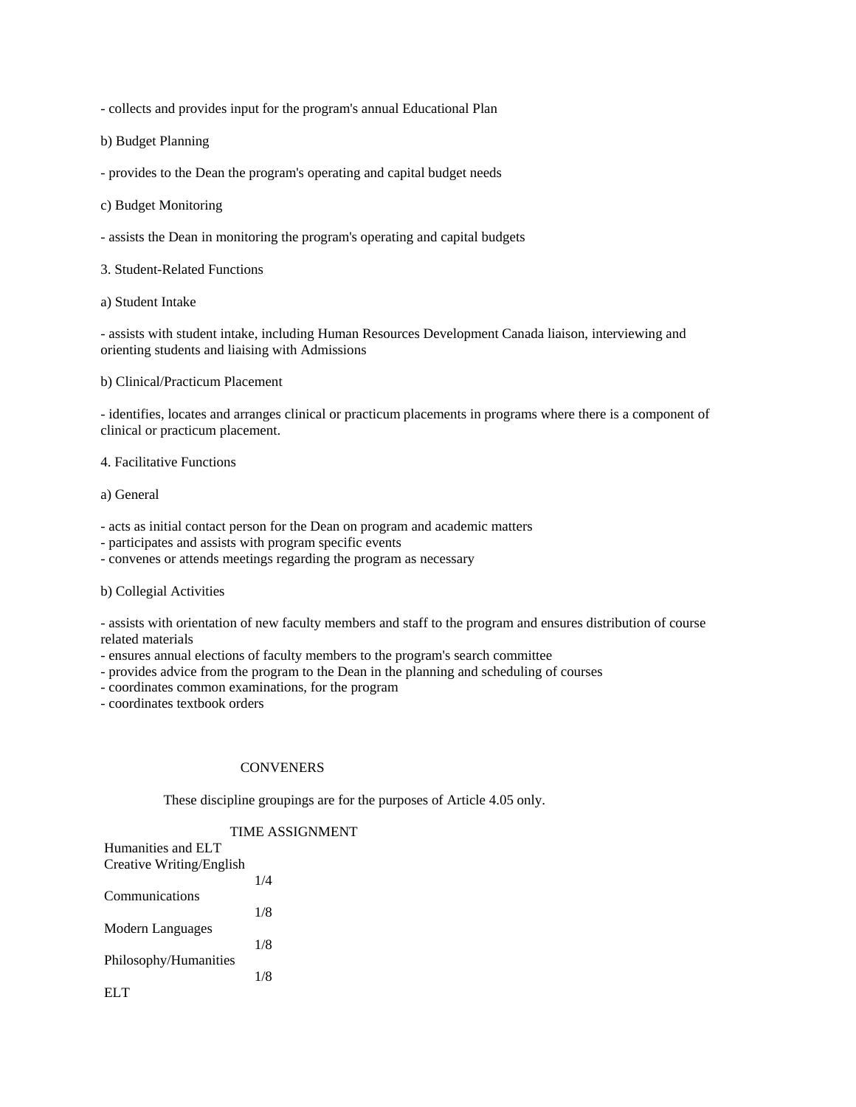- collects and provides input for the program's annual Educational Plan

b) Budget Planning

- provides to the Dean the program's operating and capital budget needs

- c) Budget Monitoring
- assists the Dean in monitoring the program's operating and capital budgets
- 3. Student-Related Functions
- a) Student Intake

- assists with student intake, including Human Resources Development Canada liaison, interviewing and orienting students and liaising with Admissions

b) Clinical/Practicum Placement

- identifies, locates and arranges clinical or practicum placements in programs where there is a component of clinical or practicum placement.

4. Facilitative Functions

a) General

- acts as initial contact person for the Dean on program and academic matters
- participates and assists with program specific events
- convenes or attends meetings regarding the program as necessary

b) Collegial Activities

- assists with orientation of new faculty members and staff to the program and ensures distribution of course related materials

- ensures annual elections of faculty members to the program's search committee
- provides advice from the program to the Dean in the planning and scheduling of courses
- coordinates common examinations, for the program
- coordinates textbook orders

# **CONVENERS**

These discipline groupings are for the purposes of Article 4.05 only.

# TIME ASSIGNMENT

| Humanities and ELT       |     |
|--------------------------|-----|
| Creative Writing/English |     |
|                          | 1/4 |
| Communications           |     |
|                          | 1/8 |
| Modern Languages         |     |
|                          | 1/8 |
| Philosophy/Humanities    |     |
|                          | 1/8 |
| EL T                     |     |
|                          |     |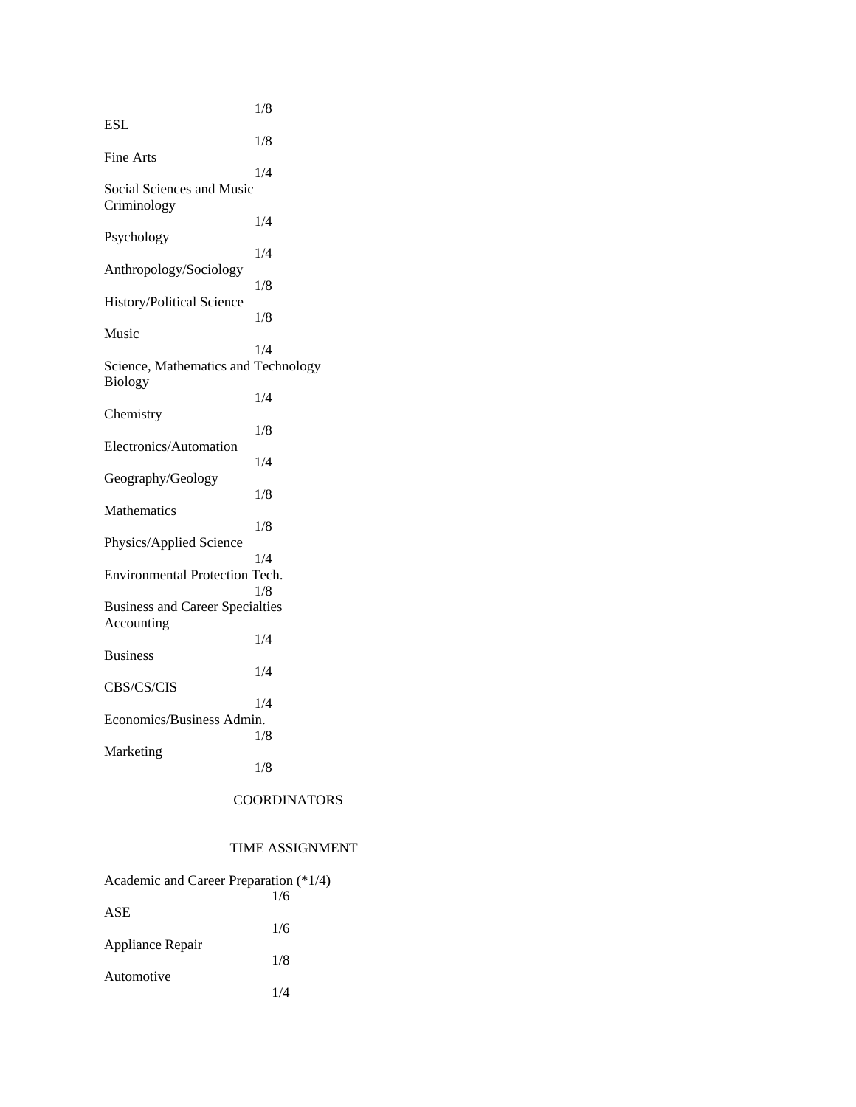|                                                      | 1/8 |
|------------------------------------------------------|-----|
| ESL                                                  | 1/8 |
| Fine Arts                                            |     |
| Social Sciences and Music<br>Criminology             | 1/4 |
| Psychology                                           | 1/4 |
| Anthropology/Sociology                               | 1/4 |
| History/Political Science                            | 1/8 |
| Music                                                | 1/8 |
| Science, Mathematics and Technology                  | 1/4 |
| <b>Biology</b>                                       | 1/4 |
| Chemistry                                            | 1/8 |
| Electronics/Automation                               | 1/4 |
| Geography/Geology                                    | 1/8 |
| Mathematics                                          | 1/8 |
| Physics/Applied Science                              | 1/4 |
| Environmental Protection Tech.                       | 1/8 |
| <b>Business and Career Specialties</b><br>Accounting |     |
| <b>Business</b>                                      | 1/4 |
| CBS/CS/CIS                                           | 1/4 |
| Economics/Business Admin.                            | 1/4 |
|                                                      | 1/8 |
| Marketing                                            | 1/8 |

# COORDINATORS

# TIME ASSIGNMENT

| Academic and Career Preparation (*1/4) |     |
|----------------------------------------|-----|
|                                        | 1/6 |
| ASE                                    |     |
|                                        | 1/6 |
| Appliance Repair                       |     |
| Automotive                             | 1/8 |
|                                        | 1/4 |
|                                        |     |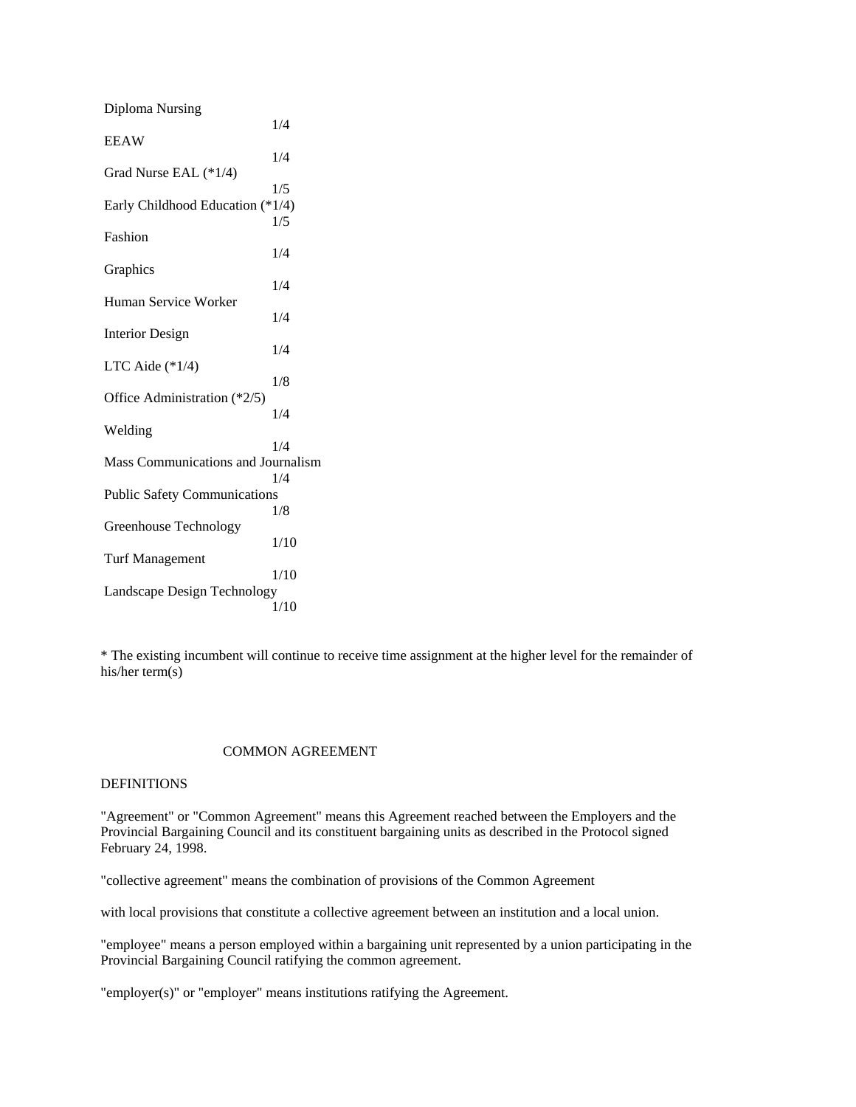| Diploma Nursing                     |      |
|-------------------------------------|------|
| <b>EEAW</b>                         | 1/4  |
| Grad Nurse EAL (*1/4)               | 1/4  |
|                                     | 1/5  |
| Early Childhood Education (*1/4)    |      |
| Fashion                             | 1/5  |
|                                     | 1/4  |
| Graphics                            |      |
| Human Service Worker                | 1/4  |
|                                     | 1/4  |
| <b>Interior Design</b>              | 1/4  |
| LTC Aide $(*1/4)$                   |      |
| Office Administration (*2/5)        | 1/8  |
|                                     | 1/4  |
| Welding                             | 1/4  |
| Mass Communications and Journalism  |      |
|                                     | 1/4  |
| <b>Public Safety Communications</b> |      |
|                                     | 1/8  |
| Greenhouse Technology               | 1/10 |
| <b>Turf Management</b>              |      |
| Landscape Design Technology         | 1/10 |
|                                     | 1/10 |
|                                     |      |

\* The existing incumbent will continue to receive time assignment at the higher level for the remainder of his/her term(s)

#### COMMON AGREEMENT

# DEFINITIONS

"Agreement" or "Common Agreement" means this Agreement reached between the Employers and the Provincial Bargaining Council and its constituent bargaining units as described in the Protocol signed February 24, 1998.

"collective agreement" means the combination of provisions of the Common Agreement

with local provisions that constitute a collective agreement between an institution and a local union.

"employee" means a person employed within a bargaining unit represented by a union participating in the Provincial Bargaining Council ratifying the common agreement.

"employer(s)" or "employer" means institutions ratifying the Agreement.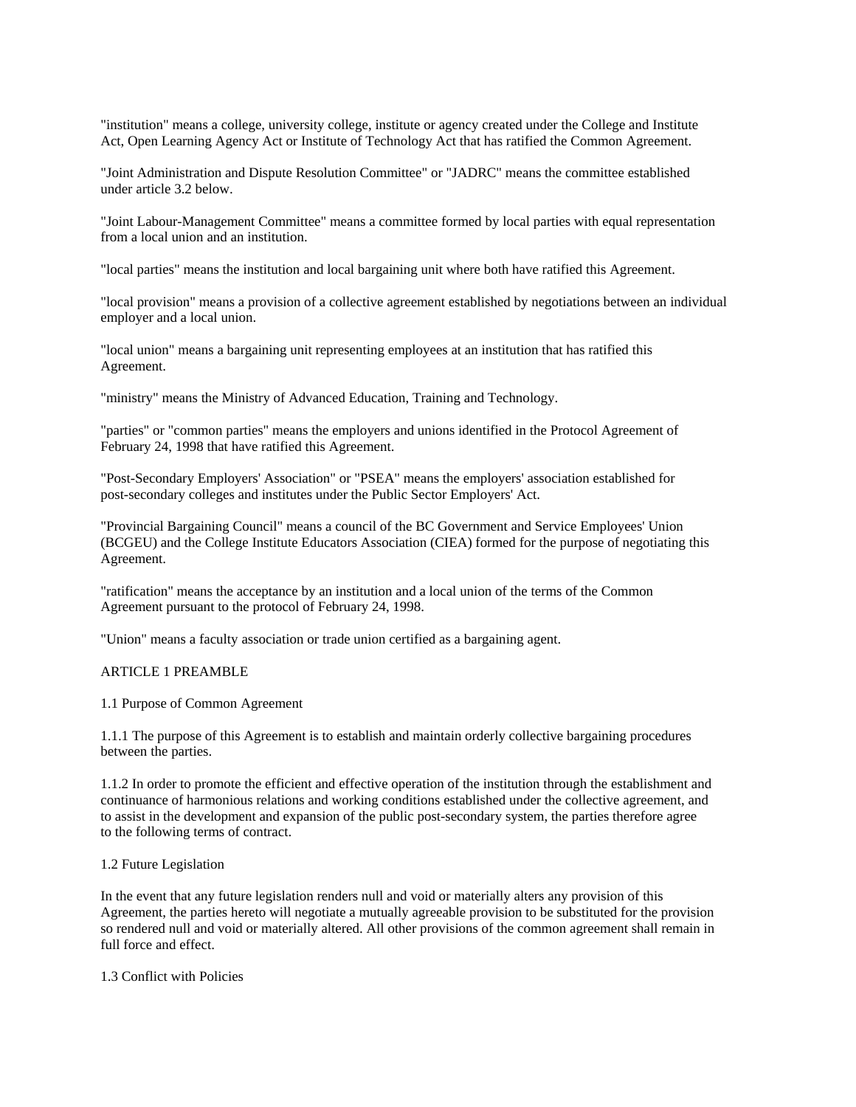"institution" means a college, university college, institute or agency created under the College and Institute Act, Open Learning Agency Act or Institute of Technology Act that has ratified the Common Agreement.

"Joint Administration and Dispute Resolution Committee" or "JADRC" means the committee established under article 3.2 below.

"Joint Labour-Management Committee" means a committee formed by local parties with equal representation from a local union and an institution.

"local parties" means the institution and local bargaining unit where both have ratified this Agreement.

"local provision" means a provision of a collective agreement established by negotiations between an individual employer and a local union.

"local union" means a bargaining unit representing employees at an institution that has ratified this Agreement.

"ministry" means the Ministry of Advanced Education, Training and Technology.

"parties" or "common parties" means the employers and unions identified in the Protocol Agreement of February 24, 1998 that have ratified this Agreement.

"Post-Secondary Employers' Association" or "PSEA" means the employers' association established for post-secondary colleges and institutes under the Public Sector Employers' Act.

"Provincial Bargaining Council" means a council of the BC Government and Service Employees' Union (BCGEU) and the College Institute Educators Association (CIEA) formed for the purpose of negotiating this Agreement.

"ratification" means the acceptance by an institution and a local union of the terms of the Common Agreement pursuant to the protocol of February 24, 1998.

"Union" means a faculty association or trade union certified as a bargaining agent.

#### ARTICLE 1 PREAMBLE

1.1 Purpose of Common Agreement

1.1.1 The purpose of this Agreement is to establish and maintain orderly collective bargaining procedures between the parties.

1.1.2 In order to promote the efficient and effective operation of the institution through the establishment and continuance of harmonious relations and working conditions established under the collective agreement, and to assist in the development and expansion of the public post-secondary system, the parties therefore agree to the following terms of contract.

#### 1.2 Future Legislation

In the event that any future legislation renders null and void or materially alters any provision of this Agreement, the parties hereto will negotiate a mutually agreeable provision to be substituted for the provision so rendered null and void or materially altered. All other provisions of the common agreement shall remain in full force and effect.

1.3 Conflict with Policies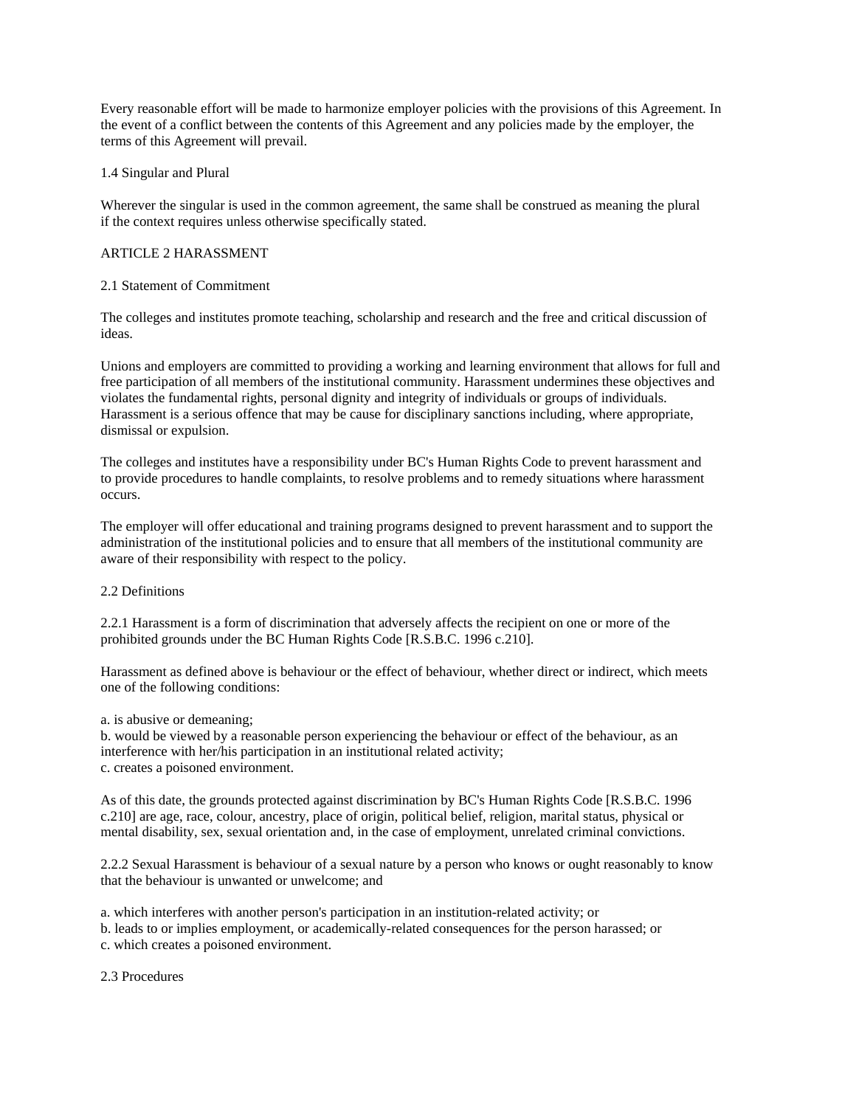Every reasonable effort will be made to harmonize employer policies with the provisions of this Agreement. In the event of a conflict between the contents of this Agreement and any policies made by the employer, the terms of this Agreement will prevail.

## 1.4 Singular and Plural

Wherever the singular is used in the common agreement, the same shall be construed as meaning the plural if the context requires unless otherwise specifically stated.

## ARTICLE 2 HARASSMENT

#### 2.1 Statement of Commitment

The colleges and institutes promote teaching, scholarship and research and the free and critical discussion of ideas.

Unions and employers are committed to providing a working and learning environment that allows for full and free participation of all members of the institutional community. Harassment undermines these objectives and violates the fundamental rights, personal dignity and integrity of individuals or groups of individuals. Harassment is a serious offence that may be cause for disciplinary sanctions including, where appropriate, dismissal or expulsion.

The colleges and institutes have a responsibility under BC's Human Rights Code to prevent harassment and to provide procedures to handle complaints, to resolve problems and to remedy situations where harassment occurs.

The employer will offer educational and training programs designed to prevent harassment and to support the administration of the institutional policies and to ensure that all members of the institutional community are aware of their responsibility with respect to the policy.

#### 2.2 Definitions

2.2.1 Harassment is a form of discrimination that adversely affects the recipient on one or more of the prohibited grounds under the BC Human Rights Code [R.S.B.C. 1996 c.210].

Harassment as defined above is behaviour or the effect of behaviour, whether direct or indirect, which meets one of the following conditions:

a. is abusive or demeaning;

b. would be viewed by a reasonable person experiencing the behaviour or effect of the behaviour, as an interference with her/his participation in an institutional related activity; c. creates a poisoned environment.

As of this date, the grounds protected against discrimination by BC's Human Rights Code [R.S.B.C. 1996 c.210] are age, race, colour, ancestry, place of origin, political belief, religion, marital status, physical or mental disability, sex, sexual orientation and, in the case of employment, unrelated criminal convictions.

2.2.2 Sexual Harassment is behaviour of a sexual nature by a person who knows or ought reasonably to know that the behaviour is unwanted or unwelcome; and

a. which interferes with another person's participation in an institution-related activity; or

b. leads to or implies employment, or academically-related consequences for the person harassed; or

c. which creates a poisoned environment.

2.3 Procedures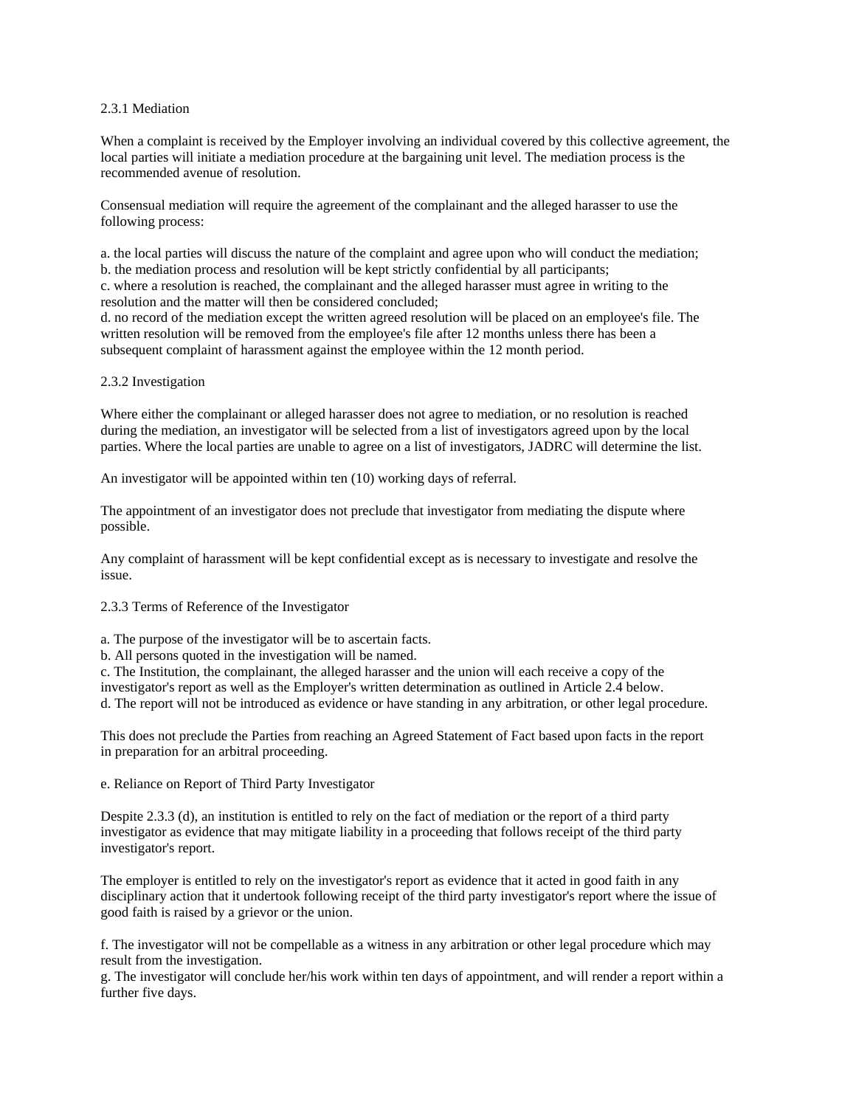#### 2.3.1 Mediation

When a complaint is received by the Employer involving an individual covered by this collective agreement, the local parties will initiate a mediation procedure at the bargaining unit level. The mediation process is the recommended avenue of resolution.

Consensual mediation will require the agreement of the complainant and the alleged harasser to use the following process:

a. the local parties will discuss the nature of the complaint and agree upon who will conduct the mediation; b. the mediation process and resolution will be kept strictly confidential by all participants; c. where a resolution is reached, the complainant and the alleged harasser must agree in writing to the resolution and the matter will then be considered concluded;

d. no record of the mediation except the written agreed resolution will be placed on an employee's file. The written resolution will be removed from the employee's file after 12 months unless there has been a subsequent complaint of harassment against the employee within the 12 month period.

## 2.3.2 Investigation

Where either the complainant or alleged harasser does not agree to mediation, or no resolution is reached during the mediation, an investigator will be selected from a list of investigators agreed upon by the local parties. Where the local parties are unable to agree on a list of investigators, JADRC will determine the list.

An investigator will be appointed within ten (10) working days of referral.

The appointment of an investigator does not preclude that investigator from mediating the dispute where possible.

Any complaint of harassment will be kept confidential except as is necessary to investigate and resolve the issue.

2.3.3 Terms of Reference of the Investigator

a. The purpose of the investigator will be to ascertain facts.

b. All persons quoted in the investigation will be named.

c. The Institution, the complainant, the alleged harasser and the union will each receive a copy of the

investigator's report as well as the Employer's written determination as outlined in Article 2.4 below.

d. The report will not be introduced as evidence or have standing in any arbitration, or other legal procedure.

This does not preclude the Parties from reaching an Agreed Statement of Fact based upon facts in the report in preparation for an arbitral proceeding.

e. Reliance on Report of Third Party Investigator

Despite 2.3.3 (d), an institution is entitled to rely on the fact of mediation or the report of a third party investigator as evidence that may mitigate liability in a proceeding that follows receipt of the third party investigator's report.

The employer is entitled to rely on the investigator's report as evidence that it acted in good faith in any disciplinary action that it undertook following receipt of the third party investigator's report where the issue of good faith is raised by a grievor or the union.

f. The investigator will not be compellable as a witness in any arbitration or other legal procedure which may result from the investigation.

g. The investigator will conclude her/his work within ten days of appointment, and will render a report within a further five days.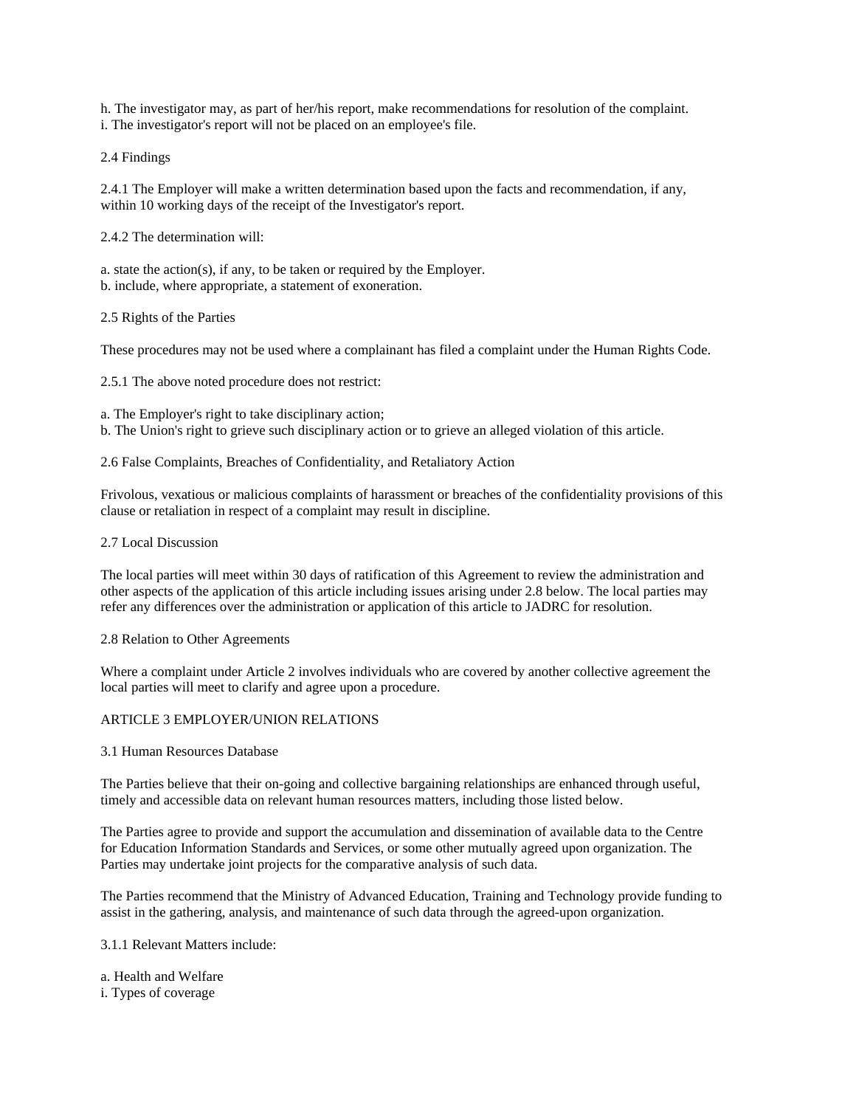h. The investigator may, as part of her/his report, make recommendations for resolution of the complaint. i. The investigator's report will not be placed on an employee's file.

2.4 Findings

2.4.1 The Employer will make a written determination based upon the facts and recommendation, if any, within 10 working days of the receipt of the Investigator's report.

2.4.2 The determination will:

a. state the action(s), if any, to be taken or required by the Employer. b. include, where appropriate, a statement of exoneration.

2.5 Rights of the Parties

These procedures may not be used where a complainant has filed a complaint under the Human Rights Code.

2.5.1 The above noted procedure does not restrict:

a. The Employer's right to take disciplinary action;

b. The Union's right to grieve such disciplinary action or to grieve an alleged violation of this article.

2.6 False Complaints, Breaches of Confidentiality, and Retaliatory Action

Frivolous, vexatious or malicious complaints of harassment or breaches of the confidentiality provisions of this clause or retaliation in respect of a complaint may result in discipline.

#### 2.7 Local Discussion

The local parties will meet within 30 days of ratification of this Agreement to review the administration and other aspects of the application of this article including issues arising under 2.8 below. The local parties may refer any differences over the administration or application of this article to JADRC for resolution.

2.8 Relation to Other Agreements

Where a complaint under Article 2 involves individuals who are covered by another collective agreement the local parties will meet to clarify and agree upon a procedure.

# ARTICLE 3 EMPLOYER/UNION RELATIONS

3.1 Human Resources Database

The Parties believe that their on-going and collective bargaining relationships are enhanced through useful, timely and accessible data on relevant human resources matters, including those listed below.

The Parties agree to provide and support the accumulation and dissemination of available data to the Centre for Education Information Standards and Services, or some other mutually agreed upon organization. The Parties may undertake joint projects for the comparative analysis of such data.

The Parties recommend that the Ministry of Advanced Education, Training and Technology provide funding to assist in the gathering, analysis, and maintenance of such data through the agreed-upon organization.

3.1.1 Relevant Matters include:

a. Health and Welfare

i. Types of coverage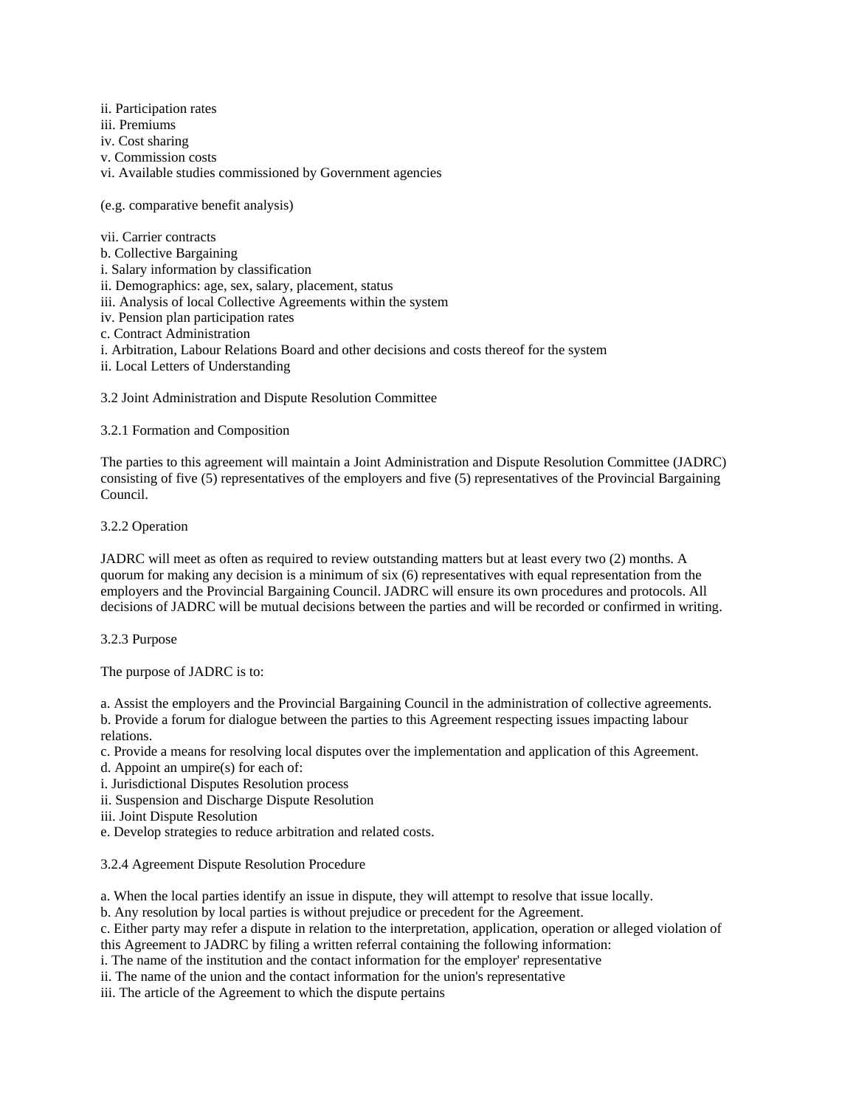ii. Participation rates

iii. Premiums

iv. Cost sharing

v. Commission costs

vi. Available studies commissioned by Government agencies

(e.g. comparative benefit analysis)

vii. Carrier contracts

b. Collective Bargaining

i. Salary information by classification

ii. Demographics: age, sex, salary, placement, status

iii. Analysis of local Collective Agreements within the system

iv. Pension plan participation rates

c. Contract Administration

i. Arbitration, Labour Relations Board and other decisions and costs thereof for the system

ii. Local Letters of Understanding

3.2 Joint Administration and Dispute Resolution Committee

3.2.1 Formation and Composition

The parties to this agreement will maintain a Joint Administration and Dispute Resolution Committee (JADRC) consisting of five (5) representatives of the employers and five (5) representatives of the Provincial Bargaining Council.

3.2.2 Operation

JADRC will meet as often as required to review outstanding matters but at least every two (2) months. A quorum for making any decision is a minimum of six (6) representatives with equal representation from the employers and the Provincial Bargaining Council. JADRC will ensure its own procedures and protocols. All decisions of JADRC will be mutual decisions between the parties and will be recorded or confirmed in writing.

3.2.3 Purpose

The purpose of JADRC is to:

a. Assist the employers and the Provincial Bargaining Council in the administration of collective agreements.

b. Provide a forum for dialogue between the parties to this Agreement respecting issues impacting labour relations.

c. Provide a means for resolving local disputes over the implementation and application of this Agreement.

d. Appoint an umpire(s) for each of:

i. Jurisdictional Disputes Resolution process

ii. Suspension and Discharge Dispute Resolution

iii. Joint Dispute Resolution

e. Develop strategies to reduce arbitration and related costs.

3.2.4 Agreement Dispute Resolution Procedure

a. When the local parties identify an issue in dispute, they will attempt to resolve that issue locally.

b. Any resolution by local parties is without prejudice or precedent for the Agreement.

c. Either party may refer a dispute in relation to the interpretation, application, operation or alleged violation of

this Agreement to JADRC by filing a written referral containing the following information:

i. The name of the institution and the contact information for the employer' representative

ii. The name of the union and the contact information for the union's representative

iii. The article of the Agreement to which the dispute pertains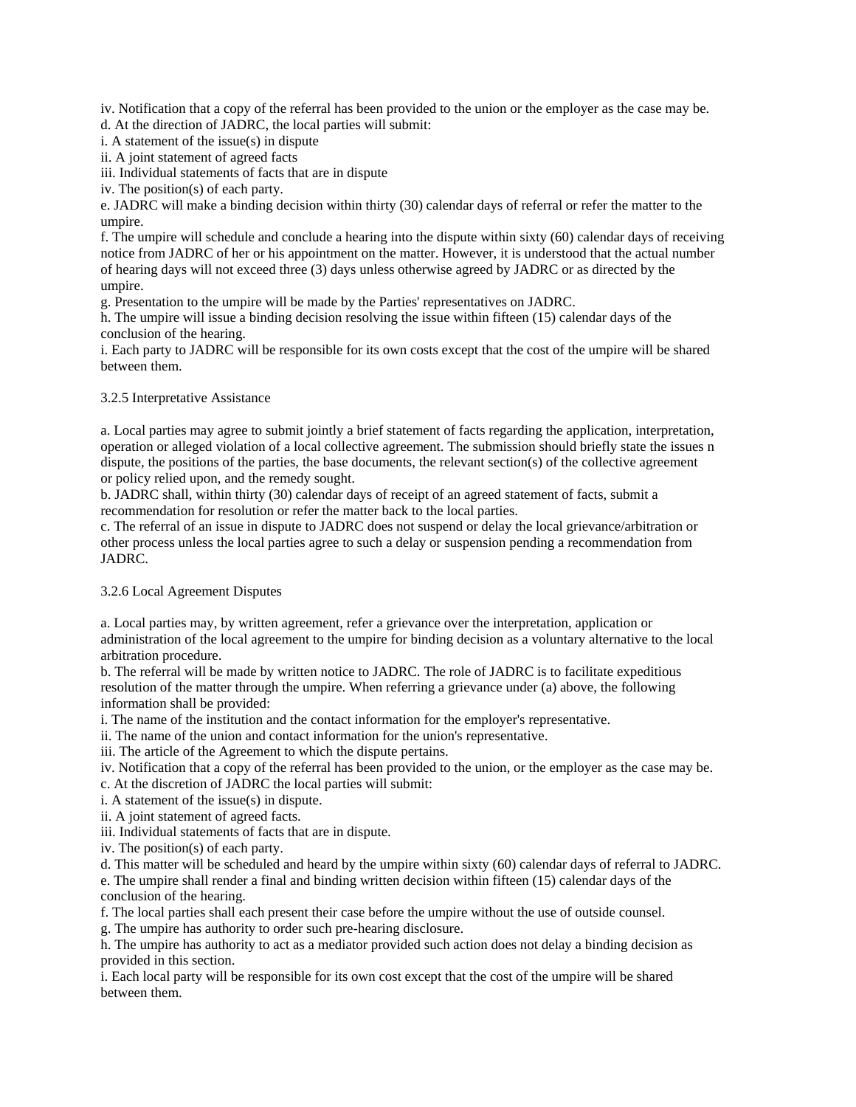iv. Notification that a copy of the referral has been provided to the union or the employer as the case may be.

d. At the direction of JADRC, the local parties will submit:

i. A statement of the issue(s) in dispute

ii. A joint statement of agreed facts

iii. Individual statements of facts that are in dispute

iv. The position(s) of each party.

e. JADRC will make a binding decision within thirty (30) calendar days of referral or refer the matter to the umpire.

f. The umpire will schedule and conclude a hearing into the dispute within sixty (60) calendar days of receiving notice from JADRC of her or his appointment on the matter. However, it is understood that the actual number of hearing days will not exceed three (3) days unless otherwise agreed by JADRC or as directed by the umpire.

g. Presentation to the umpire will be made by the Parties' representatives on JADRC.

h. The umpire will issue a binding decision resolving the issue within fifteen (15) calendar days of the conclusion of the hearing.

i. Each party to JADRC will be responsible for its own costs except that the cost of the umpire will be shared between them.

## 3.2.5 Interpretative Assistance

a. Local parties may agree to submit jointly a brief statement of facts regarding the application, interpretation, operation or alleged violation of a local collective agreement. The submission should briefly state the issues n dispute, the positions of the parties, the base documents, the relevant section(s) of the collective agreement or policy relied upon, and the remedy sought.

b. JADRC shall, within thirty (30) calendar days of receipt of an agreed statement of facts, submit a recommendation for resolution or refer the matter back to the local parties.

c. The referral of an issue in dispute to JADRC does not suspend or delay the local grievance/arbitration or other process unless the local parties agree to such a delay or suspension pending a recommendation from JADRC.

# 3.2.6 Local Agreement Disputes

a. Local parties may, by written agreement, refer a grievance over the interpretation, application or administration of the local agreement to the umpire for binding decision as a voluntary alternative to the local arbitration procedure.

b. The referral will be made by written notice to JADRC. The role of JADRC is to facilitate expeditious resolution of the matter through the umpire. When referring a grievance under (a) above, the following information shall be provided:

i. The name of the institution and the contact information for the employer's representative.

ii. The name of the union and contact information for the union's representative.

iii. The article of the Agreement to which the dispute pertains.

iv. Notification that a copy of the referral has been provided to the union, or the employer as the case may be.

c. At the discretion of JADRC the local parties will submit:

i. A statement of the issue(s) in dispute.

ii. A joint statement of agreed facts.

iii. Individual statements of facts that are in dispute.

iv. The position(s) of each party.

d. This matter will be scheduled and heard by the umpire within sixty (60) calendar days of referral to JADRC.

e. The umpire shall render a final and binding written decision within fifteen (15) calendar days of the conclusion of the hearing.

f. The local parties shall each present their case before the umpire without the use of outside counsel.

g. The umpire has authority to order such pre-hearing disclosure.

h. The umpire has authority to act as a mediator provided such action does not delay a binding decision as provided in this section.

i. Each local party will be responsible for its own cost except that the cost of the umpire will be shared between them.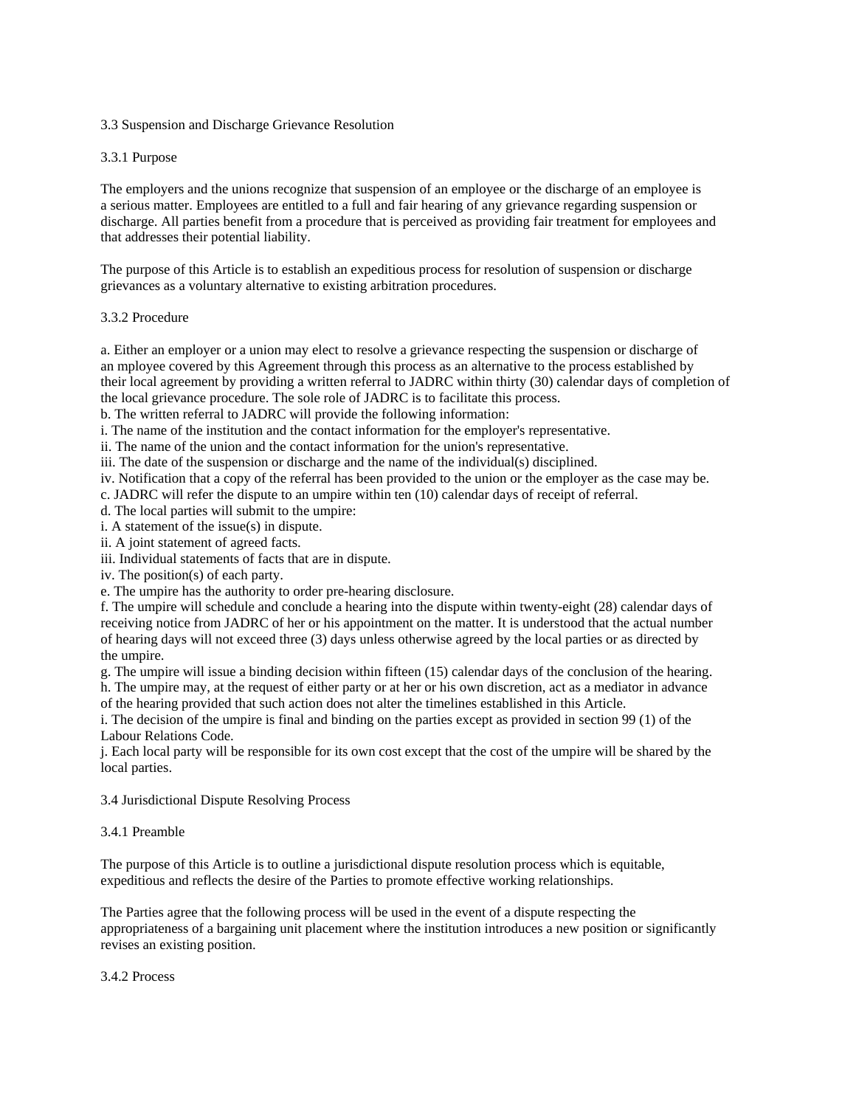# 3.3 Suspension and Discharge Grievance Resolution

## 3.3.1 Purpose

The employers and the unions recognize that suspension of an employee or the discharge of an employee is a serious matter. Employees are entitled to a full and fair hearing of any grievance regarding suspension or discharge. All parties benefit from a procedure that is perceived as providing fair treatment for employees and that addresses their potential liability.

The purpose of this Article is to establish an expeditious process for resolution of suspension or discharge grievances as a voluntary alternative to existing arbitration procedures.

#### 3.3.2 Procedure

a. Either an employer or a union may elect to resolve a grievance respecting the suspension or discharge of an mployee covered by this Agreement through this process as an alternative to the process established by their local agreement by providing a written referral to JADRC within thirty (30) calendar days of completion of the local grievance procedure. The sole role of JADRC is to facilitate this process.

b. The written referral to JADRC will provide the following information:

i. The name of the institution and the contact information for the employer's representative.

ii. The name of the union and the contact information for the union's representative.

iii. The date of the suspension or discharge and the name of the individual(s) disciplined.

iv. Notification that a copy of the referral has been provided to the union or the employer as the case may be.

c. JADRC will refer the dispute to an umpire within ten (10) calendar days of receipt of referral.

d. The local parties will submit to the umpire:

i. A statement of the issue(s) in dispute.

ii. A joint statement of agreed facts.

iii. Individual statements of facts that are in dispute.

iv. The position(s) of each party.

e. The umpire has the authority to order pre-hearing disclosure.

f. The umpire will schedule and conclude a hearing into the dispute within twenty-eight (28) calendar days of receiving notice from JADRC of her or his appointment on the matter. It is understood that the actual number of hearing days will not exceed three (3) days unless otherwise agreed by the local parties or as directed by the umpire.

g. The umpire will issue a binding decision within fifteen (15) calendar days of the conclusion of the hearing. h. The umpire may, at the request of either party or at her or his own discretion, act as a mediator in advance

of the hearing provided that such action does not alter the timelines established in this Article.

i. The decision of the umpire is final and binding on the parties except as provided in section 99 (1) of the Labour Relations Code.

j. Each local party will be responsible for its own cost except that the cost of the umpire will be shared by the local parties.

#### 3.4 Jurisdictional Dispute Resolving Process

#### 3.4.1 Preamble

The purpose of this Article is to outline a jurisdictional dispute resolution process which is equitable, expeditious and reflects the desire of the Parties to promote effective working relationships.

The Parties agree that the following process will be used in the event of a dispute respecting the appropriateness of a bargaining unit placement where the institution introduces a new position or significantly revises an existing position.

#### 3.4.2 Process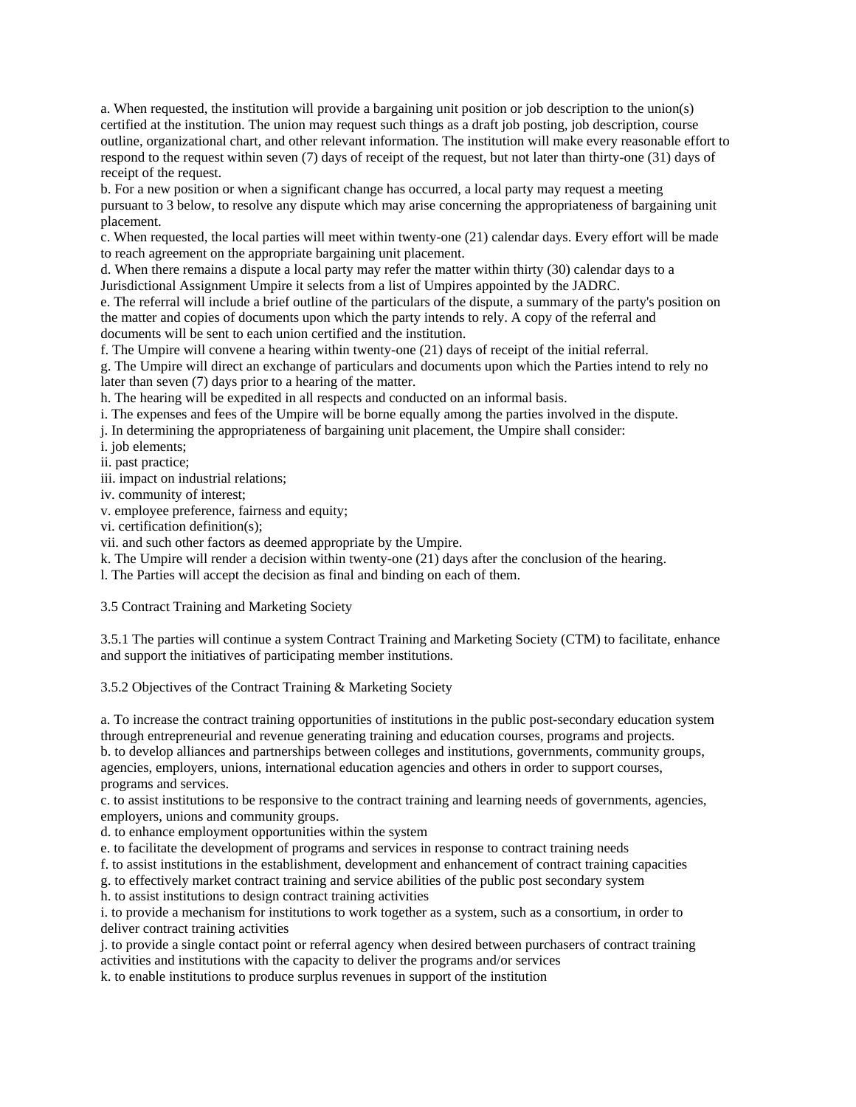a. When requested, the institution will provide a bargaining unit position or job description to the union(s) certified at the institution. The union may request such things as a draft job posting, job description, course outline, organizational chart, and other relevant information. The institution will make every reasonable effort to respond to the request within seven (7) days of receipt of the request, but not later than thirty-one (31) days of receipt of the request.

b. For a new position or when a significant change has occurred, a local party may request a meeting pursuant to 3 below, to resolve any dispute which may arise concerning the appropriateness of bargaining unit placement.

c. When requested, the local parties will meet within twenty-one (21) calendar days. Every effort will be made to reach agreement on the appropriate bargaining unit placement.

d. When there remains a dispute a local party may refer the matter within thirty (30) calendar days to a Jurisdictional Assignment Umpire it selects from a list of Umpires appointed by the JADRC.

e. The referral will include a brief outline of the particulars of the dispute, a summary of the party's position on the matter and copies of documents upon which the party intends to rely. A copy of the referral and documents will be sent to each union certified and the institution.

f. The Umpire will convene a hearing within twenty-one (21) days of receipt of the initial referral.

g. The Umpire will direct an exchange of particulars and documents upon which the Parties intend to rely no later than seven (7) days prior to a hearing of the matter.

h. The hearing will be expedited in all respects and conducted on an informal basis.

i. The expenses and fees of the Umpire will be borne equally among the parties involved in the dispute.

j. In determining the appropriateness of bargaining unit placement, the Umpire shall consider:

i. job elements;

ii. past practice;

iii. impact on industrial relations;

iv. community of interest;

v. employee preference, fairness and equity;

vi. certification definition(s);

vii. and such other factors as deemed appropriate by the Umpire.

k. The Umpire will render a decision within twenty-one (21) days after the conclusion of the hearing.

l. The Parties will accept the decision as final and binding on each of them.

3.5 Contract Training and Marketing Society

3.5.1 The parties will continue a system Contract Training and Marketing Society (CTM) to facilitate, enhance and support the initiatives of participating member institutions.

3.5.2 Objectives of the Contract Training & Marketing Society

a. To increase the contract training opportunities of institutions in the public post-secondary education system through entrepreneurial and revenue generating training and education courses, programs and projects. b. to develop alliances and partnerships between colleges and institutions, governments, community groups, agencies, employers, unions, international education agencies and others in order to support courses, programs and services.

c. to assist institutions to be responsive to the contract training and learning needs of governments, agencies, employers, unions and community groups.

d. to enhance employment opportunities within the system

e. to facilitate the development of programs and services in response to contract training needs

f. to assist institutions in the establishment, development and enhancement of contract training capacities

g. to effectively market contract training and service abilities of the public post secondary system

h. to assist institutions to design contract training activities

i. to provide a mechanism for institutions to work together as a system, such as a consortium, in order to deliver contract training activities

j. to provide a single contact point or referral agency when desired between purchasers of contract training activities and institutions with the capacity to deliver the programs and/or services

k. to enable institutions to produce surplus revenues in support of the institution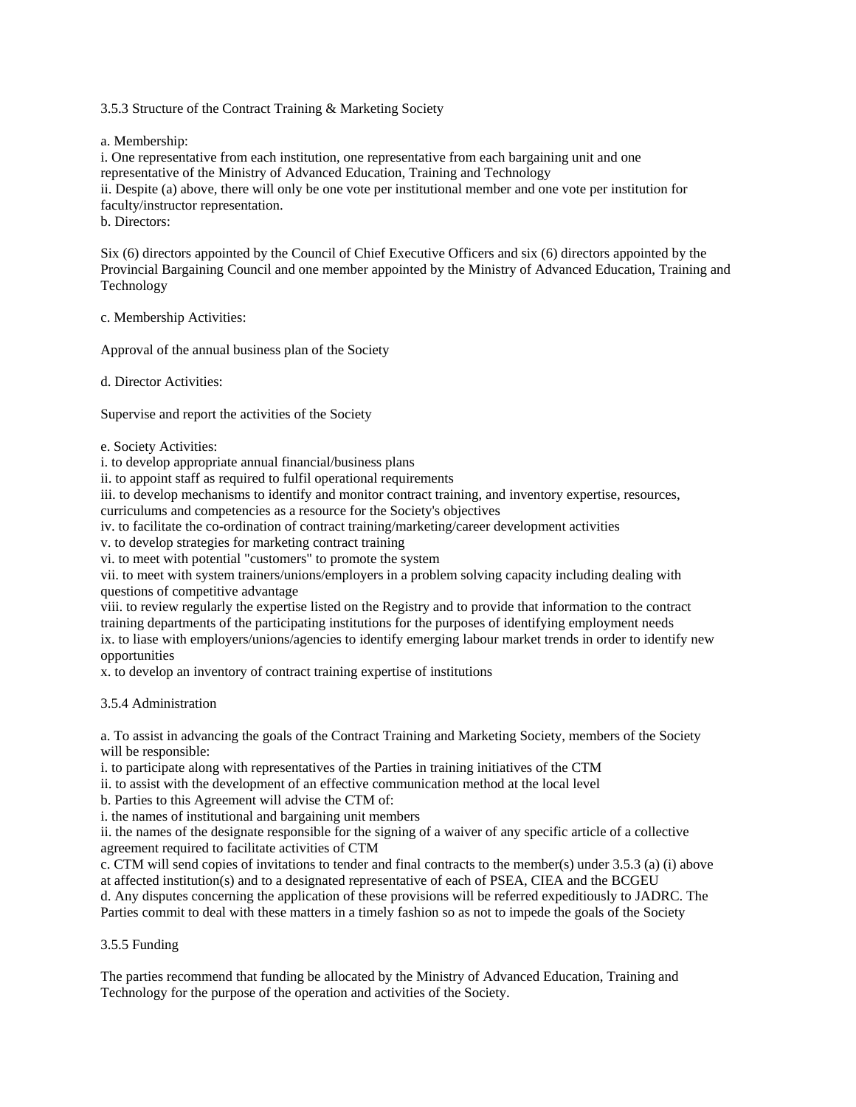3.5.3 Structure of the Contract Training & Marketing Society

a. Membership:

i. One representative from each institution, one representative from each bargaining unit and one representative of the Ministry of Advanced Education, Training and Technology ii. Despite (a) above, there will only be one vote per institutional member and one vote per institution for faculty/instructor representation. b. Directors:

Six (6) directors appointed by the Council of Chief Executive Officers and six (6) directors appointed by the Provincial Bargaining Council and one member appointed by the Ministry of Advanced Education, Training and Technology

c. Membership Activities:

Approval of the annual business plan of the Society

d. Director Activities:

Supervise and report the activities of the Society

e. Society Activities:

i. to develop appropriate annual financial/business plans

ii. to appoint staff as required to fulfil operational requirements

iii. to develop mechanisms to identify and monitor contract training, and inventory expertise, resources,

curriculums and competencies as a resource for the Society's objectives

iv. to facilitate the co-ordination of contract training/marketing/career development activities

v. to develop strategies for marketing contract training

vi. to meet with potential "customers" to promote the system

vii. to meet with system trainers/unions/employers in a problem solving capacity including dealing with questions of competitive advantage

viii. to review regularly the expertise listed on the Registry and to provide that information to the contract training departments of the participating institutions for the purposes of identifying employment needs ix. to liase with employers/unions/agencies to identify emerging labour market trends in order to identify new opportunities

x. to develop an inventory of contract training expertise of institutions

3.5.4 Administration

a. To assist in advancing the goals of the Contract Training and Marketing Society, members of the Society will be responsible:

i. to participate along with representatives of the Parties in training initiatives of the CTM

ii. to assist with the development of an effective communication method at the local level

b. Parties to this Agreement will advise the CTM of:

i. the names of institutional and bargaining unit members

ii. the names of the designate responsible for the signing of a waiver of any specific article of a collective agreement required to facilitate activities of CTM

c. CTM will send copies of invitations to tender and final contracts to the member(s) under 3.5.3 (a) (i) above at affected institution(s) and to a designated representative of each of PSEA, CIEA and the BCGEU

d. Any disputes concerning the application of these provisions will be referred expeditiously to JADRC. The Parties commit to deal with these matters in a timely fashion so as not to impede the goals of the Society

# 3.5.5 Funding

The parties recommend that funding be allocated by the Ministry of Advanced Education, Training and Technology for the purpose of the operation and activities of the Society.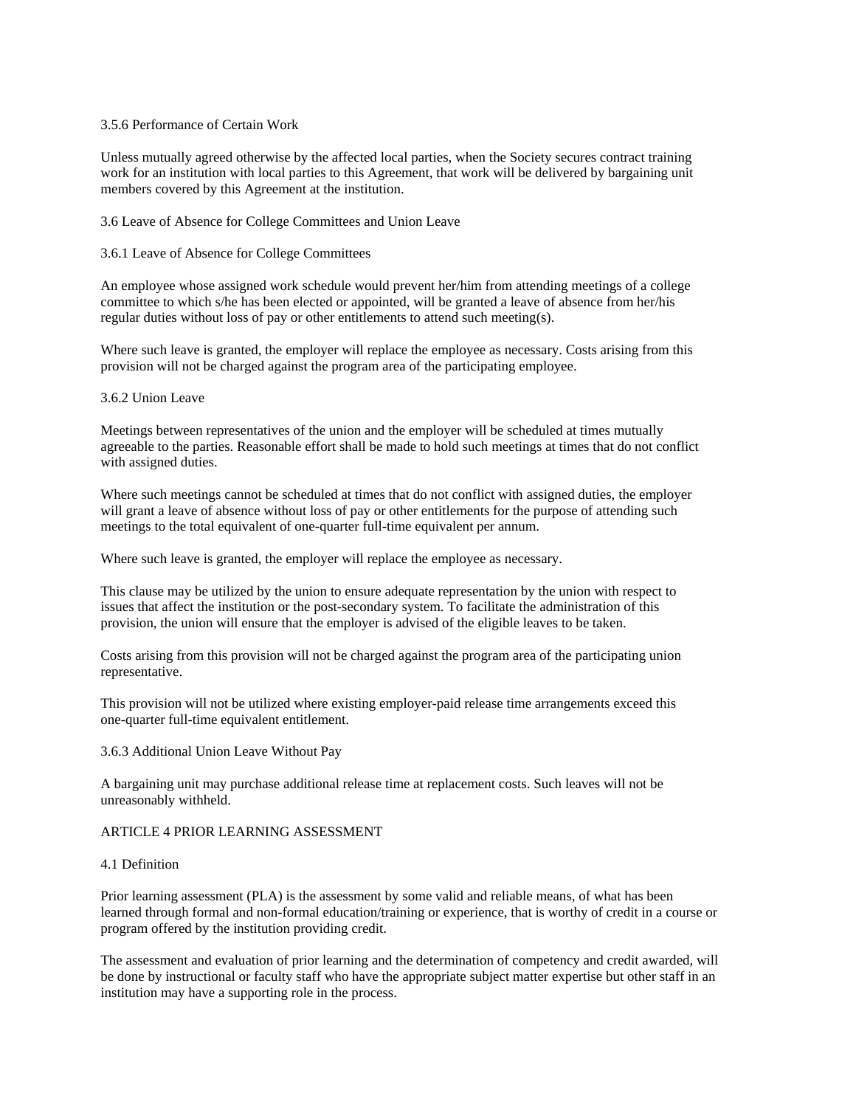### 3.5.6 Performance of Certain Work

Unless mutually agreed otherwise by the affected local parties, when the Society secures contract training work for an institution with local parties to this Agreement, that work will be delivered by bargaining unit members covered by this Agreement at the institution.

3.6 Leave of Absence for College Committees and Union Leave

## 3.6.1 Leave of Absence for College Committees

An employee whose assigned work schedule would prevent her/him from attending meetings of a college committee to which s/he has been elected or appointed, will be granted a leave of absence from her/his regular duties without loss of pay or other entitlements to attend such meeting(s).

Where such leave is granted, the employer will replace the employee as necessary. Costs arising from this provision will not be charged against the program area of the participating employee.

## 3.6.2 Union Leave

Meetings between representatives of the union and the employer will be scheduled at times mutually agreeable to the parties. Reasonable effort shall be made to hold such meetings at times that do not conflict with assigned duties.

Where such meetings cannot be scheduled at times that do not conflict with assigned duties, the employer will grant a leave of absence without loss of pay or other entitlements for the purpose of attending such meetings to the total equivalent of one-quarter full-time equivalent per annum.

Where such leave is granted, the employer will replace the employee as necessary.

This clause may be utilized by the union to ensure adequate representation by the union with respect to issues that affect the institution or the post-secondary system. To facilitate the administration of this provision, the union will ensure that the employer is advised of the eligible leaves to be taken.

Costs arising from this provision will not be charged against the program area of the participating union representative.

This provision will not be utilized where existing employer-paid release time arrangements exceed this one-quarter full-time equivalent entitlement.

### 3.6.3 Additional Union Leave Without Pay

A bargaining unit may purchase additional release time at replacement costs. Such leaves will not be unreasonably withheld.

## ARTICLE 4 PRIOR LEARNING ASSESSMENT

### 4.1 Definition

Prior learning assessment (PLA) is the assessment by some valid and reliable means, of what has been learned through formal and non-formal education/training or experience, that is worthy of credit in a course or program offered by the institution providing credit.

The assessment and evaluation of prior learning and the determination of competency and credit awarded, will be done by instructional or faculty staff who have the appropriate subject matter expertise but other staff in an institution may have a supporting role in the process.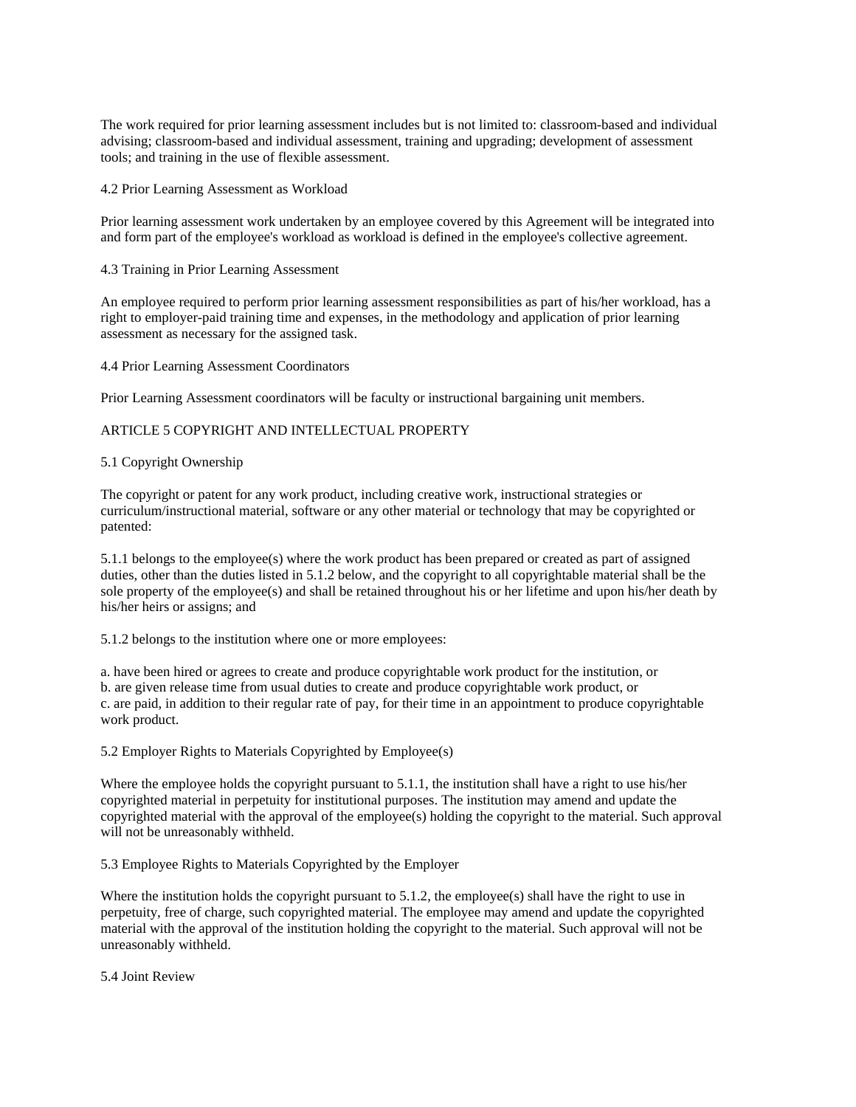The work required for prior learning assessment includes but is not limited to: classroom-based and individual advising; classroom-based and individual assessment, training and upgrading; development of assessment tools; and training in the use of flexible assessment.

### 4.2 Prior Learning Assessment as Workload

Prior learning assessment work undertaken by an employee covered by this Agreement will be integrated into and form part of the employee's workload as workload is defined in the employee's collective agreement.

### 4.3 Training in Prior Learning Assessment

An employee required to perform prior learning assessment responsibilities as part of his/her workload, has a right to employer-paid training time and expenses, in the methodology and application of prior learning assessment as necessary for the assigned task.

#### 4.4 Prior Learning Assessment Coordinators

Prior Learning Assessment coordinators will be faculty or instructional bargaining unit members.

## ARTICLE 5 COPYRIGHT AND INTELLECTUAL PROPERTY

#### 5.1 Copyright Ownership

The copyright or patent for any work product, including creative work, instructional strategies or curriculum/instructional material, software or any other material or technology that may be copyrighted or patented:

5.1.1 belongs to the employee(s) where the work product has been prepared or created as part of assigned duties, other than the duties listed in 5.1.2 below, and the copyright to all copyrightable material shall be the sole property of the employee(s) and shall be retained throughout his or her lifetime and upon his/her death by his/her heirs or assigns; and

5.1.2 belongs to the institution where one or more employees:

a. have been hired or agrees to create and produce copyrightable work product for the institution, or b. are given release time from usual duties to create and produce copyrightable work product, or c. are paid, in addition to their regular rate of pay, for their time in an appointment to produce copyrightable work product.

### 5.2 Employer Rights to Materials Copyrighted by Employee(s)

Where the employee holds the copyright pursuant to 5.1.1, the institution shall have a right to use his/her copyrighted material in perpetuity for institutional purposes. The institution may amend and update the copyrighted material with the approval of the employee(s) holding the copyright to the material. Such approval will not be unreasonably withheld.

### 5.3 Employee Rights to Materials Copyrighted by the Employer

Where the institution holds the copyright pursuant to  $5.1.2$ , the employee(s) shall have the right to use in perpetuity, free of charge, such copyrighted material. The employee may amend and update the copyrighted material with the approval of the institution holding the copyright to the material. Such approval will not be unreasonably withheld.

5.4 Joint Review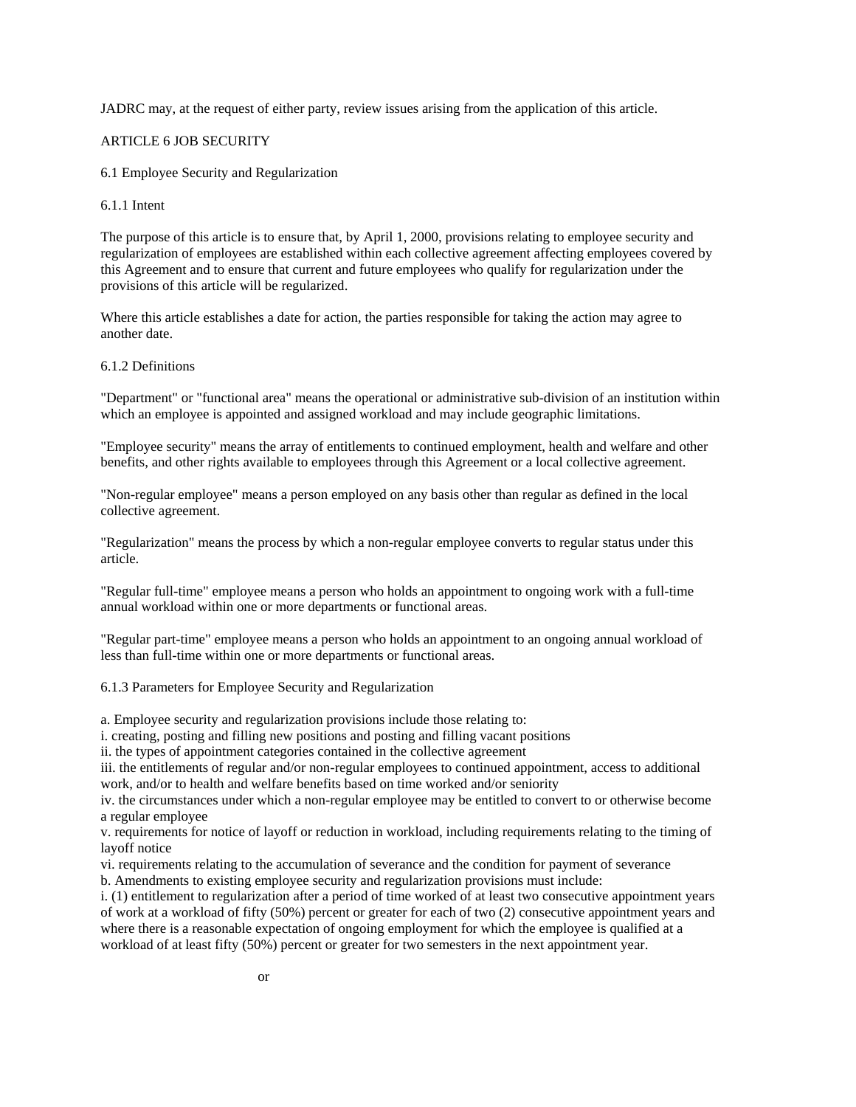JADRC may, at the request of either party, review issues arising from the application of this article.

#### ARTICLE 6 JOB SECURITY

6.1 Employee Security and Regularization

#### 6.1.1 Intent

The purpose of this article is to ensure that, by April 1, 2000, provisions relating to employee security and regularization of employees are established within each collective agreement affecting employees covered by this Agreement and to ensure that current and future employees who qualify for regularization under the provisions of this article will be regularized.

Where this article establishes a date for action, the parties responsible for taking the action may agree to another date.

6.1.2 Definitions

"Department" or "functional area" means the operational or administrative sub-division of an institution within which an employee is appointed and assigned workload and may include geographic limitations.

"Employee security" means the array of entitlements to continued employment, health and welfare and other benefits, and other rights available to employees through this Agreement or a local collective agreement.

"Non-regular employee" means a person employed on any basis other than regular as defined in the local collective agreement.

"Regularization" means the process by which a non-regular employee converts to regular status under this article.

"Regular full-time" employee means a person who holds an appointment to ongoing work with a full-time annual workload within one or more departments or functional areas.

"Regular part-time" employee means a person who holds an appointment to an ongoing annual workload of less than full-time within one or more departments or functional areas.

6.1.3 Parameters for Employee Security and Regularization

a. Employee security and regularization provisions include those relating to:

i. creating, posting and filling new positions and posting and filling vacant positions

ii. the types of appointment categories contained in the collective agreement

iii. the entitlements of regular and/or non-regular employees to continued appointment, access to additional work, and/or to health and welfare benefits based on time worked and/or seniority

iv. the circumstances under which a non-regular employee may be entitled to convert to or otherwise become a regular employee

v. requirements for notice of layoff or reduction in workload, including requirements relating to the timing of layoff notice

vi. requirements relating to the accumulation of severance and the condition for payment of severance

b. Amendments to existing employee security and regularization provisions must include:

i. (1) entitlement to regularization after a period of time worked of at least two consecutive appointment years of work at a workload of fifty (50%) percent or greater for each of two (2) consecutive appointment years and where there is a reasonable expectation of ongoing employment for which the employee is qualified at a workload of at least fifty (50%) percent or greater for two semesters in the next appointment year.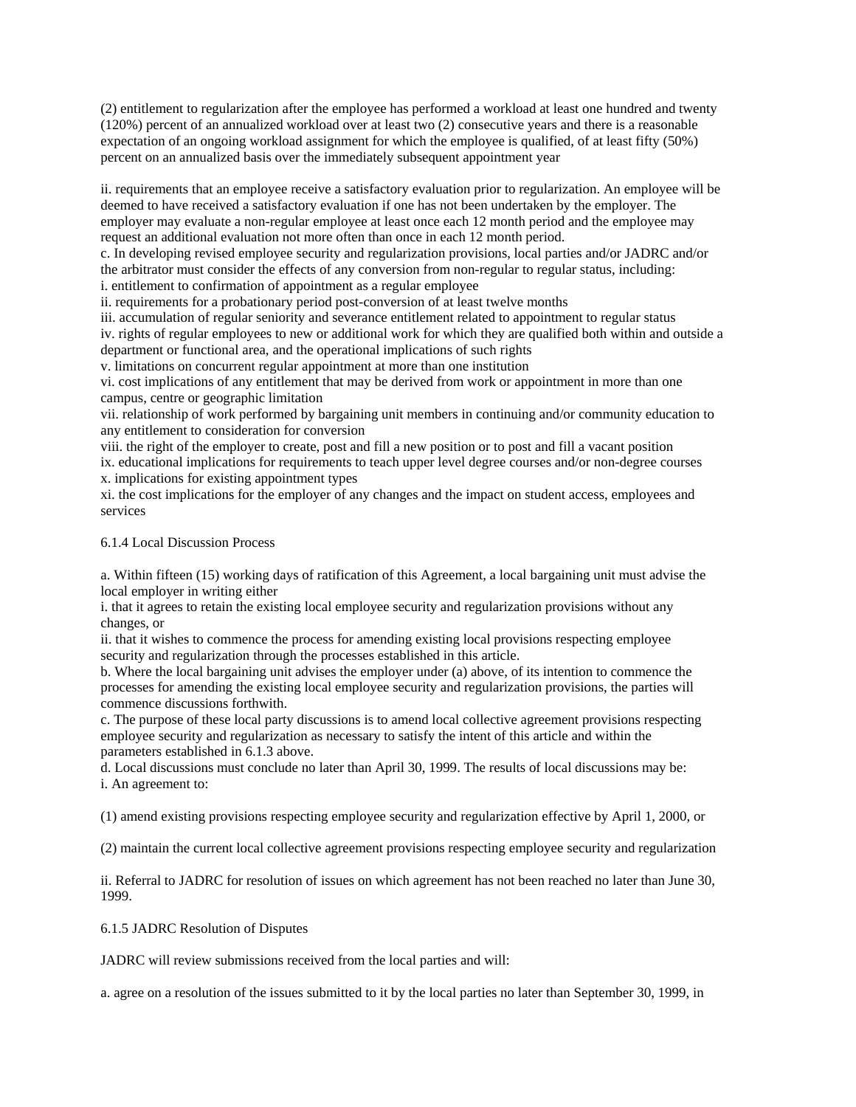(2) entitlement to regularization after the employee has performed a workload at least one hundred and twenty (120%) percent of an annualized workload over at least two (2) consecutive years and there is a reasonable expectation of an ongoing workload assignment for which the employee is qualified, of at least fifty (50%) percent on an annualized basis over the immediately subsequent appointment year

ii. requirements that an employee receive a satisfactory evaluation prior to regularization. An employee will be deemed to have received a satisfactory evaluation if one has not been undertaken by the employer. The employer may evaluate a non-regular employee at least once each 12 month period and the employee may request an additional evaluation not more often than once in each 12 month period.

c. In developing revised employee security and regularization provisions, local parties and/or JADRC and/or the arbitrator must consider the effects of any conversion from non-regular to regular status, including: i. entitlement to confirmation of appointment as a regular employee

ii. requirements for a probationary period post-conversion of at least twelve months

iii. accumulation of regular seniority and severance entitlement related to appointment to regular status

iv. rights of regular employees to new or additional work for which they are qualified both within and outside a department or functional area, and the operational implications of such rights

v. limitations on concurrent regular appointment at more than one institution

vi. cost implications of any entitlement that may be derived from work or appointment in more than one campus, centre or geographic limitation

vii. relationship of work performed by bargaining unit members in continuing and/or community education to any entitlement to consideration for conversion

viii. the right of the employer to create, post and fill a new position or to post and fill a vacant position ix. educational implications for requirements to teach upper level degree courses and/or non-degree courses x. implications for existing appointment types

xi. the cost implications for the employer of any changes and the impact on student access, employees and services

### 6.1.4 Local Discussion Process

a. Within fifteen (15) working days of ratification of this Agreement, a local bargaining unit must advise the local employer in writing either

i. that it agrees to retain the existing local employee security and regularization provisions without any changes, or

ii. that it wishes to commence the process for amending existing local provisions respecting employee security and regularization through the processes established in this article.

b. Where the local bargaining unit advises the employer under (a) above, of its intention to commence the processes for amending the existing local employee security and regularization provisions, the parties will commence discussions forthwith.

c. The purpose of these local party discussions is to amend local collective agreement provisions respecting employee security and regularization as necessary to satisfy the intent of this article and within the parameters established in 6.1.3 above.

d. Local discussions must conclude no later than April 30, 1999. The results of local discussions may be: i. An agreement to:

(1) amend existing provisions respecting employee security and regularization effective by April 1, 2000, or

(2) maintain the current local collective agreement provisions respecting employee security and regularization

ii. Referral to JADRC for resolution of issues on which agreement has not been reached no later than June 30, 1999.

6.1.5 JADRC Resolution of Disputes

JADRC will review submissions received from the local parties and will:

a. agree on a resolution of the issues submitted to it by the local parties no later than September 30, 1999, in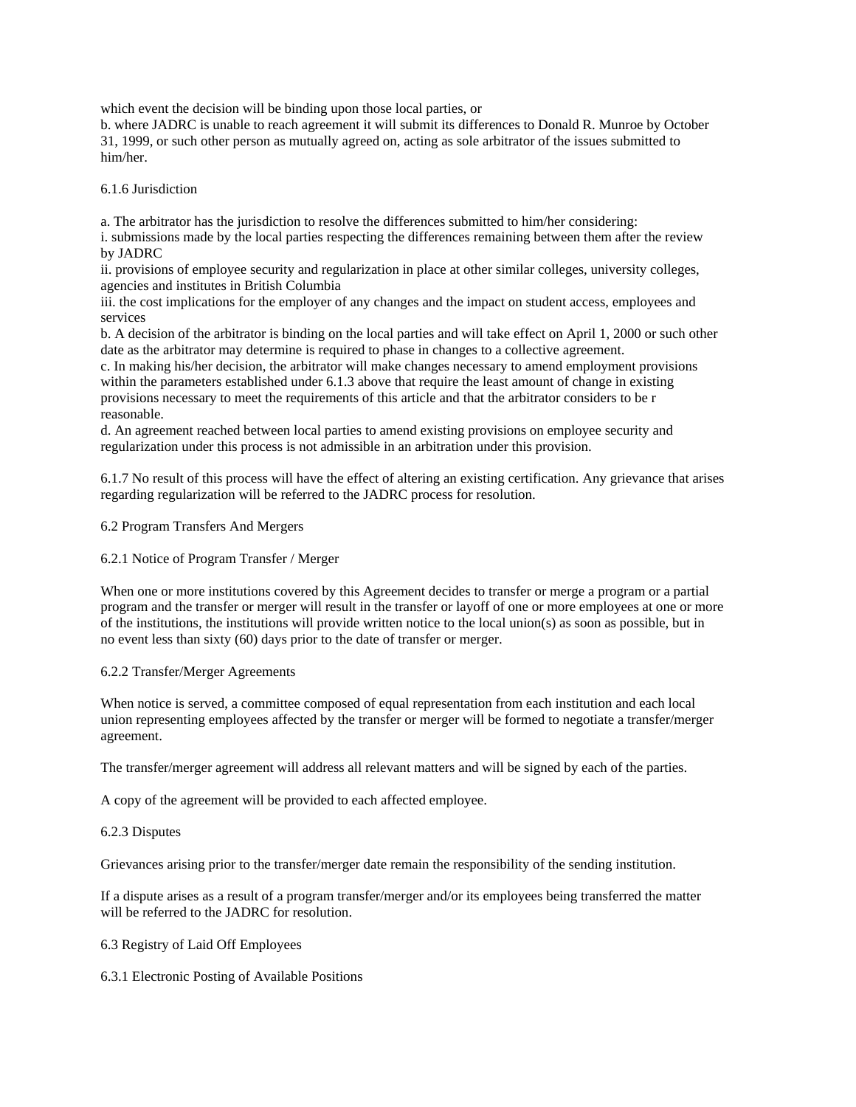which event the decision will be binding upon those local parties, or

b. where JADRC is unable to reach agreement it will submit its differences to Donald R. Munroe by October 31, 1999, or such other person as mutually agreed on, acting as sole arbitrator of the issues submitted to him/her.

## 6.1.6 Jurisdiction

a. The arbitrator has the jurisdiction to resolve the differences submitted to him/her considering:

i. submissions made by the local parties respecting the differences remaining between them after the review by JADRC

ii. provisions of employee security and regularization in place at other similar colleges, university colleges, agencies and institutes in British Columbia

iii. the cost implications for the employer of any changes and the impact on student access, employees and services

b. A decision of the arbitrator is binding on the local parties and will take effect on April 1, 2000 or such other date as the arbitrator may determine is required to phase in changes to a collective agreement.

c. In making his/her decision, the arbitrator will make changes necessary to amend employment provisions within the parameters established under 6.1.3 above that require the least amount of change in existing provisions necessary to meet the requirements of this article and that the arbitrator considers to be r reasonable.

d. An agreement reached between local parties to amend existing provisions on employee security and regularization under this process is not admissible in an arbitration under this provision.

6.1.7 No result of this process will have the effect of altering an existing certification. Any grievance that arises regarding regularization will be referred to the JADRC process for resolution.

6.2 Program Transfers And Mergers

6.2.1 Notice of Program Transfer / Merger

When one or more institutions covered by this Agreement decides to transfer or merge a program or a partial program and the transfer or merger will result in the transfer or layoff of one or more employees at one or more of the institutions, the institutions will provide written notice to the local union(s) as soon as possible, but in no event less than sixty (60) days prior to the date of transfer or merger.

### 6.2.2 Transfer/Merger Agreements

When notice is served, a committee composed of equal representation from each institution and each local union representing employees affected by the transfer or merger will be formed to negotiate a transfer/merger agreement.

The transfer/merger agreement will address all relevant matters and will be signed by each of the parties.

A copy of the agreement will be provided to each affected employee.

6.2.3 Disputes

Grievances arising prior to the transfer/merger date remain the responsibility of the sending institution.

If a dispute arises as a result of a program transfer/merger and/or its employees being transferred the matter will be referred to the JADRC for resolution.

## 6.3 Registry of Laid Off Employees

6.3.1 Electronic Posting of Available Positions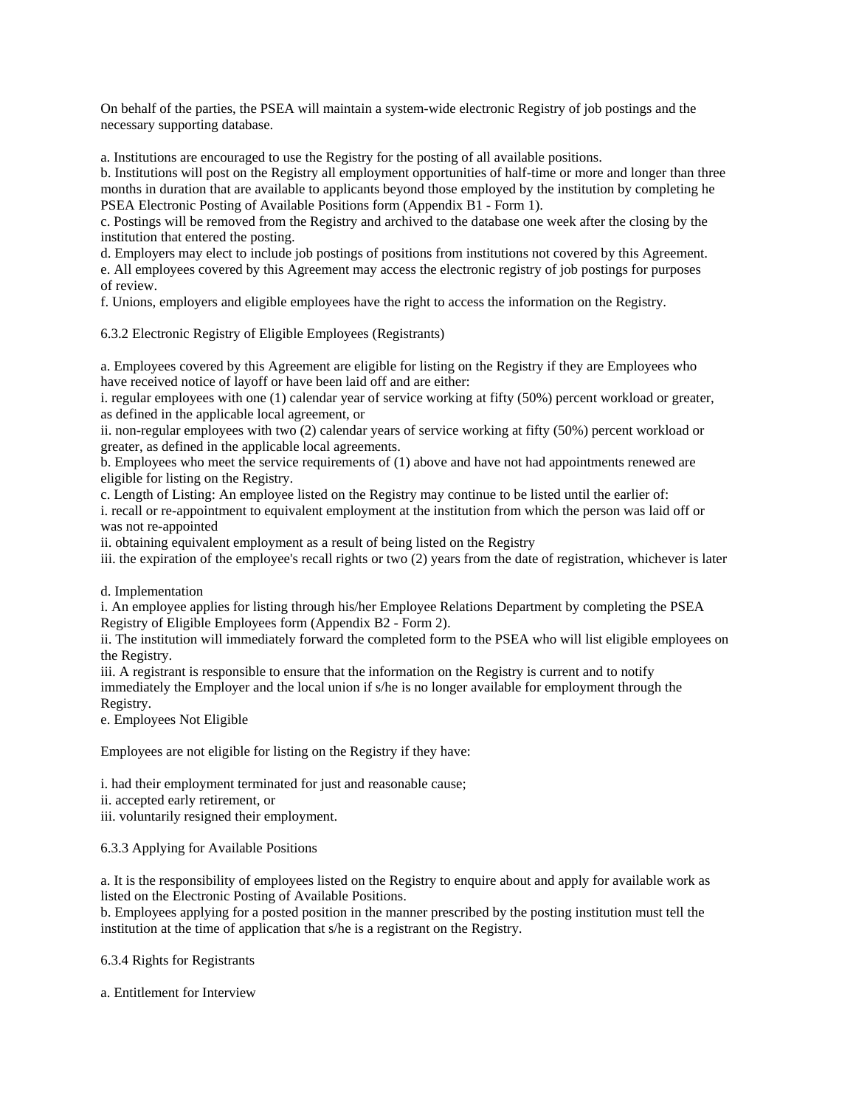On behalf of the parties, the PSEA will maintain a system-wide electronic Registry of job postings and the necessary supporting database.

a. Institutions are encouraged to use the Registry for the posting of all available positions.

b. Institutions will post on the Registry all employment opportunities of half-time or more and longer than three months in duration that are available to applicants beyond those employed by the institution by completing he PSEA Electronic Posting of Available Positions form (Appendix B1 - Form 1).

c. Postings will be removed from the Registry and archived to the database one week after the closing by the institution that entered the posting.

d. Employers may elect to include job postings of positions from institutions not covered by this Agreement. e. All employees covered by this Agreement may access the electronic registry of job postings for purposes of review.

f. Unions, employers and eligible employees have the right to access the information on the Registry.

6.3.2 Electronic Registry of Eligible Employees (Registrants)

a. Employees covered by this Agreement are eligible for listing on the Registry if they are Employees who have received notice of layoff or have been laid off and are either:

i. regular employees with one (1) calendar year of service working at fifty (50%) percent workload or greater, as defined in the applicable local agreement, or

ii. non-regular employees with two (2) calendar years of service working at fifty (50%) percent workload or greater, as defined in the applicable local agreements.

b. Employees who meet the service requirements of (1) above and have not had appointments renewed are eligible for listing on the Registry.

c. Length of Listing: An employee listed on the Registry may continue to be listed until the earlier of: i. recall or re-appointment to equivalent employment at the institution from which the person was laid off or was not re-appointed

ii. obtaining equivalent employment as a result of being listed on the Registry

iii. the expiration of the employee's recall rights or two (2) years from the date of registration, whichever is later

d. Implementation

i. An employee applies for listing through his/her Employee Relations Department by completing the PSEA Registry of Eligible Employees form (Appendix B2 - Form 2).

ii. The institution will immediately forward the completed form to the PSEA who will list eligible employees on the Registry.

iii. A registrant is responsible to ensure that the information on the Registry is current and to notify immediately the Employer and the local union if s/he is no longer available for employment through the Registry.

e. Employees Not Eligible

Employees are not eligible for listing on the Registry if they have:

i. had their employment terminated for just and reasonable cause;

ii. accepted early retirement, or

iii. voluntarily resigned their employment.

6.3.3 Applying for Available Positions

a. It is the responsibility of employees listed on the Registry to enquire about and apply for available work as listed on the Electronic Posting of Available Positions.

b. Employees applying for a posted position in the manner prescribed by the posting institution must tell the institution at the time of application that s/he is a registrant on the Registry.

6.3.4 Rights for Registrants

a. Entitlement for Interview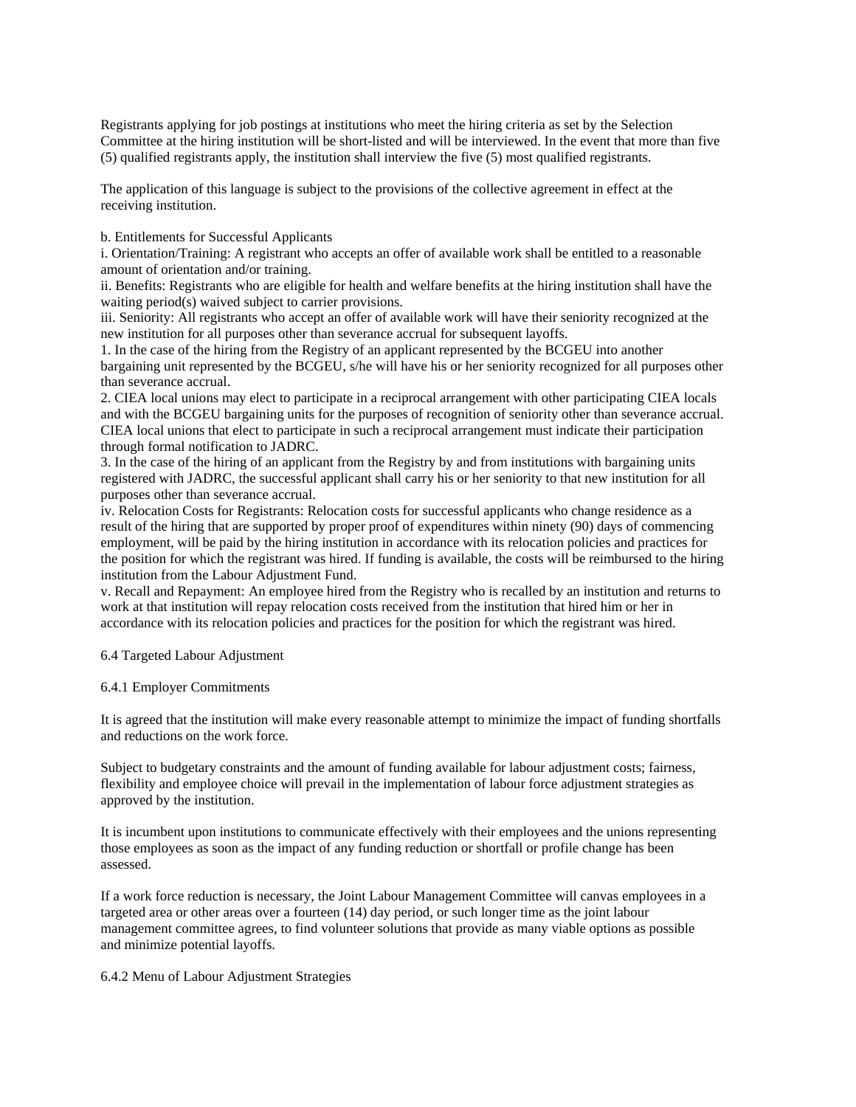Registrants applying for job postings at institutions who meet the hiring criteria as set by the Selection Committee at the hiring institution will be short-listed and will be interviewed. In the event that more than five (5) qualified registrants apply, the institution shall interview the five (5) most qualified registrants.

The application of this language is subject to the provisions of the collective agreement in effect at the receiving institution.

b. Entitlements for Successful Applicants

i. Orientation/Training: A registrant who accepts an offer of available work shall be entitled to a reasonable amount of orientation and/or training.

ii. Benefits: Registrants who are eligible for health and welfare benefits at the hiring institution shall have the waiting period(s) waived subject to carrier provisions.

iii. Seniority: All registrants who accept an offer of available work will have their seniority recognized at the new institution for all purposes other than severance accrual for subsequent layoffs.

1. In the case of the hiring from the Registry of an applicant represented by the BCGEU into another bargaining unit represented by the BCGEU, s/he will have his or her seniority recognized for all purposes other than severance accrual.

2. CIEA local unions may elect to participate in a reciprocal arrangement with other participating CIEA locals and with the BCGEU bargaining units for the purposes of recognition of seniority other than severance accrual. CIEA local unions that elect to participate in such a reciprocal arrangement must indicate their participation through formal notification to JADRC.

3. In the case of the hiring of an applicant from the Registry by and from institutions with bargaining units registered with JADRC, the successful applicant shall carry his or her seniority to that new institution for all purposes other than severance accrual.

iv. Relocation Costs for Registrants: Relocation costs for successful applicants who change residence as a result of the hiring that are supported by proper proof of expenditures within ninety (90) days of commencing employment, will be paid by the hiring institution in accordance with its relocation policies and practices for the position for which the registrant was hired. If funding is available, the costs will be reimbursed to the hiring institution from the Labour Adjustment Fund.

v. Recall and Repayment: An employee hired from the Registry who is recalled by an institution and returns to work at that institution will repay relocation costs received from the institution that hired him or her in accordance with its relocation policies and practices for the position for which the registrant was hired.

### 6.4 Targeted Labour Adjustment

### 6.4.1 Employer Commitments

It is agreed that the institution will make every reasonable attempt to minimize the impact of funding shortfalls and reductions on the work force.

Subject to budgetary constraints and the amount of funding available for labour adjustment costs; fairness, flexibility and employee choice will prevail in the implementation of labour force adjustment strategies as approved by the institution.

It is incumbent upon institutions to communicate effectively with their employees and the unions representing those employees as soon as the impact of any funding reduction or shortfall or profile change has been assessed.

If a work force reduction is necessary, the Joint Labour Management Committee will canvas employees in a targeted area or other areas over a fourteen (14) day period, or such longer time as the joint labour management committee agrees, to find volunteer solutions that provide as many viable options as possible and minimize potential layoffs.

### 6.4.2 Menu of Labour Adjustment Strategies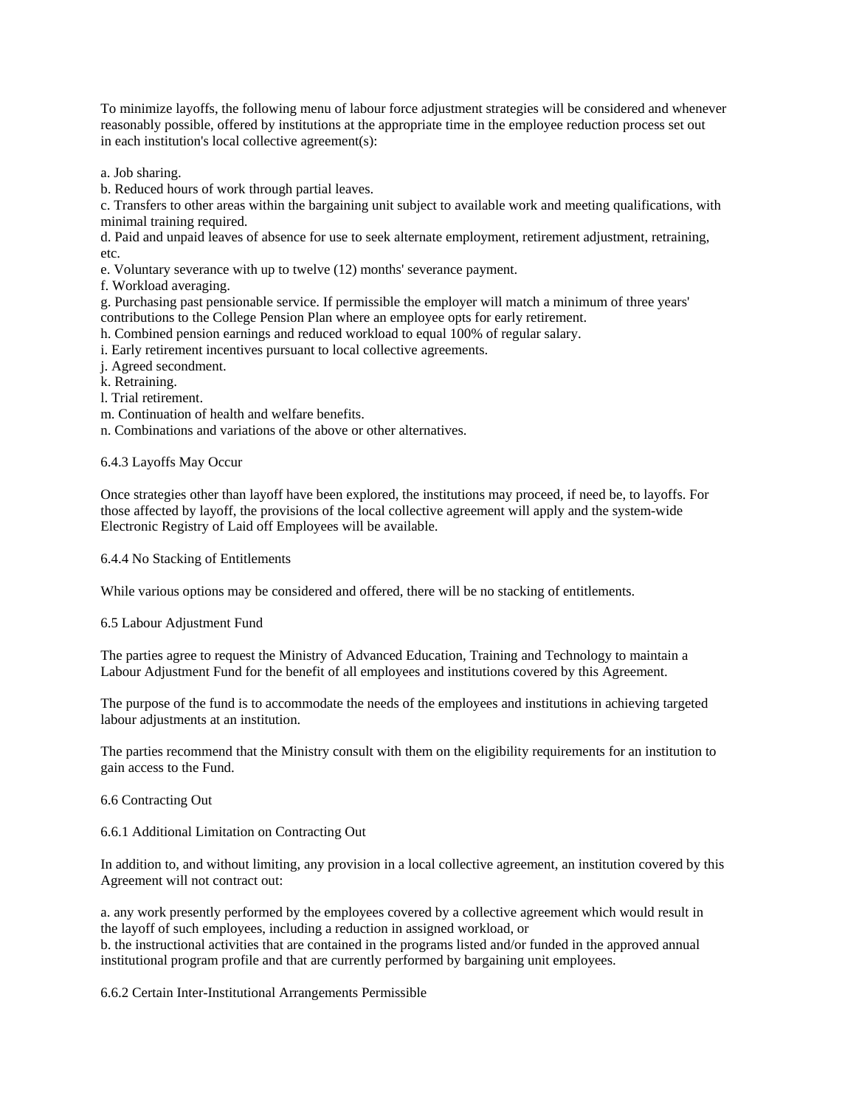To minimize layoffs, the following menu of labour force adjustment strategies will be considered and whenever reasonably possible, offered by institutions at the appropriate time in the employee reduction process set out in each institution's local collective agreement(s):

a. Job sharing.

b. Reduced hours of work through partial leaves.

c. Transfers to other areas within the bargaining unit subject to available work and meeting qualifications, with minimal training required.

d. Paid and unpaid leaves of absence for use to seek alternate employment, retirement adjustment, retraining, etc.

e. Voluntary severance with up to twelve (12) months' severance payment.

f. Workload averaging.

g. Purchasing past pensionable service. If permissible the employer will match a minimum of three years' contributions to the College Pension Plan where an employee opts for early retirement.

h. Combined pension earnings and reduced workload to equal 100% of regular salary.

i. Early retirement incentives pursuant to local collective agreements.

j. Agreed secondment.

k. Retraining.

l. Trial retirement.

m. Continuation of health and welfare benefits.

n. Combinations and variations of the above or other alternatives.

### 6.4.3 Layoffs May Occur

Once strategies other than layoff have been explored, the institutions may proceed, if need be, to layoffs. For those affected by layoff, the provisions of the local collective agreement will apply and the system-wide Electronic Registry of Laid off Employees will be available.

6.4.4 No Stacking of Entitlements

While various options may be considered and offered, there will be no stacking of entitlements.

6.5 Labour Adjustment Fund

The parties agree to request the Ministry of Advanced Education, Training and Technology to maintain a Labour Adjustment Fund for the benefit of all employees and institutions covered by this Agreement.

The purpose of the fund is to accommodate the needs of the employees and institutions in achieving targeted labour adjustments at an institution.

The parties recommend that the Ministry consult with them on the eligibility requirements for an institution to gain access to the Fund.

### 6.6 Contracting Out

6.6.1 Additional Limitation on Contracting Out

In addition to, and without limiting, any provision in a local collective agreement, an institution covered by this Agreement will not contract out:

a. any work presently performed by the employees covered by a collective agreement which would result in the layoff of such employees, including a reduction in assigned workload, or b. the instructional activities that are contained in the programs listed and/or funded in the approved annual institutional program profile and that are currently performed by bargaining unit employees.

6.6.2 Certain Inter-Institutional Arrangements Permissible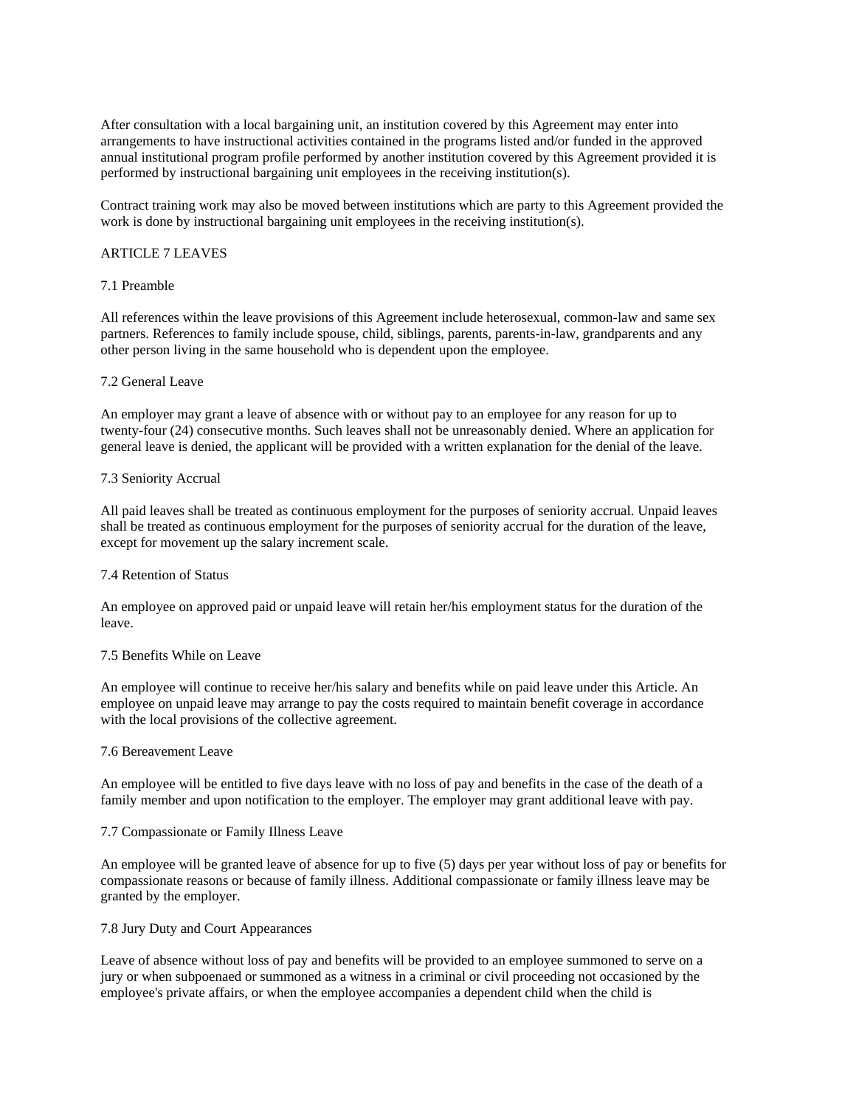After consultation with a local bargaining unit, an institution covered by this Agreement may enter into arrangements to have instructional activities contained in the programs listed and/or funded in the approved annual institutional program profile performed by another institution covered by this Agreement provided it is performed by instructional bargaining unit employees in the receiving institution(s).

Contract training work may also be moved between institutions which are party to this Agreement provided the work is done by instructional bargaining unit employees in the receiving institution(s).

### ARTICLE 7 LEAVES

### 7.1 Preamble

All references within the leave provisions of this Agreement include heterosexual, common-law and same sex partners. References to family include spouse, child, siblings, parents, parents-in-law, grandparents and any other person living in the same household who is dependent upon the employee.

### 7.2 General Leave

An employer may grant a leave of absence with or without pay to an employee for any reason for up to twenty-four (24) consecutive months. Such leaves shall not be unreasonably denied. Where an application for general leave is denied, the applicant will be provided with a written explanation for the denial of the leave.

### 7.3 Seniority Accrual

All paid leaves shall be treated as continuous employment for the purposes of seniority accrual. Unpaid leaves shall be treated as continuous employment for the purposes of seniority accrual for the duration of the leave, except for movement up the salary increment scale.

### 7.4 Retention of Status

An employee on approved paid or unpaid leave will retain her/his employment status for the duration of the leave.

### 7.5 Benefits While on Leave

An employee will continue to receive her/his salary and benefits while on paid leave under this Article. An employee on unpaid leave may arrange to pay the costs required to maintain benefit coverage in accordance with the local provisions of the collective agreement.

## 7.6 Bereavement Leave

An employee will be entitled to five days leave with no loss of pay and benefits in the case of the death of a family member and upon notification to the employer. The employer may grant additional leave with pay.

### 7.7 Compassionate or Family Illness Leave

An employee will be granted leave of absence for up to five (5) days per year without loss of pay or benefits for compassionate reasons or because of family illness. Additional compassionate or family illness leave may be granted by the employer.

### 7.8 Jury Duty and Court Appearances

Leave of absence without loss of pay and benefits will be provided to an employee summoned to serve on a jury or when subpoenaed or summoned as a witness in a criminal or civil proceeding not occasioned by the employee's private affairs, or when the employee accompanies a dependent child when the child is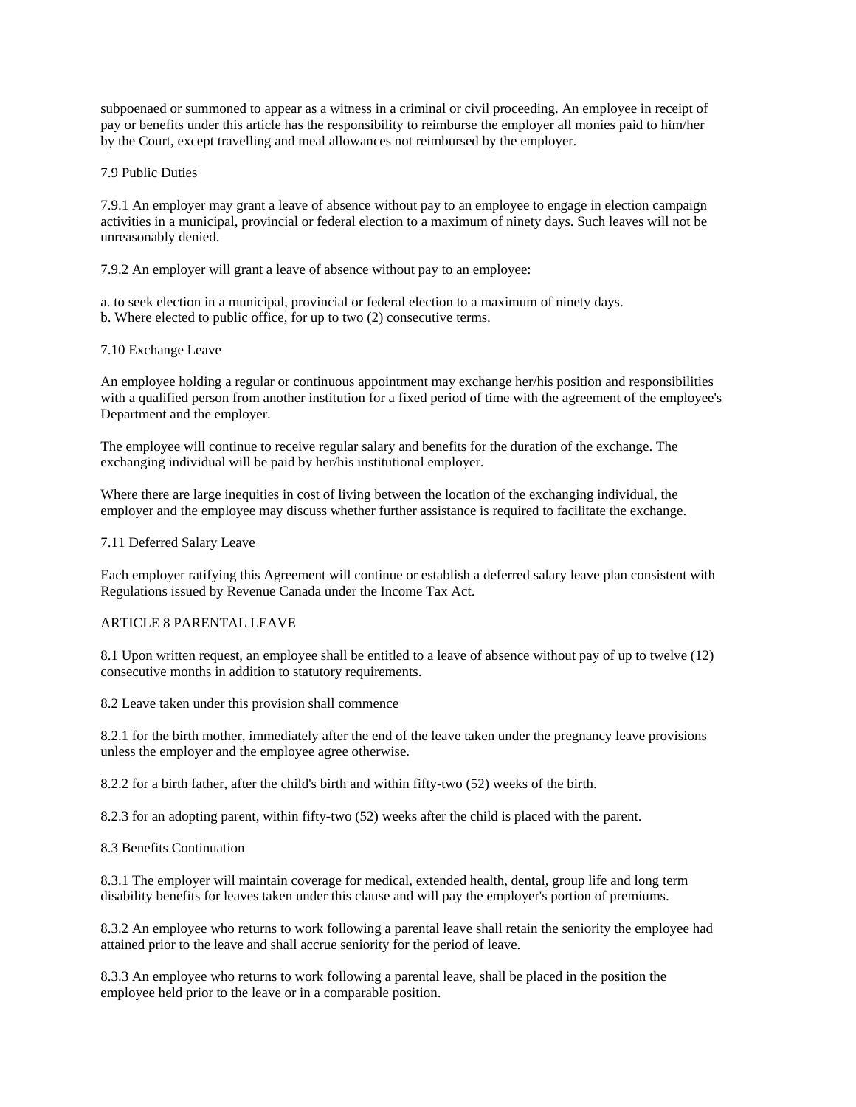subpoenaed or summoned to appear as a witness in a criminal or civil proceeding. An employee in receipt of pay or benefits under this article has the responsibility to reimburse the employer all monies paid to him/her by the Court, except travelling and meal allowances not reimbursed by the employer.

7.9 Public Duties

7.9.1 An employer may grant a leave of absence without pay to an employee to engage in election campaign activities in a municipal, provincial or federal election to a maximum of ninety days. Such leaves will not be unreasonably denied.

7.9.2 An employer will grant a leave of absence without pay to an employee:

a. to seek election in a municipal, provincial or federal election to a maximum of ninety days. b. Where elected to public office, for up to two (2) consecutive terms.

## 7.10 Exchange Leave

An employee holding a regular or continuous appointment may exchange her/his position and responsibilities with a qualified person from another institution for a fixed period of time with the agreement of the employee's Department and the employer.

The employee will continue to receive regular salary and benefits for the duration of the exchange. The exchanging individual will be paid by her/his institutional employer.

Where there are large inequities in cost of living between the location of the exchanging individual, the employer and the employee may discuss whether further assistance is required to facilitate the exchange.

## 7.11 Deferred Salary Leave

Each employer ratifying this Agreement will continue or establish a deferred salary leave plan consistent with Regulations issued by Revenue Canada under the Income Tax Act.

## ARTICLE 8 PARENTAL LEAVE

8.1 Upon written request, an employee shall be entitled to a leave of absence without pay of up to twelve (12) consecutive months in addition to statutory requirements.

8.2 Leave taken under this provision shall commence

8.2.1 for the birth mother, immediately after the end of the leave taken under the pregnancy leave provisions unless the employer and the employee agree otherwise.

8.2.2 for a birth father, after the child's birth and within fifty-two (52) weeks of the birth.

8.2.3 for an adopting parent, within fifty-two (52) weeks after the child is placed with the parent.

### 8.3 Benefits Continuation

8.3.1 The employer will maintain coverage for medical, extended health, dental, group life and long term disability benefits for leaves taken under this clause and will pay the employer's portion of premiums.

8.3.2 An employee who returns to work following a parental leave shall retain the seniority the employee had attained prior to the leave and shall accrue seniority for the period of leave.

8.3.3 An employee who returns to work following a parental leave, shall be placed in the position the employee held prior to the leave or in a comparable position.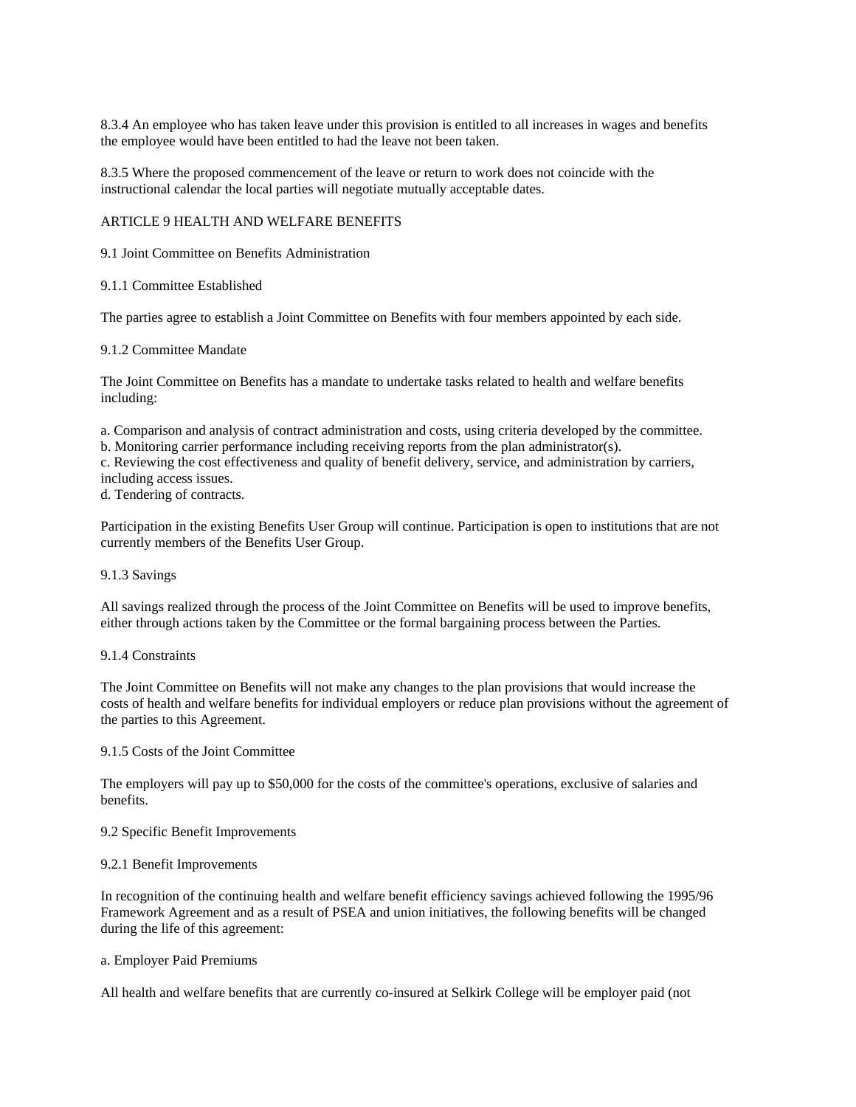8.3.4 An employee who has taken leave under this provision is entitled to all increases in wages and benefits the employee would have been entitled to had the leave not been taken.

8.3.5 Where the proposed commencement of the leave or return to work does not coincide with the instructional calendar the local parties will negotiate mutually acceptable dates.

## ARTICLE 9 HEALTH AND WELFARE BENEFITS

9.1 Joint Committee on Benefits Administration

## 9.1.1 Committee Established

The parties agree to establish a Joint Committee on Benefits with four members appointed by each side.

## 9.1.2 Committee Mandate

The Joint Committee on Benefits has a mandate to undertake tasks related to health and welfare benefits including:

a. Comparison and analysis of contract administration and costs, using criteria developed by the committee. b. Monitoring carrier performance including receiving reports from the plan administrator(s).

c. Reviewing the cost effectiveness and quality of benefit delivery, service, and administration by carriers, including access issues.

d. Tendering of contracts.

Participation in the existing Benefits User Group will continue. Participation is open to institutions that are not currently members of the Benefits User Group.

### 9.1.3 Savings

All savings realized through the process of the Joint Committee on Benefits will be used to improve benefits, either through actions taken by the Committee or the formal bargaining process between the Parties.

### 9.1.4 Constraints

The Joint Committee on Benefits will not make any changes to the plan provisions that would increase the costs of health and welfare benefits for individual employers or reduce plan provisions without the agreement of the parties to this Agreement.

## 9.1.5 Costs of the Joint Committee

The employers will pay up to \$50,000 for the costs of the committee's operations, exclusive of salaries and benefits.

### 9.2 Specific Benefit Improvements

### 9.2.1 Benefit Improvements

In recognition of the continuing health and welfare benefit efficiency savings achieved following the 1995/96 Framework Agreement and as a result of PSEA and union initiatives, the following benefits will be changed during the life of this agreement:

## a. Employer Paid Premiums

All health and welfare benefits that are currently co-insured at Selkirk College will be employer paid (not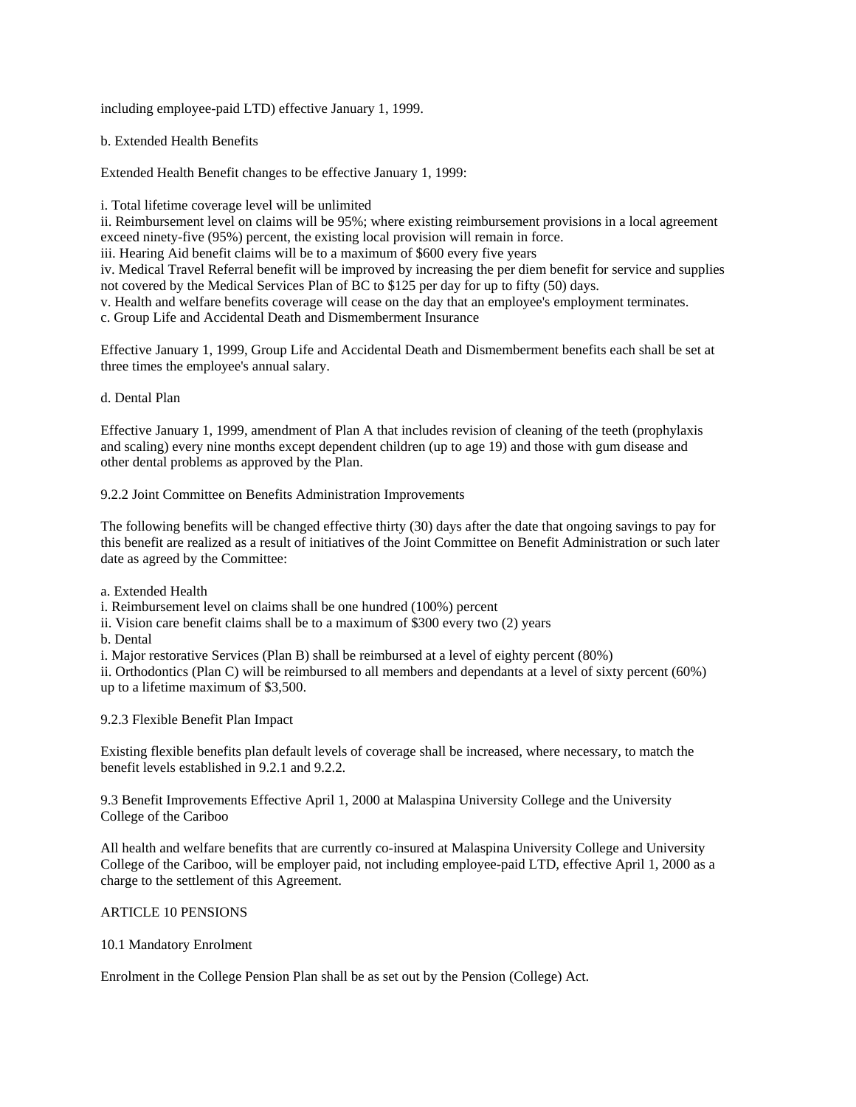including employee-paid LTD) effective January 1, 1999.

b. Extended Health Benefits

Extended Health Benefit changes to be effective January 1, 1999:

i. Total lifetime coverage level will be unlimited

ii. Reimbursement level on claims will be 95%; where existing reimbursement provisions in a local agreement exceed ninety-five (95%) percent, the existing local provision will remain in force.

iii. Hearing Aid benefit claims will be to a maximum of \$600 every five years

iv. Medical Travel Referral benefit will be improved by increasing the per diem benefit for service and supplies not covered by the Medical Services Plan of BC to \$125 per day for up to fifty (50) days.

v. Health and welfare benefits coverage will cease on the day that an employee's employment terminates.

c. Group Life and Accidental Death and Dismemberment Insurance

Effective January 1, 1999, Group Life and Accidental Death and Dismemberment benefits each shall be set at three times the employee's annual salary.

d. Dental Plan

Effective January 1, 1999, amendment of Plan A that includes revision of cleaning of the teeth (prophylaxis and scaling) every nine months except dependent children (up to age 19) and those with gum disease and other dental problems as approved by the Plan.

9.2.2 Joint Committee on Benefits Administration Improvements

The following benefits will be changed effective thirty (30) days after the date that ongoing savings to pay for this benefit are realized as a result of initiatives of the Joint Committee on Benefit Administration or such later date as agreed by the Committee:

a. Extended Health

i. Reimbursement level on claims shall be one hundred (100%) percent

- ii. Vision care benefit claims shall be to a maximum of \$300 every two (2) years
- b. Dental

i. Major restorative Services (Plan B) shall be reimbursed at a level of eighty percent (80%)

ii. Orthodontics (Plan C) will be reimbursed to all members and dependants at a level of sixty percent (60%) up to a lifetime maximum of \$3,500.

9.2.3 Flexible Benefit Plan Impact

Existing flexible benefits plan default levels of coverage shall be increased, where necessary, to match the benefit levels established in 9.2.1 and 9.2.2.

9.3 Benefit Improvements Effective April 1, 2000 at Malaspina University College and the University College of the Cariboo

All health and welfare benefits that are currently co-insured at Malaspina University College and University College of the Cariboo, will be employer paid, not including employee-paid LTD, effective April 1, 2000 as a charge to the settlement of this Agreement.

## ARTICLE 10 PENSIONS

## 10.1 Mandatory Enrolment

Enrolment in the College Pension Plan shall be as set out by the Pension (College) Act.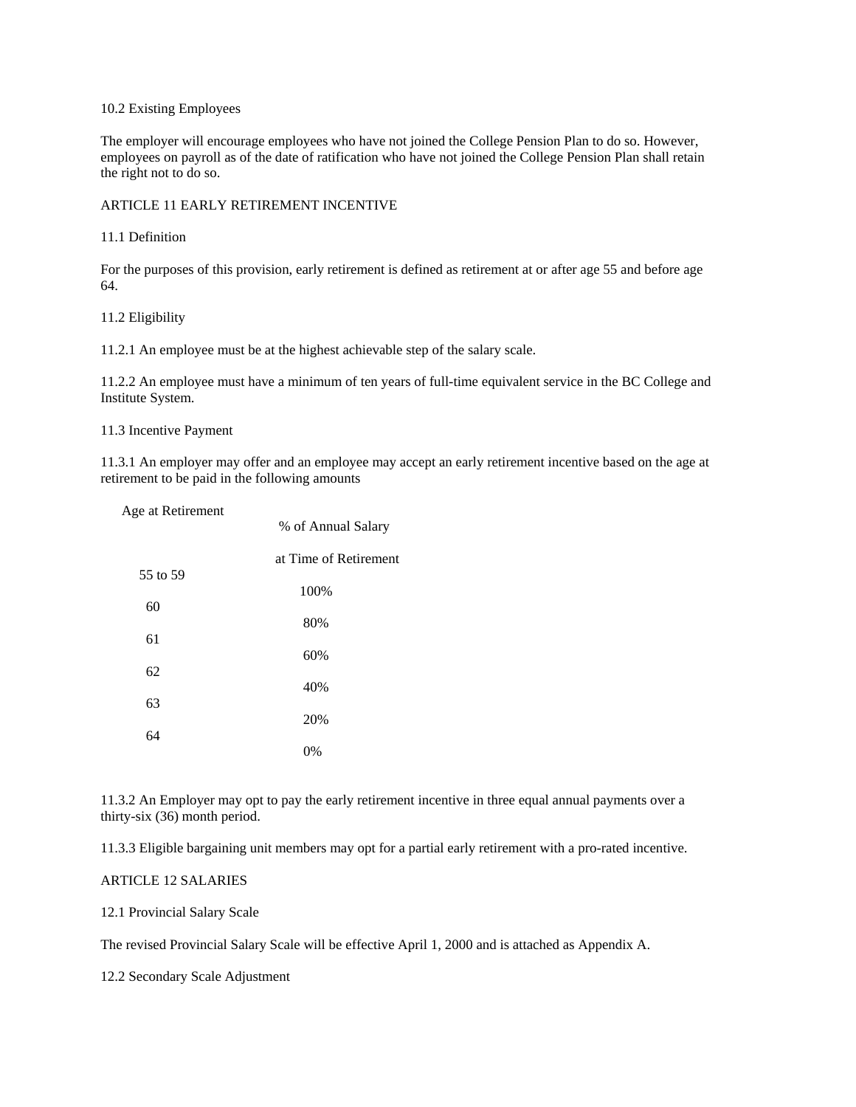## 10.2 Existing Employees

The employer will encourage employees who have not joined the College Pension Plan to do so. However, employees on payroll as of the date of ratification who have not joined the College Pension Plan shall retain the right not to do so.

### ARTICLE 11 EARLY RETIREMENT INCENTIVE

### 11.1 Definition

For the purposes of this provision, early retirement is defined as retirement at or after age 55 and before age 64.

### 11.2 Eligibility

11.2.1 An employee must be at the highest achievable step of the salary scale.

11.2.2 An employee must have a minimum of ten years of full-time equivalent service in the BC College and Institute System.

### 11.3 Incentive Payment

11.3.1 An employer may offer and an employee may accept an early retirement incentive based on the age at retirement to be paid in the following amounts

| Age at Retirement | % of Annual Salary    |
|-------------------|-----------------------|
|                   |                       |
| 55 to 59          | at Time of Retirement |
|                   | 100%                  |
| 60                | 80%                   |
| 61                | 60%                   |
| 62                |                       |
| 63                | 40%                   |
| 64                | 20%                   |
|                   | 0%                    |

11.3.2 An Employer may opt to pay the early retirement incentive in three equal annual payments over a thirty-six (36) month period.

11.3.3 Eligible bargaining unit members may opt for a partial early retirement with a pro-rated incentive.

## ARTICLE 12 SALARIES

12.1 Provincial Salary Scale

The revised Provincial Salary Scale will be effective April 1, 2000 and is attached as Appendix A.

12.2 Secondary Scale Adjustment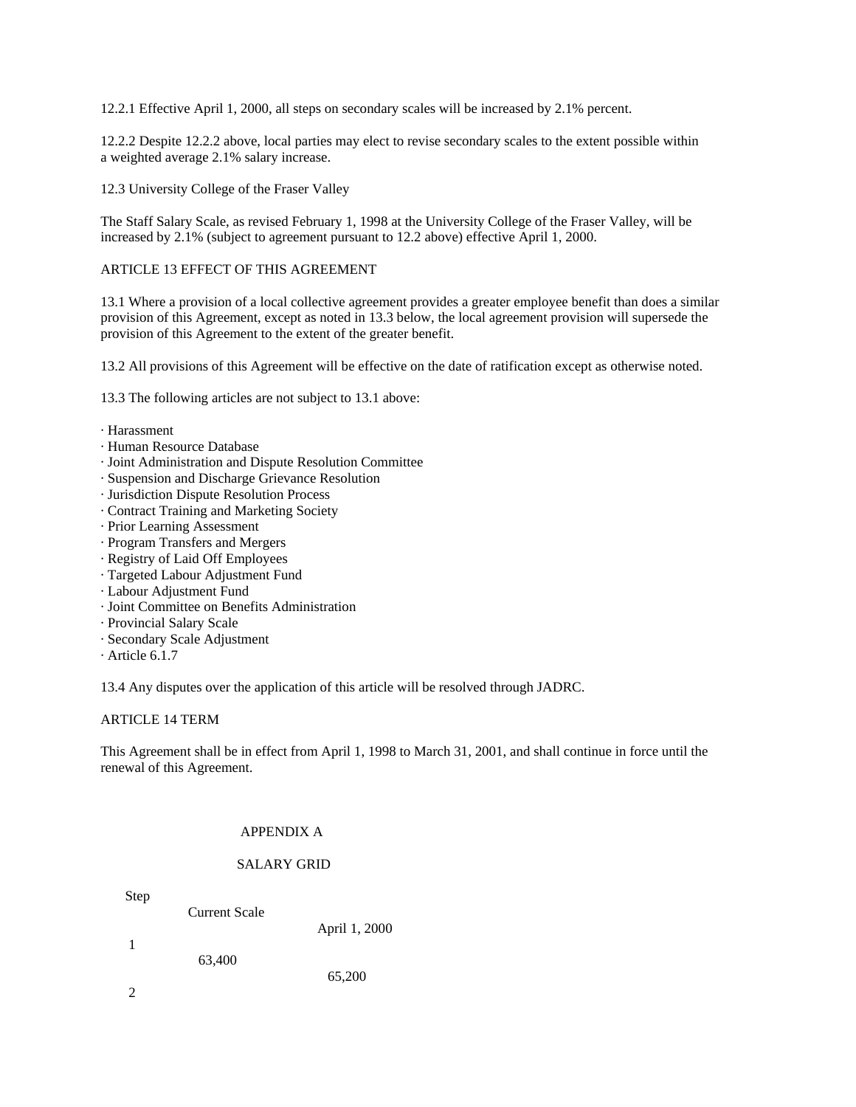12.2.1 Effective April 1, 2000, all steps on secondary scales will be increased by 2.1% percent.

12.2.2 Despite 12.2.2 above, local parties may elect to revise secondary scales to the extent possible within a weighted average 2.1% salary increase.

12.3 University College of the Fraser Valley

The Staff Salary Scale, as revised February 1, 1998 at the University College of the Fraser Valley, will be increased by 2.1% (subject to agreement pursuant to 12.2 above) effective April 1, 2000.

## ARTICLE 13 EFFECT OF THIS AGREEMENT

13.1 Where a provision of a local collective agreement provides a greater employee benefit than does a similar provision of this Agreement, except as noted in 13.3 below, the local agreement provision will supersede the provision of this Agreement to the extent of the greater benefit.

13.2 All provisions of this Agreement will be effective on the date of ratification except as otherwise noted.

13.3 The following articles are not subject to 13.1 above:

- · Harassment
- · Human Resource Database
- · Joint Administration and Dispute Resolution Committee
- · Suspension and Discharge Grievance Resolution
- · Jurisdiction Dispute Resolution Process
- · Contract Training and Marketing Society
- · Prior Learning Assessment
- · Program Transfers and Mergers
- · Registry of Laid Off Employees
- · Targeted Labour Adjustment Fund
- · Labour Adjustment Fund
- · Joint Committee on Benefits Administration
- · Provincial Salary Scale
- · Secondary Scale Adjustment
- · Article 6.1.7

13.4 Any disputes over the application of this article will be resolved through JADRC.

### ARTICLE 14 TERM

This Agreement shall be in effect from April 1, 1998 to March 31, 2001, and shall continue in force until the renewal of this Agreement.

## APPENDIX A

## SALARY GRID

Step

Current Scale

April 1, 2000

65,200

- 1 63,400
- 2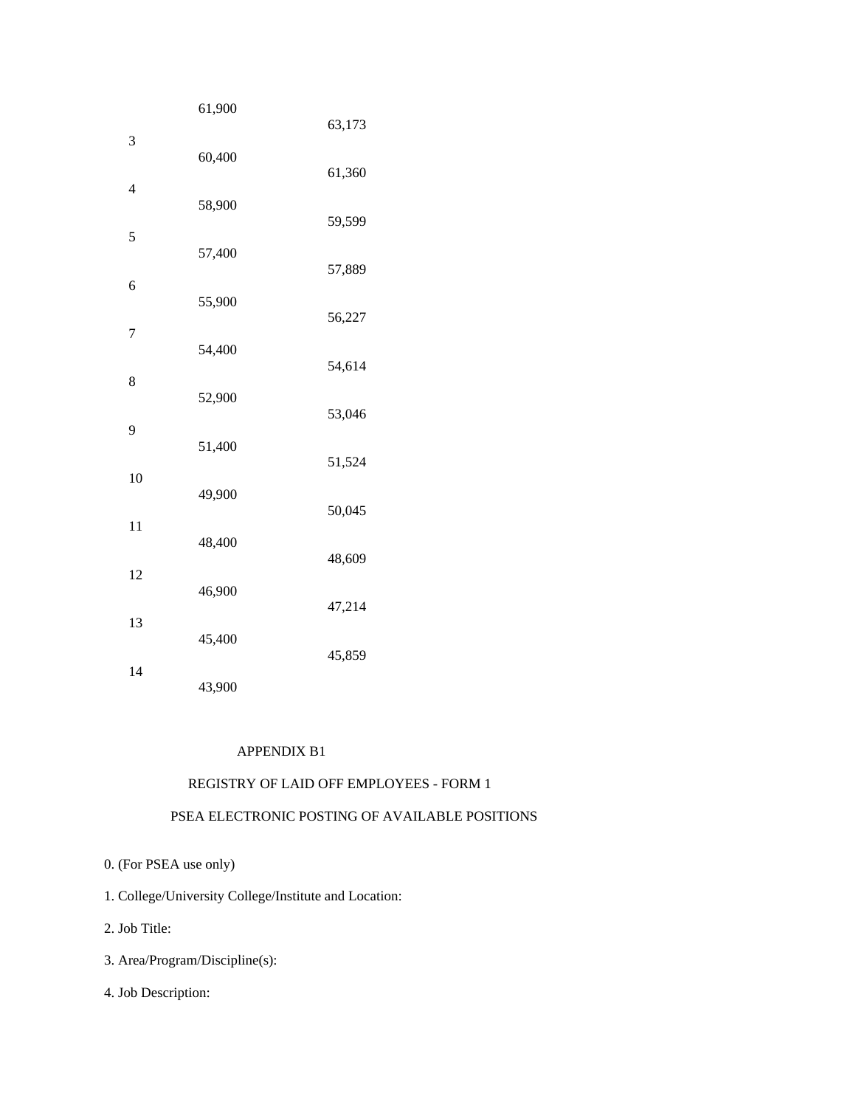|                | 61,900 | 63,173 |
|----------------|--------|--------|
| 3              | 60,400 |        |
| $\overline{4}$ |        | 61,360 |
|                | 58,900 | 59,599 |
| 5              | 57,400 | 57,889 |
| 6              | 55,900 |        |
| $\overline{7}$ |        | 56,227 |
|                | 54,400 | 54,614 |
| 8              | 52,900 | 53,046 |
| 9              | 51,400 |        |
| 10             |        | 51,524 |
|                | 49,900 | 50,045 |
| 11             | 48,400 | 48,609 |
| 12             | 46,900 |        |
| 13             |        | 47,214 |
| 14             | 45,400 | 45,859 |
|                | 43,900 |        |

## APPENDIX B1

## REGISTRY OF LAID OFF EMPLOYEES - FORM 1

# PSEA ELECTRONIC POSTING OF AVAILABLE POSITIONS

- 0. (For PSEA use only)
- 1. College/University College/Institute and Location:
- 2. Job Title:
- 3. Area/Program/Discipline(s):
- 4. Job Description: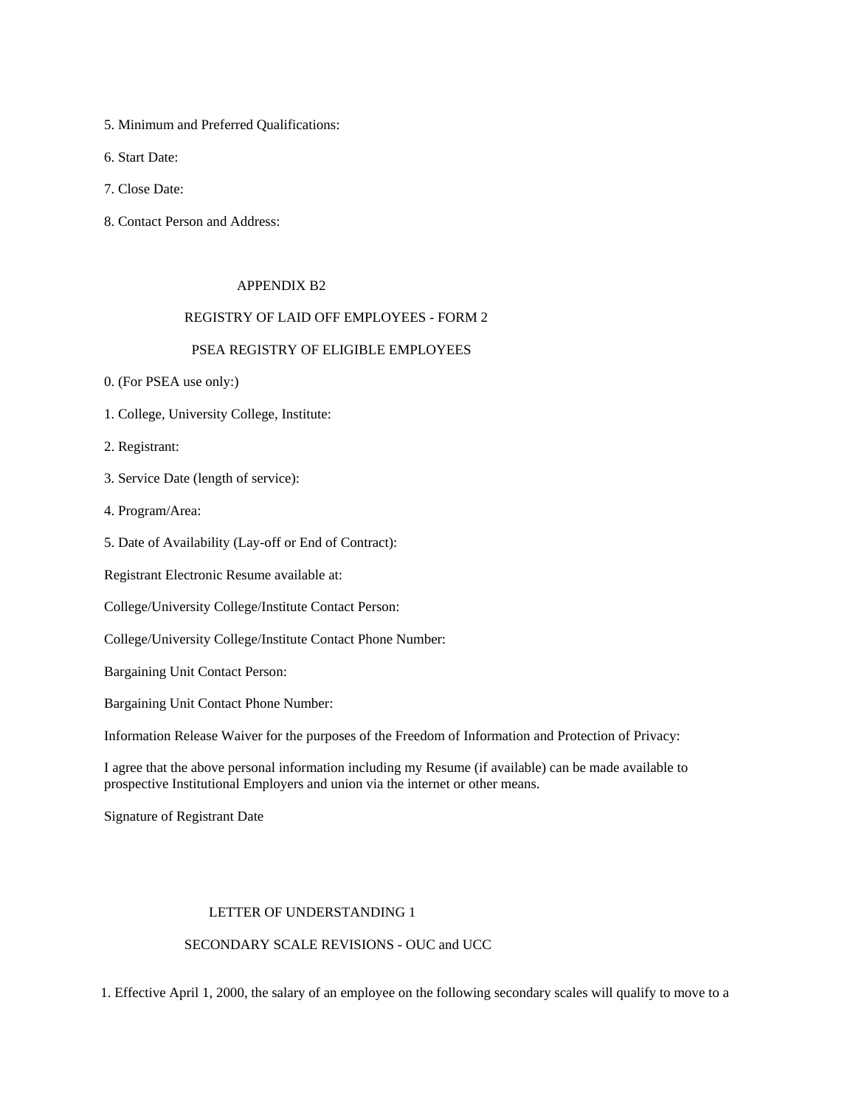- 5. Minimum and Preferred Qualifications:
- 6. Start Date:
- 7. Close Date:
- 8. Contact Person and Address:

## APPENDIX B2

### REGISTRY OF LAID OFF EMPLOYEES - FORM 2

## PSEA REGISTRY OF ELIGIBLE EMPLOYEES

- 0. (For PSEA use only:)
- 1. College, University College, Institute:
- 2. Registrant:
- 3. Service Date (length of service):
- 4. Program/Area:
- 5. Date of Availability (Lay-off or End of Contract):
- Registrant Electronic Resume available at:
- College/University College/Institute Contact Person:
- College/University College/Institute Contact Phone Number:
- Bargaining Unit Contact Person:
- Bargaining Unit Contact Phone Number:

Information Release Waiver for the purposes of the Freedom of Information and Protection of Privacy:

 I agree that the above personal information including my Resume (if available) can be made available to prospective Institutional Employers and union via the internet or other means.

Signature of Registrant Date

## LETTER OF UNDERSTANDING 1

## SECONDARY SCALE REVISIONS - OUC and UCC

1. Effective April 1, 2000, the salary of an employee on the following secondary scales will qualify to move to a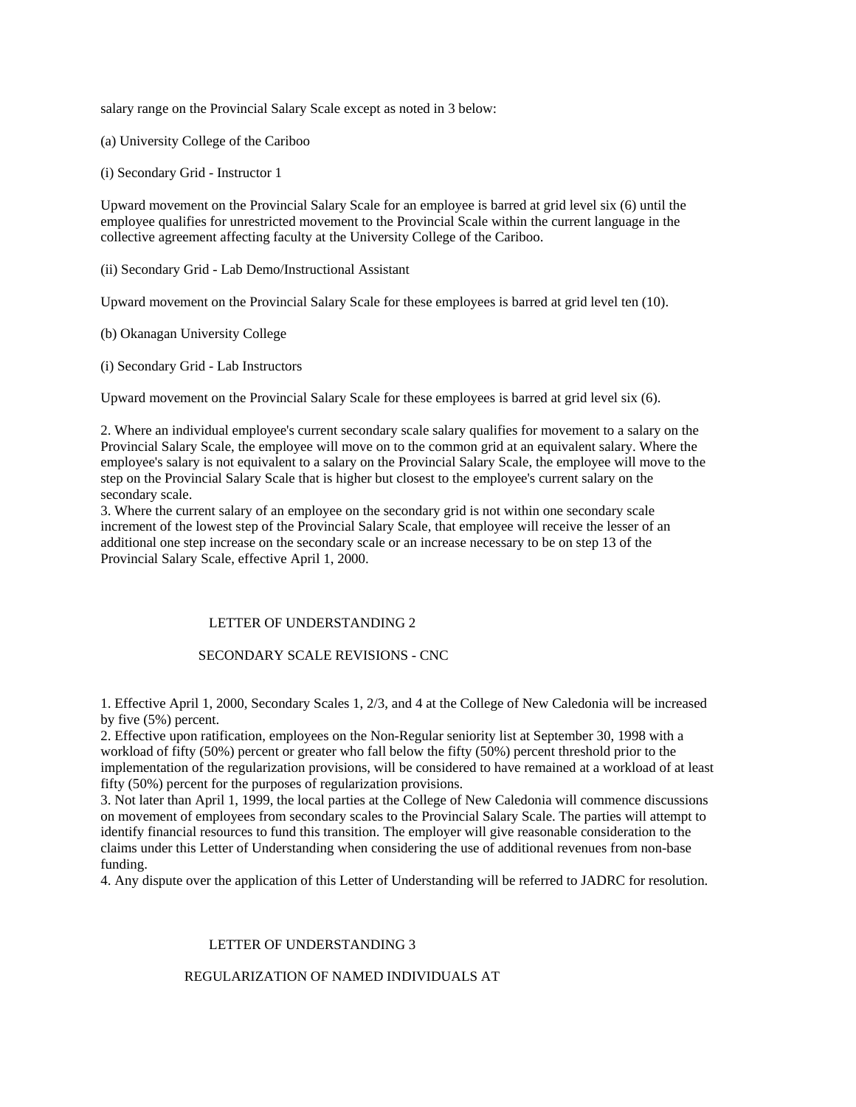salary range on the Provincial Salary Scale except as noted in 3 below:

(a) University College of the Cariboo

(i) Secondary Grid - Instructor 1

Upward movement on the Provincial Salary Scale for an employee is barred at grid level six (6) until the employee qualifies for unrestricted movement to the Provincial Scale within the current language in the collective agreement affecting faculty at the University College of the Cariboo.

(ii) Secondary Grid - Lab Demo/Instructional Assistant

Upward movement on the Provincial Salary Scale for these employees is barred at grid level ten (10).

(b) Okanagan University College

(i) Secondary Grid - Lab Instructors

Upward movement on the Provincial Salary Scale for these employees is barred at grid level six (6).

2. Where an individual employee's current secondary scale salary qualifies for movement to a salary on the Provincial Salary Scale, the employee will move on to the common grid at an equivalent salary. Where the employee's salary is not equivalent to a salary on the Provincial Salary Scale, the employee will move to the step on the Provincial Salary Scale that is higher but closest to the employee's current salary on the secondary scale.

3. Where the current salary of an employee on the secondary grid is not within one secondary scale increment of the lowest step of the Provincial Salary Scale, that employee will receive the lesser of an additional one step increase on the secondary scale or an increase necessary to be on step 13 of the Provincial Salary Scale, effective April 1, 2000.

## LETTER OF UNDERSTANDING 2

## SECONDARY SCALE REVISIONS - CNC

1. Effective April 1, 2000, Secondary Scales 1, 2/3, and 4 at the College of New Caledonia will be increased by five (5%) percent.

2. Effective upon ratification, employees on the Non-Regular seniority list at September 30, 1998 with a workload of fifty (50%) percent or greater who fall below the fifty (50%) percent threshold prior to the implementation of the regularization provisions, will be considered to have remained at a workload of at least fifty (50%) percent for the purposes of regularization provisions.

3. Not later than April 1, 1999, the local parties at the College of New Caledonia will commence discussions on movement of employees from secondary scales to the Provincial Salary Scale. The parties will attempt to identify financial resources to fund this transition. The employer will give reasonable consideration to the claims under this Letter of Understanding when considering the use of additional revenues from non-base funding.

4. Any dispute over the application of this Letter of Understanding will be referred to JADRC for resolution.

## LETTER OF UNDERSTANDING 3

## REGULARIZATION OF NAMED INDIVIDUALS AT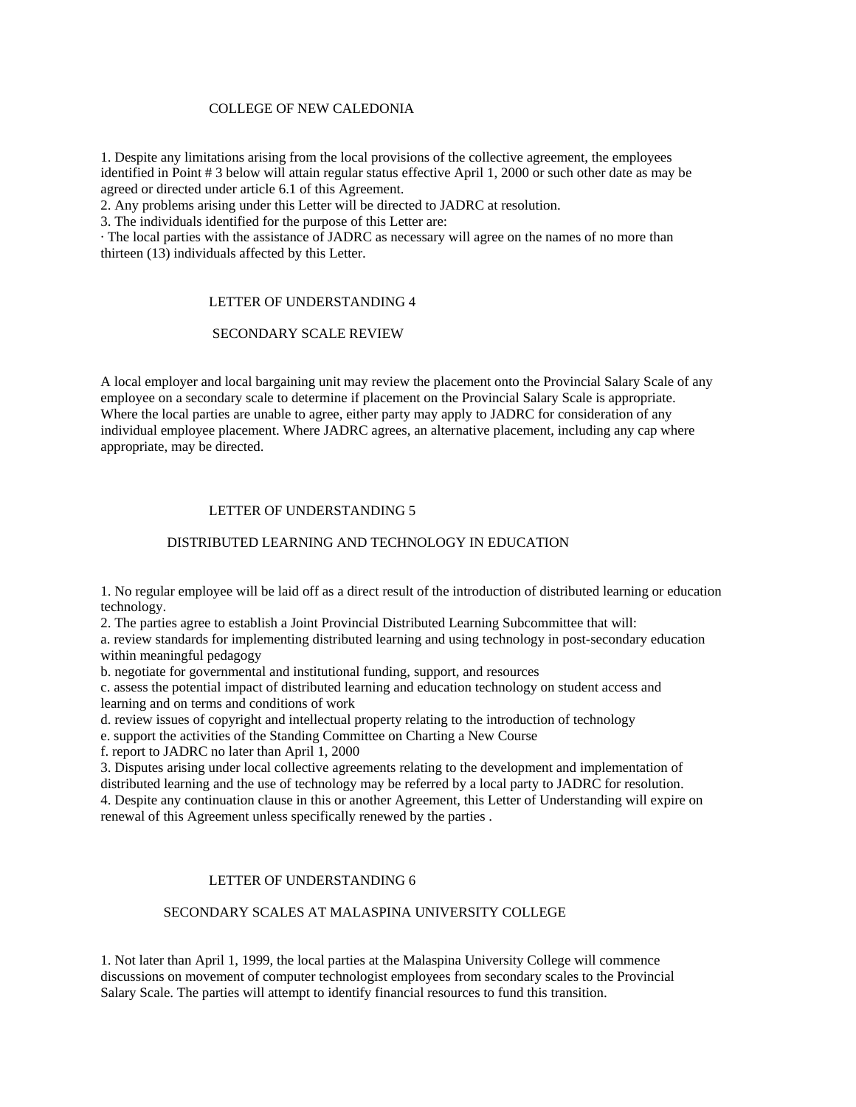## COLLEGE OF NEW CALEDONIA

1. Despite any limitations arising from the local provisions of the collective agreement, the employees identified in Point # 3 below will attain regular status effective April 1, 2000 or such other date as may be agreed or directed under article 6.1 of this Agreement.

2. Any problems arising under this Letter will be directed to JADRC at resolution.

3. The individuals identified for the purpose of this Letter are:

· The local parties with the assistance of JADRC as necessary will agree on the names of no more than thirteen  $(13)$  individuals affected by this Letter.

### LETTER OF UNDERSTANDING 4

### SECONDARY SCALE REVIEW

A local employer and local bargaining unit may review the placement onto the Provincial Salary Scale of any employee on a secondary scale to determine if placement on the Provincial Salary Scale is appropriate. Where the local parties are unable to agree, either party may apply to JADRC for consideration of any individual employee placement. Where JADRC agrees, an alternative placement, including any cap where appropriate, may be directed.

## LETTER OF UNDERSTANDING 5

## DISTRIBUTED LEARNING AND TECHNOLOGY IN EDUCATION

1. No regular employee will be laid off as a direct result of the introduction of distributed learning or education technology.

2. The parties agree to establish a Joint Provincial Distributed Learning Subcommittee that will:

a. review standards for implementing distributed learning and using technology in post-secondary education within meaningful pedagogy

b. negotiate for governmental and institutional funding, support, and resources

c. assess the potential impact of distributed learning and education technology on student access and learning and on terms and conditions of work

d. review issues of copyright and intellectual property relating to the introduction of technology

e. support the activities of the Standing Committee on Charting a New Course

f. report to JADRC no later than April 1, 2000

3. Disputes arising under local collective agreements relating to the development and implementation of

distributed learning and the use of technology may be referred by a local party to JADRC for resolution. 4. Despite any continuation clause in this or another Agreement, this Letter of Understanding will expire on renewal of this Agreement unless specifically renewed by the parties .

## LETTER OF UNDERSTANDING 6

## SECONDARY SCALES AT MALASPINA UNIVERSITY COLLEGE

1. Not later than April 1, 1999, the local parties at the Malaspina University College will commence discussions on movement of computer technologist employees from secondary scales to the Provincial Salary Scale. The parties will attempt to identify financial resources to fund this transition.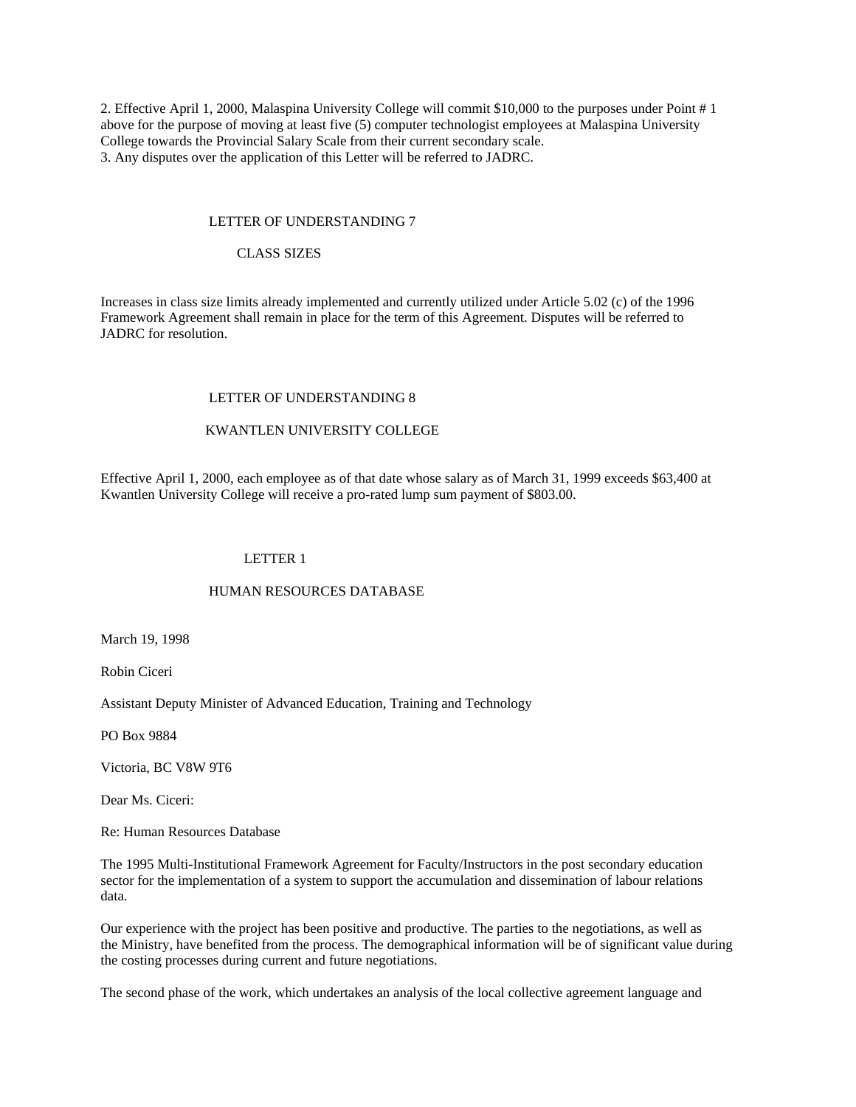2. Effective April 1, 2000, Malaspina University College will commit \$10,000 to the purposes under Point # 1 above for the purpose of moving at least five (5) computer technologist employees at Malaspina University College towards the Provincial Salary Scale from their current secondary scale. 3. Any disputes over the application of this Letter will be referred to JADRC.

#### LETTER OF UNDERSTANDING 7

### CLASS SIZES

Increases in class size limits already implemented and currently utilized under Article 5.02 (c) of the 1996 Framework Agreement shall remain in place for the term of this Agreement. Disputes will be referred to JADRC for resolution.

#### LETTER OF UNDERSTANDING 8

## KWANTLEN UNIVERSITY COLLEGE

Effective April 1, 2000, each employee as of that date whose salary as of March 31, 1999 exceeds \$63,400 at Kwantlen University College will receive a pro-rated lump sum payment of \$803.00.

#### LETTER 1

#### HUMAN RESOURCES DATABASE

March 19, 1998

Robin Ciceri

Assistant Deputy Minister of Advanced Education, Training and Technology

PO Box 9884

Victoria, BC V8W 9T6

Dear Ms. Ciceri:

Re: Human Resources Database

The 1995 Multi-Institutional Framework Agreement for Faculty/Instructors in the post secondary education sector for the implementation of a system to support the accumulation and dissemination of labour relations data.

Our experience with the project has been positive and productive. The parties to the negotiations, as well as the Ministry, have benefited from the process. The demographical information will be of significant value during the costing processes during current and future negotiations.

The second phase of the work, which undertakes an analysis of the local collective agreement language and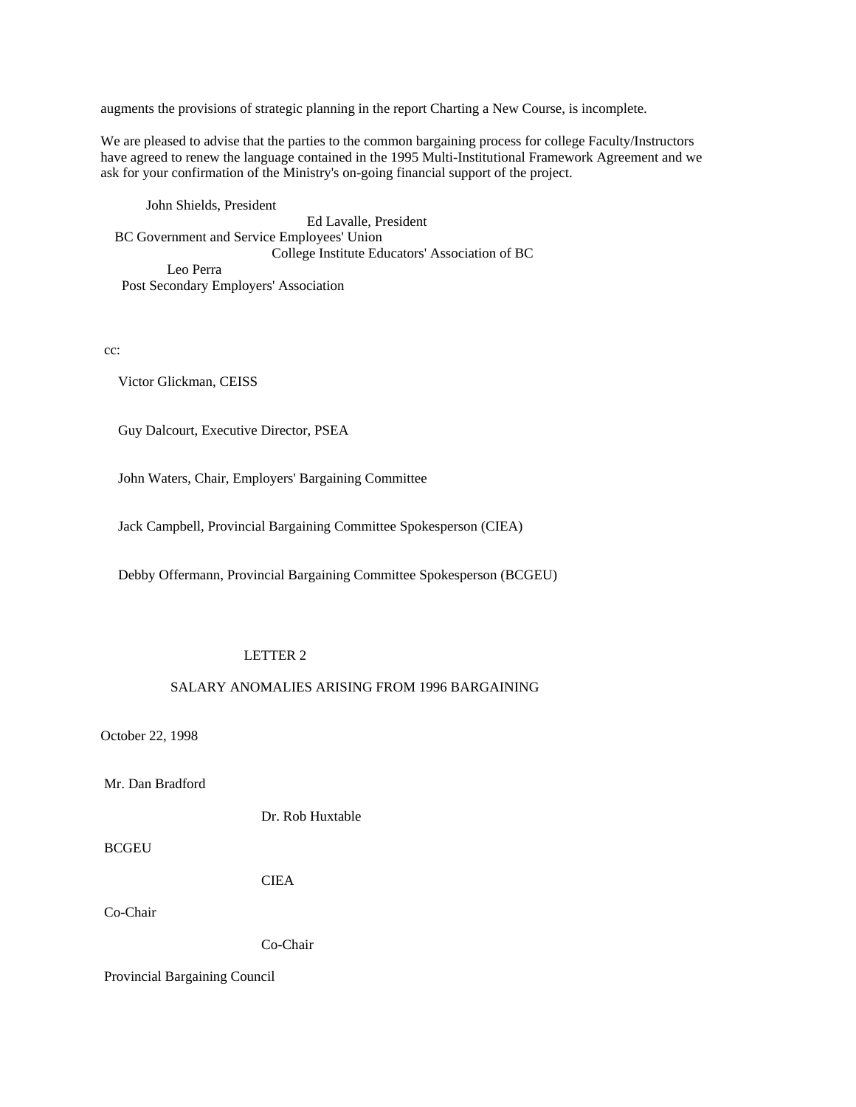augments the provisions of strategic planning in the report Charting a New Course, is incomplete.

We are pleased to advise that the parties to the common bargaining process for college Faculty/Instructors have agreed to renew the language contained in the 1995 Multi-Institutional Framework Agreement and we ask for your confirmation of the Ministry's on-going financial support of the project.

 John Shields, President Ed Lavalle, President BC Government and Service Employees' Union College Institute Educators' Association of BC Leo Perra Post Secondary Employers' Association

cc:

Victor Glickman, CEISS

Guy Dalcourt, Executive Director, PSEA

John Waters, Chair, Employers' Bargaining Committee

Jack Campbell, Provincial Bargaining Committee Spokesperson (CIEA)

Debby Offermann, Provincial Bargaining Committee Spokesperson (BCGEU)

### LETTER 2

### SALARY ANOMALIES ARISING FROM 1996 BARGAINING

October 22, 1998

Mr. Dan Bradford

Dr. Rob Huxtable

BCGEU

CIEA

Co-Chair

Co-Chair

Provincial Bargaining Council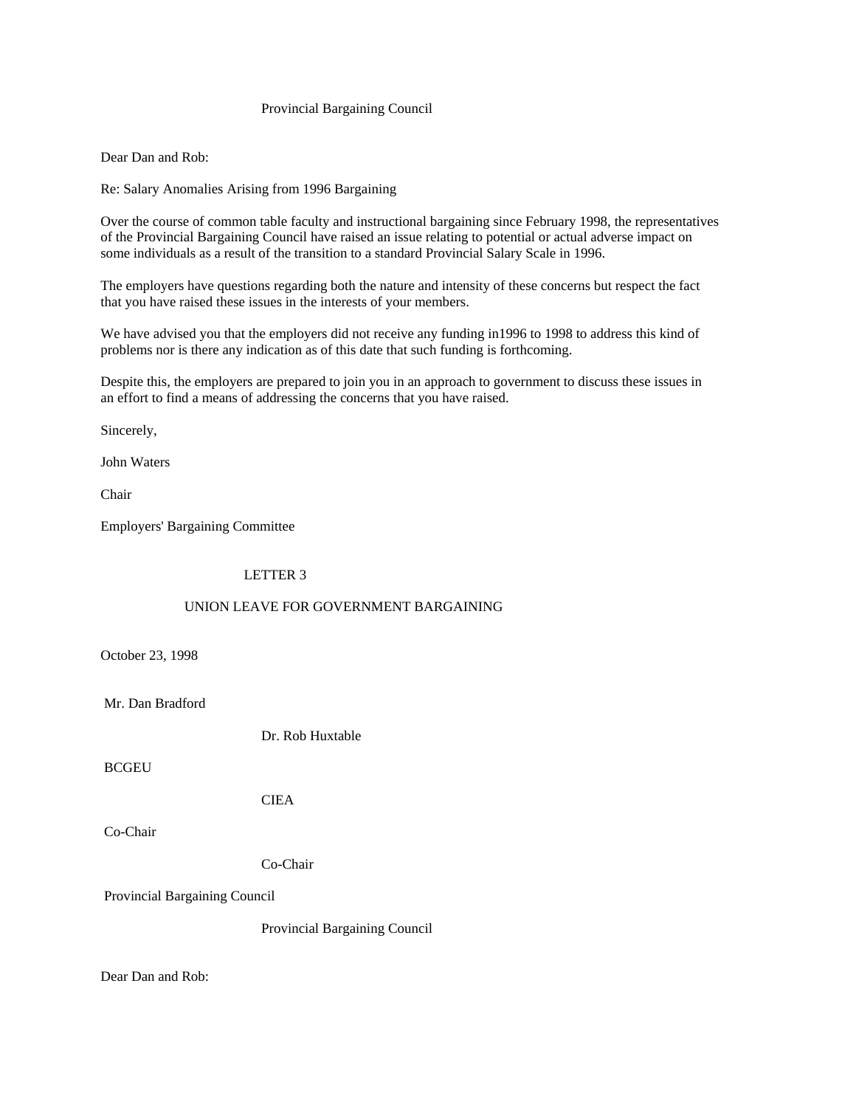## Provincial Bargaining Council

Dear Dan and Rob:

Re: Salary Anomalies Arising from 1996 Bargaining

Over the course of common table faculty and instructional bargaining since February 1998, the representatives of the Provincial Bargaining Council have raised an issue relating to potential or actual adverse impact on some individuals as a result of the transition to a standard Provincial Salary Scale in 1996.

The employers have questions regarding both the nature and intensity of these concerns but respect the fact that you have raised these issues in the interests of your members.

We have advised you that the employers did not receive any funding in 1996 to 1998 to address this kind of problems nor is there any indication as of this date that such funding is forthcoming.

Despite this, the employers are prepared to join you in an approach to government to discuss these issues in an effort to find a means of addressing the concerns that you have raised.

Sincerely,

John Waters

Chair

Employers' Bargaining Committee

LETTER 3

### UNION LEAVE FOR GOVERNMENT BARGAINING

October 23, 1998

Mr. Dan Bradford

Dr. Rob Huxtable

**BCGEU** 

CIEA

Co-Chair

Co-Chair

Provincial Bargaining Council

Provincial Bargaining Council

Dear Dan and Rob: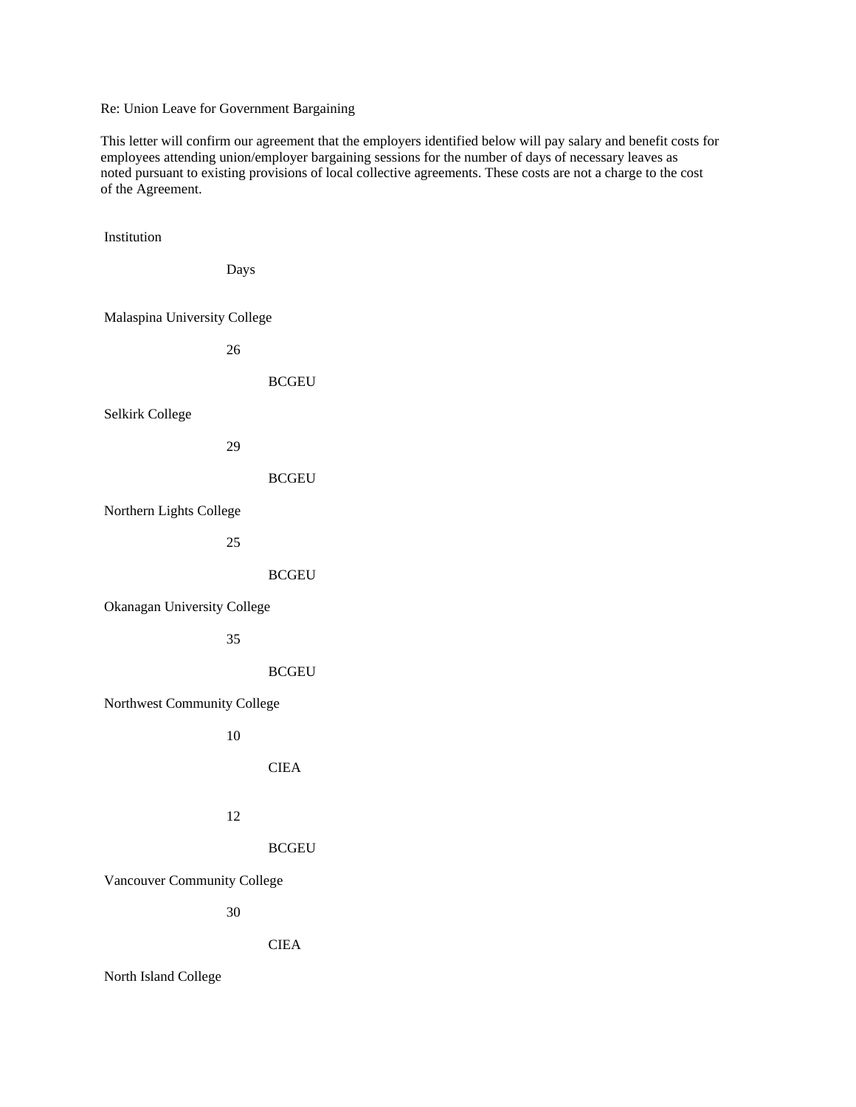Re: Union Leave for Government Bargaining

This letter will confirm our agreement that the employers identified below will pay salary and benefit costs for employees attending union/employer bargaining sessions for the number of days of necessary leaves as noted pursuant to existing provisions of local collective agreements. These costs are not a charge to the cost of the Agreement.

 Institution Days Malaspina University College 26 BCGEU Selkirk College 29 BCGEU Northern Lights College 25 BCGEU Okanagan University College 35 **BCGEU**  Northwest Community College 10 CIEA 12 BCGEU Vancouver Community College 30 CIEA North Island College